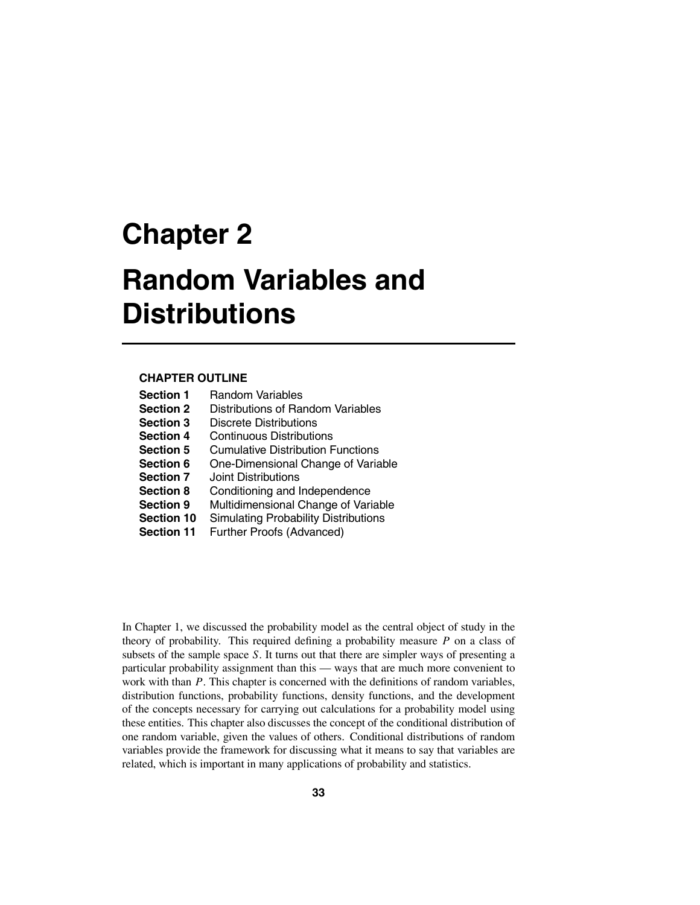# **Chapter 2**

# **Random Variables and Distributions**

### **CHAPTER OUTLINE**

| <b>Section 1</b>  | <b>Random Variables</b>                     |  |
|-------------------|---------------------------------------------|--|
| <b>Section 2</b>  | Distributions of Random Variables           |  |
| <b>Section 3</b>  | Discrete Distributions                      |  |
| <b>Section 4</b>  | Continuous Distributions                    |  |
| <b>Section 5</b>  | <b>Cumulative Distribution Functions</b>    |  |
| <b>Section 6</b>  | One-Dimensional Change of Variable          |  |
| <b>Section 7</b>  | Joint Distributions                         |  |
| <b>Section 8</b>  | Conditioning and Independence               |  |
| <b>Section 9</b>  | Multidimensional Change of Variable         |  |
| <b>Section 10</b> | <b>Simulating Probability Distributions</b> |  |
| <b>Section 11</b> | <b>Further Proofs (Advanced)</b>            |  |

In Chapter 1, we discussed the probability model as the central object of study in the theory of probability. This required defining a probability measure *P* on a class of subsets of the sample space *S*. It turns out that there are simpler ways of presenting a particular probability assignment than this — ways that are much more convenient to work with than *P*. This chapter is concerned with the definitions of random variables, distribution functions, probability functions, density functions, and the development of the concepts necessary for carrying out calculations for a probability model using these entities. This chapter also discusses the concept of the conditional distribution of one random variable, given the values of others. Conditional distributions of random variables provide the framework for discussing what it means to say that variables are related, which is important in many applications of probability and statistics.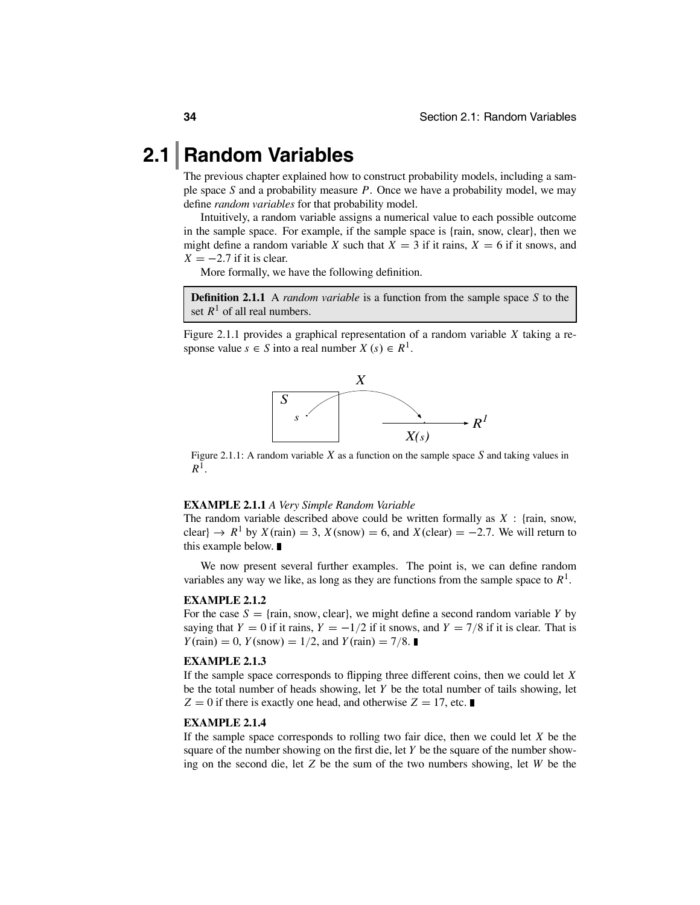## **2.1 Random Variables**

The previous chapter explained how to construct probability models, including a sample space *S* and a probability measure *P*. Once we have a probability model, we may define *random variables* for that probability model.

Intuitively, a random variable assigns a numerical value to each possible outcome in the sample space. For example, if the sample space is {rain, snow, clear}, then we might define a random variable *X* such that  $X = 3$  if it rains,  $X = 6$  if it snows, and  $X = -2.7$  if it is clear.

More formally, we have the following definition.

**Definition 2.1.1** A *random variable* is a function from the sample space *S* to the set  $R<sup>1</sup>$  of all real numbers.

Figure 2.1.1 provides a graphical representation of a random variable *X* taking a response value  $s \in S$  into a real number  $X(s) \in R^1$ .



Figure 2.1.1: A random variable *X* as a function on the sample space *S* and taking values in *R*1.

#### **EXAMPLE 2.1.1** *A Very Simple Random Variable*

The random variable described above could be written formally as  $X$ : {rain, snow, clear}  $\rightarrow$  *R*<sup>1</sup> by *X*(rain) = 3, *X*(snow) = 6, and *X*(clear) = -2.7. We will return to this example below.

We now present several further examples. The point is, we can define random variables any way we like, as long as they are functions from the sample space to  $R<sup>1</sup>$ .

#### **EXAMPLE 2.1.2**

For the case  $S = \{\text{rain}, \text{snow}, \text{clear}\}\$ , we might define a second random variable *Y* by saying that *Y* = 0 if it rains,  $Y = -1/2$  if it snows, and  $Y = 7/8$  if it is clear. That is *Y*(rain) = 0, *Y*(snow) = 1/2, and *Y*(rain) = 7/8.

#### **EXAMPLE 2.1.3**

If the sample space corresponds to flipping three different coins, then we could let *X* be the total number of heads showing, let *Y* be the total number of tails showing, let  $Z = 0$  if there is exactly one head, and otherwise  $Z = 17$ , etc.

#### **EXAMPLE 2.1.4**

If the sample space corresponds to rolling two fair dice, then we could let *X* be the square of the number showing on the first die, let *Y* be the square of the number showing on the second die, let *Z* be the sum of the two numbers showing, let *W* be the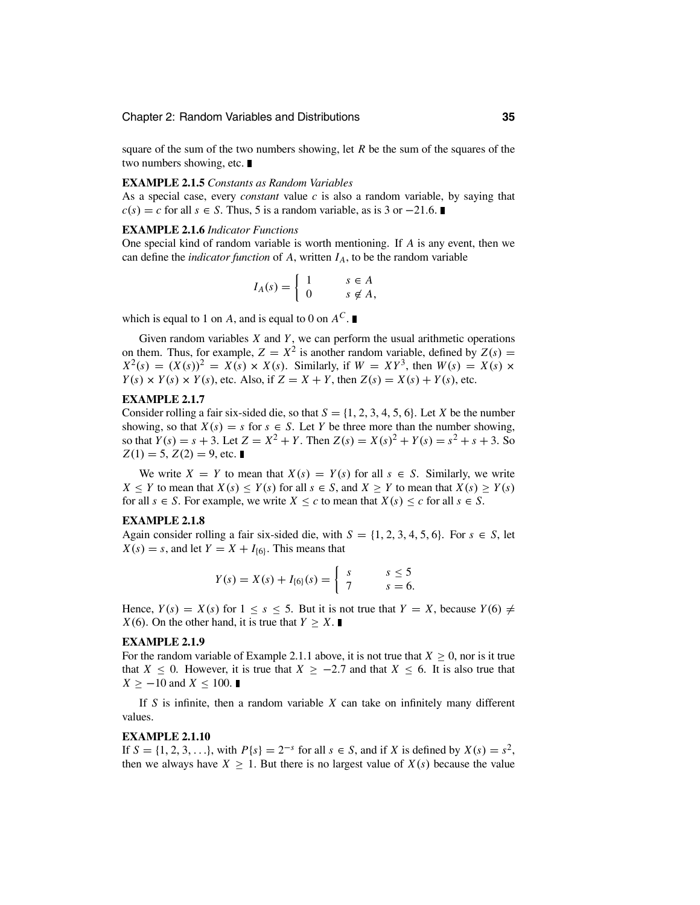square of the sum of the two numbers showing, let *R* be the sum of the squares of the two numbers showing, etc.

#### **EXAMPLE 2.1.5** *Constants as Random Variables*

As a special case, every *constant* value *c* is also a random variable, by saying that *c*(*s*) = *c* for all *s* ∈ *S*. Thus, 5 is a random variable, as is 3 or −21.6.

#### **EXAMPLE 2.1.6** *Indicator Functions*

One special kind of random variable is worth mentioning. If *A* is any event, then we can define the *indicator function* of  $A$ , written  $I_A$ , to be the random variable

$$
I_A(s) = \begin{cases} 1 & s \in A \\ 0 & s \notin A, \end{cases}
$$

which is equal to 1 on *A*, and is equal to 0 on  $A^C$ .

Given random variables *X* and *Y*, we can perform the usual arithmetic operations on them. Thus, for example,  $Z = X^2$  is another random variable, defined by  $Z(s) =$  $X^2(s) = (X(s))^2 = X(s) \times X(s)$ . Similarly, if  $W = XY^3$ , then  $W(s) = X(s) \times W(s) = X(s)$ .  $Y(s) \times Y(s) \times Y(s)$ , etc. Also, if  $Z = X + Y$ , then  $Z(s) = X(s) + Y(s)$ , etc.

#### **EXAMPLE 2.1.7**

Consider rolling a fair six-sided die, so that  $S = \{1, 2, 3, 4, 5, 6\}$ . Let *X* be the number showing, so that  $X(s) = s$  for  $s \in S$ . Let *Y* be three more than the number showing, so that  $Y(s) = s + 3$ . Let  $Z = X^2 + Y$ . Then  $Z(s) = X(s)^2 + Y(s) = s^2 + s + 3$ . So  $Z(1) = 5, Z(2) = 9$ , etc.

We write  $X = Y$  to mean that  $X(s) = Y(s)$  for all  $s \in S$ . Similarly, we write  $X \leq Y$  to mean that  $X(s) \leq Y(s)$  for all  $s \in S$ , and  $X \geq Y$  to mean that  $X(s) \geq Y(s)$ for all  $s \in S$ . For example, we write  $X \leq c$  to mean that  $X(s) \leq c$  for all  $s \in S$ .

#### **EXAMPLE 2.1.8**

Again consider rolling a fair six-sided die, with  $S = \{1, 2, 3, 4, 5, 6\}$ . For  $s \in S$ , let  $X(s) = s$ , and let  $Y = X + I_{(6)}$ . This means that

$$
Y(s) = X(s) + I_{\{6\}}(s) = \begin{cases} s & s \le 5 \\ 7 & s = 6. \end{cases}
$$

Hence,  $Y(s) = X(s)$  for  $1 \le s \le 5$ . But it is not true that  $Y = X$ , because  $Y(6) \ne$ *X*(6). On the other hand, it is true that  $Y \geq X$ .

#### **EXAMPLE 2.1.9**

For the random variable of Example 2.1.1 above, it is not true that  $X \geq 0$ , nor is it true that *X* ≤ 0. However, it is true that *X* ≥ −2.7 and that *X* ≤ 6. It is also true that  $X \ge -10$  and  $X \le 100$ . ■

If *S* is infinite, then a random variable *X* can take on infinitely many different values.

#### **EXAMPLE 2.1.10**

If *S* = {1, 2, 3, ...}, with  $P{s}$  = 2<sup>−*s*</sup> for all *s* ∈ *S*, and if *X* is defined by  $X(s) = s^2$ , then we always have  $X \geq 1$ . But there is no largest value of  $X(s)$  because the value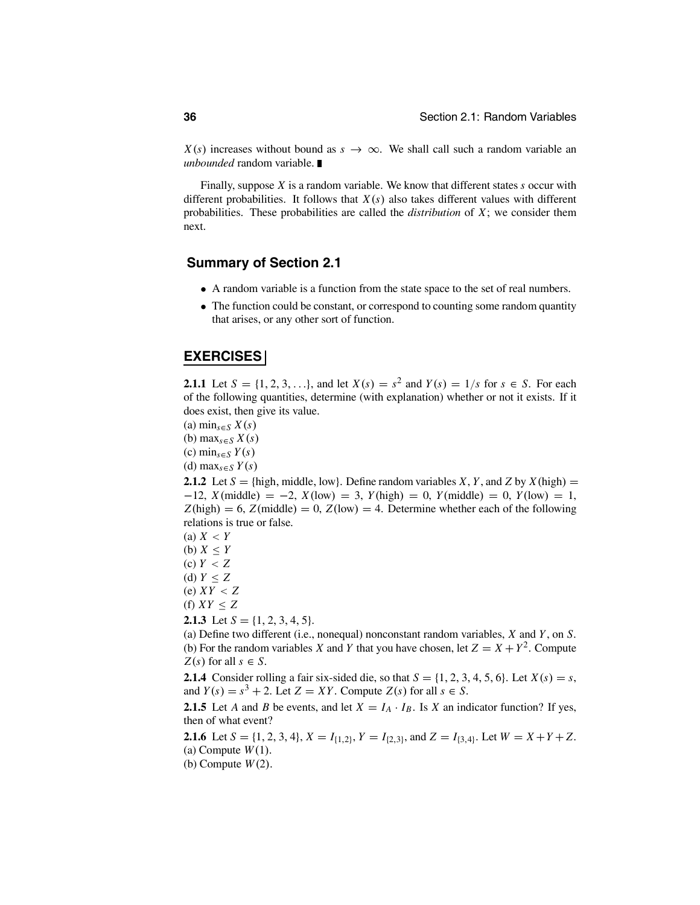*X*(*s*) increases without bound as  $s \rightarrow \infty$ . We shall call such a random variable an *unbounded* random variable.

Finally, suppose *X* is a random variable. We know that different states *s* occur with different probabilities. It follows that  $X(s)$  also takes different values with different probabilities. These probabilities are called the *distribution* of *X*; we consider them next.

## **Summary of Section 2.1**

- A random variable is a function from the state space to the set of real numbers.
- The function could be constant, or correspond to counting some random quantity that arises, or any other sort of function.

#### **EXERCISES**

**2.1.1** Let  $S = \{1, 2, 3, ...\}$ , and let  $X(s) = s^2$  and  $Y(s) = 1/s$  for  $s \in S$ . For each of the following quantities, determine (with explanation) whether or not it exists. If it does exist, then give its value.

(a) min*s*∈*<sup>S</sup> <sup>X</sup>*(*s*) (b) max*s*∈*<sup>S</sup> <sup>X</sup>*(*s*) (c) min*s*∈*<sup>S</sup> <sup>Y</sup>*(*s*) (d) max*s*∈*<sup>S</sup> <sup>Y</sup>*(*s*) **2.1.2** Let  $S = \{high, middle, low\}$ . Define random variables *X*, *Y*, and *Z* by *X*(high) =  $-12$ , *X*(middle) = -2, *X*(low) = 3, *Y*(high) = 0, *Y*(middle) = 0, *Y*(low) = 1,  $Z(high) = 6$ ,  $Z(middle) = 0$ ,  $Z(low) = 4$ . Determine whether each of the following relations is true or false.  $(a)$   $X < Y$ (b)  $X \leq Y$ (c) *Y* < *Z* (d)  $Y \leq Z$ (e) *XY* < *Z* (f)  $XY \leq Z$ **2.1.3** Let  $S = \{1, 2, 3, 4, 5\}$ .

(a) Define two different (i.e., nonequal) nonconstant random variables, *X* and *Y*, on *S*. (b) For the random variables *X* and *Y* that you have chosen, let  $Z = X + Y^2$ . Compute *Z*(*s*) for all  $s \in S$ .

**2.1.4** Consider rolling a fair six-sided die, so that  $S = \{1, 2, 3, 4, 5, 6\}$ . Let  $X(s) = s$ , and  $Y(s) = s^3 + 2$ . Let  $Z = XY$ . Compute  $Z(s)$  for all  $s \in S$ .

**2.1.5** Let *A* and *B* be events, and let  $X = I_A \cdot I_B$ . Is *X* an indicator function? If yes, then of what event?

**2.1.6** Let  $S = \{1, 2, 3, 4\}$ ,  $X = I_{\{1,2\}}$ ,  $Y = I_{\{2,3\}}$ , and  $Z = I_{\{3,4\}}$ . Let  $W = X + Y + Z$ . (a) Compute  $W(1)$ .

(b) Compute *W*(2).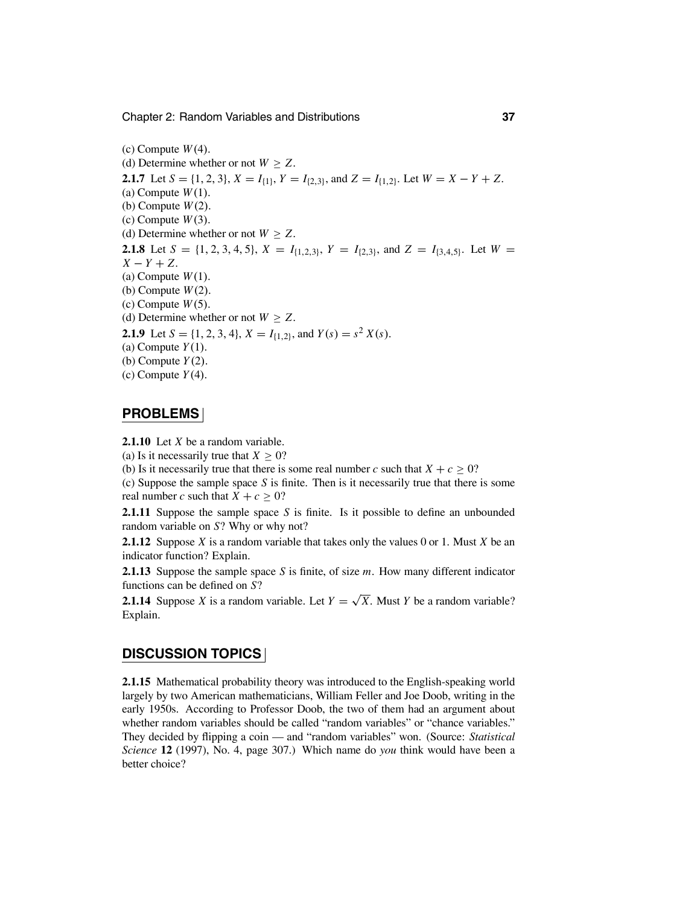(c) Compute *W*(4). (d) Determine whether or not  $W \geq Z$ . **2.1.7** Let  $S = \{1, 2, 3\}$ ,  $X = I_{\{1\}}$ ,  $Y = I_{\{2,3\}}$ , and  $Z = I_{\{1,2\}}$ . Let  $W = X - Y + Z$ . (a) Compute  $W(1)$ . (b) Compute  $W(2)$ . (c) Compute  $W(3)$ . (d) Determine whether or not  $W \geq Z$ . **2.1.8** Let  $S = \{1, 2, 3, 4, 5\}$ ,  $X = I_{\{1,2,3\}}$ ,  $Y = I_{\{2,3\}}$ , and  $Z = I_{\{3,4,5\}}$ . Let  $W =$  $X - Y + Z$ . (a) Compute  $W(1)$ . (b) Compute *W*(2). (c) Compute *W*(5). (d) Determine whether or not  $W \geq Z$ . **2.1.9** Let  $S = \{1, 2, 3, 4\}$ ,  $X = I_{\{1,2\}}$ , and  $Y(s) = s^2 X(s)$ . (a) Compute  $Y(1)$ . (b) Compute *Y*(2). (c) Compute *Y*(4).

### **PROBLEMS**

**2.1.10** Let *X* be a random variable.

(a) Is it necessarily true that  $X > 0$ ?

(b) Is it necessarily true that there is some real number *c* such that  $X + c \geq 0$ ?

(c) Suppose the sample space *S* is finite. Then is it necessarily true that there is some real number *c* such that  $X + c \geq 0$ ?

**2.1.11** Suppose the sample space *S* is finite. Is it possible to define an unbounded random variable on *S*? Why or why not?

**2.1.12** Suppose *X* is a random variable that takes only the values 0 or 1. Must *X* be an indicator function? Explain.

**2.1.13** Suppose the sample space *S* is finite, of size *m*. How many different indicator functions can be defined on *S*?

**2.1.14** Suppose *X* is a random variable. Let  $Y = \sqrt{X}$ . Must *Y* be a random variable? Explain.

## **DISCUSSION TOPICS**

**2.1.15** Mathematical probability theory was introduced to the English-speaking world largely by two American mathematicians, William Feller and Joe Doob, writing in the early 1950s. According to Professor Doob, the two of them had an argument about whether random variables should be called "random variables" or "chance variables." They decided by flipping a coin — and "random variables" won. (Source: *Statistical Science* **12** (1997), No. 4, page 307.) Which name do *you* think would have been a better choice?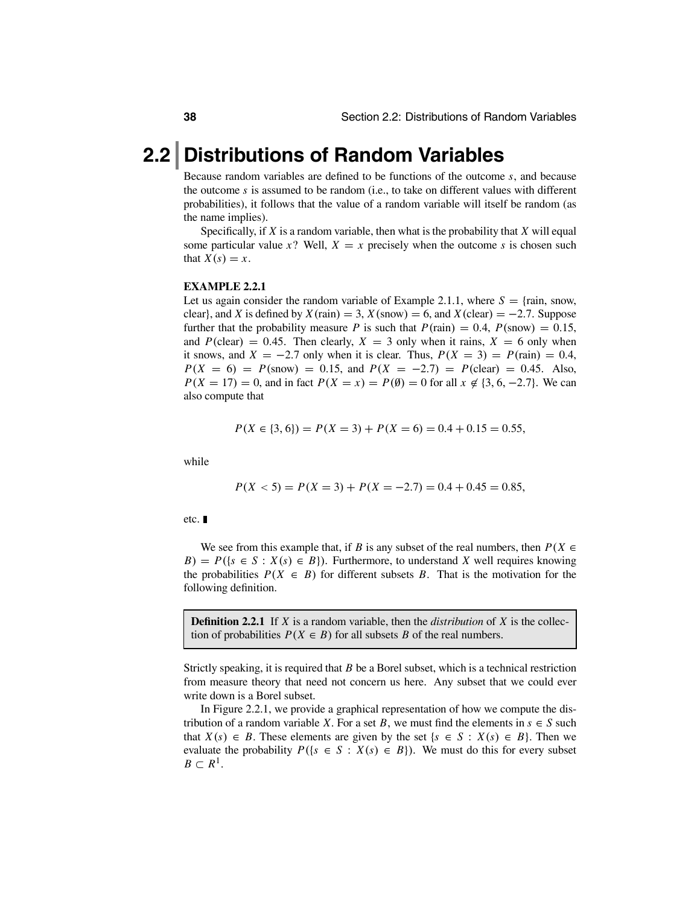## **2.2 Distributions of Random Variables**

Because random variables are defined to be functions of the outcome *s*, and because the outcome *s* is assumed to be random (i.e., to take on different values with different probabilities), it follows that the value of a random variable will itself be random (as the name implies).

Specifically, if *X* is a random variable, then what is the probability that *X* will equal some particular value  $x$ ? Well,  $X = x$  precisely when the outcome  $s$  is chosen such that  $X(s) = x$ .

#### **EXAMPLE 2.2.1**

Let us again consider the random variable of Example 2.1.1, where  $S = \{ \text{rain}, \text{snow}, \}$ clear}, and *X* is defined by  $X(\text{rain}) = 3$ ,  $X(\text{snow}) = 6$ , and  $X(\text{clear}) = -2.7$ . Suppose further that the probability measure *P* is such that  $P(\text{rain}) = 0.4$ ,  $P(\text{snow}) = 0.15$ , and  $P$ (clear) = 0.45. Then clearly,  $X = 3$  only when it rains,  $X = 6$  only when it snows, and  $X = -2.7$  only when it is clear. Thus,  $P(X = 3) = P(\text{rain}) = 0.4$ ,  $P(X = 6) = P(\text{snow}) = 0.15$ , and  $P(X = -2.7) = P(\text{clear}) = 0.45$ . Also,  $P(X = 17) = 0$ , and in fact  $P(X = x) = P(\emptyset) = 0$  for all  $x \notin \{3, 6, -2.7\}$ . We can also compute that

$$
P(X \in \{3, 6\}) = P(X = 3) + P(X = 6) = 0.4 + 0.15 = 0.55,
$$

while

$$
P(X < 5) = P(X = 3) + P(X = -2.7) = 0.4 + 0.45 = 0.85
$$

etc.

We see from this example that, if *B* is any subset of the real numbers, then  $P(X \in$  $B$ ) =  $P({s \in S : X(s) \in B})$ . Furthermore, to understand *X* well requires knowing the probabilities  $P(X \in B)$  for different subsets *B*. That is the motivation for the following definition.

**Definition 2.2.1** If *X* is a random variable, then the *distribution* of *X* is the collection of probabilities  $P(X \in B)$  for all subsets *B* of the real numbers.

Strictly speaking, it is required that *B* be a Borel subset, which is a technical restriction from measure theory that need not concern us here. Any subset that we could ever write down is a Borel subset.

In Figure 2.2.1, we provide a graphical representation of how we compute the distribution of a random variable *X*. For a set *B*, we must find the elements in  $s \in S$  such that *X*(*s*) ∈ *B*. These elements are given by the set { $s$  ∈ *S* : *X*(*s*) ∈ *B*}. Then we evaluate the probability  $P({s \in S : X(s) \in B})$ . We must do this for every subset  $B \subset R^1$ .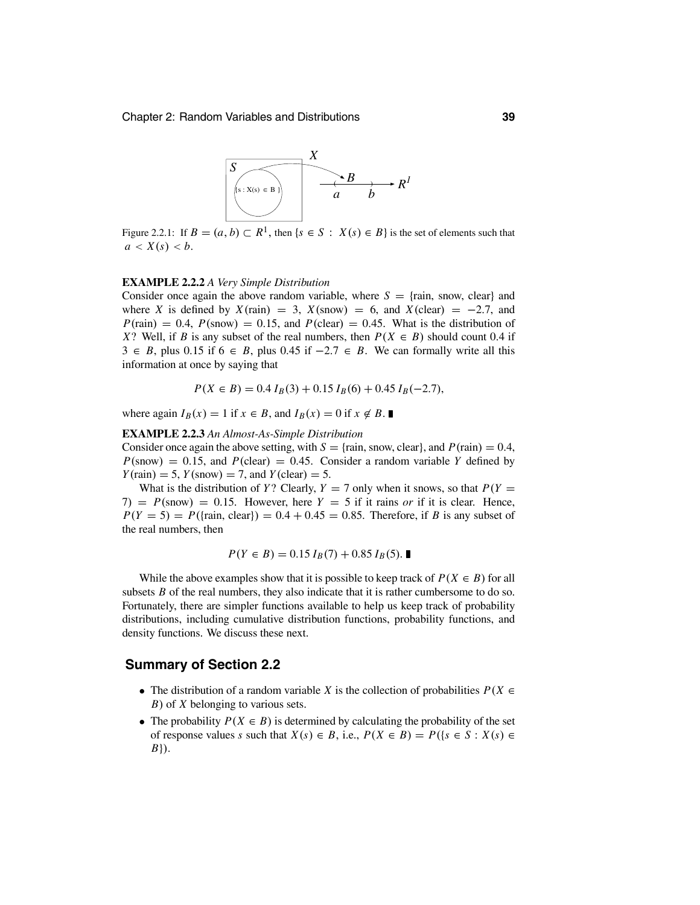

Figure 2.2.1: If  $B = (a, b) \subset R^1$ , then  $\{s \in S : X(s) \in B\}$  is the set of elements such that  $a < X(s) < b$ .

#### **EXAMPLE 2.2.2** *A Very Simple Distribution*

Consider once again the above random variable, where  $S = \{ \text{rain}, \text{snow}, \text{clear} \}$  and where *X* is defined by  $X$ (rain) = 3,  $X$ (snow) = 6, and  $X$ (clear) = -2.7, and  $P(\text{rain}) = 0.4$ ,  $P(\text{snow}) = 0.15$ , and  $P(\text{clear}) = 0.45$ . What is the distribution of *X*? Well, if *B* is any subset of the real numbers, then  $P(X \in B)$  should count 0.4 if 3 ∈ *B*, plus 0.15 if 6 ∈ *B*, plus 0.45 if  $-2.7 \text{ } \in B$ . We can formally write all this information at once by saying that

$$
P(X \in B) = 0.4 I_B(3) + 0.15 I_B(6) + 0.45 I_B(-2.7),
$$

where again  $I_B(x) = 1$  if  $x \in B$ , and  $I_B(x) = 0$  if  $x \notin B$ .

#### **EXAMPLE 2.2.3** *An Almost-As-Simple Distribution*

Consider once again the above setting, with  $S = \{\text{rain}, \text{snow}, \text{clear}\}\$ , and  $P(\text{rain}) = 0.4$ ,  $P(\text{snow}) = 0.15$ , and  $P(\text{clear}) = 0.45$ . Consider a random variable *Y* defined by  $Y(\text{rain}) = 5$ ,  $Y(\text{snow}) = 7$ , and  $Y(\text{clear}) = 5$ .

What is the distribution of *Y*? Clearly, *Y* = 7 only when it snows, so that  $P(Y =$  $7)$  = *P*(snow) = 0.15. However, here  $Y = 5$  if it rains *or* if it is clear. Hence,  $P(Y = 5) = P({\text{train, clear}}) = 0.4 + 0.45 = 0.85$ . Therefore, if *B* is any subset of the real numbers, then

$$
P(Y \in B) = 0.15 I_B(7) + 0.85 I_B(5).
$$

While the above examples show that it is possible to keep track of  $P(X \in B)$  for all subsets *B* of the real numbers, they also indicate that it is rather cumbersome to do so. Fortunately, there are simpler functions available to help us keep track of probability distributions, including cumulative distribution functions, probability functions, and density functions. We discuss these next.

#### **Summary of Section 2.2**

- The distribution of a random variable *X* is the collection of probabilities  $P(X \in$ *B*) of *X* belonging to various sets.
- The probability  $P(X \in B)$  is determined by calculating the probability of the set of response values *s* such that  $X(s) \in B$ , i.e.,  $P(X \in B) = P(\lbrace s \in S : X(s) \in B \rbrace)$ *<sup>B</sup>*}).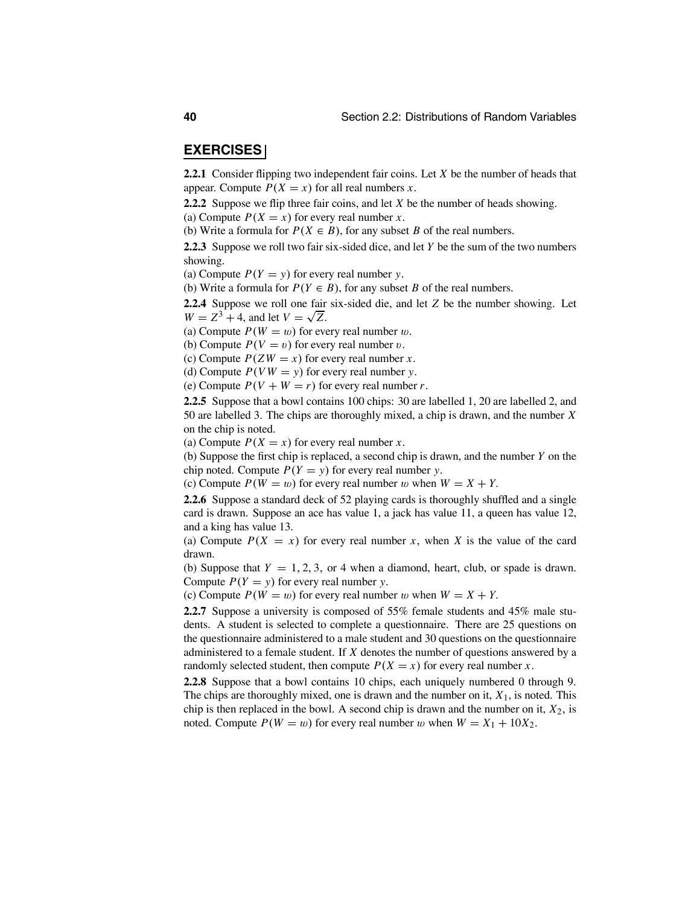## **EXERCISES**

**2.2.1** Consider flipping two independent fair coins. Let *X* be the number of heads that appear. Compute  $P(X = x)$  for all real numbers *x*.

**2.2.2** Suppose we flip three fair coins, and let *X* be the number of heads showing. (a) Compute  $P(X = x)$  for every real number *x*.

(b) Write a formula for  $P(X \in B)$ , for any subset *B* of the real numbers.

**2.2.3** Suppose we roll two fair six-sided dice, and let *Y* be the sum of the two numbers showing.

(a) Compute  $P(Y = y)$  for every real number *y*.

(b) Write a formula for  $P(Y \in B)$ , for any subset *B* of the real numbers.

**2.2.4** Suppose we roll one fair six-sided die, and let *Z* be the number showing. Let  $W = Z^3 + 4$ , and let  $V = \sqrt{Z}$ .

(a) Compute  $P(W = w)$  for every real number w.

(b) Compute  $P(V = v)$  for every real number v.

(c) Compute  $P(ZW = x)$  for every real number *x*.

(d) Compute  $P(VW = y)$  for every real number *y*.

(e) Compute  $P(V + W = r)$  for every real number *r*.

**2.2.5** Suppose that a bowl contains 100 chips: 30 are labelled 1, 20 are labelled 2, and 50 are labelled 3. The chips are thoroughly mixed, a chip is drawn, and the number *X* on the chip is noted.

(a) Compute  $P(X = x)$  for every real number *x*.

(b) Suppose the first chip is replaced, a second chip is drawn, and the number *Y* on the chip noted. Compute  $P(Y = y)$  for every real number *y*.

(c) Compute  $P(W = w)$  for every real number w when  $W = X + Y$ .

**2.2.6** Suppose a standard deck of 52 playing cards is thoroughly shuffled and a single card is drawn. Suppose an ace has value 1, a jack has value 11, a queen has value 12, and a king has value 13.

(a) Compute  $P(X = x)$  for every real number *x*, when *X* is the value of the card drawn.

(b) Suppose that  $Y = 1, 2, 3$ , or 4 when a diamond, heart, club, or spade is drawn. Compute  $P(Y = y)$  for every real number *y*.

(c) Compute  $P(W = w)$  for every real number w when  $W = X + Y$ .

**2.2.7** Suppose a university is composed of 55% female students and 45% male students. A student is selected to complete a questionnaire. There are 25 questions on the questionnaire administered to a male student and 30 questions on the questionnaire administered to a female student. If *X* denotes the number of questions answered by a randomly selected student, then compute  $P(X = x)$  for every real number *x*.

**2.2.8** Suppose that a bowl contains 10 chips, each uniquely numbered 0 through 9. The chips are thoroughly mixed, one is drawn and the number on it,  $X_1$ , is noted. This chip is then replaced in the bowl. A second chip is drawn and the number on it,  $X_2$ , is noted. Compute  $P(W = w)$  for every real number w when  $W = X_1 + 10X_2$ .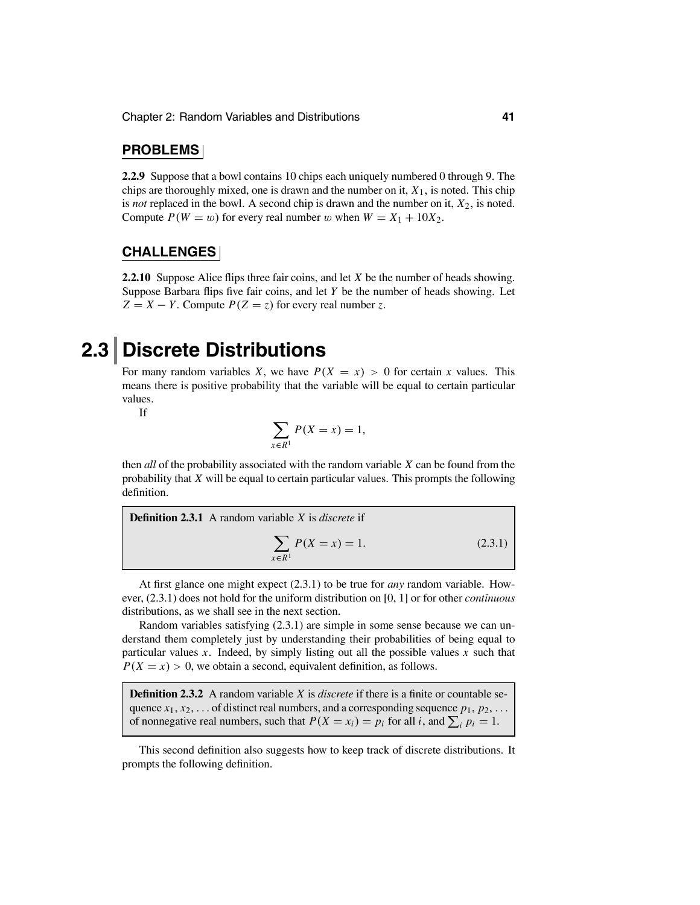Chapter 2: Random Variables and Distributions **41**

### **PROBLEMS**

**2.2.9** Suppose that a bowl contains 10 chips each uniquely numbered 0 through 9. The chips are thoroughly mixed, one is drawn and the number on it,  $X_1$ , is noted. This chip is *not* replaced in the bowl. A second chip is drawn and the number on it,  $X_2$ , is noted. Compute  $P(W = w)$  for every real number w when  $W = X_1 + 10X_2$ .

## **CHALLENGES**

**2.2.10** Suppose Alice flips three fair coins, and let *X* be the number of heads showing. Suppose Barbara flips five fair coins, and let *Y* be the number of heads showing. Let  $Z = X - Y$ . Compute  $P(Z = z)$  for every real number *z*.

## **2.3 Discrete Distributions**

For many random variables *X*, we have  $P(X = x) > 0$  for certain *x* values. This means there is positive probability that the variable will be equal to certain particular values.

If

$$
\sum_{x \in R^1} P(X = x) = 1,
$$

then *all* of the probability associated with the random variable *X* can be found from the probability that *X* will be equal to certain particular values. This prompts the following definition.

| <b>Definition 2.3.1</b> A random variable X is <i>discrete</i> if |         |
|-------------------------------------------------------------------|---------|
| $P(X = x) = 1.$<br>$x \in R^1$                                    | (2.3.1) |

At first glance one might expect (2.3.1) to be true for *any* random variable. However, (2.3.1) does not hold for the uniform distribution on [0, 1] or for other *continuous* distributions, as we shall see in the next section.

Random variables satisfying (2.3.1) are simple in some sense because we can understand them completely just by understanding their probabilities of being equal to particular values  $x$ . Indeed, by simply listing out all the possible values  $x$  such that  $P(X = x) > 0$ , we obtain a second, equivalent definition, as follows.

**Definition 2.3.2** A random variable *X* is *discrete* if there is a finite or countable sequence  $x_1, x_2, \ldots$  of distinct real numbers, and a corresponding sequence  $p_1, p_2, \ldots$ of nonnegative real numbers, such that  $P(X = x_i) = p_i$  for all *i*, and  $\sum_i p_i = 1$ .

This second definition also suggests how to keep track of discrete distributions. It prompts the following definition.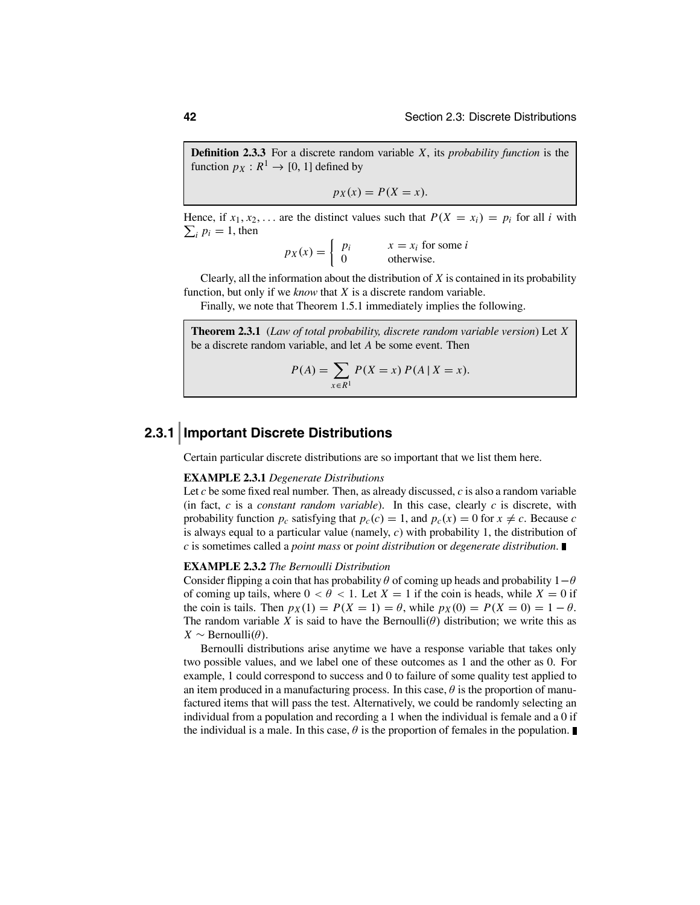**Definition 2.3.3** For a discrete random variable *X*, its *probability function* is the function  $p_X : R^1 \to [0, 1]$  defined by

$$
p_X(x) = P(X = x).
$$

Hence, if  $x_1, x_2, \ldots$  are the distinct values such that  $P(X = x_i) = p_i$  for all *i* with  $\sum_i p_i = 1$ , then

$$
p_X(x) = \begin{cases} p_i & x = x_i \text{ for some } i \\ 0 & \text{otherwise.} \end{cases}
$$

Clearly, all the information about the distribution of *X* is contained in its probability function, but only if we *know* that *X* is a discrete random variable.

Finally, we note that Theorem 1.5.1 immediately implies the following.

**Theorem 2.3.1** (*Law of total probability, discrete random variable version*) Let *X* be a discrete random variable, and let *A* be some event. Then

$$
P(A) = \sum_{x \in R^1} P(X = x) P(A | X = x).
$$

## **2.3.1 Important Discrete Distributions**

Certain particular discrete distributions are so important that we list them here.

#### **EXAMPLE 2.3.1** *Degenerate Distributions*

Let *c* be some fixed real number. Then, as already discussed, *c* is also a random variable (in fact, *c* is a *constant random variable*). In this case, clearly *c* is discrete, with probability function  $p_c$  satisfying that  $p_c(c) = 1$ , and  $p_c(x) = 0$  for  $x \neq c$ . Because *c* is always equal to a particular value (namely, *c*) with probability 1, the distribution of *c* is sometimes called a *point mass* or *point distribution* or *degenerate distribution*.

#### **EXAMPLE 2.3.2** *The Bernoulli Distribution*

Consider flipping a coin that has probability  $\theta$  of coming up heads and probability  $1-\theta$ of coming up tails, where  $0 < \theta < 1$ . Let  $X = 1$  if the coin is heads, while  $X = 0$  if the coin is tails. Then  $p_X(1) = P(X = 1) = \theta$ , while  $p_X(0) = P(X = 0) = 1 - \theta$ . The random variable *X* is said to have the Bernoulli $(\theta)$  distribution; we write this as  $X \sim \text{Bernoulli}(\theta)$ .

Bernoulli distributions arise anytime we have a response variable that takes only two possible values, and we label one of these outcomes as 1 and the other as 0. For example, 1 could correspond to success and 0 to failure of some quality test applied to an item produced in a manufacturing process. In this case,  $\theta$  is the proportion of manufactured items that will pass the test. Alternatively, we could be randomly selecting an individual from a population and recording a 1 when the individual is female and a 0 if the individual is a male. In this case,  $\theta$  is the proportion of females in the population.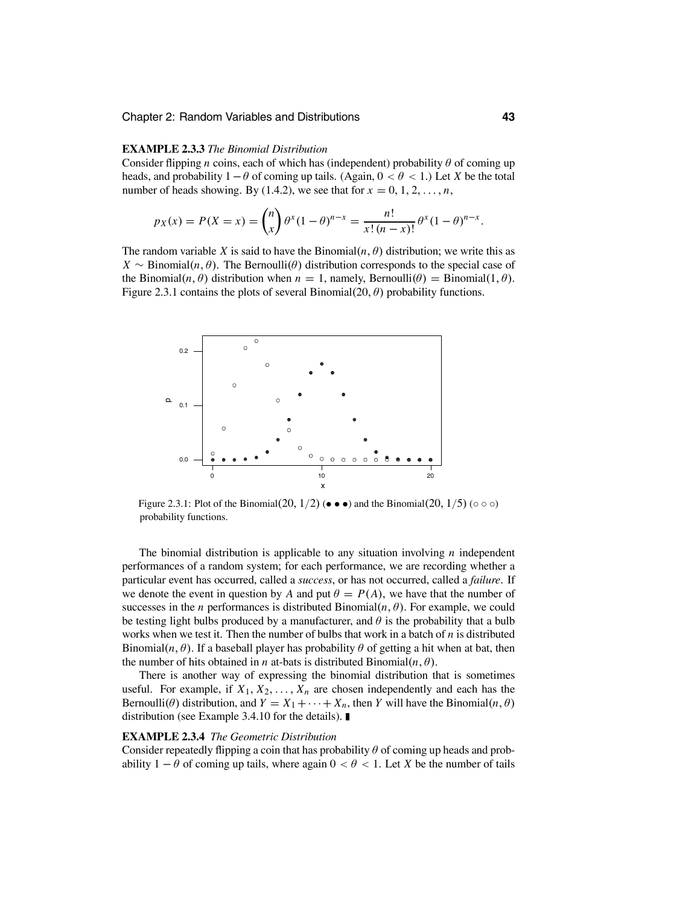#### Chapter 2: Random Variables and Distributions **43**

#### **EXAMPLE 2.3.3** *The Binomial Distribution*

Consider flipping *n* coins, each of which has (independent) probability  $\theta$  of coming up heads, and probability  $1 - \theta$  of coming up tails. (Again,  $0 < \theta < 1$ .) Let *X* be the total number of heads showing. By (1.4.2), we see that for  $x = 0, 1, 2, \ldots, n$ ,

$$
p_X(x) = P(X = x) = {n \choose x} \theta^x (1 - \theta)^{n - x} = \frac{n!}{x! (n - x)!} \theta^x (1 - \theta)^{n - x}.
$$

The random variable *X* is said to have the Binomial $(n, \theta)$  distribution; we write this as *X* ∼ Binomial(*n*,  $\theta$ ). The Bernoulli( $\theta$ ) distribution corresponds to the special case of the Binomial(*n*,  $\theta$ ) distribution when  $n = 1$ , namely, Bernoulli( $\theta$ ) = Binomial(1,  $\theta$ ). Figure 2.3.1 contains the plots of several Binomial(20,  $\theta$ ) probability functions.



Figure 2.3.1: Plot of the Binomial(20,  $1/2$ ) (•••) and the Binomial(20,  $1/5$ ) ( $\circ \circ \circ$ ) probability functions.

The binomial distribution is applicable to any situation involving *n* independent performances of a random system; for each performance, we are recording whether a particular event has occurred, called a *success*, or has not occurred, called a *failure*. If we denote the event in question by *A* and put  $\theta = P(A)$ , we have that the number of successes in the *n* performances is distributed Binomial $(n, \theta)$ . For example, we could be testing light bulbs produced by a manufacturer, and  $\theta$  is the probability that a bulb works when we test it. Then the number of bulbs that work in a batch of *n* is distributed Binomial(*n*,  $\theta$ ). If a baseball player has probability  $\theta$  of getting a hit when at bat, then the number of hits obtained in *n* at-bats is distributed Binomial $(n, \theta)$ .

There is another way of expressing the binomial distribution that is sometimes useful. For example, if  $X_1, X_2, \ldots, X_n$  are chosen independently and each has the Bernoulli( $\theta$ ) distribution, and  $Y = X_1 + \cdots + X_n$ , then *Y* will have the Binomial(*n*,  $\theta$ ) distribution (see Example 3.4.10 for the details).

#### **EXAMPLE 2.3.4** *The Geometric Distribution*

Consider repeatedly flipping a coin that has probability  $\theta$  of coming up heads and probability  $1 - \theta$  of coming up tails, where again  $0 < \theta < 1$ . Let *X* be the number of tails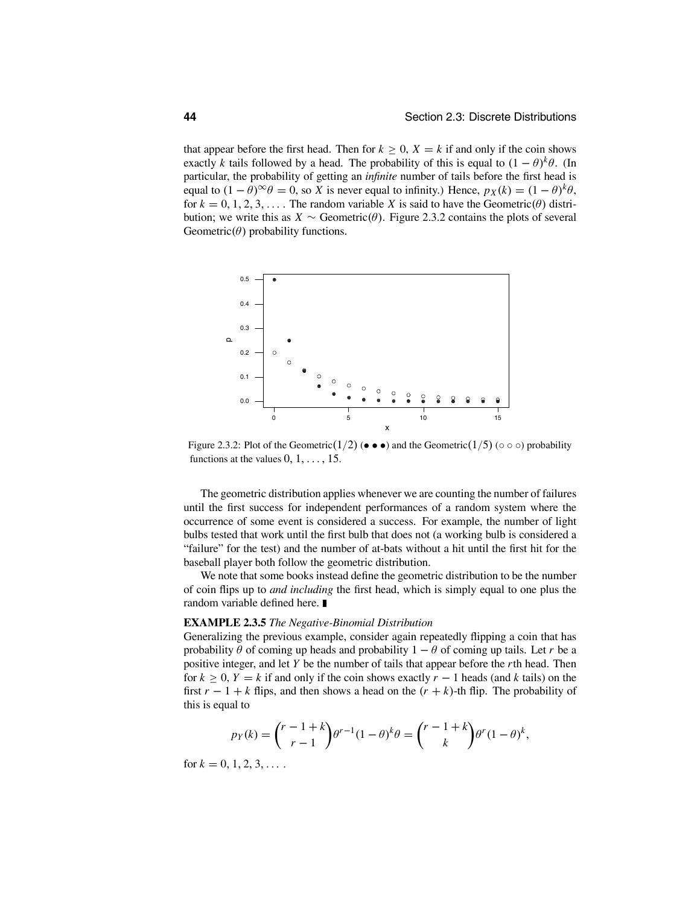that appear before the first head. Then for  $k \geq 0$ ,  $X = k$  if and only if the coin shows exactly *k* tails followed by a head. The probability of this is equal to  $(1 - \theta)^k \theta$ . (In particular, the probability of getting an *infinite* number of tails before the first head is equal to  $(1 - \theta)^\infty \theta = 0$ , so *X* is never equal to infinity.) Hence,  $p_X(k) = (1 - \theta)^k \theta$ . for  $k = 0, 1, 2, 3, \ldots$ . The random variable *X* is said to have the Geometric( $\theta$ ) distribution; we write this as *X*  $\sim$  Geometric( $\theta$ ). Figure 2.3.2 contains the plots of several Geometric $(\theta)$  probability functions.



Figure 2.3.2: Plot of the Geometric(1/2) (•••) and the Geometric(1/5) (⊙ ⊙ ⊙) probability functions at the values  $0, 1, \ldots, 15$ .

The geometric distribution applies whenever we are counting the number of failures until the first success for independent performances of a random system where the occurrence of some event is considered a success. For example, the number of light bulbs tested that work until the first bulb that does not (a working bulb is considered a "failure" for the test) and the number of at-bats without a hit until the first hit for the baseball player both follow the geometric distribution.

We note that some books instead define the geometric distribution to be the number of coin flips up to *and including* the first head, which is simply equal to one plus the random variable defined here.

#### **EXAMPLE 2.3.5** *The Negative-Binomial Distribution*

Generalizing the previous example, consider again repeatedly flipping a coin that has probability  $\theta$  of coming up heads and probability  $1 - \theta$  of coming up tails. Let *r* be a positive integer, and let *Y* be the number of tails that appear before the *r*th head. Then for  $k \geq 0$ ,  $Y = k$  if and only if the coin shows exactly  $r - 1$  heads (and *k* tails) on the first  $r - 1 + k$  flips, and then shows a head on the  $(r + k)$ -th flip. The probability of this is equal to

$$
p_Y(k) = {r-1+k \choose r-1} \theta^{r-1} (1-\theta)^k \theta = {r-1+k \choose k} \theta^r (1-\theta)^k,
$$

for  $k = 0, 1, 2, 3, \ldots$ .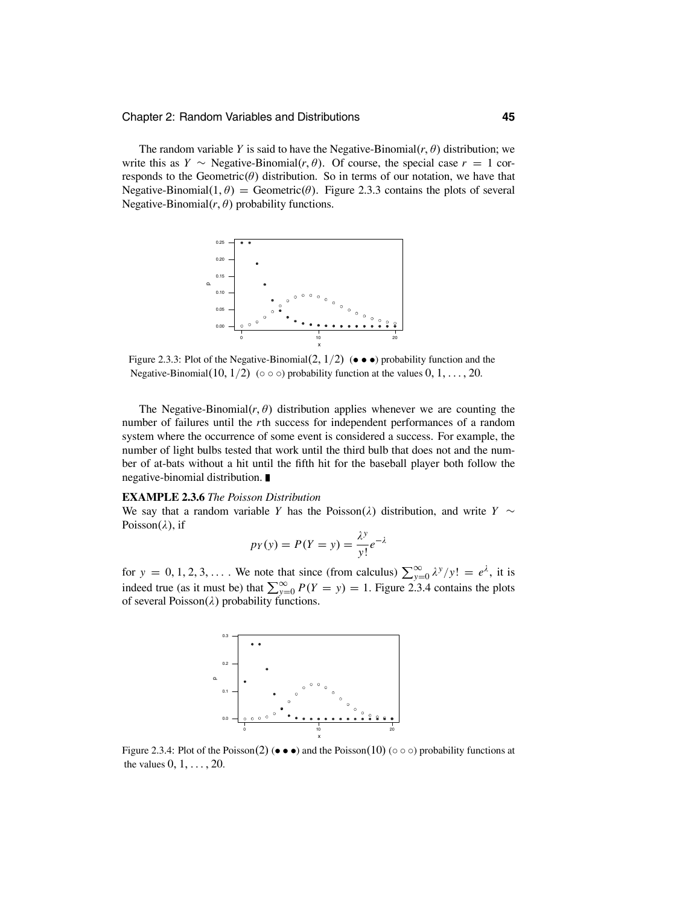The random variable *Y* is said to have the Negative-Binomial $(r, \theta)$  distribution; we write this as *Y* ∼ Negative-Binomial(*r*,  $\theta$ ). Of course, the special case *r* = 1 corresponds to the Geometric $(\theta)$  distribution. So in terms of our notation, we have that Negative-Binomial(1,  $\theta$ ) = Geometric( $\theta$ ). Figure 2.3.3 contains the plots of several Negative-Binomial $(r, \theta)$  probability functions.



Figure 2.3.3: Plot of the Negative-Binomial  $(2, 1/2)$  ( $\bullet \bullet \bullet$ ) probability function and the Negative-Binomial(10, 1/2) (◦ ◦ ◦) probability function at the values  $0, 1, \ldots, 20$ .

The Negative-Binomial $(r, \theta)$  distribution applies whenever we are counting the number of failures until the *r*th success for independent performances of a random system where the occurrence of some event is considered a success. For example, the number of light bulbs tested that work until the third bulb that does not and the number of at-bats without a hit until the fifth hit for the baseball player both follow the negative-binomial distribution.

#### **EXAMPLE 2.3.6** *The Poisson Distribution*

We say that a random variable *<sup>Y</sup>* has the Poisson(λ) distribution, and write *<sup>Y</sup>* <sup>∼</sup> Poisson( $\lambda$ ), if

$$
p_Y(y) = P(Y = y) = \frac{\lambda^y}{y!}e^{-\lambda}
$$

for  $y = 0, 1, 2, 3, \ldots$ . We note that since (from calculus)  $\sum_{y=0}^{\infty} \frac{\lambda^y}{y!} = e^{\lambda}$ , it is indeed true (as it must be) that  $\sum_{y=0}^{\infty} P(Y = y) = 1$ . Figure 2.3.4 contains the plots of several Poisson $(\lambda)$  probability functions.



Figure 2.3.4: Plot of the Poisson(2) (•••) and the Poisson(10) ( $\circ \circ \circ$ ) probability functions at the values  $0, 1, \ldots, 20$ .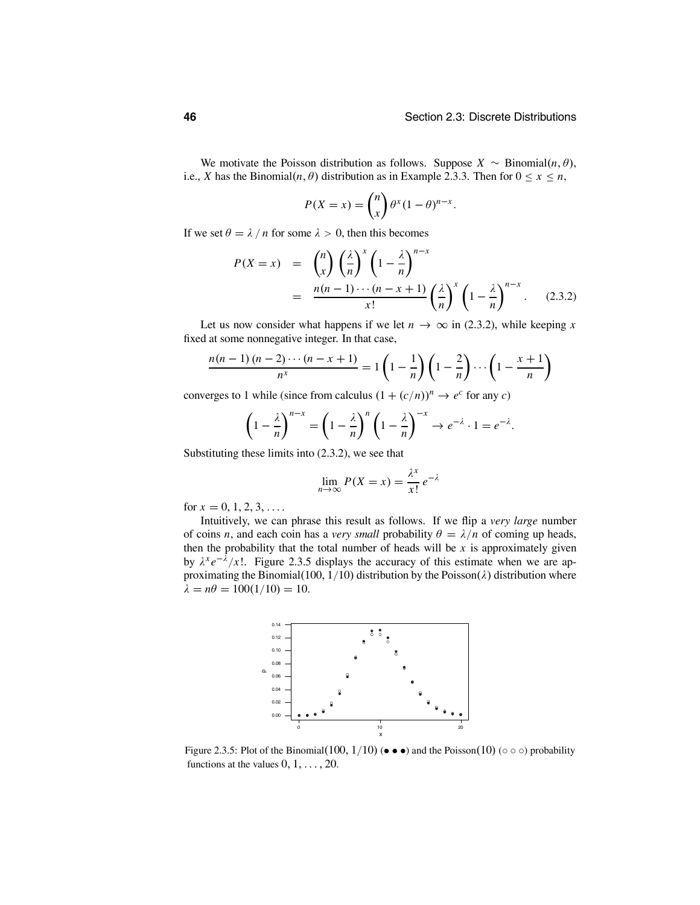We motivate the Poisson distribution as follows. Suppose  $X \sim Binomial(n, \theta)$ , i.e., *X* has the Binomial $(n, \theta)$  distribution as in Example 2.3.3. Then for  $0 \le x \le n$ ,

$$
P(X = x) = {n \choose x} \theta^x (1 - \theta)^{n - x}.
$$

If we set  $\theta = \lambda / n$  for some  $\lambda > 0$ , then this becomes

$$
P(X = x) = {n \choose x} \left(\frac{\lambda}{n}\right)^x \left(1 - \frac{\lambda}{n}\right)^{n-x}
$$
  
= 
$$
\frac{n(n-1)\cdots(n-x+1)}{x!} \left(\frac{\lambda}{n}\right)^x \left(1 - \frac{\lambda}{n}\right)^{n-x}.
$$
 (2.3.2)

Let us now consider what happens if we let  $n \to \infty$  in (2.3.2), while keeping x fixed at some nonnegative integer. In that case,

$$
\frac{n(n-1)(n-2)\cdots(n-x+1)}{n^x} = 1\left(1-\frac{1}{n}\right)\left(1-\frac{2}{n}\right)\cdots\left(1-\frac{x+1}{n}\right)
$$

converges to 1 while (since from calculus  $(1 + (c/n))^n \rightarrow e^c$  for any *c*)

$$
\left(1-\frac{\lambda}{n}\right)^{n-x} = \left(1-\frac{\lambda}{n}\right)^n \left(1-\frac{\lambda}{n}\right)^{-x} \to e^{-\lambda} \cdot 1 = e^{-\lambda}.
$$

Substituting these limits into (2.3.2), we see that

$$
\lim_{n \to \infty} P(X = x) = \frac{\lambda^x}{x!} e^{-\lambda}
$$

for  $x = 0, 1, 2, 3, \ldots$ .

Intuitively, we can phrase this result as follows. If we flip a *very large* number of coins *n*, and each coin has a *very small* probability  $\theta = \lambda/n$  of coming up heads, then the probability that the total number of heads will be  $x$  is approximately given by  $\lambda^x e^{-\lambda}/x!$ . Figure 2.3.5 displays the accuracy of this estimate when we are approximating the Binomial(100, 1/10) distribution by the Poisson( $\lambda$ ) distribution where  $\lambda = n\theta = 100(1/10) = 10.$ 



Figure 2.3.5: Plot of the Binomial(100, 1/10) (•••) and the Poisson(10) (⊙ ⊙ ⊙) probability functions at the values  $0, 1, \ldots, 20$ .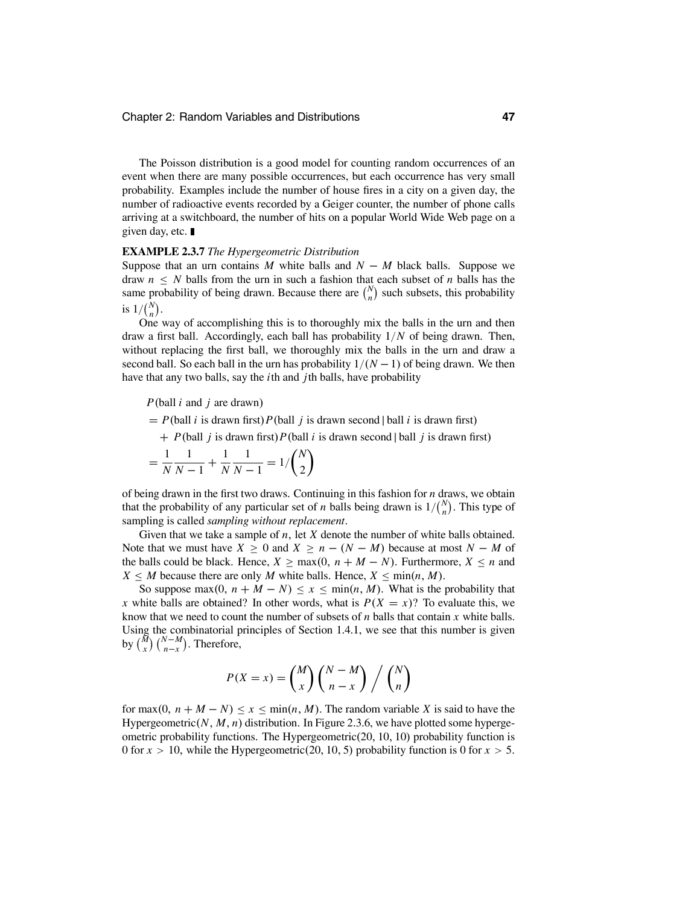The Poisson distribution is a good model for counting random occurrences of an event when there are many possible occurrences, but each occurrence has very small probability. Examples include the number of house fires in a city on a given day, the number of radioactive events recorded by a Geiger counter, the number of phone calls arriving at a switchboard, the number of hits on a popular World Wide Web page on a given day, etc.

#### **EXAMPLE 2.3.7** *The Hypergeometric Distribution*

Suppose that an urn contains *M* white balls and  $N - M$  black balls. Suppose we draw  $n \leq N$  balls from the urn in such a fashion that each subset of *n* balls has the same probability of being drawn. Because there are  $\binom{N}{n}$  such subsets, this probability is  $1/{N \choose n}$ .

One way of accomplishing this is to thoroughly mix the balls in the urn and then draw a first ball. Accordingly, each ball has probability 1/*N* of being drawn. Then, without replacing the first ball, we thoroughly mix the balls in the urn and draw a second ball. So each ball in the urn has probability  $1/(N-1)$  of being drawn. We then have that any two balls, say the *i*th and *j*th balls, have probability

*P*(ball *i* and *j* are drawn)  $= P(\text{ball } i \text{ is drawn first}) P(\text{ball } j \text{ is drawn second})$  | ball *i* is drawn first) <sup>+</sup> *<sup>P</sup>*(ball *<sup>j</sup>* is drawn first)*P*(ball *<sup>i</sup>* is drawn second <sup>|</sup> ball *<sup>j</sup>* is drawn first)  $=\frac{1}{N}$ 1  $\frac{N-1}{N}$  + 1 *N*  $\frac{1}{N-1} = 1/$  $\sqrt{N}$ 2  $\lambda$ 

of being drawn in the first two draws. Continuing in this fashion for *n* draws, we obtain that the probability of any particular set of *n* balls being drawn is  $1/{N \choose n}$ . This type of sampling is called *sampling without replacement*.

Given that we take a sample of *n*, let *X* denote the number of white balls obtained. Note that we must have  $X \ge 0$  and  $X \ge n - (N - M)$  because at most  $N - M$  of the balls could be black. Hence,  $X \geq max(0, n + M - N)$ . Furthermore,  $X \leq n$  and  $X \leq M$  because there are only *M* white balls. Hence,  $X \leq \min(n, M)$ .

So suppose max $(0, n + M - N) \le x \le \min(n, M)$ . What is the probability that *x* white balls are obtained? In other words, what is  $P(X = x)$ ? To evaluate this, we know that we need to count the number of subsets of  $n$  balls that contain  $x$  white balls. Using the combinatorial principles of Section 1.4.1, we see that this number is given by  $\binom{\widetilde{M}}{x}$   $\binom{N-M}{n-x}$  $\binom{N-M}{n-x}$ . Therefore,

$$
P(X = x) = {M \choose x} {N-M \choose n-x} / {N \choose n}
$$

for max(0,  $n + M - N$ )  $\leq x \leq \min(n, M)$ . The random variable *X* is said to have the Hypergeometric(N, M, n) distribution. In Figure 2.3.6, we have plotted some hypergeometric probability functions. The Hypergeometric(20, 10, 10) probability function is 0 for  $x > 10$ , while the Hypergeometric (20, 10, 5) probability function is 0 for  $x > 5$ .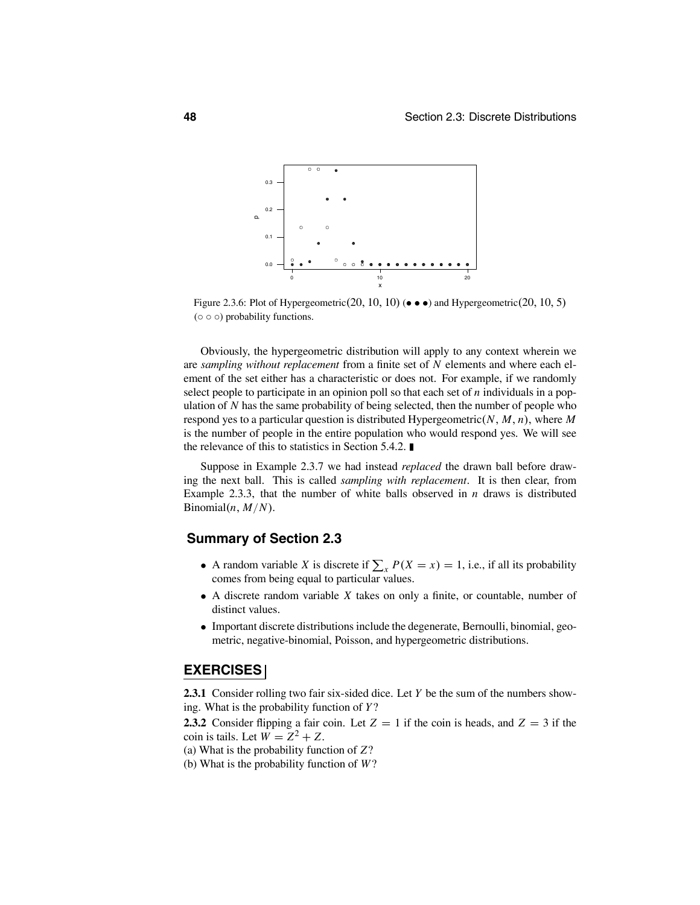

Figure 2.3.6: Plot of Hypergeometric(20, 10, 10) ( $\bullet \bullet \bullet$ ) and Hypergeometric(20, 10, 5) (◦◦◦) probability functions.

Obviously, the hypergeometric distribution will apply to any context wherein we are *sampling without replacement* from a finite set of *N* elements and where each element of the set either has a characteristic or does not. For example, if we randomly select people to participate in an opinion poll so that each set of *n* individuals in a population of *N* has the same probability of being selected, then the number of people who respond yes to a particular question is distributed Hypergeometric(*N*, *M*, *n*), where *M* is the number of people in the entire population who would respond yes. We will see the relevance of this to statistics in Section 5.4.2. ■

Suppose in Example 2.3.7 we had instead *replaced* the drawn ball before drawing the next ball. This is called *sampling with replacement*. It is then clear, from Example 2.3.3, that the number of white balls observed in *n* draws is distributed Binomial $(n, M/N)$ .

### **Summary of Section 2.3**

- A random variable *X* is discrete if  $\sum_{x} P(X = x) = 1$ , i.e., if all its probability comes from being equal to particular values.
- A discrete random variable *<sup>X</sup>* takes on only a finite, or countable, number of distinct values.
- Important discrete distributions include the degenerate, Bernoulli, binomial, geometric, negative-binomial, Poisson, and hypergeometric distributions.

### **EXERCISES**

**2.3.1** Consider rolling two fair six-sided dice. Let *Y* be the sum of the numbers showing. What is the probability function of *Y*?

**2.3.2** Consider flipping a fair coin. Let  $Z = 1$  if the coin is heads, and  $Z = 3$  if the coin is tails. Let  $W = Z^2 + Z$ .

(a) What is the probability function of *Z*?

(b) What is the probability function of *W*?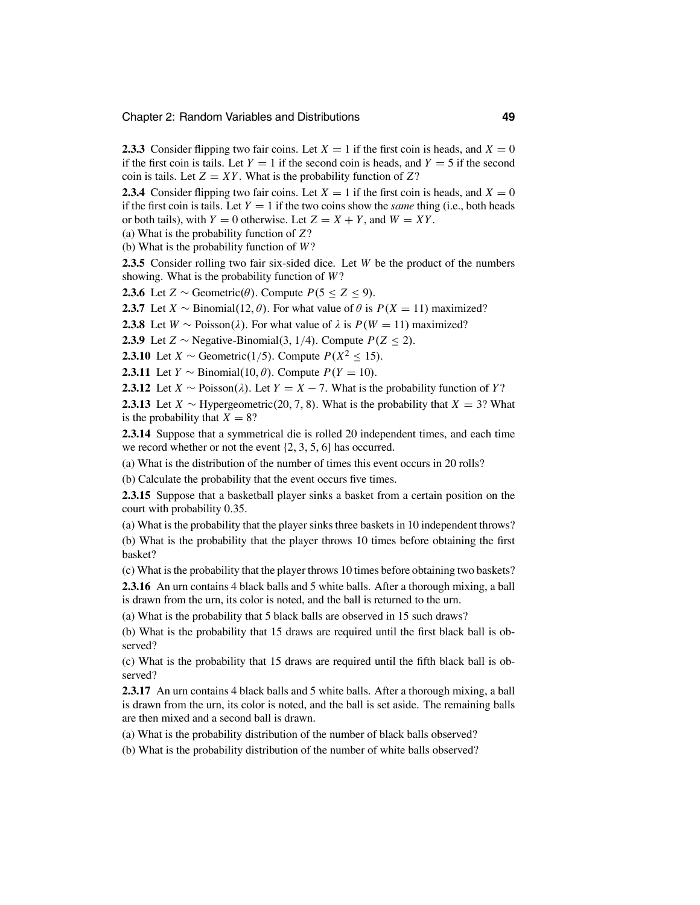**2.3.3** Consider flipping two fair coins. Let  $X = 1$  if the first coin is heads, and  $X = 0$ if the first coin is tails. Let  $Y = 1$  if the second coin is heads, and  $Y = 5$  if the second coin is tails. Let  $Z = XY$ . What is the probability function of  $Z$ ?

**2.3.4** Consider flipping two fair coins. Let  $X = 1$  if the first coin is heads, and  $X = 0$ if the first coin is tails. Let  $Y = 1$  if the two coins show the *same* thing (i.e., both heads or both tails), with  $Y = 0$  otherwise. Let  $Z = X + Y$ , and  $W = XY$ .

(a) What is the probability function of *Z*?

(b) What is the probability function of *W*?

**2.3.5** Consider rolling two fair six-sided dice. Let *W* be the product of the numbers showing. What is the probability function of *W*?

**2.3.6** Let  $Z \sim$  Geometric( $\theta$ ). Compute  $P(5 < Z < 9)$ .

**2.3.7** Let *X* ∼ Binomial(12,  $\theta$ ). For what value of  $\theta$  is  $P(X = 11)$  maximized?

**2.3.8** Let *W* ∼ Poisson( $\lambda$ ). For what value of  $\lambda$  is  $P(W = 11)$  maximized?

**2.3.9** Let *Z* ∼ Negative-Binomial(3, 1/4). Compute  $P(Z \le 2)$ .

**2.3.10** Let *X* ∼ Geometric(1/5). Compute  $P(X^2 \le 15)$ .

**2.3.11** Let *Y* ∼ Binomial(10,  $\theta$ ). Compute  $P(Y = 10)$ .

**2.3.12** Let  $X \sim \text{Poisson}(\lambda)$ . Let  $Y = X - 7$ . What is the probability function of *Y*?

**2.3.13** Let *X* ∼ Hypergeometric(20, 7, 8). What is the probability that *X* = 3? What is the probability that  $X = 8$ ?

**2.3.14** Suppose that a symmetrical die is rolled 20 independent times, and each time we record whether or not the event {2, <sup>3</sup>, <sup>5</sup>, <sup>6</sup>} has occurred.

(a) What is the distribution of the number of times this event occurs in 20 rolls?

(b) Calculate the probability that the event occurs five times.

**2.3.15** Suppose that a basketball player sinks a basket from a certain position on the court with probability 0.35.

(a) What is the probability that the player sinks three baskets in 10 independent throws?

(b) What is the probability that the player throws 10 times before obtaining the first basket?

(c) What is the probability that the player throws 10 times before obtaining two baskets?

**2.3.16** An urn contains 4 black balls and 5 white balls. After a thorough mixing, a ball is drawn from the urn, its color is noted, and the ball is returned to the urn.

(a) What is the probability that 5 black balls are observed in 15 such draws?

(b) What is the probability that 15 draws are required until the first black ball is observed?

(c) What is the probability that 15 draws are required until the fifth black ball is observed?

**2.3.17** An urn contains 4 black balls and 5 white balls. After a thorough mixing, a ball is drawn from the urn, its color is noted, and the ball is set aside. The remaining balls are then mixed and a second ball is drawn.

(a) What is the probability distribution of the number of black balls observed?

(b) What is the probability distribution of the number of white balls observed?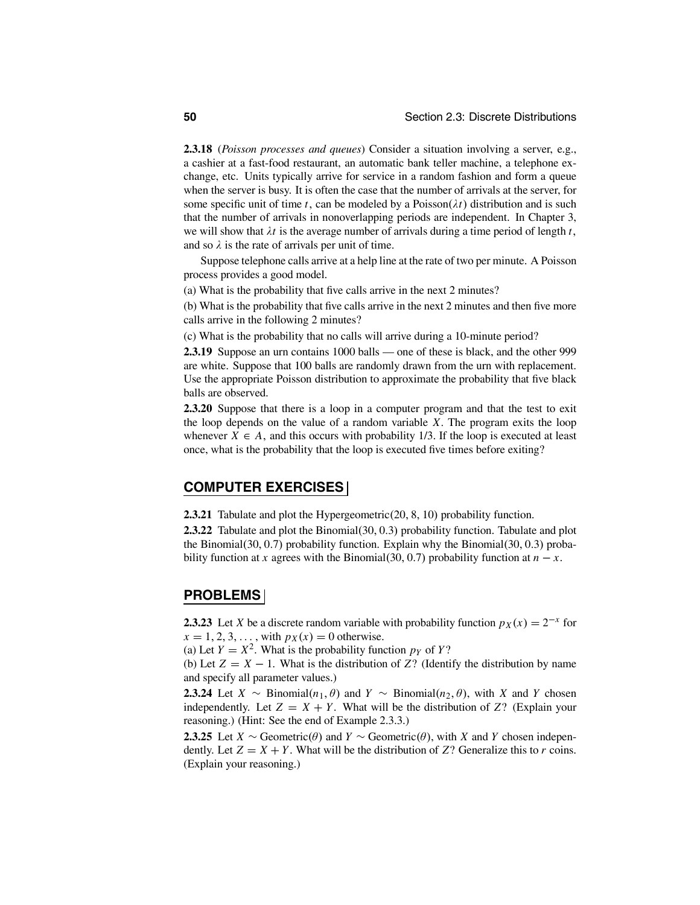**2.3.18** (*Poisson processes and queues*) Consider a situation involving a server, e.g., a cashier at a fast-food restaurant, an automatic bank teller machine, a telephone exchange, etc. Units typically arrive for service in a random fashion and form a queue when the server is busy. It is often the case that the number of arrivals at the server, for some specific unit of time *t*, can be modeled by a Poisson( $\lambda t$ ) distribution and is such that the number of arrivals in nonoverlapping periods are independent. In Chapter 3, we will show that  $\lambda t$  is the average number of arrivals during a time period of length  $t$ , and so  $\lambda$  is the rate of arrivals per unit of time.

Suppose telephone calls arrive at a help line at the rate of two per minute. A Poisson process provides a good model.

(a) What is the probability that five calls arrive in the next 2 minutes?

(b) What is the probability that five calls arrive in the next 2 minutes and then five more calls arrive in the following 2 minutes?

(c) What is the probability that no calls will arrive during a 10-minute period?

**2.3.19** Suppose an urn contains 1000 balls — one of these is black, and the other 999 are white. Suppose that 100 balls are randomly drawn from the urn with replacement. Use the appropriate Poisson distribution to approximate the probability that five black balls are observed.

**2.3.20** Suppose that there is a loop in a computer program and that the test to exit the loop depends on the value of a random variable *X*. The program exits the loop whenever  $X \in A$ , and this occurs with probability 1/3. If the loop is executed at least once, what is the probability that the loop is executed five times before exiting?

### **COMPUTER EXERCISES**

**2.3.21** Tabulate and plot the Hypergeometric(20, 8, 10) probability function.

**2.3.22** Tabulate and plot the Binomial(30, 0.3) probability function. Tabulate and plot the Binomial(30, 0.7) probability function. Explain why the Binomial(30, 0.3) probability function at *x* agrees with the Binomial(30, 0.7) probability function at  $n - x$ .

### **PROBLEMS**

**2.3.23** Let *X* be a discrete random variable with probability function  $p_X(x) = 2^{-x}$  for  $x = 1, 2, 3, \ldots$ , with  $p_X(x) = 0$  otherwise.

(a) Let  $Y = X^2$ . What is the probability function  $p_Y$  of  $Y$ ?

(b) Let  $Z = X - 1$ . What is the distribution of *Z*? (Identify the distribution by name and specify all parameter values.)

**2.3.24** Let *X* ∼ Binomial( $n_1, \theta$ ) and *Y* ∼ Binomial( $n_2, \theta$ ), with *X* and *Y* chosen independently. Let  $Z = X + Y$ . What will be the distribution of  $Z$ ? (Explain your reasoning.) (Hint: See the end of Example 2.3.3.)

**2.3.25** Let *X* ∼ Geometric( $\theta$ ) and *Y* ∼ Geometric( $\theta$ ), with *X* and *Y* chosen independently. Let  $Z = X + Y$ . What will be the distribution of Z? Generalize this to *r* coins. (Explain your reasoning.)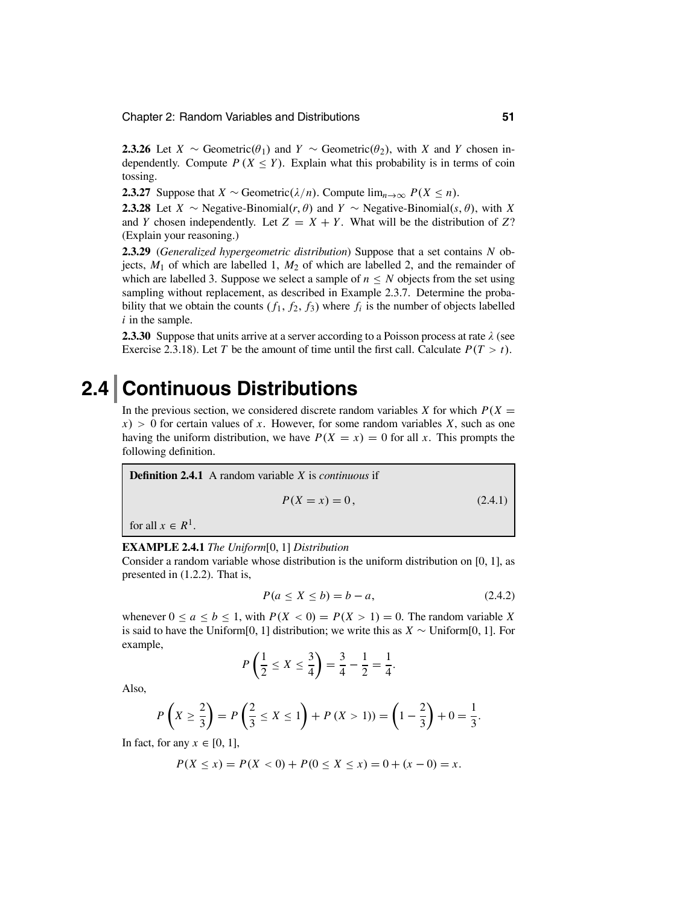Chapter 2: Random Variables and Distributions **51**

**2.3.26** Let *X* ∼ Geometric( $\theta_1$ ) and *Y* ∼ Geometric( $\theta_2$ ), with *X* and *Y* chosen independently. Compute  $P(X \leq Y)$ . Explain what this probability is in terms of coin tossing.

**2.3.27** Suppose that *X* ∼ Geometric( $\lambda/n$ ). Compute lim<sub>*n*→∞</sub>  $P(X \le n)$ .

**2.3.28** Let *X* ∼ Negative-Binomial(*r*,  $\theta$ ) and *Y* ∼ Negative-Binomial(*s*,  $\theta$ ), with *X* and *Y* chosen independently. Let  $Z = X + Y$ . What will be the distribution of Z? (Explain your reasoning.)

**2.3.29** (*Generalized hypergeometric distribution*) Suppose that a set contains *N* objects,  $M_1$  of which are labelled 1,  $M_2$  of which are labelled 2, and the remainder of which are labelled 3. Suppose we select a sample of  $n \leq N$  objects from the set using sampling without replacement, as described in Example 2.3.7. Determine the probability that we obtain the counts  $(f_1, f_2, f_3)$  where  $f_i$  is the number of objects labelled *i* in the sample.

**2.3.30** Suppose that units arrive at a server according to a Poisson process at rate λ (see Exercise 2.3.18). Let *T* be the amount of time until the first call. Calculate  $P(T > t)$ .

## **2.4 Continuous Distributions**

In the previous section, we considered discrete random variables *X* for which  $P(X =$  $x$ ) > 0 for certain values of *x*. However, for some random variables *X*, such as one having the uniform distribution, we have  $P(X = x) = 0$  for all *x*. This prompts the following definition.

**Definition 2.4.1** A random variable *X* is *continuous* if 
$$
P(X = x) = 0, \qquad (2.4.1)
$$

for all  $x \in R^1$ .

#### **EXAMPLE 2.4.1** *The Uniform*[0, 1] *Distribution*

Consider a random variable whose distribution is the uniform distribution on [0, 1], as presented in (1.2.2). That is,

$$
P(a \le X \le b) = b - a,\tag{2.4.2}
$$

whenever  $0 \le a \le b \le 1$ , with  $P(X < 0) = P(X > 1) = 0$ . The random variable X is said to have the Uniform[0, 1] distribution; we write this as *<sup>X</sup>* <sup>∼</sup> Uniform[0, 1]. For example,

$$
P\left(\frac{1}{2} \le X \le \frac{3}{4}\right) = \frac{3}{4} - \frac{1}{2} = \frac{1}{4}.
$$

Also,

$$
P\left(X \geq \frac{2}{3}\right) = P\left(\frac{2}{3} \leq X \leq 1\right) + P\left(X > 1\right) = \left(1 - \frac{2}{3}\right) + 0 = \frac{1}{3}.
$$

In fact, for any  $x \in [0, 1]$ ,

$$
P(X \le x) = P(X < 0) + P(0 \le X \le x) = 0 + (x - 0) = x.
$$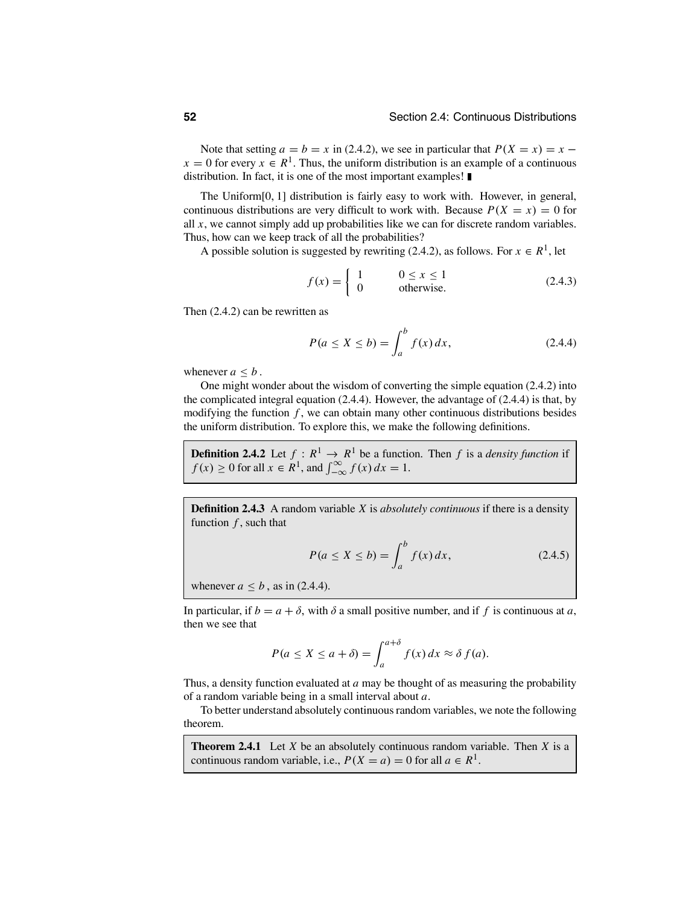Note that setting  $a = b = x$  in (2.4.2), we see in particular that  $P(X = x) = x$  $x = 0$  for every  $x \in R^1$ . Thus, the uniform distribution is an example of a continuous distribution. In fact, it is one of the most important examples!

The Uniform[0, 1] distribution is fairly easy to work with. However, in general, continuous distributions are very difficult to work with. Because  $P(X = x) = 0$  for all  $x$ , we cannot simply add up probabilities like we can for discrete random variables. Thus, how can we keep track of all the probabilities?

A possible solution is suggested by rewriting (2.4.2), as follows. For  $x \in R^1$ , let

$$
f(x) = \begin{cases} 1 & 0 \le x \le 1 \\ 0 & \text{otherwise.} \end{cases}
$$
 (2.4.3)

Then (2.4.2) can be rewritten as

$$
P(a \le X \le b) = \int_{a}^{b} f(x) \, dx,\tag{2.4.4}
$$

whenever  $a < b$ .

One might wonder about the wisdom of converting the simple equation (2.4.2) into the complicated integral equation  $(2.4.4)$ . However, the advantage of  $(2.4.4)$  is that, by modifying the function *f* , we can obtain many other continuous distributions besides the uniform distribution. To explore this, we make the following definitions.

**Definition 2.4.2** Let  $f: R^1 \to R^1$  be a function. Then *f* is a *density function* if  $f(x) \ge 0$  for all  $x \in R^1$ , and  $\int_{-\infty}^{\infty} f(x) dx = 1$ .

**Definition 2.4.3** A random variable *X* is *absolutely continuous* if there is a density function *f* , such that

$$
P(a \le X \le b) = \int_{a}^{b} f(x) \, dx,\tag{2.4.5}
$$

whenever  $a < b$ , as in (2.4.4).

In particular, if  $b = a + \delta$ , with  $\delta$  a small positive number, and if f is continuous at a, then we see that

$$
P(a \le X \le a + \delta) = \int_{a}^{a+\delta} f(x) dx \approx \delta f(a).
$$

Thus, a density function evaluated at *a* may be thought of as measuring the probability of a random variable being in a small interval about *a*.

To better understand absolutely continuous random variables, we note the following theorem.

**Theorem 2.4.1** Let *X* be an absolutely continuous random variable. Then *X* is a continuous random variable, i.e.,  $P(X = a) = 0$  for all  $a \in R<sup>1</sup>$ .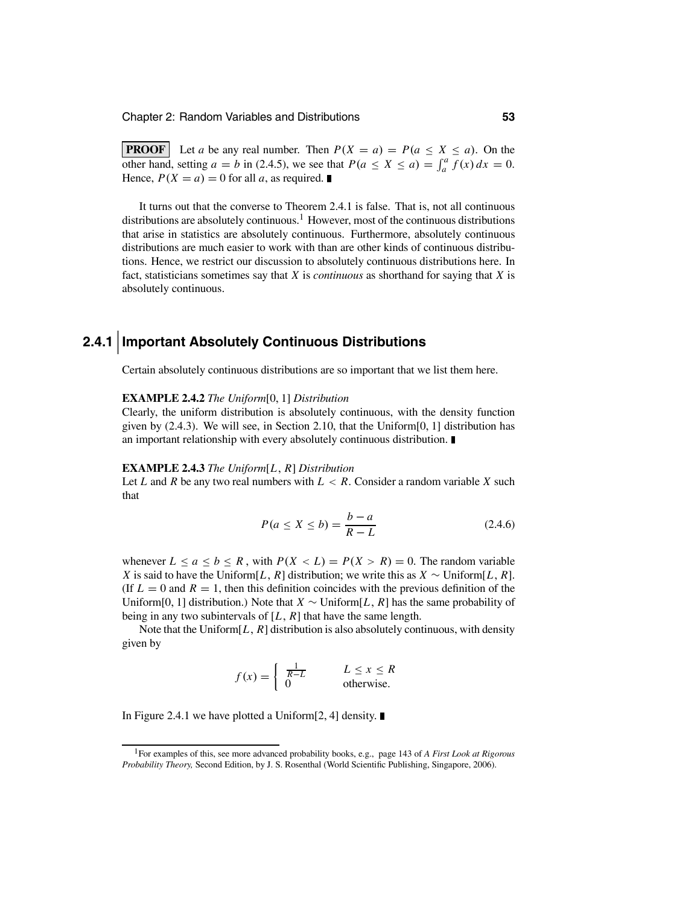**PROOF** Let *a* be any real number. Then  $P(X = a) = P(a \le X \le a)$ . On the other hand, setting  $a = b$  in (2.4.5), we see that  $P(a \le X \le a) = \int_a^a f(x) dx = 0$ . Hence,  $P(X = a) = 0$  for all *a*, as required.

It turns out that the converse to Theorem 2.4.1 is false. That is, not all continuous  $distributions are absolutely continuous.<sup>1</sup> However, most of the continuous distributions$ that arise in statistics are absolutely continuous. Furthermore, absolutely continuous distributions are much easier to work with than are other kinds of continuous distributions. Hence, we restrict our discussion to absolutely continuous distributions here. In fact, statisticians sometimes say that *X* is *continuous* as shorthand for saying that *X* is absolutely continuous.

## **2.4.1 Important Absolutely Continuous Distributions**

Certain absolutely continuous distributions are so important that we list them here.

#### **EXAMPLE 2.4.2** *The Uniform*[0, 1] *Distribution*

Clearly, the uniform distribution is absolutely continuous, with the density function given by (2.4.3). We will see, in Section 2.10, that the Uniform[0, 1] distribution has an important relationship with every absolutely continuous distribution.

#### **EXAMPLE 2.4.3** *The Uniform*[*L*, *R*] *Distribution*

Let *L* and *R* be any two real numbers with *L* < *R*. Consider a random variable *X* such that

$$
P(a \le X \le b) = \frac{b-a}{R-L} \tag{2.4.6}
$$

whenever  $L \le a \le b \le R$ , with  $P(X < L) = P(X > R) = 0$ . The random variable *X* is said to have the Uniform[*L*, *R*] distribution; we write this as  $X \sim$  Uniform[*L*, *R*]. (If  $L = 0$  and  $R = 1$ , then this definition coincides with the previous definition of the Uniform[0, 1] distribution.) Note that *X* ∼ Uniform[*L*, *R*] has the same probability of being in any two subintervals of [*L*, *R*] that have the same length.

Note that the Uniform $[L, R]$  distribution is also absolutely continuous, with density given by

$$
f(x) = \begin{cases} \frac{1}{R-L} & L \leq x \leq R \\ 0 & \text{otherwise.} \end{cases}
$$

In Figure 2.4.1 we have plotted a Uniform $[2, 4]$  density.

<sup>1</sup>For examples of this, see more advanced probability books, e.g., page 143 of *A First Look at Rigorous Probability Theory,* Second Edition, by J. S. Rosenthal (World Scientific Publishing, Singapore, 2006).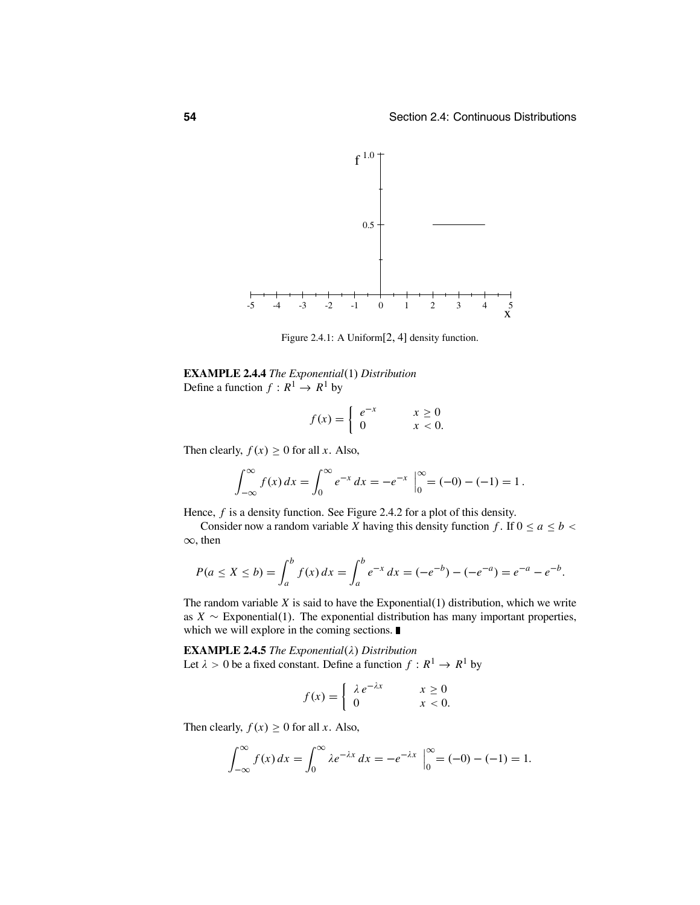

Figure 2.4.1: A Uniform[2, 4] density function.

**EXAMPLE 2.4.4** *The Exponential*(1) *Distribution* Define a function  $f: R^1 \to R^1$  by

$$
f(x) = \begin{cases} e^{-x} & x \ge 0 \\ 0 & x < 0. \end{cases}
$$

Then clearly,  $f(x) \ge 0$  for all *x*. Also,

$$
\int_{-\infty}^{\infty} f(x) dx = \int_{0}^{\infty} e^{-x} dx = -e^{-x} \Big|_{0}^{\infty} = (-0) - (-1) = 1.
$$

Hence, *f* is a density function. See Figure 2.4.2 for a plot of this density.

Consider now a random variable *X* having this density function *f*. If  $0 \le a \le b$ <sup>∞</sup>, then

$$
P(a \le X \le b) = \int_a^b f(x) dx = \int_a^b e^{-x} dx = (-e^{-b}) - (-e^{-a}) = e^{-a} - e^{-b}.
$$

The random variable  $X$  is said to have the Exponential $(1)$  distribution, which we write as *X*  $\sim$  Exponential(1). The exponential distribution has many important properties, which we will explore in the coming sections.

**EXAMPLE 2.4.5** *The Exponential*(λ) *Distribution* Let  $\lambda > 0$  be a fixed constant. Define a function  $f : R^1 \to R^1$  by

$$
f(x) = \begin{cases} \lambda e^{-\lambda x} & x \ge 0 \\ 0 & x < 0. \end{cases}
$$

Then clearly,  $f(x) \ge 0$  for all *x*. Also,

$$
\int_{-\infty}^{\infty} f(x) dx = \int_{0}^{\infty} \lambda e^{-\lambda x} dx = -e^{-\lambda x} \Big|_{0}^{\infty} = (-0) - (-1) = 1.
$$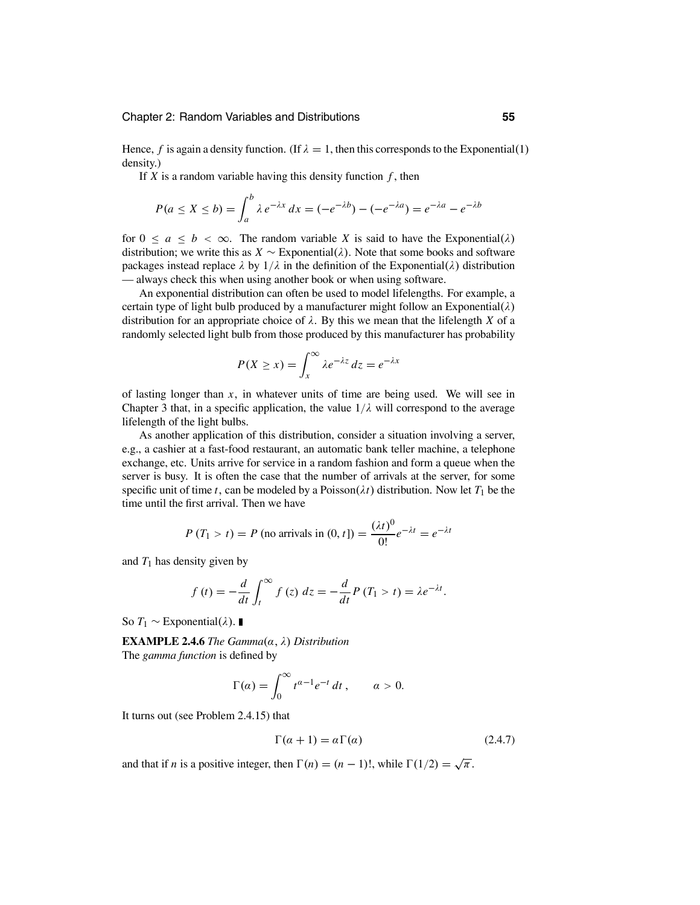#### Chapter 2: Random Variables and Distributions **55**

Hence, *f* is again a density function. (If  $\lambda = 1$ , then this corresponds to the Exponential(1) density.)

If *X* is a random variable having this density function  $f$ , then

$$
P(a \le X \le b) = \int_{a}^{b} \lambda e^{-\lambda x} dx = (-e^{-\lambda b}) - (-e^{-\lambda a}) = e^{-\lambda a} - e^{-\lambda b}
$$

for  $0 \le a \le b < \infty$ . The random variable *X* is said to have the Exponential( $\lambda$ ) distribution; we write this as *X* ∼ Exponential( $\lambda$ ). Note that some books and software packages instead replace  $\lambda$  by  $1/\lambda$  in the definition of the Exponential( $\lambda$ ) distribution — always check this when using another book or when using software.

An exponential distribution can often be used to model lifelengths. For example, a certain type of light bulb produced by a manufacturer might follow an Exponential( $\lambda$ ) distribution for an appropriate choice of  $\lambda$ . By this we mean that the lifelength *X* of a randomly selected light bulb from those produced by this manufacturer has probability

$$
P(X \ge x) = \int_{x}^{\infty} \lambda e^{-\lambda z} dz = e^{-\lambda x}
$$

of lasting longer than  $x$ , in whatever units of time are being used. We will see in Chapter 3 that, in a specific application, the value  $1/\lambda$  will correspond to the average lifelength of the light bulbs.

As another application of this distribution, consider a situation involving a server, e.g., a cashier at a fast-food restaurant, an automatic bank teller machine, a telephone exchange, etc. Units arrive for service in a random fashion and form a queue when the server is busy. It is often the case that the number of arrivals at the server, for some specific unit of time *t*, can be modeled by a Poisson( $\lambda t$ ) distribution. Now let  $T_1$  be the time until the first arrival. Then we have

$$
P(T_1 > t) = P \text{ (no arrivals in (0, t])} = \frac{(\lambda t)^0}{0!} e^{-\lambda t} = e^{-\lambda t}
$$

and  $T_1$  has density given by

$$
f(t) = -\frac{d}{dt} \int_{t}^{\infty} f(z) dz = -\frac{d}{dt} P(T_1 > t) = \lambda e^{-\lambda t}.
$$

So  $T_1$  ∼ Exponential( $\lambda$ ). ■

**EXAMPLE 2.4.6** *The Gamma*(α, λ) *Distribution* The *gamma function* is defined by

$$
\Gamma(\alpha) = \int_0^\infty t^{\alpha - 1} e^{-t} dt, \qquad \alpha > 0.
$$

It turns out (see Problem 2.4.15) that

$$
\Gamma(\alpha + 1) = \alpha \Gamma(\alpha) \tag{2.4.7}
$$

and that if *n* is a positive integer, then  $\Gamma(n) = (n - 1)!$ , while  $\Gamma(1/2) = \sqrt{\pi}$ .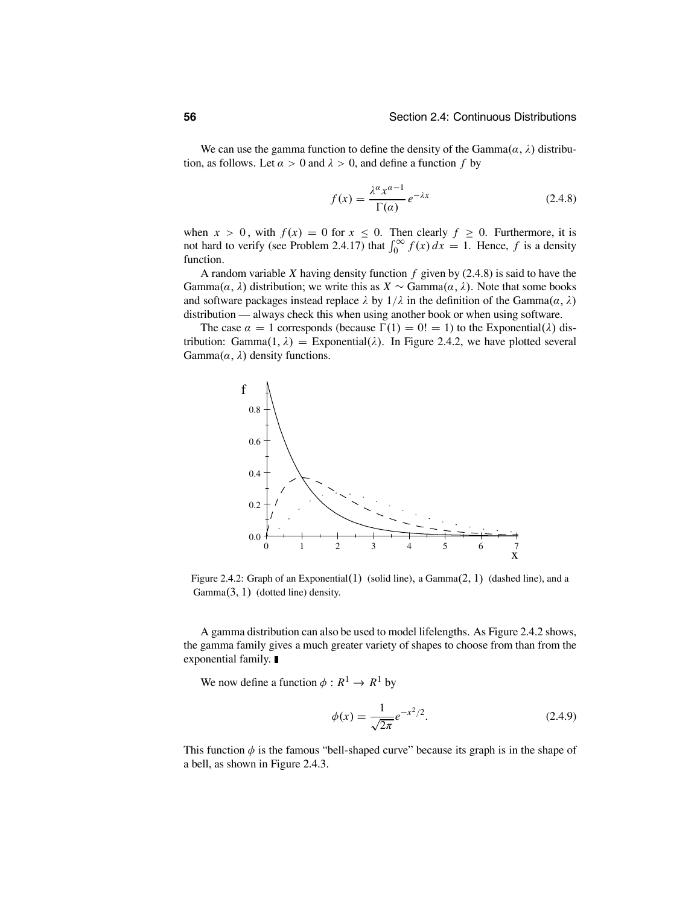We can use the gamma function to define the density of the  $Gamma(\alpha, \lambda)$  distribution, as follows. Let  $\alpha > 0$  and  $\lambda > 0$ , and define a function f by

$$
f(x) = \frac{\lambda^{\alpha} x^{\alpha - 1}}{\Gamma(\alpha)} e^{-\lambda x}
$$
 (2.4.8)

when  $x > 0$ , with  $f(x) = 0$  for  $x \le 0$ . Then clearly  $f \ge 0$ . Furthermore, it is not hard to verify (see Problem 2.4.17) that  $\int_0^\infty f(x) dx = 1$ . Hence, *f* is a density function.

A random variable *X* having density function *f* given by (2.4.8) is said to have the Gamma $(\alpha, \lambda)$  distribution; we write this as *X* ~ Gamma $(\alpha, \lambda)$ . Note that some books and software packages instead replace  $\lambda$  by  $1/\lambda$  in the definition of the Gamma $(\alpha, \lambda)$ distribution — always check this when using another book or when using software.

The case  $\alpha = 1$  corresponds (because  $\Gamma(1) = 0! = 1$ ) to the Exponential( $\lambda$ ) distribution: Gamma $(1, \lambda)$  = Exponential $(\lambda)$ . In Figure 2.4.2, we have plotted several  $Gamma(\alpha, \lambda)$  density functions.



Figure 2.4.2: Graph of an Exponential  $(1)$  (solid line), a Gamma $(2, 1)$  (dashed line), and a Gamma $(3, 1)$  (dotted line) density.

A gamma distribution can also be used to model lifelengths. As Figure 2.4.2 shows, the gamma family gives a much greater variety of shapes to choose from than from the exponential family.

We now define a function  $\phi : R^1 \to R^1$  by

$$
\phi(x) = \frac{1}{\sqrt{2\pi}} e^{-x^2/2}.
$$
\n(2.4.9)

This function  $\phi$  is the famous "bell-shaped curve" because its graph is in the shape of a bell, as shown in Figure 2.4.3.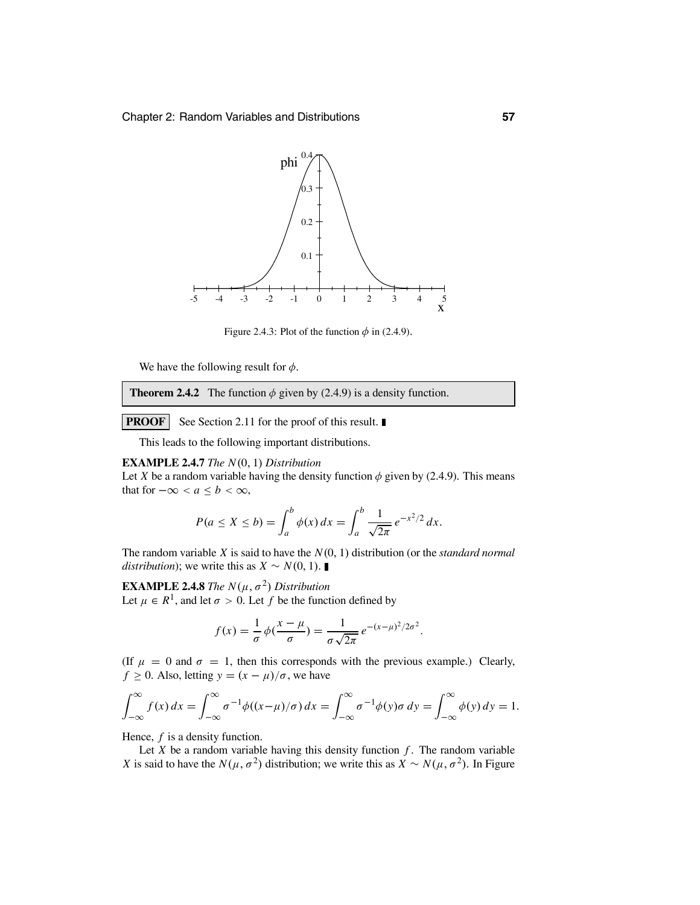

Figure 2.4.3: Plot of the function  $\phi$  in (2.4.9).

We have the following result for  $\phi$ .

**Theorem 2.4.2** The function  $\phi$  given by (2.4.9) is a density function.

**PROOF** See Section 2.11 for the proof of this result.

This leads to the following important distributions.

#### **EXAMPLE 2.4.7** *The N*(0, 1) *Distribution*

Let *X* be a random variable having the density function  $\phi$  given by (2.4.9). This means that for  $-\infty < a \leq b < \infty$ ,

$$
P(a \le X \le b) = \int_{a}^{b} \phi(x) \, dx = \int_{a}^{b} \frac{1}{\sqrt{2\pi}} \, e^{-x^2/2} \, dx.
$$

The random variable *X* is said to have the *N*(0, 1) distribution (or the *standard normal distribution*); we write this as  $X \sim N(0, 1)$ . ■

**EXAMPLE 2.4.8** *The*  $N(\mu, \sigma^2)$  *Distribution* 

Let  $\mu \in R^1$ , and let  $\sigma > 0$ . Let *f* be the function defined by

$$
f(x) = \frac{1}{\sigma} \phi(\frac{x-\mu}{\sigma}) = \frac{1}{\sigma \sqrt{2\pi}} e^{-(x-\mu)^2/2\sigma^2}.
$$

(If  $\mu = 0$  and  $\sigma = 1$ , then this corresponds with the previous example.) Clearly,  $f \ge 0$ . Also, letting  $y = (x - \mu)/\sigma$ , we have

$$
\int_{-\infty}^{\infty} f(x) dx = \int_{-\infty}^{\infty} \sigma^{-1} \phi((x-\mu)/\sigma) dx = \int_{-\infty}^{\infty} \sigma^{-1} \phi(y) \sigma dy = \int_{-\infty}^{\infty} \phi(y) dy = 1.
$$

Hence, *f* is a density function.

Let  $X$  be a random variable having this density function  $f$ . The random variable *X* is said to have the *N*( $\mu$ ,  $\sigma^2$ ) distribution; we write this as *X* ∼ *N*( $\mu$ ,  $\sigma^2$ ). In Figure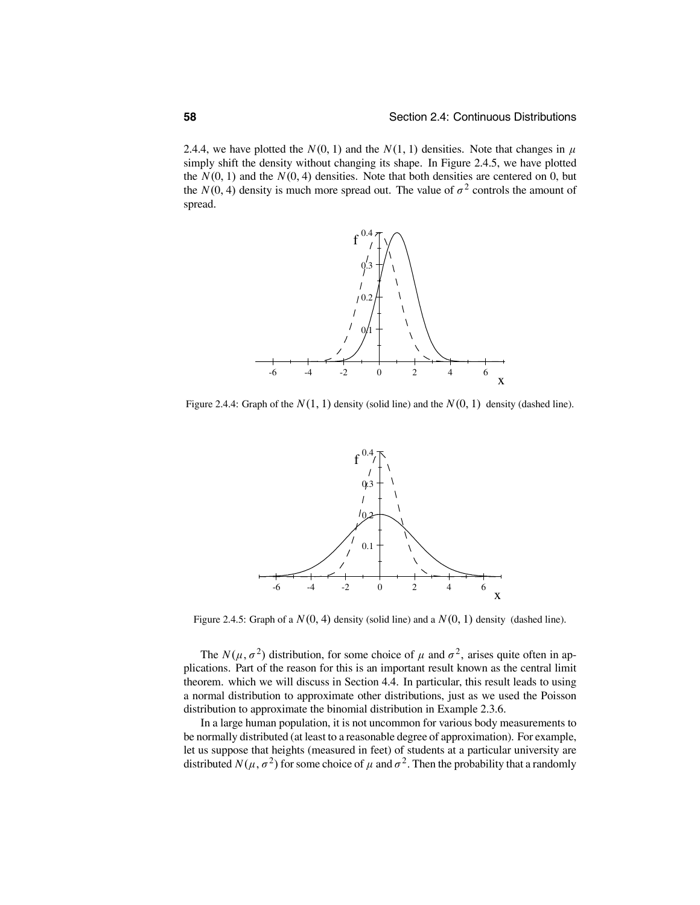2.4.4, we have plotted the  $N(0, 1)$  and the  $N(1, 1)$  densities. Note that changes in  $\mu$ simply shift the density without changing its shape. In Figure 2.4.5, we have plotted the  $N(0, 1)$  and the  $N(0, 4)$  densities. Note that both densities are centered on 0, but the *N*(0, 4) density is much more spread out. The value of  $\sigma^2$  controls the amount of spread.



Figure 2.4.4: Graph of the  $N(1, 1)$  density (solid line) and the  $N(0, 1)$  density (dashed line).



Figure 2.4.5: Graph of a  $N(0, 4)$  density (solid line) and a  $N(0, 1)$  density (dashed line).

The  $N(\mu, \sigma^2)$  distribution, for some choice of  $\mu$  and  $\sigma^2$ , arises quite often in applications. Part of the reason for this is an important result known as the central limit theorem. which we will discuss in Section 4.4. In particular, this result leads to using a normal distribution to approximate other distributions, just as we used the Poisson distribution to approximate the binomial distribution in Example 2.3.6.

In a large human population, it is not uncommon for various body measurements to be normally distributed (at least to a reasonable degree of approximation). For example, let us suppose that heights (measured in feet) of students at a particular university are distributed  $N(\mu, \sigma^2)$  for some choice of  $\mu$  and  $\sigma^2$ . Then the probability that a randomly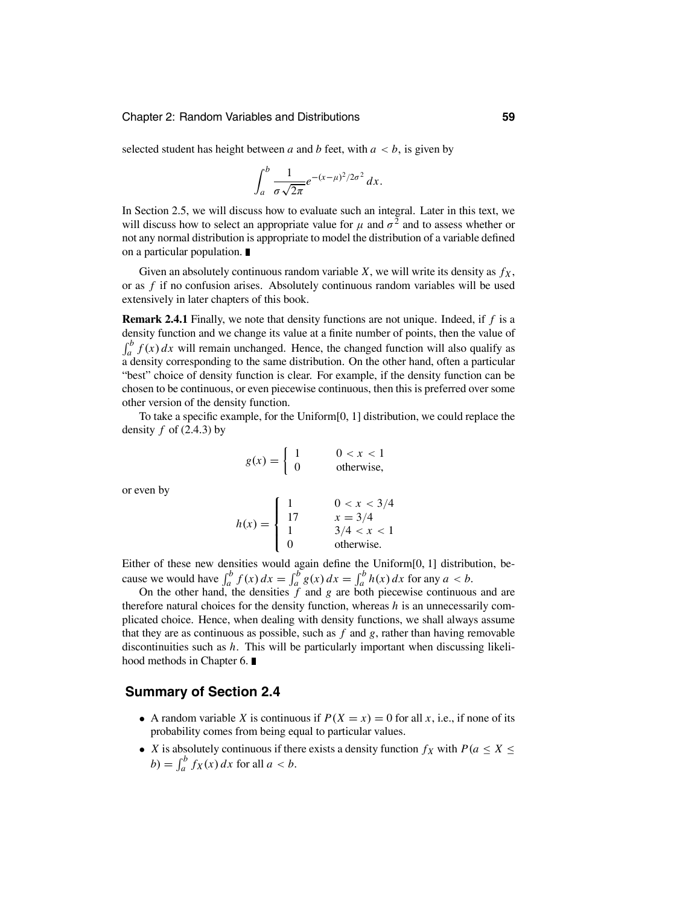selected student has height between *a* and *b* feet, with  $a < b$ , is given by

$$
\int_a^b \frac{1}{\sigma\sqrt{2\pi}} e^{-(x-\mu)^2/2\sigma^2} dx.
$$

In Section 2.5, we will discuss how to evaluate such an integral. Later in this text, we will discuss how to select an appropriate value for  $\mu$  and  $\sigma^2$  and to assess whether or not any normal distribution is appropriate to model the distribution of a variable defined on a particular population.

Given an absolutely continuous random variable  $X$ , we will write its density as  $f_X$ , or as *f* if no confusion arises. Absolutely continuous random variables will be used extensively in later chapters of this book.

**Remark 2.4.1** Finally, we note that density functions are not unique. Indeed, if *f* is a density function and we change its value at a finite number of points, then the value of  $\int_a^b f(x) dx$  will remain unchanged. Hence, the changed function will also qualify as a density corresponding to the same distribution. On the other hand, often a particular "best" choice of density function is clear. For example, if the density function can be chosen to be continuous, or even piecewise continuous, then this is preferred over some other version of the density function.

To take a specific example, for the Uniform[0, 1] distribution, we could replace the density  $f$  of  $(2.4.3)$  by

$$
g(x) = \begin{cases} 1 & 0 < x < 1 \\ 0 & \text{otherwise,} \end{cases}
$$

or even by

$$
h(x) = \begin{cases} 1 & 0 < x < 3/4 \\ 17 & x = 3/4 \\ 1 & 3/4 < x < 1 \\ 0 & \text{otherwise.} \end{cases}
$$

Either of these new densities would again define the Uniform[0, 1] distribution, because we would have  $\int_a^b f(x) dx = \int_a^b g(x) dx = \int_a^b h(x) dx$  for any  $a < b$ .

On the other hand, the densities *f* and *g* are both piecewise continuous and are therefore natural choices for the density function, whereas *h* is an unnecessarily complicated choice. Hence, when dealing with density functions, we shall always assume that they are as continuous as possible, such as  $f$  and  $g$ , rather than having removable discontinuities such as *h*. This will be particularly important when discussing likelihood methods in Chapter 6.

### **Summary of Section 2.4**

- A random variable *X* is continuous if  $P(X = x) = 0$  for all *x*, i.e., if none of its probability comes from being equal to particular values.
- *X* is absolutely continuous if there exists a density function  $f_X$  with  $P(a \le X \le Y)$  $b) = \int_a^b f_X(x) dx$  for all  $a < b$ .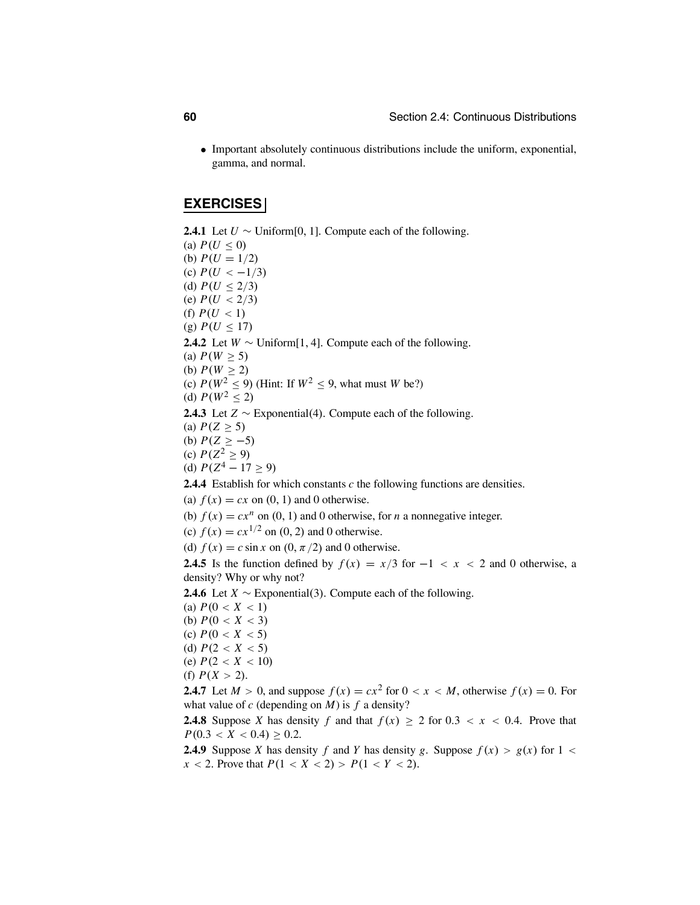• Important absolutely continuous distributions include the uniform, exponential, gamma, and normal.

## **EXERCISES**

**2.4.1** Let  $U \sim$  Uniform[0, 1]. Compute each of the following. (a)  $P(U \le 0)$ (b)  $P(U = 1/2)$ (c)  $P(U < -1/3)$ (d)  $P(U \leq 2/3)$ (e)  $P(U < 2/3)$ (f)  $P(U < 1)$ (g)  $P(U \leq 17)$ **2.4.2** Let  $W \sim$  Uniform[1, 4]. Compute each of the following. (a)  $P(W \ge 5)$ (b)  $P(W \ge 2)$ (c)  $P(W^2 \le 9)$  (Hint: If  $W^2 \le 9$ , what must *W* be?) (d)  $P(W^2 < 2)$ **2.4.3** Let *Z* ∼ Exponential(4). Compute each of the following. (a)  $P(Z \ge 5)$ (b)  $P(Z \ge -5)$ (c)  $P(Z^2 \ge 9)$ (d)  $P(Z^4 - 17 > 9)$ 

**2.4.4** Establish for which constants *c* the following functions are densities.

(a)  $f(x) = cx$  on  $(0, 1)$  and 0 otherwise.

(b)  $f(x) = cx^n$  on (0, 1) and 0 otherwise, for *n* a nonnegative integer.

(c)  $f(x) = cx^{1/2}$  on (0, 2) and 0 otherwise.

(d)  $f(x) = c \sin x$  on  $(0, \pi/2)$  and 0 otherwise.

**2.4.5** Is the function defined by  $f(x) = x/3$  for  $-1 < x < 2$  and 0 otherwise, a density? Why or why not?

**2.4.6** Let *X* ∼ Exponential(3). Compute each of the following.

(a)  $P(0 < X < 1)$ (b)  $P(0 < X < 3)$ (c) *P*(0 < *X* < 5) (d)  $P(2 < X < 5)$ (e)  $P(2 < X < 10)$ (f)  $P(X > 2)$ .

**2.4.7** Let  $M > 0$ , and suppose  $f(x) = cx^2$  for  $0 < x < M$ , otherwise  $f(x) = 0$ . For what value of  $c$  (depending on  $M$ ) is  $f$  a density?

**2.4.8** Suppose *X* has density *f* and that  $f(x) > 2$  for  $0.3 < x < 0.4$ . Prove that  $P(0.3 < X < 0.4) \ge 0.2$ .

**2.4.9** Suppose *X* has density *f* and *Y* has density *g*. Suppose  $f(x) > g(x)$  for 1 < *x* < 2. Prove that  $P(1 < X < 2) > P(1 < Y < 2)$ .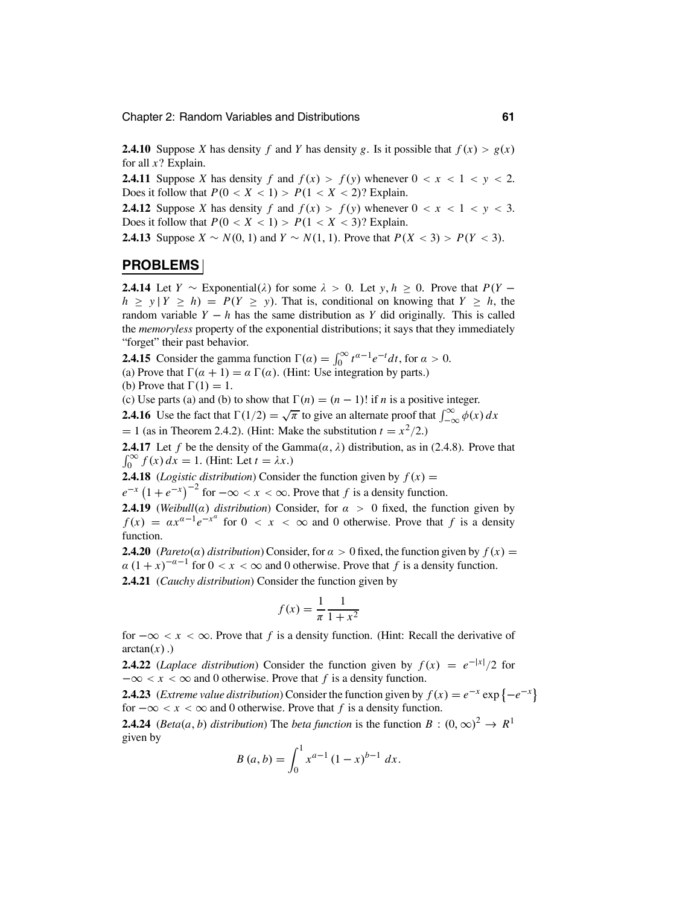Chapter 2: Random Variables and Distributions **61**

**2.4.10** Suppose *X* has density *f* and *Y* has density *g*. Is it possible that  $f(x) > g(x)$ for all *x*? Explain.

**2.4.11** Suppose *X* has density *f* and  $f(x) > f(y)$  whenever  $0 < x < 1 < y < 2$ . Does it follow that  $P(0 < X < 1) > P(1 < X < 2)$ ? Explain.

**2.4.12** Suppose *X* has density *f* and  $f(x) > f(y)$  whenever  $0 < x < 1 < y < 3$ . Does it follow that  $P(0 < X < 1) > P(1 < X < 3)$ ? Explain.

**2.4.13** Suppose *X* ∼ *N*(0, 1) and *Y* ∼ *N*(1, 1). Prove that  $P(X < 3) > P(Y < 3)$ .

### **PROBLEMS**

**2.4.14** Let *Y* ∼ Exponential( $\lambda$ ) for some  $\lambda > 0$ . Let *y*,  $h \ge 0$ . Prove that  $P(Y - \lambda)$  $h \ge y | Y \ge h$  =  $P(Y \ge y)$ . That is, conditional on knowing that  $Y \ge h$ , the random variable  $Y - h$  has the same distribution as Y did originally. This is called the *memoryless* property of the exponential distributions; it says that they immediately "forget" their past behavior.

**2.4.15** Consider the gamma function  $\Gamma(\alpha) = \int_0^\infty t^{\alpha-1} e^{-t} dt$ , for  $\alpha > 0$ . (a) Prove that  $\Gamma(\alpha + 1) = \alpha \Gamma(\alpha)$ . (Hint: Use integration by parts.)

(b) Prove that  $\Gamma(1) = 1$ .

(c) Use parts (a) and (b) to show that  $\Gamma(n) = (n - 1)!$  if *n* is a positive integer.

**2.4.16** Use the fact that  $\Gamma(1/2) = \sqrt{\pi}$  to give an alternate proof that  $\int_{-\infty}^{\infty} \phi(x) dx$  $= 1$  (as in Theorem 2.4.2). (Hint: Make the substitution  $t = x^2/2$ .)

**2.4.17** Let *f* be the density of the Gamma $(\alpha, \lambda)$  distribution, as in (2.4.8). Prove that  $\int_0^\infty f(x) dx = 1$ . (Hint: Let  $t = \lambda x$ .)

**2.4.18** (*Logistic distribution*) Consider the function given by  $f(x) =$ 

 $e^{-x} (1 + e^{-x})^{-2}$  for  $-\infty < x < \infty$ . Prove that *f* is a density function.

**2.4.19** (*Weibull*( $\alpha$ ) *distribution*) Consider, for  $\alpha > 0$  fixed, the function given by  $f(x) = \alpha x^{\alpha-1} e^{-x^{\alpha}}$  for  $0 < x < \infty$  and 0 otherwise. Prove that *f* is a density function.

**2.4.20** (*Pareto*( $\alpha$ ) *distribution*) Consider, for  $\alpha > 0$  fixed, the function given by  $f(x) =$  $\alpha (1 + x)^{-\alpha - 1}$  for  $0 < x < \infty$  and 0 otherwise. Prove that *f* is a density function.

**2.4.21** (*Cauchy distribution*) Consider the function given by

$$
f(x) = \frac{1}{\pi} \frac{1}{1 + x^2}
$$

for −∞ <sup>&</sup>lt; *<sup>x</sup>* <sup>&</sup>lt; <sup>∞</sup>. Prove that *<sup>f</sup>* is a density function. (Hint: Recall the derivative of  $arctan(x)$ .)

**2.4.22** (*Laplace distribution*) Consider the function given by  $f(x) = e^{-|x|}/2$  for  $-\infty < x < \infty$  and 0 otherwise. Prove that *f* is a density function.

**2.4.23** (*Extreme value distribution*) Consider the function given by  $f(x) = e^{-x} \exp\{-e^{-x}\}$ for  $-\infty < x < \infty$  and 0 otherwise. Prove that *f* is a density function.

**2.4.24** (*Beta*(*a*, *b*) *distribution*) The *beta function* is the function  $B: (0, \infty)^2 \to R^1$ given by

$$
B(a,b) = \int_0^1 x^{a-1} (1-x)^{b-1} dx.
$$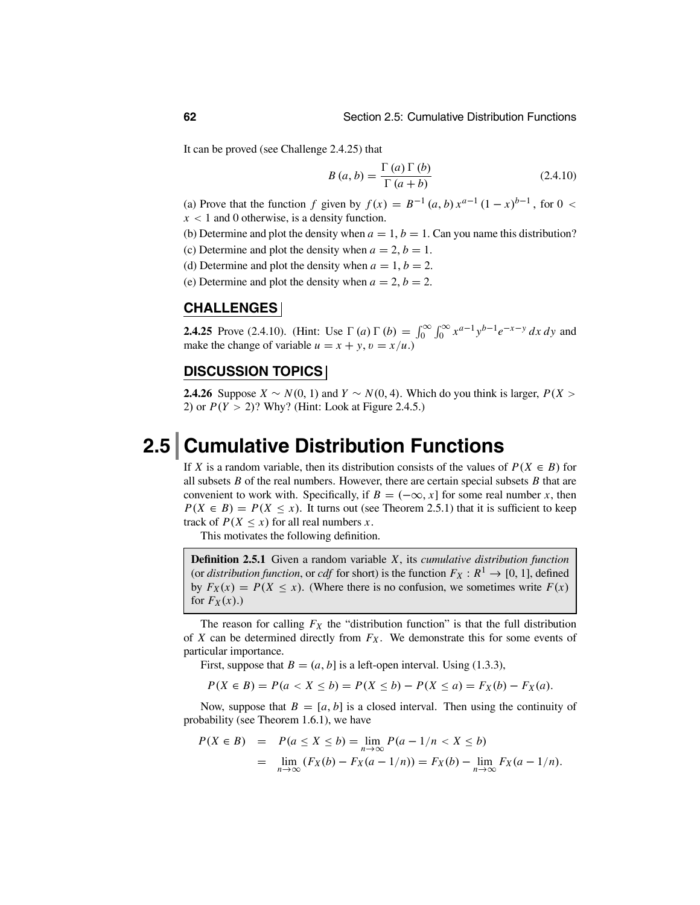It can be proved (see Challenge 2.4.25) that

$$
B(a,b) = \frac{\Gamma(a)\Gamma(b)}{\Gamma(a+b)}
$$
\n(2.4.10)

(a) Prove that the function *f* given by  $f(x) = B^{-1}(a, b) x^{a-1} (1 - x)^{b-1}$ , for 0 <  $x < 1$  and 0 otherwise, is a density function.

- (b) Determine and plot the density when  $a = 1$ ,  $b = 1$ . Can you name this distribution?
- (c) Determine and plot the density when  $a = 2, b = 1$ .
- (d) Determine and plot the density when  $a = 1, b = 2$ .
- (e) Determine and plot the density when  $a = 2$ ,  $b = 2$ .

## **CHALLENGES**

**2.4.25** Prove (2.4.10). (Hint: Use  $\Gamma(a) \Gamma(b) = \int_0^\infty \int_0^\infty x^{a-1} y^{b-1} e^{-x-y} dx dy$  and make the change of variable  $u = x + y$ ,  $v = x/u$ .)

## **DISCUSSION TOPICS**

**2.4.26** Suppose *X* ∼ *N*(0, 1) and *Y* ∼ *N*(0, 4). Which do you think is larger, *P*(*X* > 2) or *P*(*Y* > 2)? Why? (Hint: Look at Figure 2.4.5.)

## **2.5 Cumulative Distribution Functions**

If *X* is a random variable, then its distribution consists of the values of  $P(X \in B)$  for all subsets *B* of the real numbers. However, there are certain special subsets *B* that are convenient to work with. Specifically, if  $B = (-\infty, x]$  for some real number *x*, then  $P(X \in B) = P(X \le x)$ . It turns out (see Theorem 2.5.1) that it is sufficient to keep track of  $P(X \leq x)$  for all real numbers *x*.

This motivates the following definition.

**Definition 2.5.1** Given a random variable *X*, its *cumulative distribution function* (or *distribution function*, or *cdf* for short) is the function  $F_X: R^1 \to [0, 1]$ , defined by  $F_X(x) = P(X \le x)$ . (Where there is no confusion, we sometimes write  $F(x)$ ) for  $F_X(x)$ .)

The reason for calling  $F_X$  the "distribution function" is that the full distribution of *X* can be determined directly from  $F_X$ . We demonstrate this for some events of particular importance.

First, suppose that  $B = (a, b]$  is a left-open interval. Using (1.3.3),

 $P(X \in B) = P(a < X \le b) = P(X \le b) - P(X \le a) = F_X(b) - F_X(a).$ 

Now, suppose that  $B = [a, b]$  is a closed interval. Then using the continuity of probability (see Theorem 1.6.1), we have

$$
P(X \in B) = P(a \le X \le b) = \lim_{n \to \infty} P(a - 1/n < X \le b)
$$
\n
$$
= \lim_{n \to \infty} (F_X(b) - F_X(a - 1/n)) = F_X(b) - \lim_{n \to \infty} F_X(a - 1/n).
$$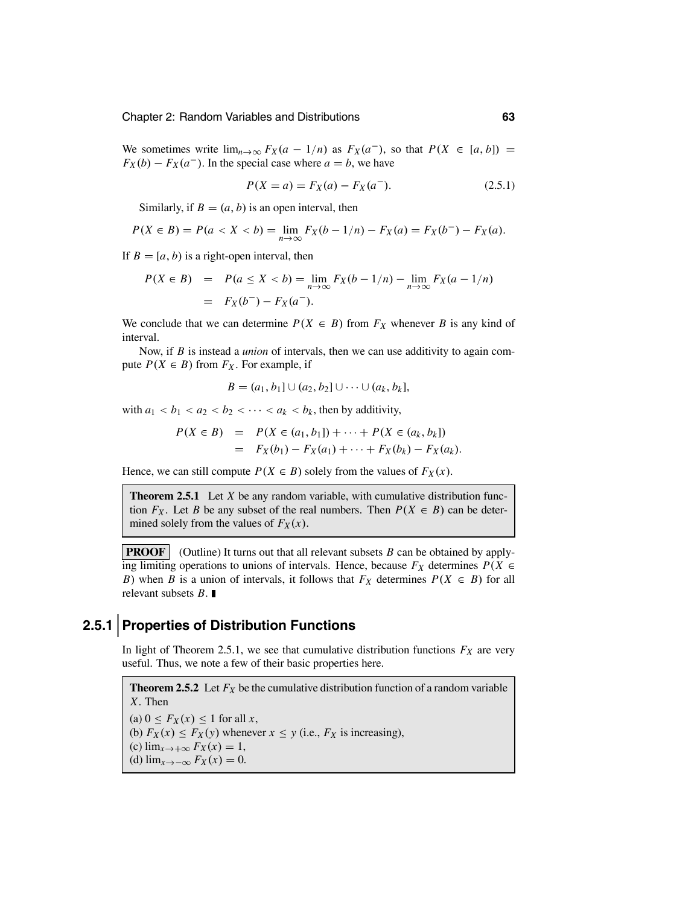We sometimes write  $\lim_{n\to\infty} F_X(a-1/n)$  as  $F_X(a^-)$ , so that  $P(X \in [a, b]) =$  $F_X(b) - F_X(a^-)$ . In the special case where  $a = b$ , we have

$$
P(X = a) = F_X(a) - F_X(a^{-}).
$$
\n(2.5.1)

Similarly, if  $B = (a, b)$  is an open interval, then

$$
P(X \in B) = P(a < X < b) = \lim_{n \to \infty} F_X(b - 1/n) - F_X(a) = F_X(b^-) - F_X(a).
$$

If  $B = [a, b)$  is a right-open interval, then

$$
P(X \in B) = P(a \le X < b) = \lim_{n \to \infty} F_X(b - 1/n) - \lim_{n \to \infty} F_X(a - 1/n)
$$
\n
$$
= F_X(b^-) - F_X(a^-).
$$

We conclude that we can determine  $P(X \in B)$  from  $F_X$  whenever *B* is any kind of interval.

Now, if *B* is instead a *union* of intervals, then we can use additivity to again compute  $P(X \in B)$  from  $F_X$ . For example, if

$$
B = (a_1, b_1] \cup (a_2, b_2] \cup \cdots \cup (a_k, b_k],
$$

with  $a_1 < b_1 < a_2 < b_2 < \cdots < a_k < b_k$ , then by additivity,

$$
P(X \in B) = P(X \in (a_1, b_1]) + \cdots + P(X \in (a_k, b_k])
$$
  
=  $F_X(b_1) - F_X(a_1) + \cdots + F_X(b_k) - F_X(a_k)$ .

Hence, we can still compute  $P(X \in B)$  solely from the values of  $F_X(x)$ .

**Theorem 2.5.1** Let *X* be any random variable, with cumulative distribution function  $F_X$ . Let *B* be any subset of the real numbers. Then  $P(X \in B)$  can be determined solely from the values of  $F_X(x)$ .

**PROOF** (Outline) It turns out that all relevant subsets *B* can be obtained by applying limiting operations to unions of intervals. Hence, because  $F_X$  determines  $P(X \in$ *B*) when *B* is a union of intervals, it follows that  $F_X$  determines  $P(X \in B)$  for all relevant subsets *B*.

## **2.5.1 Properties of Distribution Functions**

In light of Theorem 2.5.1, we see that cumulative distribution functions  $F_X$  are very useful. Thus, we note a few of their basic properties here.

**Theorem 2.5.2** Let  $F_X$  be the cumulative distribution function of a random variable *X*. Then (a)  $0 \leq F_X(x) \leq 1$  for all *x*, (b)  $F_X(x) \leq F_X(y)$  whenever  $x \leq y$  (i.e.,  $F_X$  is increasing), (c)  $\lim_{x \to +\infty} F_X(x) = 1$ , (d)  $\lim_{x\to-\infty} F_X(x) = 0$ .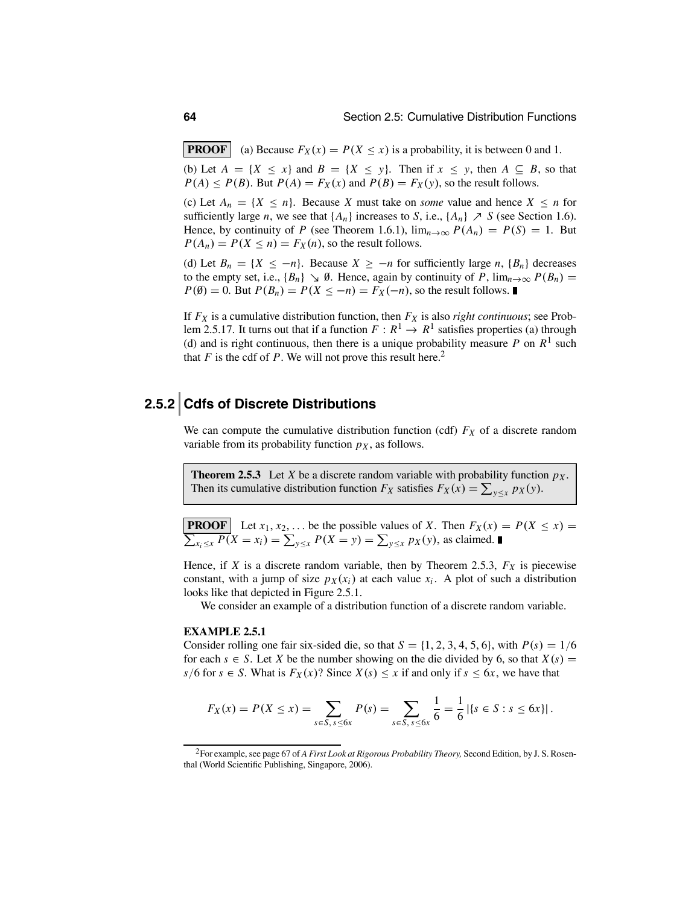**PROOF** (a) Because  $F_X(x) = P(X \le x)$  is a probability, it is between 0 and 1.

(b) Let  $A = \{X \le x\}$  and  $B = \{X \le y\}$ . Then if  $x \le y$ , then  $A \subseteq B$ , so that  $P(A) \leq P(B)$ . But  $P(A) = F_X(x)$  and  $P(B) = F_X(y)$ , so the result follows.

(c) Let  $A_n = \{X \leq n\}$ . Because *X* must take on *some* value and hence  $X \leq n$  for sufficiently large *n*, we see that  $\{A_n\}$  increases to *S*, i.e.,  $\{A_n\} \nearrow S$  (see Section 1.6). Hence, by continuity of *P* (see Theorem 1.6.1),  $\lim_{n\to\infty} P(A_n) = P(S) = 1$ . But  $P(A_n) = P(X \le n) = F_X(n)$ , so the result follows.

(d) Let  $B_n = \{X \leq -n\}$ . Because  $X \geq -n$  for sufficiently large *n*,  $\{B_n\}$  decreases to the empty set, i.e.,  ${B_n} \searrow \emptyset$ . Hence, again by continuity of *P*,  $\lim_{n\to\infty} P(B_n) =$ *P*( $\emptyset$ ) = 0. But *P*( $B_n$ ) = *P*( $X$  ≤ −*n*) =  $F_X(-n)$ , so the result follows.

If  $F_X$  is a cumulative distribution function, then  $F_X$  is also *right continuous*; see Problem 2.5.17. It turns out that if a function  $F: R^1 \to R^1$  satisfies properties (a) through (d) and is right continuous, then there is a unique probability measure *P* on  $R<sup>1</sup>$  such that  $F$  is the cdf of  $P$ . We will not prove this result here.<sup>2</sup>

## **2.5.2 Cdfs of Discrete Distributions**

We can compute the cumulative distribution function (cdf)  $F_X$  of a discrete random variable from its probability function  $p<sub>X</sub>$ , as follows.

**Theorem 2.5.3** Let *X* be a discrete random variable with probability function  $p<sub>X</sub>$ . Then its cumulative distribution function  $F_X$  satisfies  $F_X(x) = \sum_{y \le x} p_X(y)$ .

**PROOF** Let  $x_1, x_2, ...$  be the possible values of *X*. Then  $F_X(x) = P(X \le x) = \sum_{x \le x} P(X = x_i) = \sum_{x \le x} P(X = y) = \sum_{x \le x} P(x \mid y)$ , as claimed. *x*<sub>*i*</sub> ≤ *x P*(*X* = *x<sub>i</sub>*) =  $\sum_{y \le x} P(X = y) = \sum_{y \le x} p_X(y)$ , as claimed.

Hence, if *X* is a discrete random variable, then by Theorem 2.5.3,  $F_X$  is piecewise constant, with a jump of size  $p_X(x_i)$  at each value  $x_i$ . A plot of such a distribution looks like that depicted in Figure 2.5.1.

We consider an example of a distribution function of a discrete random variable.

#### **EXAMPLE 2.5.1**

Consider rolling one fair six-sided die, so that  $S = \{1, 2, 3, 4, 5, 6\}$ , with  $P(s) = 1/6$ for each  $s \in S$ . Let *X* be the number showing on the die divided by 6, so that  $X(s) =$ *s*/6 for *s* ∈ *S*. What is  $F_X(x)$ ? Since  $X(s) \le x$  if and only if  $s \le 6x$ , we have that

$$
F_X(x) = P(X \le x) = \sum_{s \in S, s \le 6x} P(s) = \sum_{s \in S, s \le 6x} \frac{1}{6} = \frac{1}{6} |\{s \in S : s \le 6x\}|.
$$

<sup>2</sup>For example, see page 67 of *A First Look at Rigorous Probability Theory,* Second Edition, by J. S. Rosenthal (World Scientific Publishing, Singapore, 2006).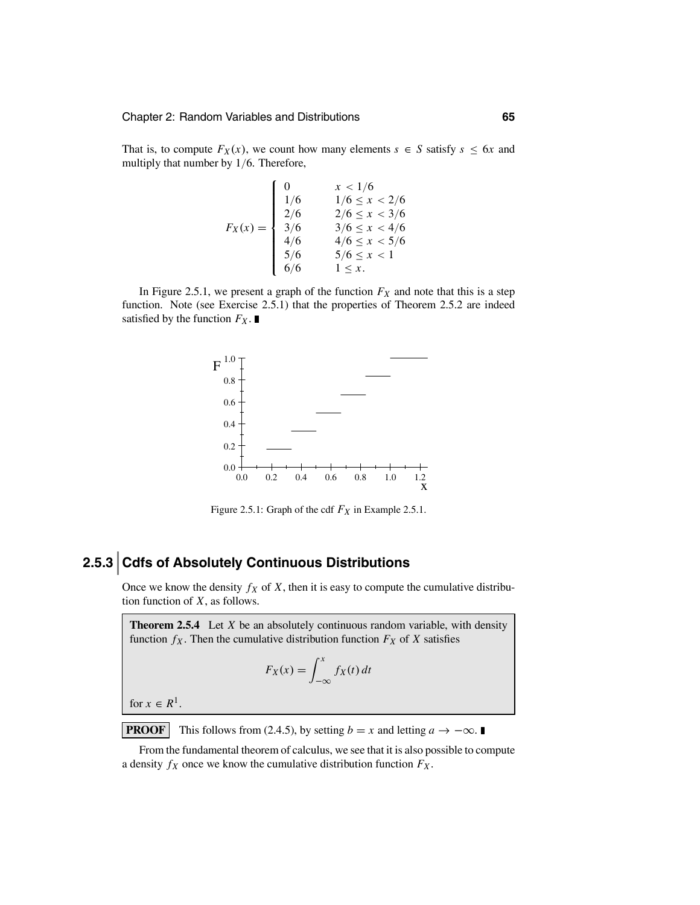That is, to compute  $F_X(x)$ , we count how many elements  $s \in S$  satisfy  $s \leq 6x$  and multiply that number by 1/6. Therefore,

$$
F_X(x) = \begin{cases} 0 & x < 1/6 \\ 1/6 & 1/6 \le x < 2/6 \\ 2/6 & 2/6 \le x < 3/6 \\ 3/6 & 3/6 \le x < 4/6 \\ 4/6 & 4/6 \le x < 5/6 \\ 5/6 & 5/6 \le x < 1 \\ 6/6 & 1 \le x. \end{cases}
$$

In Figure 2.5.1, we present a graph of the function  $F_X$  and note that this is a step function. Note (see Exercise 2.5.1) that the properties of Theorem 2.5.2 are indeed satisfied by the function  $F_X$ .



Figure 2.5.1: Graph of the cdf  $F_X$  in Example 2.5.1.

## **2.5.3 Cdfs of Absolutely Continuous Distributions**

Once we know the density  $f_X$  of  $X$ , then it is easy to compute the cumulative distribution function of *X*, as follows.

**Theorem 2.5.4** Let *X* be an absolutely continuous random variable, with density function  $f_X$ . Then the cumulative distribution function  $F_X$  of  $X$  satisfies

$$
F_X(x) = \int_{-\infty}^x f_X(t) \, dt
$$

for  $x \in R^1$ .

**PROOF** This follows from (2.4.5), by setting *b* = *x* and letting *a* → −∞.

From the fundamental theorem of calculus, we see that it is also possible to compute a density  $f_X$  once we know the cumulative distribution function  $F_X$ .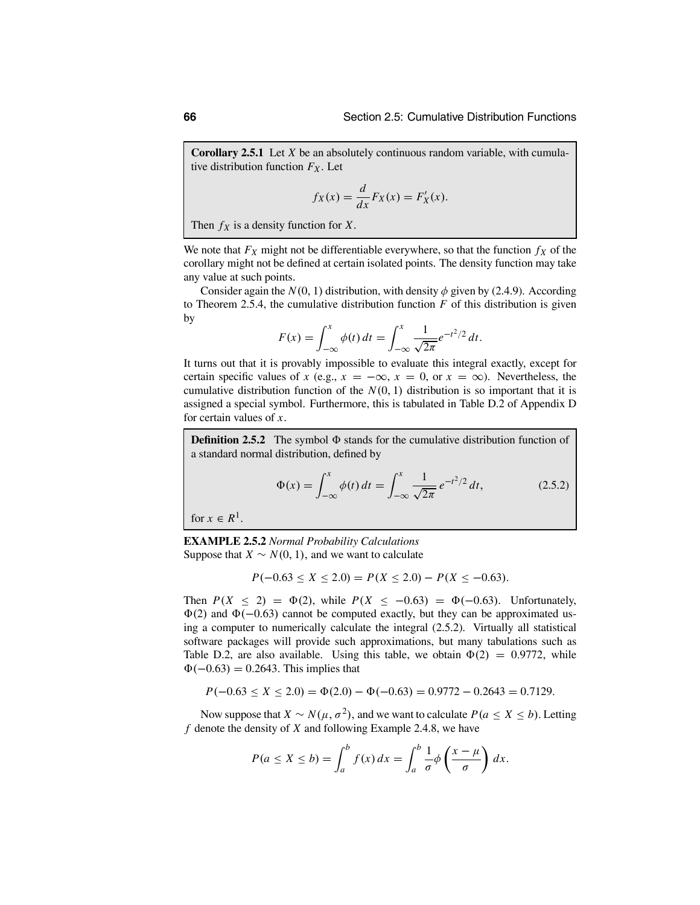**Corollary 2.5.1** Let *X* be an absolutely continuous random variable, with cumulative distribution function  $F_X$ . Let

$$
f_X(x) = \frac{d}{dx} F_X(x) = F'_X(x).
$$

Then  $f_X$  is a density function for  $X$ .

We note that  $F_X$  might not be differentiable everywhere, so that the function  $f_X$  of the corollary might not be defined at certain isolated points. The density function may take any value at such points.

Consider again the  $N(0, 1)$  distribution, with density  $\phi$  given by (2.4.9). According to Theorem 2.5.4, the cumulative distribution function *F* of this distribution is given by

$$
F(x) = \int_{-\infty}^{x} \phi(t) dt = \int_{-\infty}^{x} \frac{1}{\sqrt{2\pi}} e^{-t^2/2} dt.
$$

It turns out that it is provably impossible to evaluate this integral exactly, except for certain specific values of *x* (e.g.,  $x = -\infty$ ,  $x = 0$ , or  $x = \infty$ ). Nevertheless, the cumulative distribution function of the  $N(0, 1)$  distribution is so important that it is assigned a special symbol. Furthermore, this is tabulated in Table D.2 of Appendix D for certain values of *x*.

**Definition 2.5.2** The symbol  $\Phi$  stands for the cumulative distribution function of a standard normal distribution, defined by

$$
\Phi(x) = \int_{-\infty}^{x} \phi(t) dt = \int_{-\infty}^{x} \frac{1}{\sqrt{2\pi}} e^{-t^2/2} dt,
$$
 (2.5.2)

for  $x \in R^1$ .

**EXAMPLE 2.5.2** *Normal Probability Calculations* Suppose that  $X \sim N(0, 1)$ , and we want to calculate

 $P(-0.63 \le X \le 2.0) = P(X \le 2.0) - P(X \le -0.63).$ 

Then  $P(X \le 2) = \Phi(2)$ , while  $P(X \le -0.63) = \Phi(-0.63)$ . Unfortunately,  $\Phi(2)$  and  $\Phi(-0.63)$  cannot be computed exactly, but they can be approximated using a computer to numerically calculate the integral (2.5.2). Virtually all statistical software packages will provide such approximations, but many tabulations such as Table D.2, are also available. Using this table, we obtain  $\Phi(2) = 0.9772$ , while  $\Phi(-0.63) = 0.2643$ . This implies that

$$
P(-0.63 \le X \le 2.0) = \Phi(2.0) - \Phi(-0.63) = 0.9772 - 0.2643 = 0.7129.
$$

Now suppose that  $X \sim N(\mu, \sigma^2)$ , and we want to calculate  $P(a \le X \le b)$ . Letting *f* denote the density of *X* and following Example 2.4.8, we have

$$
P(a \le X \le b) = \int_a^b f(x) \, dx = \int_a^b \frac{1}{\sigma} \phi \left( \frac{x - \mu}{\sigma} \right) \, dx.
$$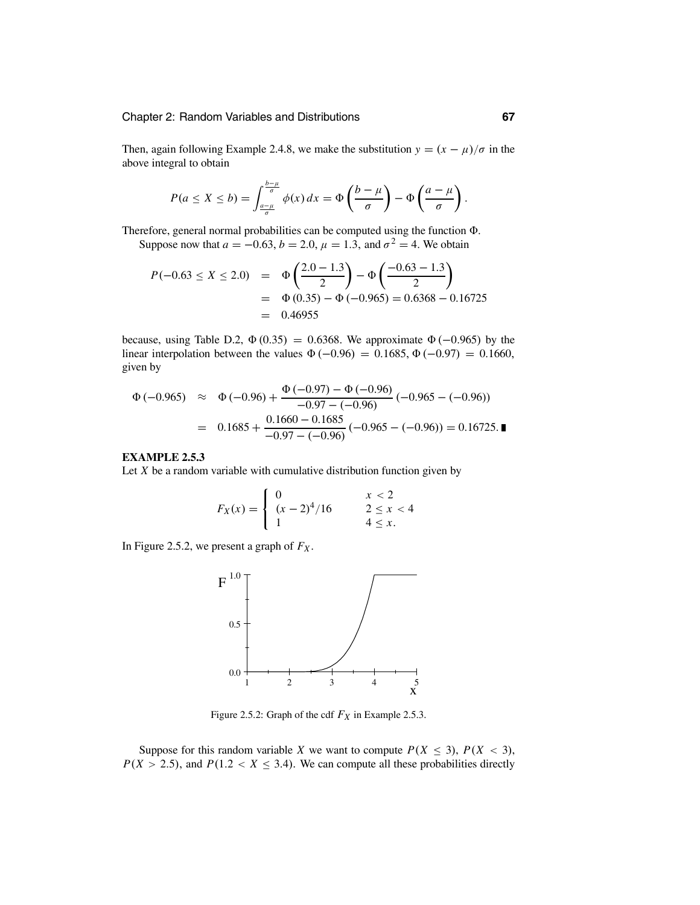#### Chapter 2: Random Variables and Distributions **67**

Then, again following Example 2.4.8, we make the substitution  $y = (x - \mu)/\sigma$  in the above integral to obtain

$$
P(a \le X \le b) = \int_{\frac{a-\mu}{\sigma}}^{\frac{b-\mu}{\sigma}} \phi(x) dx = \Phi\left(\frac{b-\mu}{\sigma}\right) - \Phi\left(\frac{a-\mu}{\sigma}\right).
$$

Therefore, general normal probabilities can be computed using the function  $\Phi$ . Suppose now that  $a = -0.63$ ,  $b = 2.0$ ,  $\mu = 1.3$ , and  $\sigma^2 = 4$ . We obtain

$$
P(-0.63 \le X \le 2.0) = \Phi\left(\frac{2.0 - 1.3}{2}\right) - \Phi\left(\frac{-0.63 - 1.3}{2}\right)
$$
  
=  $\Phi(0.35) - \Phi(-0.965) = 0.6368 - 0.16725$   
= 0.46955

because, using Table D.2,  $\Phi(0.35) = 0.6368$ . We approximate  $\Phi(-0.965)$  by the linear interpolation between the values  $\Phi(-0.96) = 0.1685, \Phi(-0.97) = 0.1660$ , given by

$$
\Phi(-0.965) \approx \Phi(-0.96) + \frac{\Phi(-0.97) - \Phi(-0.96)}{-0.97 - (-0.96)} (-0.965 - (-0.96))
$$
  
= 0.1685 +  $\frac{0.1660 - 0.1685}{-0.97 - (-0.96)} (-0.965 - (-0.96)) = 0.16725.$ 

#### **EXAMPLE 2.5.3**

Let  $X$  be a random variable with cumulative distribution function given by

$$
F_X(x) = \begin{cases} 0 & x < 2 \\ (x - 2)^4/16 & 2 \le x < 4 \\ 1 & 4 \le x. \end{cases}
$$

In Figure 2.5.2, we present a graph of  $F_X$ .



Figure 2.5.2: Graph of the cdf  $F_X$  in Example 2.5.3.

Suppose for this random variable *X* we want to compute  $P(X \le 3)$ ,  $P(X < 3)$ ,  $P(X > 2.5)$ , and  $P(1.2 < X \leq 3.4)$ . We can compute all these probabilities directly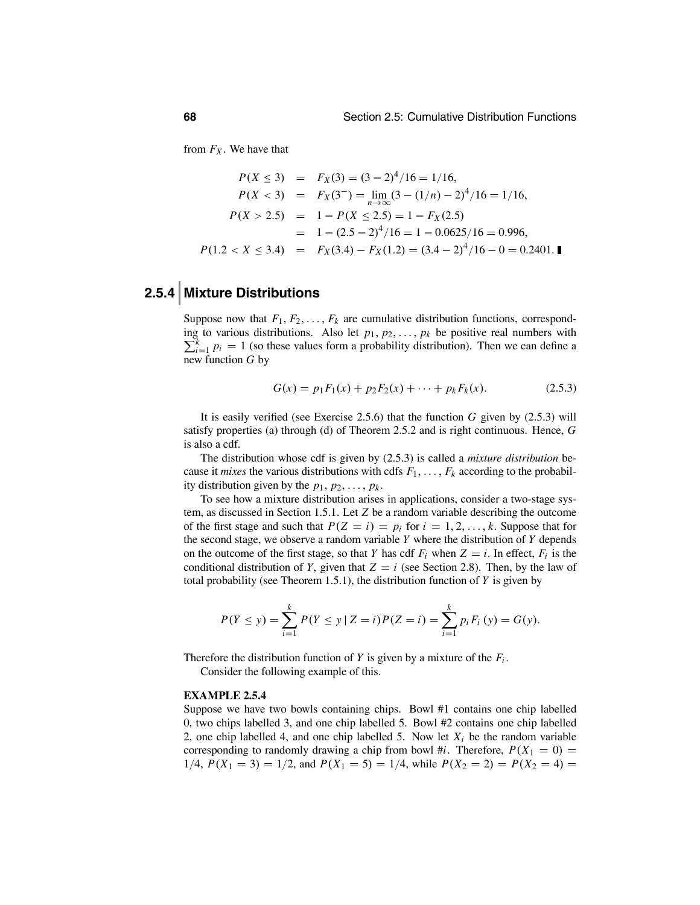from  $F_X$ . We have that

$$
P(X \le 3) = F_X(3) = (3-2)^4/16 = 1/16,
$$
  
\n
$$
P(X < 3) = F_X(3^-) = \lim_{n \to \infty} (3 - (1/n) - 2)^4/16 = 1/16,
$$
  
\n
$$
P(X > 2.5) = 1 - P(X \le 2.5) = 1 - F_X(2.5)
$$
  
\n
$$
= 1 - (2.5 - 2)^4/16 = 1 - 0.0625/16 = 0.996,
$$
  
\n
$$
P(1.2 < X \le 3.4) = F_X(3.4) - F_X(1.2) = (3.4 - 2)^4/16 - 0 = 0.2401.
$$

## **2.5.4 Mixture Distributions**

Suppose now that  $F_1, F_2, \ldots, F_k$  are cumulative distribution functions, correspond- $\sum_{i=1}^{k} p_i = 1$  (so these values form a probability distribution). Then we can define a ing to various distributions. Also let  $p_1, p_2, \ldots, p_k$  be positive real numbers with new function *G* by

$$
G(x) = p_1 F_1(x) + p_2 F_2(x) + \dots + p_k F_k(x). \tag{2.5.3}
$$

It is easily verified (see Exercise 2.5.6) that the function *G* given by (2.5.3) will satisfy properties (a) through (d) of Theorem 2.5.2 and is right continuous. Hence, *G* is also a cdf.

The distribution whose cdf is given by (2.5.3) is called a *mixture distribution* because it *mixes* the various distributions with cdfs  $F_1, \ldots, F_k$  according to the probability distribution given by the  $p_1, p_2, \ldots, p_k$ .

To see how a mixture distribution arises in applications, consider a two-stage system, as discussed in Section 1.5.1. Let *Z* be a random variable describing the outcome of the first stage and such that  $P(Z = i) = p_i$  for  $i = 1, 2, ..., k$ . Suppose that for the second stage, we observe a random variable *Y* where the distribution of *Y* depends on the outcome of the first stage, so that *Y* has cdf  $F_i$  when  $Z = i$ . In effect,  $F_i$  is the conditional distribution of *Y*, given that  $Z = i$  (see Section 2.8). Then, by the law of total probability (see Theorem 1.5.1), the distribution function of *Y* is given by

$$
P(Y \le y) = \sum_{i=1}^{k} P(Y \le y \mid Z = i) P(Z = i) = \sum_{i=1}^{k} p_i F_i (y) = G(y).
$$

Therefore the distribution function of *Y* is given by a mixture of the *Fi* .

Consider the following example of this.

#### **EXAMPLE 2.5.4**

Suppose we have two bowls containing chips. Bowl #1 contains one chip labelled 0, two chips labelled 3, and one chip labelled 5. Bowl #2 contains one chip labelled 2, one chip labelled 4, and one chip labelled 5. Now let  $X_i$  be the random variable corresponding to randomly drawing a chip from bowl #*i*. Therefore,  $P(X_1 = 0)$  = 1/4,  $P(X_1 = 3) = 1/2$ , and  $P(X_1 = 5) = 1/4$ , while  $P(X_2 = 2) = P(X_2 = 4) =$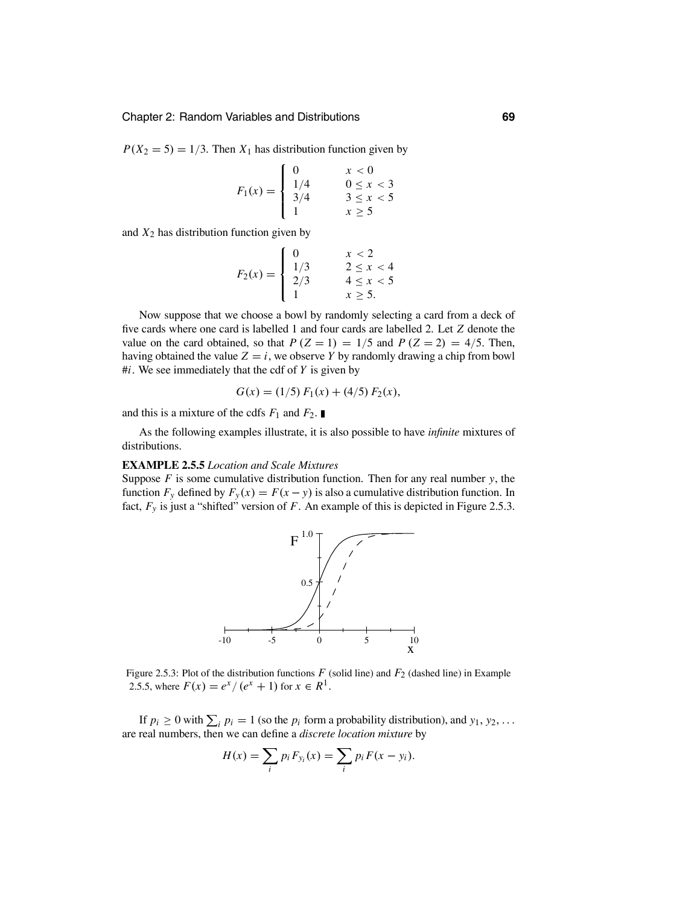$P(X_2 = 5) = 1/3$ . Then  $X_1$  has distribution function given by

$$
F_1(x) = \begin{cases} 0 & x < 0 \\ 1/4 & 0 \le x < 3 \\ 3/4 & 3 \le x < 5 \\ 1 & x \ge 5 \end{cases}
$$

and  $X_2$  has distribution function given by

$$
F_2(x) = \begin{cases} 0 & x < 2 \\ 1/3 & 2 \le x < 4 \\ 2/3 & 4 \le x < 5 \\ 1 & x \ge 5. \end{cases}
$$

Now suppose that we choose a bowl by randomly selecting a card from a deck of five cards where one card is labelled 1 and four cards are labelled 2. Let *Z* denote the value on the card obtained, so that  $P(Z = 1) = 1/5$  and  $P(Z = 2) = 4/5$ . Then, having obtained the value  $Z = i$ , we observe *Y* by randomly drawing a chip from bowl #*i*. We see immediately that the cdf of *Y* is given by

$$
G(x) = (1/5) F_1(x) + (4/5) F_2(x),
$$

and this is a mixture of the cdfs  $F_1$  and  $F_2$ .

As the following examples illustrate, it is also possible to have *infinite* mixtures of distributions.

#### **EXAMPLE 2.5.5** *Location and Scale Mixtures*

Suppose *F* is some cumulative distribution function. Then for any real number *y*, the function  $F_y$  defined by  $F_y(x) = F(x - y)$  is also a cumulative distribution function. In fact,  $F_y$  is just a "shifted" version of  $F$ . An example of this is depicted in Figure 2.5.3.



Figure 2.5.3: Plot of the distribution functions  $F$  (solid line) and  $F_2$  (dashed line) in Example 2.5.5, where  $F(x) = e^x / (e^x + 1)$  for  $x \in R^1$ .

If  $p_i \ge 0$  with  $\sum_i p_i = 1$  (so the  $p_i$  form a probability distribution), and  $y_1, y_2, \ldots$ are real numbers, then we can define a *discrete location mixture* by

$$
H(x) = \sum_{i} p_i F_{y_i}(x) = \sum_{i} p_i F(x - y_i).
$$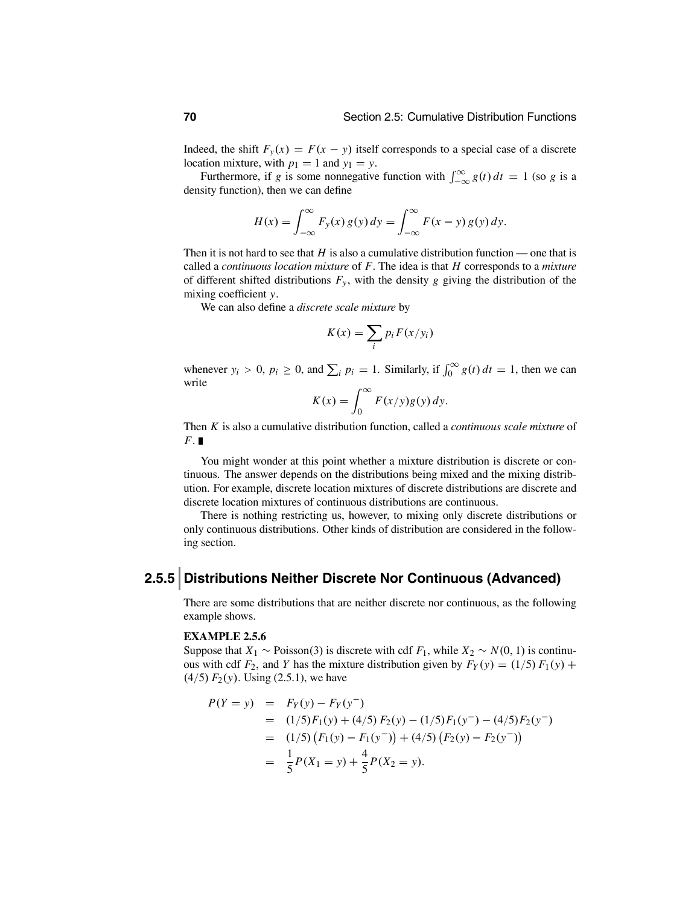Indeed, the shift  $F_y(x) = F(x - y)$  itself corresponds to a special case of a discrete location mixture, with  $p_1 = 1$  and  $y_1 = y$ .

Furthermore, if *g* is some nonnegative function with  $\int_{-\infty}^{\infty} g(t) dt = 1$  (so *g* is a density function), then we can define

$$
H(x) = \int_{-\infty}^{\infty} F_y(x) g(y) dy = \int_{-\infty}^{\infty} F(x - y) g(y) dy.
$$

Then it is not hard to see that *H* is also a cumulative distribution function — one that is called a *continuous location mixture* of *F*. The idea is that *H* corresponds to a *mixture* of different shifted distributions  $F_y$ , with the density *g* giving the distribution of the mixing coefficient *y*.

We can also define a *discrete scale mixture* by

$$
K(x) = \sum_{i} p_i F(x/y_i)
$$

whenever  $y_i > 0$ ,  $p_i \ge 0$ , and  $\sum_i p_i = 1$ . Similarly, if  $\int_0^\infty g(t) dt = 1$ , then we can write

$$
K(x) = \int_0^\infty F(x/y)g(y) dy.
$$

Then *K* is also a cumulative distribution function, called a *continuous scale mixture* of *F*.

You might wonder at this point whether a mixture distribution is discrete or continuous. The answer depends on the distributions being mixed and the mixing distribution. For example, discrete location mixtures of discrete distributions are discrete and discrete location mixtures of continuous distributions are continuous.

There is nothing restricting us, however, to mixing only discrete distributions or only continuous distributions. Other kinds of distribution are considered in the following section.

### **2.5.5 Distributions Neither Discrete Nor Continuous (Advanced)**

There are some distributions that are neither discrete nor continuous, as the following example shows.

#### **EXAMPLE 2.5.6**

Suppose that *X*<sub>1</sub> ∼ Poisson(3) is discrete with cdf  $F_1$ , while  $X_2 \sim N(0, 1)$  is continuous with cdf  $F_2$ , and *Y* has the mixture distribution given by  $F_Y(y) = (1/5) F_1(y) +$  $(4/5) F<sub>2</sub>(y)$ . Using (2.5.1), we have

$$
P(Y = y) = F_Y(y) - F_Y(y^-)
$$
  
= (1/5)F<sub>1</sub>(y) + (4/5)F<sub>2</sub>(y) - (1/5)F<sub>1</sub>(y^-) - (4/5)F<sub>2</sub>(y^-)  
= (1/5) (F<sub>1</sub>(y) - F<sub>1</sub>(y^-)) + (4/5) (F<sub>2</sub>(y) - F<sub>2</sub>(y^-))  
=  $\frac{1}{5}P(X_1 = y) + \frac{4}{5}P(X_2 = y).$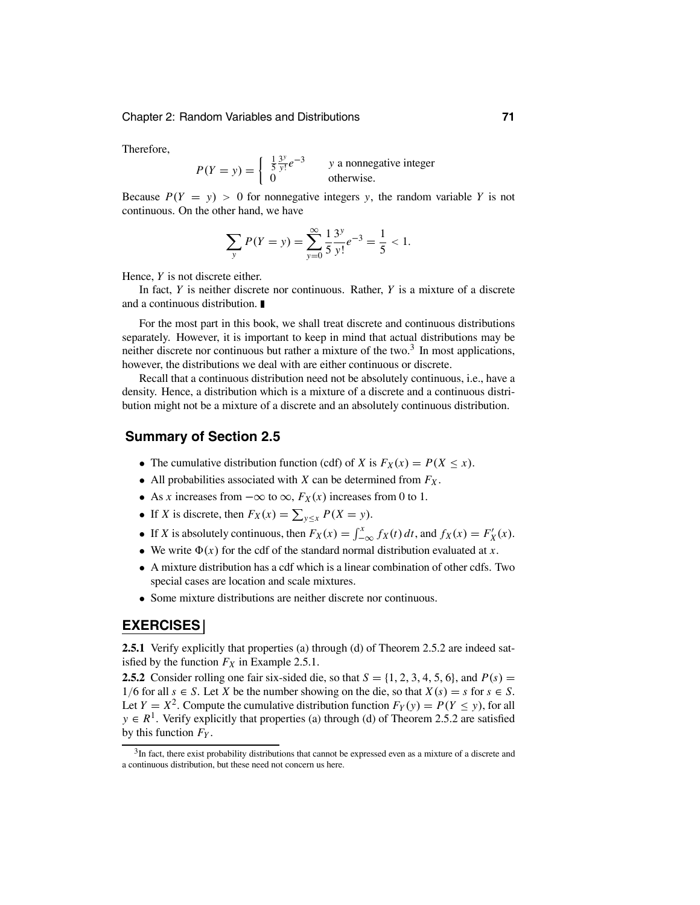Therefore,

$$
P(Y = y) = \begin{cases} \frac{1}{5} \frac{3^{y}}{y!} e^{-3} & y \text{ a nonnegative integer} \\ 0 & \text{otherwise.} \end{cases}
$$

Because  $P(Y = y) > 0$  for nonnegative integers *y*, the random variable *Y* is not continuous. On the other hand, we have

$$
\sum_{y} P(Y = y) = \sum_{y=0}^{\infty} \frac{1}{5} \frac{3^y}{y!} e^{-3} = \frac{1}{5} < 1.
$$

Hence, *Y* is not discrete either.

In fact, *Y* is neither discrete nor continuous. Rather, *Y* is a mixture of a discrete and a continuous distribution.

For the most part in this book, we shall treat discrete and continuous distributions separately. However, it is important to keep in mind that actual distributions may be neither discrete nor continuous but rather a mixture of the two. $3 \text{ In most applications,}$ however, the distributions we deal with are either continuous or discrete.

Recall that a continuous distribution need not be absolutely continuous, i.e., have a density. Hence, a distribution which is a mixture of a discrete and a continuous distribution might not be a mixture of a discrete and an absolutely continuous distribution.

#### **Summary of Section 2.5**

- The cumulative distribution function (cdf) of *X* is  $F_X(x) = P(X \le x)$ .
- All probabilities associated with *X* can be determined from  $F_X$ .
- As *x* increases from  $-\infty$  to  $\infty$ ,  $F_X(x)$  increases from 0 to 1.
- If *X* is discrete, then  $F_X(x) = \sum_{y \le x} P(X = y)$ .
- If *X* is absolutely continuous, then  $F_X(x) = \int_{-\infty}^x f_X(t) dt$ , and  $f_X(x) = F'_X(x)$ .
- We write  $\Phi(x)$  for the cdf of the standard normal distribution evaluated at *x*.
- A mixture distribution has a cdf which is a linear combination of other cdfs. Two special cases are location and scale mixtures.
- Some mixture distributions are neither discrete nor continuous.

### **EXERCISES**

**2.5.1** Verify explicitly that properties (a) through (d) of Theorem 2.5.2 are indeed satisfied by the function  $F_X$  in Example 2.5.1.

**2.5.2** Consider rolling one fair six-sided die, so that  $S = \{1, 2, 3, 4, 5, 6\}$ , and  $P(s)$ 1/6 for all  $s \in S$ . Let *X* be the number showing on the die, so that  $X(s) = s$  for  $s \in S$ . Let  $Y = X^2$ . Compute the cumulative distribution function  $F_Y(y) = P(Y \le y)$ , for all  $y \in R<sup>1</sup>$ . Verify explicitly that properties (a) through (d) of Theorem 2.5.2 are satisfied by this function *FY* .

 $3$ In fact, there exist probability distributions that cannot be expressed even as a mixture of a discrete and a continuous distribution, but these need not concern us here.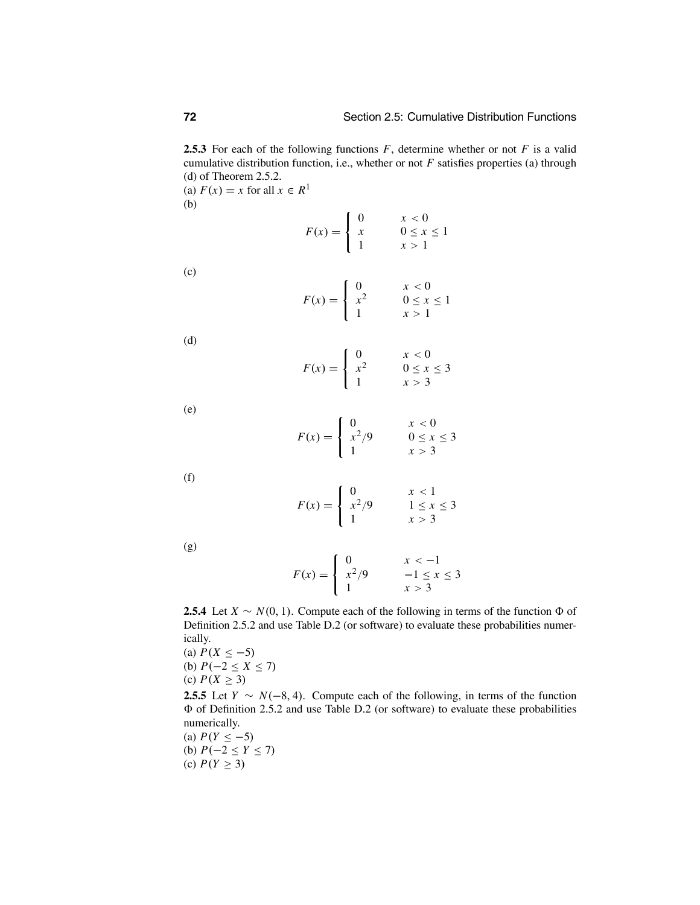**2.5.3** For each of the following functions *F*, determine whether or not *F* is a valid cumulative distribution function, i.e., whether or not *F* satisfies properties (a) through (d) of Theorem 2.5.2.

(a)  $F(x) = x$  for all  $x \in R^1$ (b)

$$
F(x) = \begin{cases} 0 & x < 0 \\ x & 0 \le x \le 1 \\ 1 & x > 1 \end{cases}
$$

(c)

$$
F(x) = \begin{cases} 0 & x < 0 \\ x^2 & 0 \le x \le 1 \\ 1 & x > 1 \end{cases}
$$

(d)

$$
F(x) = \begin{cases} 0 & x < 0 \\ x^2 & 0 \le x \le 3 \\ 1 & x > 3 \end{cases}
$$

(e)

$$
F(x) = \begin{cases} 0 & x < 0 \\ x^2/9 & 0 \le x \le 3 \\ 1 & x > 3 \end{cases}
$$

(f)

$$
F(x) = \begin{cases} 0 & x < 1 \\ x^2/9 & 1 \le x \le 3 \\ 1 & x > 3 \end{cases}
$$

(g)

$$
F(x) = \begin{cases} 0 & x < -1 \\ x^2/9 & -1 \le x \le 3 \\ 1 & x > 3 \end{cases}
$$

**2.5.4** Let *X* ∼ *N*(0, 1). Compute each of the following in terms of the function  $\Phi$  of Definition 2.5.2 and use Table D.2 (or software) to evaluate these probabilities numerically.

(a) 
$$
P(X \le -5)
$$
  
(b)  $P(-2 \le X \le 7)$ 

(c) *<sup>P</sup>*(*<sup>X</sup>* <sup>≥</sup> <sup>3</sup>)

**2.5.5** Let *Y* ∼ *N*(−8, 4). Compute each of the following, in terms of the function  $\Phi$  of Definition 2.5.2 and use Table D.2 (or software) to evaluate these probabilities numerically.

(a)  $P(Y \le -5)$ (b)  $P(-2 \le Y \le 7)$ (c)  $P(Y \ge 3)$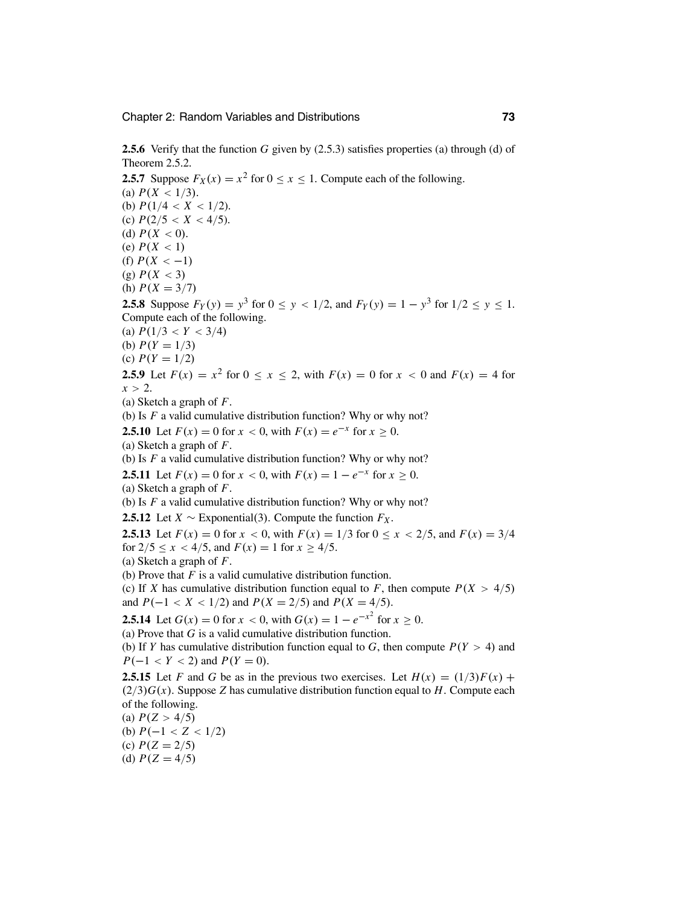**2.5.6** Verify that the function *G* given by (2.5.3) satisfies properties (a) through (d) of Theorem 2.5.2.

**2.5.7** Suppose  $F_X(x) = x^2$  for  $0 \le x \le 1$ . Compute each of the following. (a)  $P(X < 1/3)$ . (b)  $P(1/4 < X < 1/2)$ . (c)  $P(2/5 < X < 4/5)$ . (d)  $P(X < 0)$ . (e)  $P(X < 1)$ (f)  $P(X < -1)$ (g) *P*(*X* < 3) (h)  $P(X = 3/7)$ **2.5.8** Suppose  $F_Y(y) = y^3$  for  $0 \le y \le 1/2$ , and  $F_Y(y) = 1 - y^3$  for  $1/2 \le y \le 1$ . Compute each of the following. (a)  $P(1/3 < Y < 3/4)$ (b)  $P(Y = 1/3)$ (c)  $P(Y = 1/2)$ **2.5.9** Let  $F(x) = x^2$  for  $0 \le x \le 2$ , with  $F(x) = 0$  for  $x \le 0$  and  $F(x) = 4$  for  $x > 2$ . (a) Sketch a graph of *F*. (b) Is *F* a valid cumulative distribution function? Why or why not? **2.5.10** Let  $F(x) = 0$  for  $x < 0$ , with  $F(x) = e^{-x}$  for  $x > 0$ . (a) Sketch a graph of *F*. (b) Is *F* a valid cumulative distribution function? Why or why not? **2.5.11** Let  $F(x) = 0$  for  $x < 0$ , with  $F(x) = 1 - e^{-x}$  for  $x > 0$ . (a) Sketch a graph of *F*. (b) Is *F* a valid cumulative distribution function? Why or why not? **2.5.12** Let *X* ∼ Exponential(3). Compute the function  $F_X$ . **2.5.13** Let  $F(x) = 0$  for  $x < 0$ , with  $F(x) = 1/3$  for  $0 \le x < 2/5$ , and  $F(x) = 3/4$ for  $2/5 \le x < 4/5$ , and  $F(x) = 1$  for  $x \ge 4/5$ . (a) Sketch a graph of *F*. (b) Prove that *F* is a valid cumulative distribution function. (c) If *X* has cumulative distribution function equal to *F*, then compute  $P(X > 4/5)$ and  $P(-1 < X < 1/2)$  and  $P(X = 2/5)$  and  $P(X = 4/5)$ . **2.5.14** Let  $G(x) = 0$  for  $x < 0$ , with  $G(x) = 1 - e^{-x^2}$  for  $x \ge 0$ . (a) Prove that *G* is a valid cumulative distribution function. (b) If *Y* has cumulative distribution function equal to *G*, then compute  $P(Y > 4)$  and *P*(−1 < *Y* < 2) and *P*(*Y* = 0). **2.5.15** Let *F* and *G* be as in the previous two exercises. Let  $H(x) = (1/3)F(x) +$  $(2/3)G(x)$ . Suppose *Z* has cumulative distribution function equal to *H*. Compute each of the following. (a)  $P(Z > 4/5)$ (b)  $P(-1 < Z < 1/2)$ (c)  $P(Z = 2/5)$ (d)  $P(Z = 4/5)$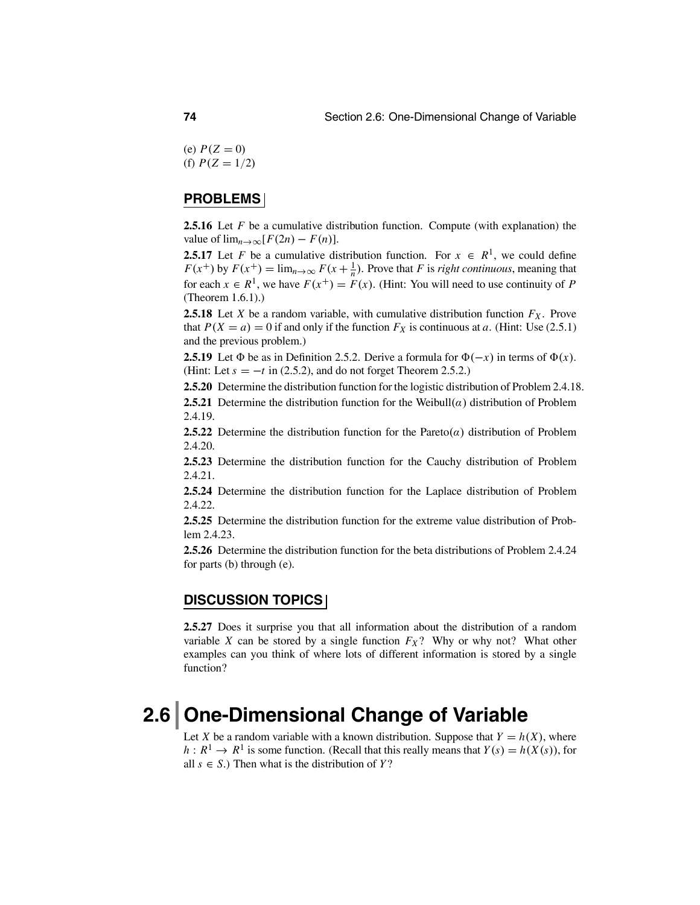(e)  $P(Z = 0)$ (f)  $P(Z = 1/2)$ 

#### **PROBLEMS**

**2.5.16** Let *F* be a cumulative distribution function. Compute (with explanation) the value of  $\lim_{n\to\infty} [F(2n) - F(n)].$ 

**2.5.17** Let *F* be a cumulative distribution function. For  $x \in R^1$ , we could define  $F(x^+)$  by  $F(x^+) = \lim_{n \to \infty} F(x + \frac{1}{n})$ . Prove that *F* is *right continuous*, meaning that for each  $x \in R^1$ , we have  $F(x^+) = F(x)$ . (Hint: You will need to use continuity of P (Theorem 1.6.1).)

**2.5.18** Let *X* be a random variable, with cumulative distribution function  $F_X$ . Prove that  $P(X = a) = 0$  if and only if the function  $F_X$  is continuous at *a*. (Hint: Use (2.5.1) and the previous problem.)

**2.5.19** Let  $\Phi$  be as in Definition 2.5.2. Derive a formula for  $\Phi(-x)$  in terms of  $\Phi(x)$ . (Hint: Let  $s = -t$  in (2.5.2), and do not forget Theorem 2.5.2.)

**2.5.20** Determine the distribution function for the logistic distribution of Problem 2.4.18.

**2.5.21** Determine the distribution function for the Weibull( $\alpha$ ) distribution of Problem 2.4.19.

**2.5.22** Determine the distribution function for the Pareto( $\alpha$ ) distribution of Problem 2.4.20.

**2.5.23** Determine the distribution function for the Cauchy distribution of Problem 2.4.21.

**2.5.24** Determine the distribution function for the Laplace distribution of Problem 2.4.22.

**2.5.25** Determine the distribution function for the extreme value distribution of Problem 2.4.23.

**2.5.26** Determine the distribution function for the beta distributions of Problem 2.4.24 for parts (b) through (e).

#### **DISCUSSION TOPICS**

**2.5.27** Does it surprise you that all information about the distribution of a random variable *X* can be stored by a single function  $F_X$ ? Why or why not? What other examples can you think of where lots of different information is stored by a single function?

# **2.6 One-Dimensional Change of Variable**

Let *X* be a random variable with a known distribution. Suppose that  $Y = h(X)$ , where  $h: R<sup>1</sup> \rightarrow R<sup>1</sup>$  is some function. (Recall that this really means that  $Y(s) = h(X(s))$ , for all  $s \in S$ .) Then what is the distribution of *Y*?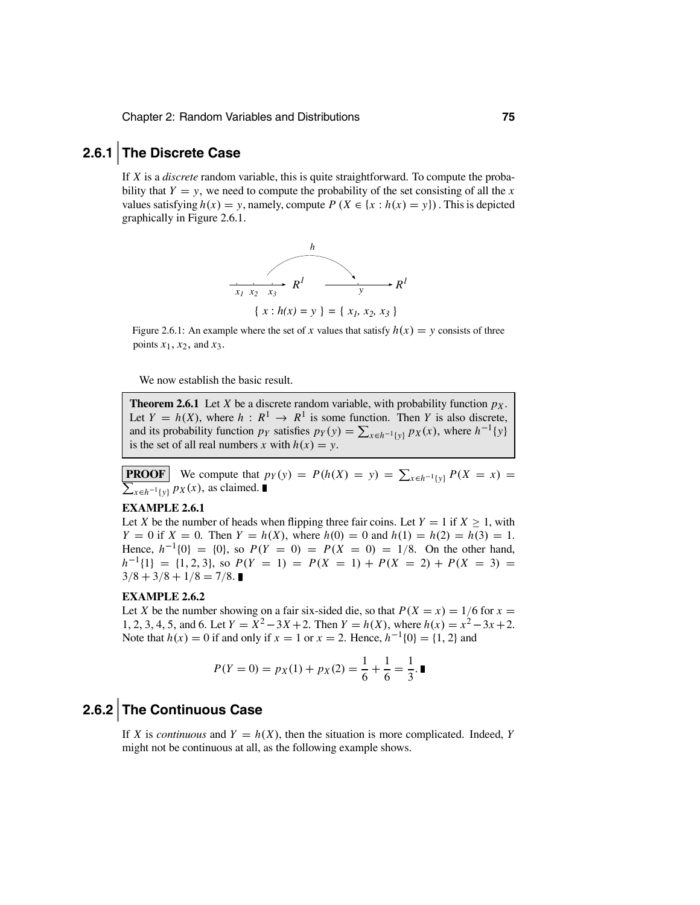### **2.6.1 The Discrete Case**

If *X* is a *discrete* random variable, this is quite straightforward. To compute the probability that  $Y = y$ , we need to compute the probability of the set consisting of all the x values satisfying  $h(x) = y$ , namely, compute  $P(X \in \{x : h(x) = y\})$ . This is depicted graphically in Figure 2.6.1.



Figure 2.6.1: An example where the set of *x* values that satisfy  $h(x) = y$  consists of three points *x*1, *x*2, and *x*3.

We now establish the basic result.

**Theorem 2.6.1** Let *X* be a discrete random variable, with probability function  $p<sub>X</sub>$ . Let  $Y = h(X)$ , where  $h : R^1 \to R^1$  is some function. Then *Y* is also discrete, and its probability function  $p_Y$  satisfies  $p_Y(y) = \sum_{x \in h^{-1}{y}} p_X(x)$ , where  $h^{-1}{y}$ is the set of all real numbers *x* with  $h(x) = y$ .

**PROOF** We compute that  $p_Y(y) = P(h(X) = y) = \sum_{x \in h^{-1}\{y\}} P(X = x) = \sum_{x \in h^{-1}\{y\}} p_X(x)$ , as claimed.  $\sum_{x \in h^{-1}{y}} p_X(x)$ , as claimed. ■

#### **EXAMPLE 2.6.1**

Let *X* be the number of heads when flipping three fair coins. Let  $Y = 1$  if  $X \ge 1$ , with *Y* = 0 if *X* = 0. Then *Y* = *h*(*X*), where *h*(0) = 0 and *h*(1) = *h*(2) = *h*(3) = 1. Hence,  $h^{-1}{0} = {0}$ , so  $P(Y = 0) = P(X = 0) = 1/8$ . On the other hand,  $h^{-1}{1} = \{1, 2, 3\}$ , so  $P(Y = 1) = P(X = 1) + P(X = 2) + P(X = 3) =$  $3/8 + 3/8 + 1/8 = 7/8$ .

#### **EXAMPLE 2.6.2**

Let *X* be the number showing on a fair six-sided die, so that  $P(X = x) = 1/6$  for  $x =$ 1, 2, 3, 4, 5, and 6. Let  $Y = X^2 - 3X + 2$ . Then  $Y = h(X)$ , where  $h(x) = x^2 - 3x + 2$ . Note that  $h(x) = 0$  if and only if  $x = 1$  or  $x = 2$ . Hence,  $h^{-1}{0} = {1, 2}$  and

$$
P(Y = 0) = p_X(1) + p_X(2) = \frac{1}{6} + \frac{1}{6} = \frac{1}{3}.
$$

### **2.6.2 The Continuous Case**

If *X* is *continuous* and  $Y = h(X)$ , then the situation is more complicated. Indeed, *Y* might not be continuous at all, as the following example shows.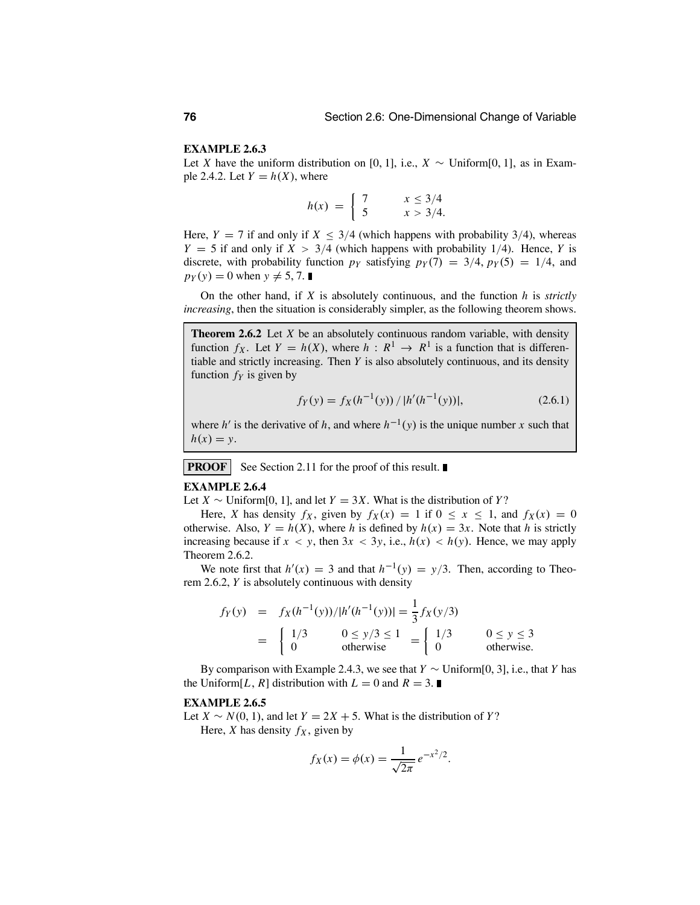#### **EXAMPLE 2.6.3**

Let *X* have the uniform distribution on [0, 1], i.e.,  $X \sim$  Uniform[0, 1], as in Example 2.4.2. Let  $Y = h(X)$ , where

$$
h(x) = \begin{cases} 7 & x \le 3/4 \\ 5 & x > 3/4. \end{cases}
$$

Here,  $Y = 7$  if and only if  $X \leq 3/4$  (which happens with probability 3/4), whereas  $Y = 5$  if and only if  $X > 3/4$  (which happens with probability 1/4). Hence, *Y* is discrete, with probability function  $p_y$  satisfying  $p_y(7) = 3/4$ ,  $p_y(5) = 1/4$ , and  $p_Y(y) = 0$  when  $y \neq 5, 7$ .

On the other hand, if *X* is absolutely continuous, and the function *h* is *strictly increasing*, then the situation is considerably simpler, as the following theorem shows.

**Theorem 2.6.2** Let *X* be an absolutely continuous random variable, with density function  $f_X$ . Let  $Y = h(X)$ , where  $h: R^1 \to R^1$  is a function that is differentiable and strictly increasing. Then *Y* is also absolutely continuous, and its density function  $f_Y$  is given by

$$
f_Y(y) = f_X(h^{-1}(y)) / |h'(h^{-1}(y))|,
$$
\n(2.6.1)

where *h*<sup> $\prime$ </sup> is the derivative of *h*, and where  $h^{-1}(y)$  is the unique number *x* such that  $h(x) = y$ .

**PROOF** See Section 2.11 for the proof of this result.

#### **EXAMPLE 2.6.4**

Let *X* ∼ Uniform[0, 1], and let *Y* = 3*X*. What is the distribution of *Y*?

Here, *X* has density  $f_X$ , given by  $f_X(x) = 1$  if  $0 \le x \le 1$ , and  $f_X(x) = 0$ otherwise. Also,  $Y = h(X)$ , where *h* is defined by  $h(x) = 3x$ . Note that *h* is strictly increasing because if  $x < y$ , then  $3x < 3y$ , i.e.,  $h(x) < h(y)$ . Hence, we may apply Theorem 2.6.2.

We note first that  $h'(x) = 3$  and that  $h^{-1}(y) = y/3$ . Then, according to Theorem 2.6.2, *Y* is absolutely continuous with density

$$
f_Y(y) = f_X(h^{-1}(y)) / |h'(h^{-1}(y))| = \frac{1}{3} f_X(y/3)
$$
  
=  $\begin{cases} 1/3 & 0 \le y/3 \le 1 \\ 0 & \text{otherwise} \end{cases} = \begin{cases} 1/3 & 0 \le y \le 3 \\ 0 & \text{otherwise} \end{cases}$ 

By comparison with Example 2.4.3, we see that *<sup>Y</sup>* <sup>∼</sup> Uniform[0, 3], i.e., that *<sup>Y</sup>* has the Uniform $[L, R]$  distribution with  $L = 0$  and  $R = 3$ .

#### **EXAMPLE 2.6.5**

Let *X* ∼ *N*(0, 1), and let *Y* = 2*X* + 5. What is the distribution of *Y*? Here, *X* has density  $f_X$ , given by

$$
f_X(x) = \phi(x) = \frac{1}{\sqrt{2\pi}} e^{-x^2/2}.
$$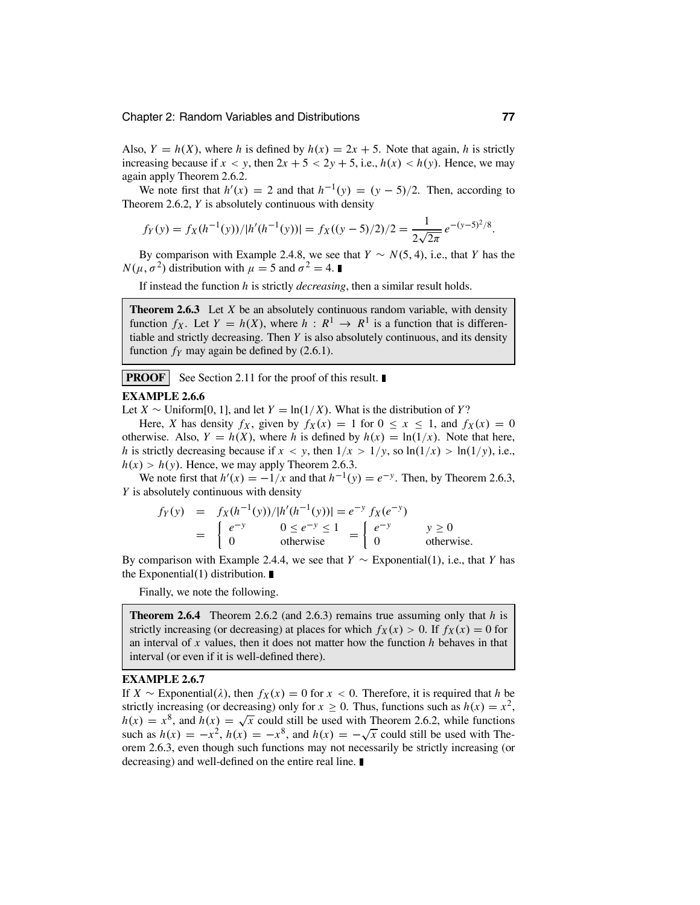Also,  $Y = h(X)$ , where *h* is defined by  $h(x) = 2x + 5$ . Note that again, *h* is strictly increasing because if  $x < y$ , then  $2x + 5 < 2y + 5$ , i.e.,  $h(x) < h(y)$ . Hence, we may again apply Theorem 2.6.2.

We note first that  $h'(x) = 2$  and that  $h^{-1}(y) = (y - 5)/2$ . Then, according to Theorem 2.6.2, *Y* is absolutely continuous with density

$$
f_Y(y) = f_X(h^{-1}(y)) / |h'(h^{-1}(y))| = f_X((y-5)/2)/2 = \frac{1}{2\sqrt{2\pi}} e^{-(y-5)^2/8}.
$$

By comparison with Example 2.4.8, we see that  $Y \sim N(5, 4)$ , i.e., that *Y* has the  $N(\mu, \sigma^2)$  distribution with  $\mu = 5$  and  $\sigma^2 = 4$ .

If instead the function *h* is strictly *decreasing*, then a similar result holds.

**Theorem 2.6.3** Let *X* be an absolutely continuous random variable, with density function  $f_X$ . Let  $Y = h(X)$ , where  $h : R^1 \to R^1$  is a function that is differentiable and strictly decreasing. Then *Y* is also absolutely continuous, and its density function  $f_Y$  may again be defined by  $(2.6.1)$ .

**PROOF** See Section 2.11 for the proof of this result.

#### **EXAMPLE 2.6.6**

Let *X* ∼ Uniform[0, 1], and let *Y* = ln(1/*X*). What is the distribution of *Y*?

Here, *X* has density  $f_X$ , given by  $f_X(x) = 1$  for  $0 \le x \le 1$ , and  $f_X(x) = 0$ otherwise. Also,  $Y = h(X)$ , where *h* is defined by  $h(x) = \ln(1/x)$ . Note that here, *h* is strictly decreasing because if  $x < y$ , then  $1/x > 1/y$ , so  $ln(1/x) > ln(1/y)$ , i.e.,  $h(x) > h(y)$ . Hence, we may apply Theorem 2.6.3.

We note first that  $h'(x) = -1/x$  and that  $h^{-1}(y) = e^{-y}$ . Then, by Theorem 2.6.3, *Y* is absolutely continuous with density

$$
f_Y(y) = f_X(h^{-1}(y))/|h'(h^{-1}(y))| = e^{-y} f_X(e^{-y})
$$
  
= 
$$
\begin{cases} e^{-y} & 0 \le e^{-y} \le 1 \\ 0 & \text{otherwise} \end{cases} = \begin{cases} e^{-y} & y \ge 0 \\ 0 & \text{otherwise} \end{cases}
$$

By comparison with Example 2.4.4, we see that *Y* ∼ Exponential(1), i.e., that *Y* has the Exponential(1) distribution.  $\blacksquare$ 

Finally, we note the following.

**Theorem 2.6.4** Theorem 2.6.2 (and 2.6.3) remains true assuming only that *h* is strictly increasing (or decreasing) at places for which  $f_X(x) > 0$ . If  $f_X(x) = 0$  for an interval of *x* values, then it does not matter how the function *h* behaves in that interval (or even if it is well-defined there).

#### **EXAMPLE 2.6.7**

If *X* ∼ Exponential( $\lambda$ ), then  $f_X(x) = 0$  for  $x < 0$ . Therefore, it is required that *h* be strictly increasing (or decreasing) only for  $x \ge 0$ . Thus, functions such as  $h(x) = x^2$ ,  $h(x) = x^8$ , and  $h(x) = \sqrt{x}$  could still be used with Theorem 2.6.2, while functions such as  $h(x) = -x^2$ ,  $h(x) = -x^8$ , and  $h(x) = -\sqrt{x}$  could still be used with Theorem 2.6.3, even though such functions may not necessarily be strictly increasing (or decreasing) and well-defined on the entire real line.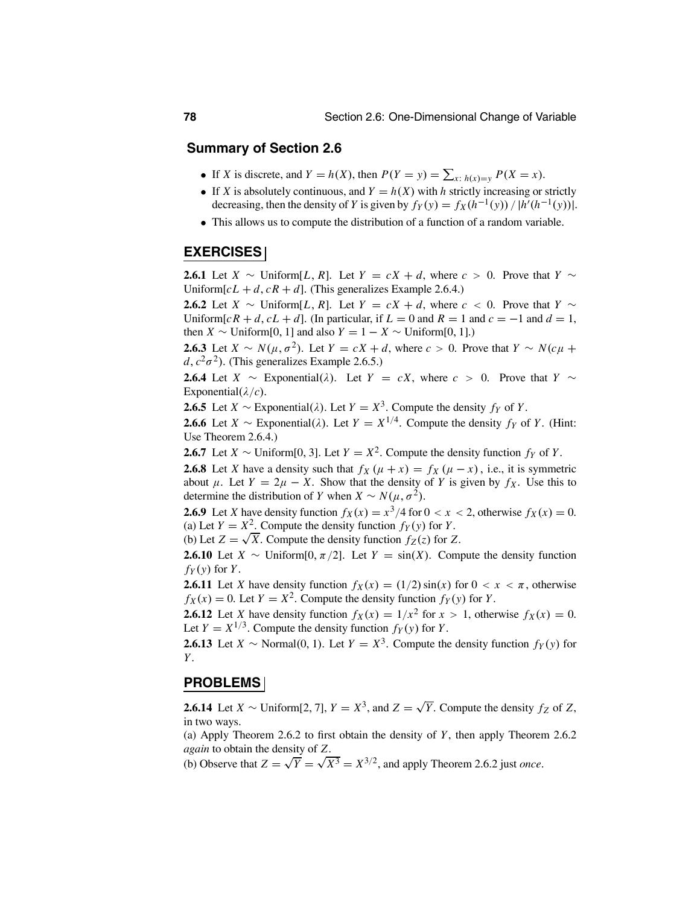#### **Summary of Section 2.6**

- If *X* is discrete, and  $Y = h(X)$ , then  $P(Y = y) = \sum_{x : h(x) = y} P(X = x)$ .
- If *X* is absolutely continuous, and  $Y = h(X)$  with *h* strictly increasing or strictly decreasing, then the density of *Y* is given by  $f_Y(y) = f_X(h^{-1}(y)) / |h'(h^{-1}(y))|$ .
- This allows us to compute the distribution of a function of a random variable.

#### **EXERCISES**

**2.6.1** Let *X* ∼ Uniform[*L*, *R*]. Let *Y* =  $cX + d$ , where  $c > 0$ . Prove that *Y* ∼ Uniform $[cL + d, cR + d]$ . (This generalizes Example 2.6.4.)

**2.6.2** Let *X* ∼ Uniform[*L*, *R*]. Let *Y* =  $cX + d$ , where  $c < 0$ . Prove that *Y* ∼ Uniform[ $cR + d$ ,  $cL + d$ ]. (In particular, if  $L = 0$  and  $R = 1$  and  $c = -1$  and  $d = 1$ , then *X* ∼ Uniform[0, 1] and also *Y* = 1 − *X* ∼ Uniform[0, 1].)

**2.6.3** Let *X* ∼ *N*( $\mu$ ,  $\sigma^2$ ). Let *Y* = *cX* + *d*, where *c* > 0. Prove that *Y* ∼ *N*( $c\mu$  +  $d, c^2\sigma^2$ ). (This generalizes Example 2.6.5.)

**2.6.4** Let *X* ∼ Exponential( $\lambda$ ). Let *Y* = *cX*, where *c* > 0. Prove that *Y* ∼ Exponential( $\lambda/c$ ).

**2.6.5** Let *X* ∼ Exponential( $\lambda$ ). Let *Y* = *X*<sup>3</sup>. Compute the density *f<sub>Y</sub>* of *Y*.

**2.6.6** Let *X* ∼ Exponential( $\lambda$ ). Let *Y* =  $X^{1/4}$ . Compute the density *fy* of *Y*. (Hint: Use Theorem 2.6.4.)

**2.6.7** Let *X* ∼ Uniform[0, 3]. Let *Y* =  $X^2$ . Compute the density function *f<sub>Y</sub>* of *Y*.

**2.6.8** Let *X* have a density such that  $f_X(\mu + x) = f_X(\mu - x)$ , i.e., it is symmetric about  $\mu$ . Let  $Y = 2\mu - X$ . Show that the density of *Y* is given by  $f_X$ . Use this to determine the distribution of *Y* when  $X \sim N(\mu, \sigma^2)$ .

**2.6.9** Let *X* have density function  $f_X(x) = x^3/4$  for  $0 < x < 2$ , otherwise  $f_X(x) = 0$ . (a) Let  $Y = X^2$ . Compute the density function  $f_Y(y)$  for *Y*.

(b) Let  $Z = \sqrt{X}$ . Compute the density function  $f_Z(z)$  for  $Z$ .

**2.6.10** Let *X* ∼ Uniform[0,  $\pi/2$ ]. Let *Y* = sin(*X*). Compute the density function  $f_Y(y)$  for  $Y$ .

**2.6.11** Let *X* have density function  $f_X(x) = (1/2) \sin(x)$  for  $0 < x < \pi$ , otherwise  $f_X(x) = 0$ . Let  $Y = X^2$ . Compute the density function  $f_Y(y)$  for *Y*.

**2.6.12** Let *X* have density function  $f_X(x) = 1/x^2$  for  $x > 1$ , otherwise  $f_X(x) = 0$ . Let  $Y = X^{1/3}$ . Compute the density function  $f_Y(y)$  for *Y*.

**2.6.13** Let *X* ∼ Normal(0, 1). Let *Y* =  $X^3$ . Compute the density function  $f_Y(y)$  for *Y*.

#### **PROBLEMS**

**2.6.14** Let *X* ∼ Uniform[2, 7],  $Y = X^3$ , and  $Z = \sqrt{Y}$ . Compute the density  $f_Z$  of  $Z$ , in two ways.

(a) Apply Theorem 2.6.2 to first obtain the density of *Y*, then apply Theorem 2.6.2 *again* to obtain the density of *Z*.

(b) Observe that  $Z = \sqrt{Y} = \sqrt{X^3} = X^{3/2}$ , and apply Theorem 2.6.2 just *once*.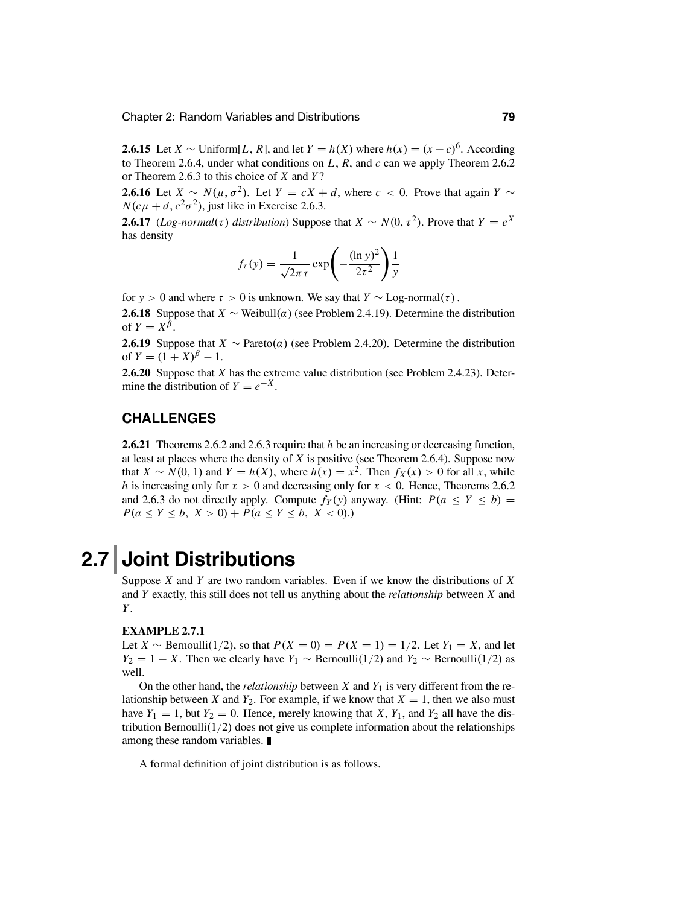**2.6.15** Let *X* ∼ Uniform[*L*, *R*], and let *Y* = *h*(*X*) where *h*(*x*) = (*x* − *c*)<sup>6</sup>. According to Theorem 2.6.4, under what conditions on *L*, *R*, and *c* can we apply Theorem 2.6.2 or Theorem 2.6.3 to this choice of *X* and *Y*?

**2.6.16** Let  $X \sim N(\mu, \sigma^2)$ . Let  $Y = cX + d$ , where  $c < 0$ . Prove that again  $Y \sim$  $N(c\mu + d, c^2\sigma^2)$ , just like in Exercise 2.6.3.

**2.6.17** (*Log-normal*( $\tau$ ) *distribution*) Suppose that *X* ~ *N*(0,  $\tau$ <sup>2</sup>). Prove that *Y* =  $e^{X}$ has density

$$
f_{\tau}(y) = \frac{1}{\sqrt{2\pi} \tau} \exp\left(-\frac{(\ln y)^2}{2\tau^2}\right) \frac{1}{y}
$$

for *y* > 0 and where  $\tau$  > 0 is unknown. We say that  $Y \sim \text{Log-normal}(\tau)$ .

**2.6.18** Suppose that *X* ∼ Weibull( $\alpha$ ) (see Problem 2.4.19). Determine the distribution of  $Y = X^{\beta}$ .

**2.6.19** Suppose that *X* ∼ Pareto( $\alpha$ ) (see Problem 2.4.20). Determine the distribution of  $Y = (1 + X)^{\beta} - 1$ .

**2.6.20** Suppose that *X* has the extreme value distribution (see Problem 2.4.23). Determine the distribution of  $Y = e^{-X}$ .

#### **CHALLENGES**

**2.6.21** Theorems 2.6.2 and 2.6.3 require that *h* be an increasing or decreasing function, at least at places where the density of *X* is positive (see Theorem 2.6.4). Suppose now that  $X \sim N(0, 1)$  and  $Y = h(X)$ , where  $h(x) = x^2$ . Then  $f_X(x) > 0$  for all *x*, while *h* is increasing only for  $x > 0$  and decreasing only for  $x < 0$ . Hence, Theorems 2.6.2 and 2.6.3 do not directly apply. Compute  $f_Y(y)$  anyway. (Hint:  $P(a \le Y \le b)$ )  $P(a \le Y \le b, X > 0) + P(a \le Y \le b, X < 0).$ 

# **2.7 Joint Distributions**

Suppose *X* and *Y* are two random variables. Even if we know the distributions of *X* and *Y* exactly, this still does not tell us anything about the *relationship* between *X* and *Y*.

#### **EXAMPLE 2.7.1**

Let *X* ∼ Bernoulli(1/2), so that  $P(X = 0) = P(X = 1) = 1/2$ . Let  $Y_1 = X$ , and let *Y*<sub>2</sub> = 1 − *X*. Then we clearly have *Y*<sub>1</sub> ∼ Bernoulli(1/2) and *Y*<sub>2</sub> ∼ Bernoulli(1/2) as well.

On the other hand, the *relationship* between  $X$  and  $Y_1$  is very different from the relationship between *X* and  $Y_2$ . For example, if we know that  $X = 1$ , then we also must have  $Y_1 = 1$ , but  $Y_2 = 0$ . Hence, merely knowing that *X*,  $Y_1$ , and  $Y_2$  all have the distribution Bernoulli $(1/2)$  does not give us complete information about the relationships among these random variables.

A formal definition of joint distribution is as follows.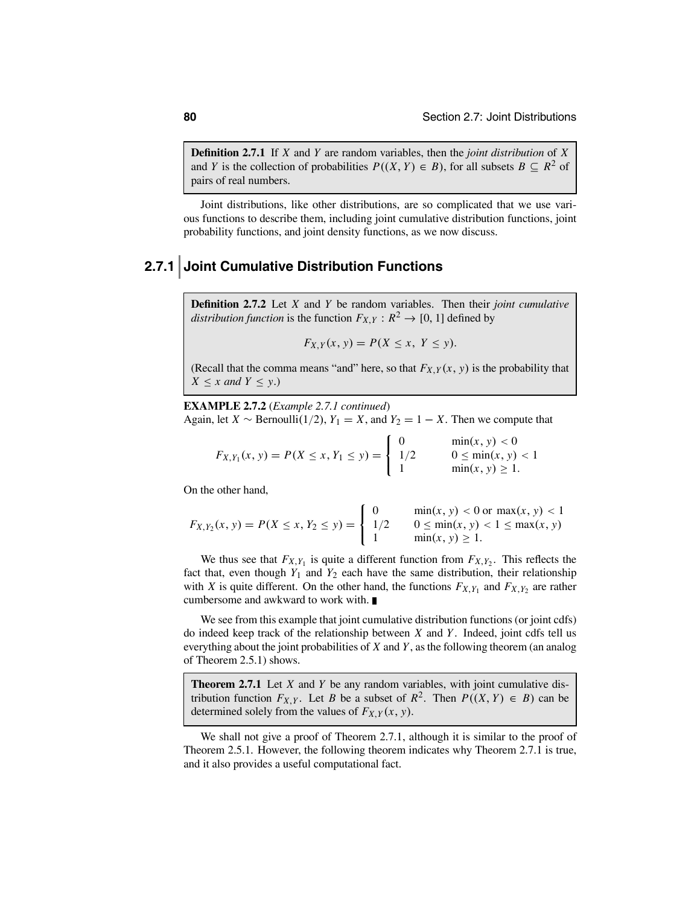**Definition 2.7.1** If *X* and *Y* are random variables, then the *joint distribution* of *X* and *Y* is the collection of probabilities  $P((X, Y) \in B)$ , for all subsets  $B \subseteq R^2$  of pairs of real numbers.

Joint distributions, like other distributions, are so complicated that we use various functions to describe them, including joint cumulative distribution functions, joint probability functions, and joint density functions, as we now discuss.

# **2.7.1 Joint Cumulative Distribution Functions**

**Definition 2.7.2** Let *X* and *Y* be random variables. Then their *joint cumulative distribution function* is the function  $F_{X,Y}: R^2 \to [0, 1]$  defined by

$$
F_{X,Y}(x, y) = P(X \le x, Y \le y).
$$

(Recall that the comma means "and" here, so that  $F_{X,Y}(x, y)$  is the probability that  $X \leq x$  *and*  $Y \leq y$ .)

**EXAMPLE 2.7.2** (*Example 2.7.1 continued*) Again, let *X* ~ Bernoulli(1/2),  $Y_1 = X$ , and  $Y_2 = 1 - X$ . Then we compute that

$$
F_{X,Y_1}(x, y) = P(X \le x, Y_1 \le y) = \begin{cases} 0 & \min(x, y) < 0 \\ 1/2 & 0 \le \min(x, y) < 1 \\ 1 & \min(x, y) \ge 1. \end{cases}
$$

On the other hand,

$$
F_{X,Y_2}(x, y) = P(X \le x, Y_2 \le y) = \begin{cases} 0 & \min(x, y) < 0 \text{ or } \max(x, y) < 1\\ 1/2 & 0 \le \min(x, y) < 1 \le \max(x, y)\\ 1 & \min(x, y) \ge 1. \end{cases}
$$

We thus see that  $F_{X,Y_1}$  is quite a different function from  $F_{X,Y_2}$ . This reflects the fact that, even though  $Y_1$  and  $Y_2$  each have the same distribution, their relationship with *X* is quite different. On the other hand, the functions  $F_{X,Y_1}$  and  $F_{X,Y_2}$  are rather cumbersome and awkward to work with.

We see from this example that joint cumulative distribution functions (or joint cdfs) do indeed keep track of the relationship between *X* and *Y*. Indeed, joint cdfs tell us everything about the joint probabilities of *X* and *Y*, as the following theorem (an analog of Theorem 2.5.1) shows.

**Theorem 2.7.1** Let *X* and *Y* be any random variables, with joint cumulative distribution function  $F_{X,Y}$ . Let *B* be a subset of  $R^2$ . Then  $P((X, Y) \in B)$  can be determined solely from the values of  $F_{X,Y}(x, y)$ .

We shall not give a proof of Theorem 2.7.1, although it is similar to the proof of Theorem 2.5.1. However, the following theorem indicates why Theorem 2.7.1 is true, and it also provides a useful computational fact.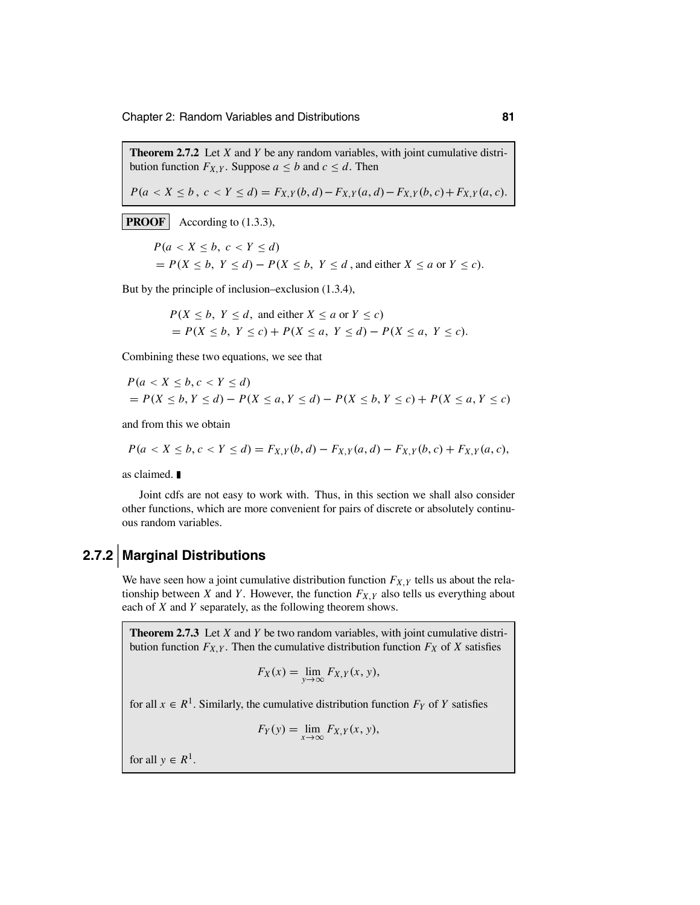**Theorem 2.7.2** Let *X* and *Y* be any random variables, with joint cumulative distribution function  $F_{X,Y}$ . Suppose  $a \leq b$  and  $c \leq d$ . Then

$$
P(a < X \leq b, \ c < Y \leq d) = F_{X,Y}(b,d) - F_{X,Y}(a,d) - F_{X,Y}(b,c) + F_{X,Y}(a,c).
$$

**PROOF** According to  $(1.3.3)$ ,

$$
P(a < X \leq b, \ c < Y \leq d)
$$
\n
$$
= P(X \leq b, \ Y \leq d) - P(X \leq b, \ Y \leq d, \text{ and either } X \leq a \text{ or } Y \leq c).
$$

But by the principle of inclusion–exclusion (1.3.4),

$$
P(X \le b, Y \le d, \text{ and either } X \le a \text{ or } Y \le c)
$$
  
=  $P(X \le b, Y \le c) + P(X \le a, Y \le d) - P(X \le a, Y \le c).$ 

Combining these two equations, we see that

$$
P(a < X \le b, c < Y \le d) \\
= P(X \le b, Y \le d) - P(X \le a, Y \le d) - P(X \le b, Y \le c) + P(X \le a, Y \le c)
$$

and from this we obtain

$$
P(a < X \leq b, c < Y \leq d) = F_{X,Y}(b, d) - F_{X,Y}(a, d) - F_{X,Y}(b, c) + F_{X,Y}(a, c),
$$

as claimed.

Joint cdfs are not easy to work with. Thus, in this section we shall also consider other functions, which are more convenient for pairs of discrete or absolutely continuous random variables.

# **2.7.2 Marginal Distributions**

We have seen how a joint cumulative distribution function  $F_{X,Y}$  tells us about the relationship between *X* and *Y*. However, the function  $F_{X,Y}$  also tells us everything about each of *X* and *Y* separately, as the following theorem shows.

**Theorem 2.7.3** Let *X* and *Y* be two random variables, with joint cumulative distribution function  $F_{X,Y}$ . Then the cumulative distribution function  $F_X$  of X satisfies

$$
F_X(x) = \lim_{y \to \infty} F_{X,Y}(x, y),
$$

for all  $x \in R^1$ . Similarly, the cumulative distribution function  $F_Y$  of *Y* satisfies

$$
F_Y(y) = \lim_{x \to \infty} F_{X,Y}(x, y),
$$

for all  $y \in R^1$ .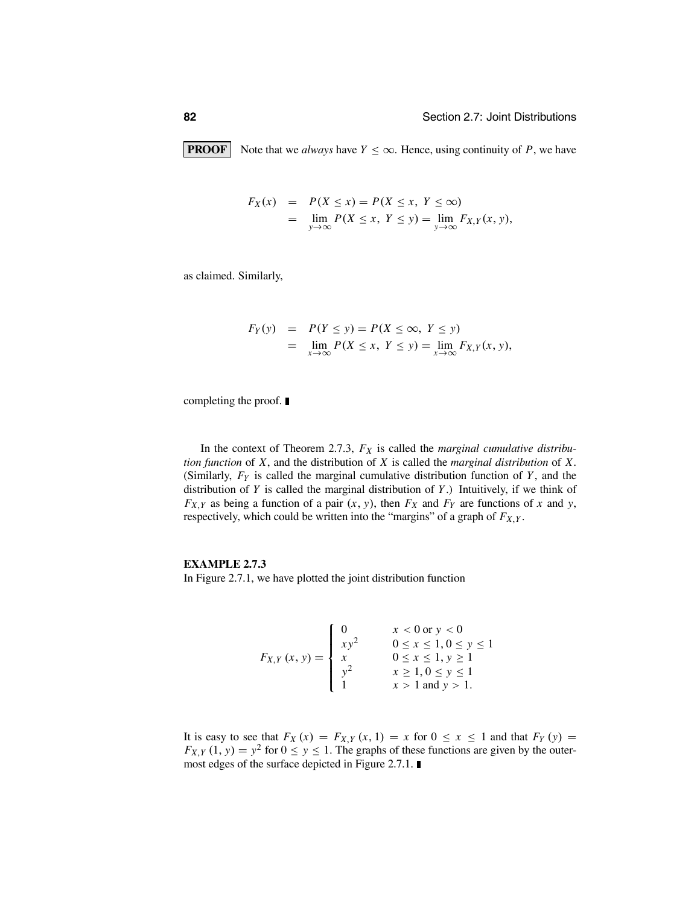**PROOF** Note that we *always* have  $Y \leq \infty$ . Hence, using continuity of *P*, we have

$$
F_X(x) = P(X \le x) = P(X \le x, Y \le \infty)
$$
  
= 
$$
\lim_{y \to \infty} P(X \le x, Y \le y) = \lim_{y \to \infty} F_{X,Y}(x, y),
$$

as claimed. Similarly,

$$
F_Y(y) = P(Y \le y) = P(X \le \infty, Y \le y)
$$
  
= 
$$
\lim_{x \to \infty} P(X \le x, Y \le y) = \lim_{x \to \infty} F_{X,Y}(x, y),
$$

completing the proof.

In the context of Theorem 2.7.3, *FX* is called the *marginal cumulative distribution function* of *X*, and the distribution of *X* is called the *marginal distribution* of *X*. (Similarly, *FY* is called the marginal cumulative distribution function of *Y*, and the distribution of *Y* is called the marginal distribution of *Y*.) Intuitively, if we think of  $F_{X,Y}$  as being a function of a pair  $(x, y)$ , then  $F_X$  and  $F_Y$  are functions of *x* and *y*, respectively, which could be written into the "margins" of a graph of  $F_{X,Y}$ .

#### **EXAMPLE 2.7.3**

In Figure 2.7.1, we have plotted the joint distribution function

$$
F_{X,Y}(x, y) = \begin{cases} 0 & x < 0 \text{ or } y < 0 \\ xy^2 & 0 \le x \le 1, 0 \le y \le 1 \\ x & 0 \le x \le 1, y \ge 1 \\ y^2 & x \ge 1, 0 \le y \le 1 \\ 1 & x > 1 \text{ and } y > 1. \end{cases}
$$

It is easy to see that  $F_X(x) = F_{X,Y}(x, 1) = x$  for  $0 \le x \le 1$  and that  $F_Y(y) =$  $F_{X,Y}(1, y) = y^2$  for  $0 \le y \le 1$ . The graphs of these functions are given by the outermost edges of the surface depicted in Figure 2.7.1.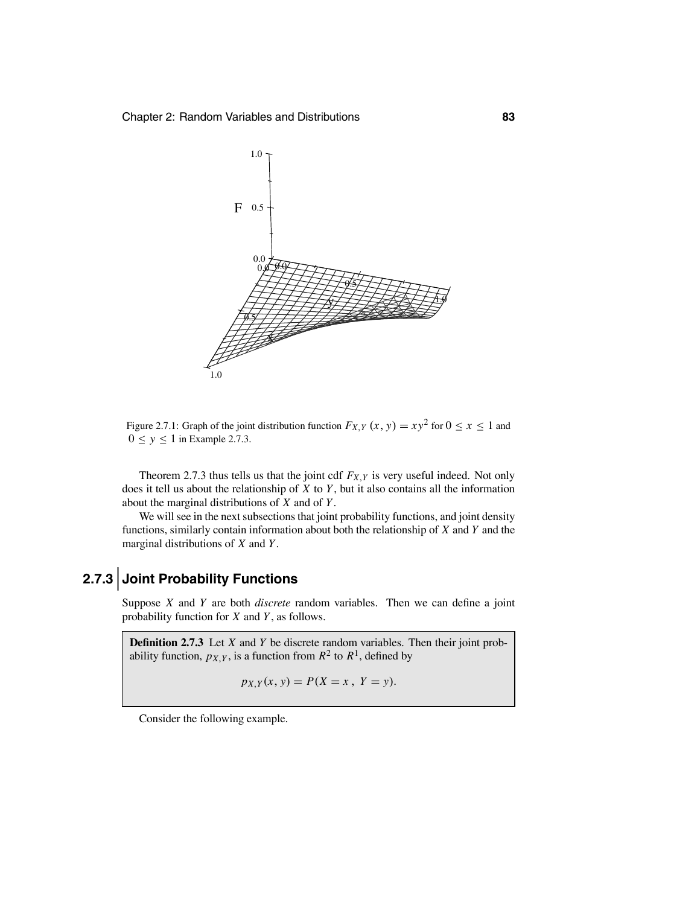

Figure 2.7.1: Graph of the joint distribution function  $F_{X,Y}(x, y) = xy^2$  for  $0 \le x \le 1$  and  $0 \leq y \leq 1$  in Example 2.7.3.

Theorem 2.7.3 thus tells us that the joint cdf  $F_{X,Y}$  is very useful indeed. Not only does it tell us about the relationship of *X* to *Y*, but it also contains all the information about the marginal distributions of *X* and of *Y*.

We will see in the next subsections that joint probability functions, and joint density functions, similarly contain information about both the relationship of *X* and *Y* and the marginal distributions of *X* and *Y*.

# **2.7.3 Joint Probability Functions**

Suppose *X* and *Y* are both *discrete* random variables. Then we can define a joint probability function for *X* and *Y*, as follows.

**Definition 2.7.3** Let *X* and *Y* be discrete random variables. Then their joint probability function,  $p_{X,Y}$ , is a function from  $R^2$  to  $R^1$ , defined by

$$
p_{X,Y}(x, y) = P(X = x, Y = y).
$$

Consider the following example.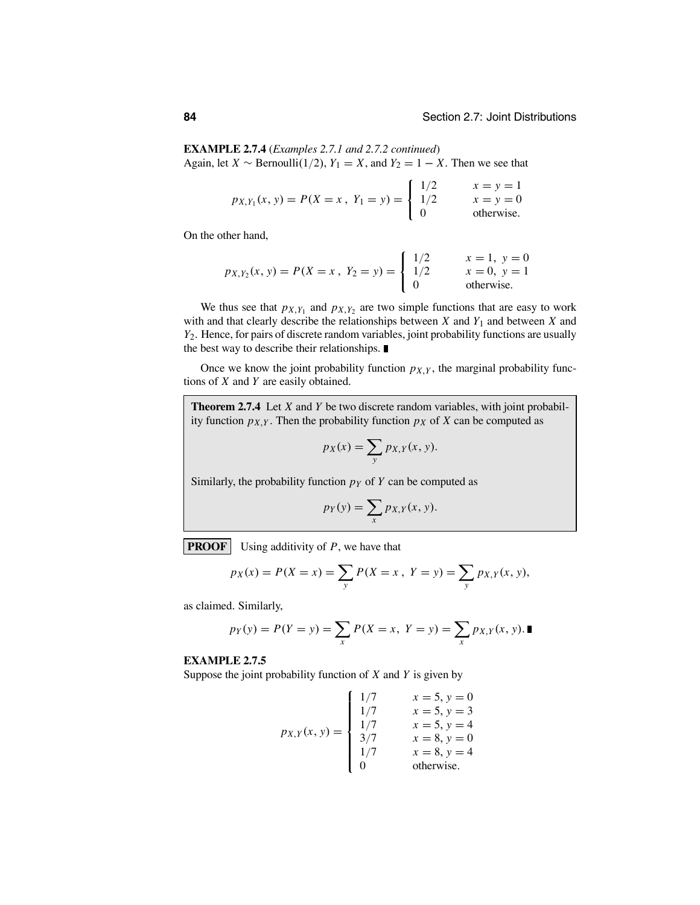**EXAMPLE 2.7.4** (*Examples 2.7.1 and 2.7.2 continued*) Again, let *X* ∼ Bernoulli(1/2),  $Y_1 = X$ , and  $Y_2 = 1 - X$ . Then we see that

$$
p_{X,Y_1}(x, y) = P(X = x, Y_1 = y) = \begin{cases} 1/2 & x = y = 1 \\ 1/2 & x = y = 0 \\ 0 & \text{otherwise.} \end{cases}
$$

On the other hand,

$$
p_{X,Y_2}(x, y) = P(X = x, Y_2 = y) = \begin{cases} 1/2 & x = 1, y = 0\\ 1/2 & x = 0, y = 1\\ 0 & \text{otherwise.} \end{cases}
$$

We thus see that  $p_{X,Y_1}$  and  $p_{X,Y_2}$  are two simple functions that are easy to work with and that clearly describe the relationships between  $X$  and  $Y_1$  and between  $X$  and *Y*2. Hence, for pairs of discrete random variables, joint probability functions are usually the best way to describe their relationships.

Once we know the joint probability function  $p_{X,Y}$ , the marginal probability functions of *X* and *Y* are easily obtained.

**Theorem 2.7.4** Let *X* and *Y* be two discrete random variables, with joint probability function  $p_{X,Y}$ . Then the probability function  $p_X$  of  $X$  can be computed as

$$
p_X(x) = \sum_{y} p_{X,Y}(x, y).
$$

Similarly, the probability function  $p_Y$  of  $Y$  can be computed as

$$
p_Y(y) = \sum_{x} p_{X,Y}(x, y).
$$

**PROOF** Using additivity of *P*, we have that

$$
p_X(x) = P(X = x) = \sum_{y} P(X = x, Y = y) = \sum_{y} p_{X,Y}(x, y),
$$

as claimed. Similarly,

$$
p_Y(y) = P(Y = y) = \sum_{x} P(X = x, Y = y) = \sum_{x} p_{X,Y}(x, y).
$$

#### **EXAMPLE 2.7.5**

Suppose the joint probability function of *X* and *Y* is given by

$$
p_{X,Y}(x, y) = \begin{cases} 1/7 & x = 5, y = 0 \\ 1/7 & x = 5, y = 3 \\ 1/7 & x = 5, y = 4 \\ 3/7 & x = 8, y = 0 \\ 1/7 & x = 8, y = 4 \\ 0 & \text{otherwise.} \end{cases}
$$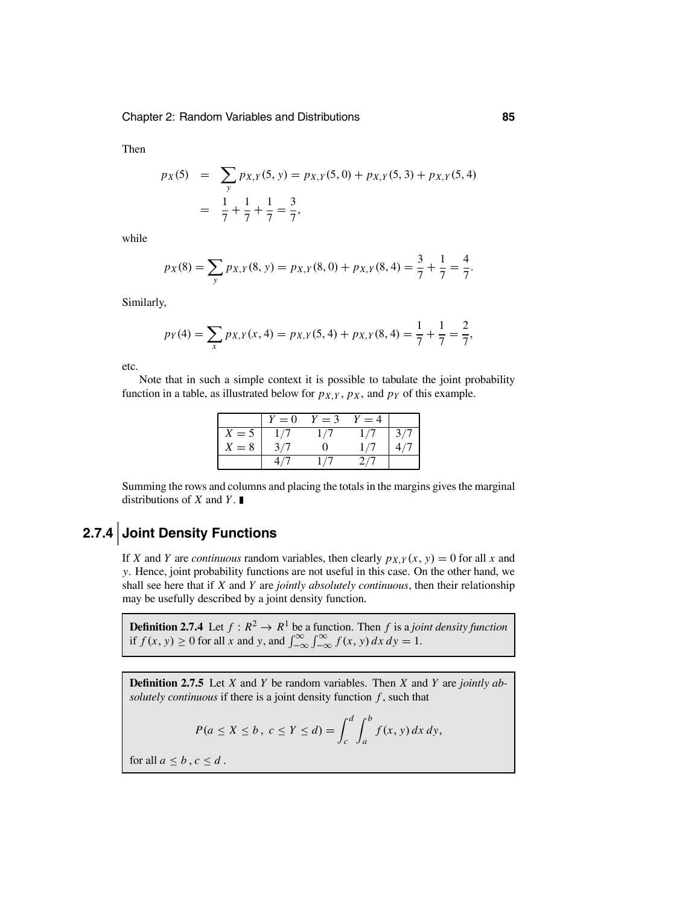Then

$$
p_X(5) = \sum_{y} p_{X,Y}(5, y) = p_{X,Y}(5, 0) + p_{X,Y}(5, 3) + p_{X,Y}(5, 4)
$$
  
=  $\frac{1}{7} + \frac{1}{7} + \frac{1}{7} = \frac{3}{7}$ ,

while

$$
p_X(8) = \sum_{y} p_{X,Y}(8, y) = p_{X,Y}(8, 0) + p_{X,Y}(8, 4) = \frac{3}{7} + \frac{1}{7} = \frac{4}{7}
$$

Similarly,

$$
p_Y(4) = \sum_{x} p_{X,Y}(x, 4) = p_{X,Y}(5, 4) + p_{X,Y}(8, 4) = \frac{1}{7} + \frac{1}{7} = \frac{2}{7},
$$

etc.

Note that in such a simple context it is possible to tabulate the joint probability function in a table, as illustrated below for  $p_{X,Y}$ ,  $p_X$ , and  $p_Y$  of this example.

|             | $Y=0$ | $Y=3$ | $Y=4$ |     |
|-------------|-------|-------|-------|-----|
| $X=5$       |       |       |       | 3/7 |
| $\zeta = 8$ | 3/7   |       |       |     |
|             |       |       |       |     |

Summing the rows and columns and placing the totals in the margins gives the marginal distributions of *X* and *Y*.

# **2.7.4 Joint Density Functions**

If *X* and *Y* are *continuous* random variables, then clearly  $p_{X,Y}(x, y) = 0$  for all *x* and *y*. Hence, joint probability functions are not useful in this case. On the other hand, we shall see here that if *X* and *Y* are *jointly absolutely continuous*, then their relationship may be usefully described by a joint density function.

**Definition 2.7.4** Let  $f : R^2 \to R^1$  be a function. Then *f* is a *joint density function* if  $f(x, y) \ge 0$  for all *x* and *y*, and  $\int_{-\infty}^{\infty}$  $\int_{-\infty}^{\infty} f(x, y) dx dy = 1.$ 

**Definition 2.7.5** Let *X* and *Y* be random variables. Then *X* and *Y* are *jointly absolutely continuous* if there is a joint density function *f* , such that

$$
P(a \le X \le b, \ c \le Y \le d) = \int_c^d \int_a^b f(x, y) \, dx \, dy,
$$

for all  $a \leq b$ ,  $c \leq d$ .

.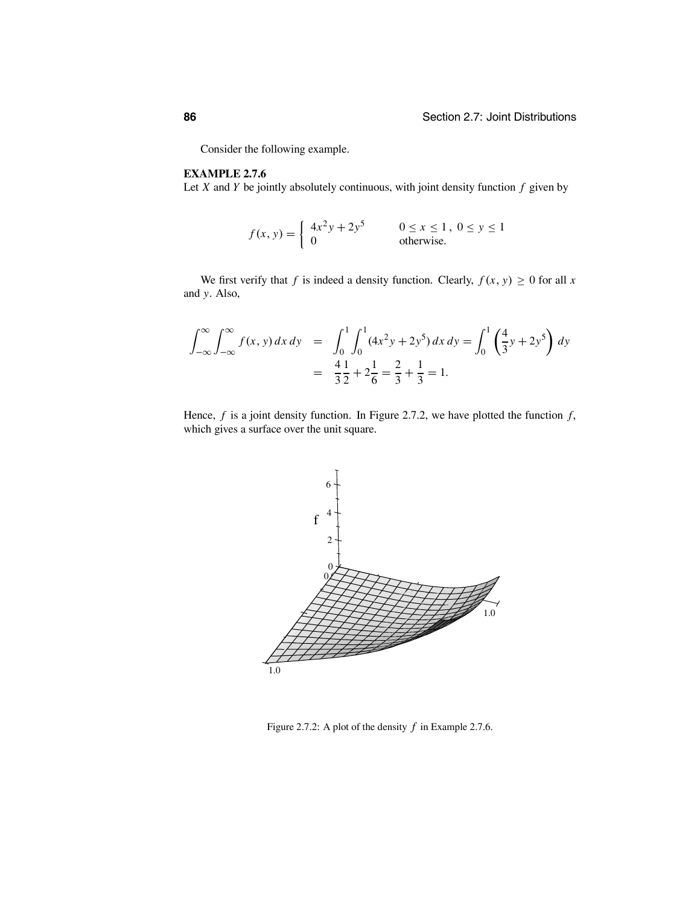Consider the following example.

#### **EXAMPLE 2.7.6**

Let  $X$  and  $Y$  be jointly absolutely continuous, with joint density function  $f$  given by

$$
f(x, y) = \begin{cases} 4x^2y + 2y^5 & 0 \le x \le 1, \ 0 \le y \le 1\\ 0 & \text{otherwise.} \end{cases}
$$

We first verify that *f* is indeed a density function. Clearly,  $f(x, y) \ge 0$  for all *x* and *y*. Also,

$$
\int_{-\infty}^{\infty} \int_{-\infty}^{\infty} f(x, y) dx dy = \int_{0}^{1} \int_{0}^{1} (4x^{2}y + 2y^{5}) dx dy = \int_{0}^{1} \left(\frac{4}{3}y + 2y^{5}\right) dy
$$

$$
= \frac{4}{3} \frac{1}{2} + 2\frac{1}{6} = \frac{2}{3} + \frac{1}{3} = 1.
$$

Hence, *f* is a joint density function. In Figure 2.7.2, we have plotted the function *f*, which gives a surface over the unit square.



Figure 2.7.2: A plot of the density *f* in Example 2.7.6.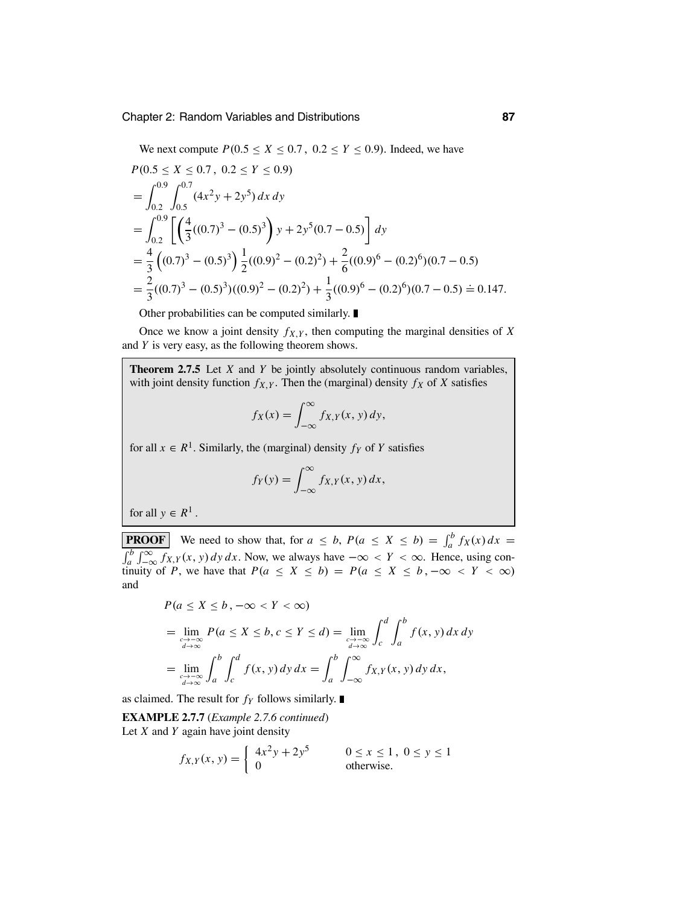We next compute  $P(0.5 \le X \le 0.7, 0.2 \le Y \le 0.9)$ . Indeed, we have

$$
P(0.5 \le X \le 0.7, 0.2 \le Y \le 0.9)
$$
  
=  $\int_{0.2}^{0.9} \int_{0.5}^{0.7} (4x^2y + 2y^5) dx dy$   
=  $\int_{0.2}^{0.9} \left[ \left( \frac{4}{3} ((0.7)^3 - (0.5)^3) \right) y + 2y^5 (0.7 - 0.5) \right] dy$   
=  $\frac{4}{3} \left( (0.7)^3 - (0.5)^3 \right) \frac{1}{2} ((0.9)^2 - (0.2)^2) + \frac{2}{6} ((0.9)^6 - (0.2)^6) (0.7 - 0.5)$   
=  $\frac{2}{3} ((0.7)^3 - (0.5)^3) ((0.9)^2 - (0.2)^2) + \frac{1}{3} ((0.9)^6 - (0.2)^6) (0.7 - 0.5) = 0.147.$ 

Other probabilities can be computed similarly.

Once we know a joint density  $f_{X,Y}$ , then computing the marginal densities of *X* and *Y* is very easy, as the following theorem shows.

**Theorem 2.7.5** Let *X* and *Y* be jointly absolutely continuous random variables, with joint density function  $f_{X,Y}$ . Then the (marginal) density  $f_X$  of  $X$  satisfies

$$
f_X(x) = \int_{-\infty}^{\infty} f_{X,Y}(x, y) \, dy,
$$

for all  $x \in R^1$ . Similarly, the (marginal) density  $f_Y$  of *Y* satisfies

$$
f_Y(y) = \int_{-\infty}^{\infty} f_{X,Y}(x, y) dx,
$$

for all  $y \in R^1$ .

**PROOF** We need to show that, for  $a \leq b$ ,  $P(a \leq X \leq b) = \int_a^b f_X(x) dx = \int_a^b \int_a^\infty f_X(x, y) dy dx$ . Now, we always have  $-\infty < Y < \infty$ . Hence, using con $a_n^b \int_{-\infty}^{\infty} f_{X,Y}(x, y) dy dx$ . Now, we always have  $-\infty < Y < \infty$ . Hence, using con-<br>inviting  $B$ , we have that  $B(x, y, z, b) = B(x, z, Y, z, b)$ tinuity of *P*, we have that  $P(a \le X \le b) = P(a \le X \le b, -\infty \le Y \le \infty)$ and

$$
P(a \le X \le b, -\infty < Y < \infty)
$$
  
=  $\lim_{\substack{c \to -\infty \\ d \to \infty}} P(a \le X \le b, c \le Y \le d) = \lim_{\substack{c \to -\infty \\ d \to \infty}} \int_c^d \int_a^b f(x, y) dx dy$   
=  $\lim_{\substack{c \to -\infty \\ d \to \infty}} \int_a^b \int_c^d f(x, y) dy dx = \int_a^b \int_{-\infty}^\infty f_{X,Y}(x, y) dy dx,$ 

as claimed. The result for  $f_Y$  follows similarly.

**EXAMPLE 2.7.7** (*Example 2.7.6 continued*) Let *X* and *Y* again have joint density

$$
f_{X,Y}(x, y) = \begin{cases} 4x^2y + 2y^5 & 0 \le x \le 1, \ 0 \le y \le 1\\ 0 & \text{otherwise.} \end{cases}
$$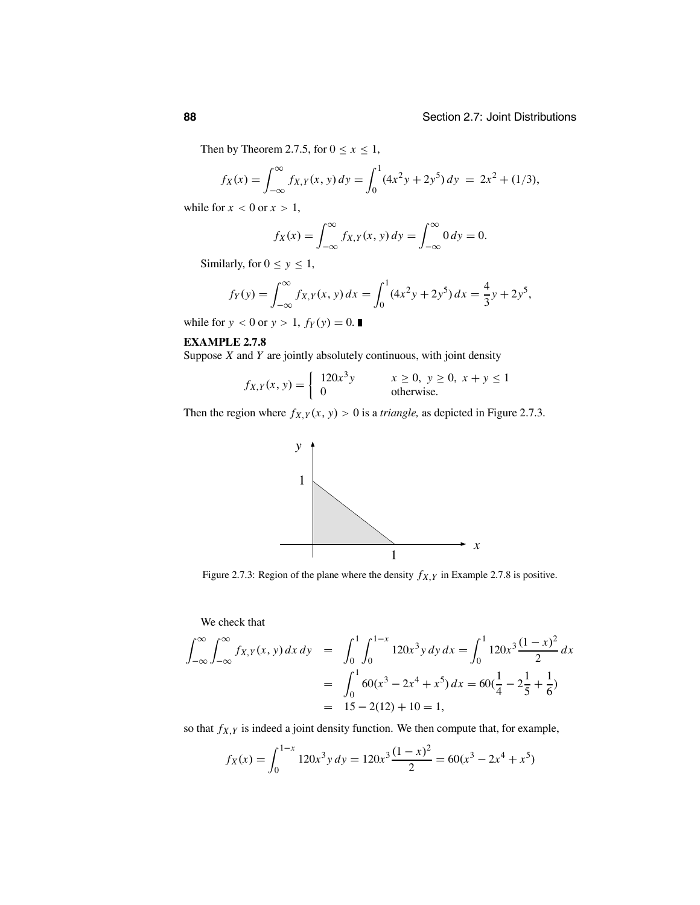Then by Theorem 2.7.5, for  $0 \le x \le 1$ ,

$$
f_X(x) = \int_{-\infty}^{\infty} f_{X,Y}(x, y) dy = \int_0^1 (4x^2y + 2y^5) dy = 2x^2 + (1/3),
$$

while for  $x < 0$  or  $x > 1$ ,

$$
f_X(x) = \int_{-\infty}^{\infty} f_{X,Y}(x, y) dy = \int_{-\infty}^{\infty} 0 dy = 0.
$$

Similarly, for  $0 \le y \le 1$ ,

$$
f_Y(y) = \int_{-\infty}^{\infty} f_{X,Y}(x, y) dx = \int_0^1 (4x^2y + 2y^5) dx = \frac{4}{3}y + 2y^5,
$$

while for  $y < 0$  or  $y > 1$ ,  $f_Y(y) = 0$ .

#### **EXAMPLE 2.7.8**

Suppose *X* and *Y* are jointly absolutely continuous, with joint density

$$
f_{X,Y}(x, y) = \begin{cases} 120x^3y & x \ge 0, y \ge 0, x + y \le 1\\ 0 & \text{otherwise.} \end{cases}
$$

Then the region where  $f_{X,Y}(x, y) > 0$  is a *triangle*, as depicted in Figure 2.7.3.



Figure 2.7.3: Region of the plane where the density  $f_{X,Y}$  in Example 2.7.8 is positive.

We check that

$$
\int_{-\infty}^{\infty} \int_{-\infty}^{\infty} f_{X,Y}(x, y) dx dy = \int_{0}^{1} \int_{0}^{1-x} 120x^{3}y dy dx = \int_{0}^{1} 120x^{3} \frac{(1-x)^{2}}{2} dx
$$

$$
= \int_{0}^{1} 60(x^{3} - 2x^{4} + x^{5}) dx = 60(\frac{1}{4} - 2\frac{1}{5} + \frac{1}{6})
$$

$$
= 15 - 2(12) + 10 = 1,
$$

so that  $f_{X,Y}$  is indeed a joint density function. We then compute that, for example,

$$
f_X(x) = \int_0^{1-x} 120x^3 y \, dy = 120x^3 \frac{(1-x)^2}{2} = 60(x^3 - 2x^4 + x^5)
$$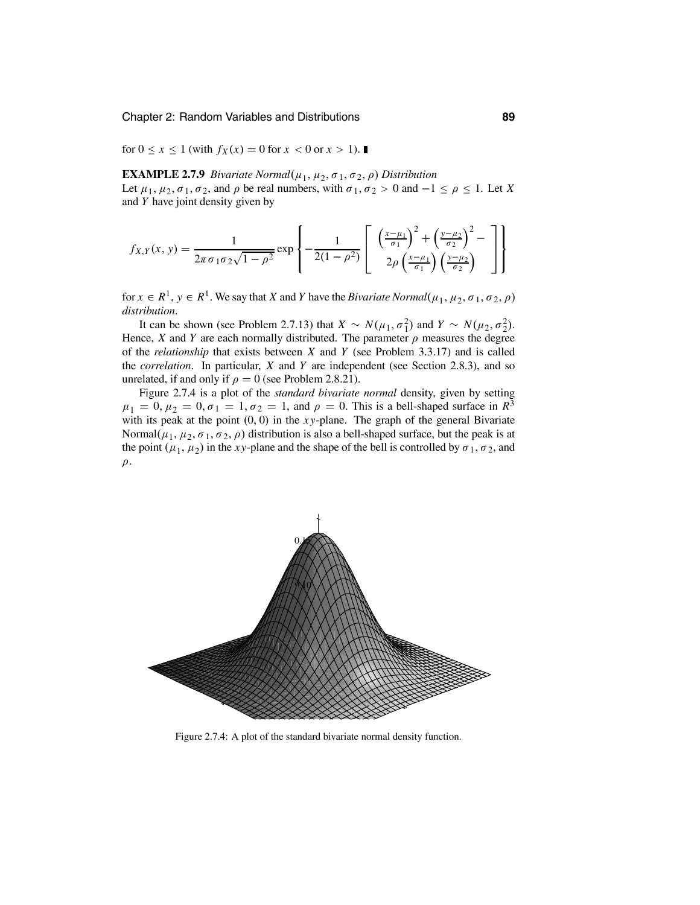for  $0 \le x \le 1$  (with  $f_X(x) = 0$  for  $x < 0$  or  $x > 1$ ).

**EXAMPLE 2.7.9** *Bivariate Normal*( $\mu_1$ ,  $\mu_2$ ,  $\sigma_1$ ,  $\sigma_2$ ,  $\rho$ ) *Distribution* Let  $\mu_1, \mu_2, \sigma_1, \sigma_2$ , and  $\rho$  be real numbers, with  $\sigma_1, \sigma_2 > 0$  and  $-1 \le \rho \le 1$ . Let *X* and *Y* have joint density given by

$$
f_{X,Y}(x,y) = \frac{1}{2\pi \sigma_1 \sigma_2 \sqrt{1-\rho^2}} \exp\left\{-\frac{1}{2(1-\rho^2)} \left[\begin{array}{c} \left(\frac{x-\mu_1}{\sigma_1}\right)^2 + \left(\frac{y-\mu_2}{\sigma_2}\right)^2 - \\ 2\rho \left(\frac{x-\mu_1}{\sigma_1}\right) \left(\frac{y-\mu_2}{\sigma_2}\right) \end{array}\right]\right\}
$$

for  $x \in R^1$ ,  $y \in R^1$ . We say that *X* and *Y* have the *Bivariate Normal*( $\mu_1, \mu_2, \sigma_1, \sigma_2, \rho$ ) *distribution*.

It can be shown (see Problem 2.7.13) that  $X \sim N(\mu_1, \sigma_1^2)$  and  $Y \sim N(\mu_2, \sigma_2^2)$ . Hence, *X* and *Y* are each normally distributed. The parameter  $\rho$  measures the degree of the *relationship* that exists between *X* and *Y* (see Problem 3.3.17) and is called the *correlation*. In particular, *X* and *Y* are independent (see Section 2.8.3), and so unrelated, if and only if  $\rho = 0$  (see Problem 2.8.21).

Figure 2.7.4 is a plot of the *standard bivariate normal* density, given by setting  $\mu_1 = 0, \mu_2 = 0, \sigma_1 = 1, \sigma_2 = 1$ , and  $\rho = 0$ . This is a bell-shaped surface in  $R^3$ with its peak at the point (0, 0) in the *xy*-plane. The graph of the general Bivariate Normal $(\mu_1, \mu_2, \sigma_1, \sigma_2, \rho)$  distribution is also a bell-shaped surface, but the peak is at the point  $(\mu_1, \mu_2)$  in the *xy*-plane and the shape of the bell is controlled by  $\sigma_1, \sigma_2$ , and  $\rho$ .



Figure 2.7.4: A plot of the standard bivariate normal density function.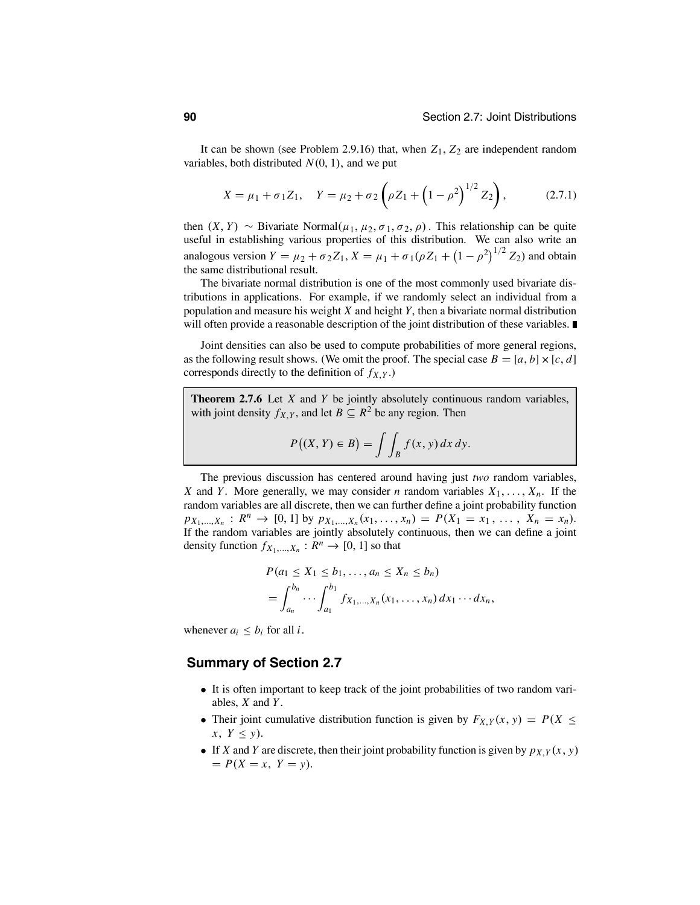It can be shown (see Problem 2.9.16) that, when *Z*1, *Z*<sup>2</sup> are independent random variables, both distributed  $N(0, 1)$ , and we put

$$
X = \mu_1 + \sigma_1 Z_1, \quad Y = \mu_2 + \sigma_2 \left( \rho Z_1 + \left( 1 - \rho^2 \right)^{1/2} Z_2 \right), \tag{2.7.1}
$$

then  $(X, Y) \sim$  Bivariate Normal $(\mu_1, \mu_2, \sigma_1, \sigma_2, \rho)$ . This relationship can be quite useful in establishing various properties of this distribution. We can also write an analogous version  $Y = \mu_2 + \sigma_2 Z_1$ ,  $X = \mu_1 + \sigma_1 (\rho Z_1 + (1 - \rho^2)^{1/2} Z_2)$  and obtain the same distributional result.

The bivariate normal distribution is one of the most commonly used bivariate distributions in applications. For example, if we randomly select an individual from a population and measure his weight *X* and height *Y*, then a bivariate normal distribution will often provide a reasonable description of the joint distribution of these variables.

Joint densities can also be used to compute probabilities of more general regions, as the following result shows. (We omit the proof. The special case  $B = [a, b] \times [c, d]$ corresponds directly to the definition of *fX*,*<sup>Y</sup>* .)

**Theorem 2.7.6** Let *X* and *Y* be jointly absolutely continuous random variables, with joint density  $f_{X,Y}$ , and let  $B \subseteq R^2$  be any region. Then

$$
P((X, Y) \in B) = \int \int_B f(x, y) dx dy.
$$

The previous discussion has centered around having just *two* random variables, *X* and *Y*. More generally, we may consider *n* random variables  $X_1, \ldots, X_n$ . If the random variables are all discrete, then we can further define a joint probability function  $p_{X_1,...,X_n}: R^n \to [0,1]$  by  $p_{X_1,...,X_n}(x_1,...,x_n) = P(X_1 = x_1, ..., X_n = x_n)$ . If the random variables are jointly absolutely continuous, then we can define a joint density function  $f_{X_1,...,X_n}: R^n \to [0, 1]$  so that

$$
P(a_1 \le X_1 \le b_1, ..., a_n \le X_n \le b_n)
$$
  
=  $\int_{a_n}^{b_n} \cdots \int_{a_1}^{b_1} f_{X_1,...,X_n}(x_1,...,x_n) dx_1 \cdots dx_n$ ,

whenever  $a_i \leq b_i$  for all *i*.

#### **Summary of Section 2.7**

- It is often important to keep track of the joint probabilities of two random variables, *X* and *Y*.
- Their joint cumulative distribution function is given by  $F_{X,Y}(x, y) = P(X \leq$  $x, Y \leq y$ ).
- If *X* and *Y* are discrete, then their joint probability function is given by  $p_{X,Y}(x, y)$  $= P(X = x, Y = y).$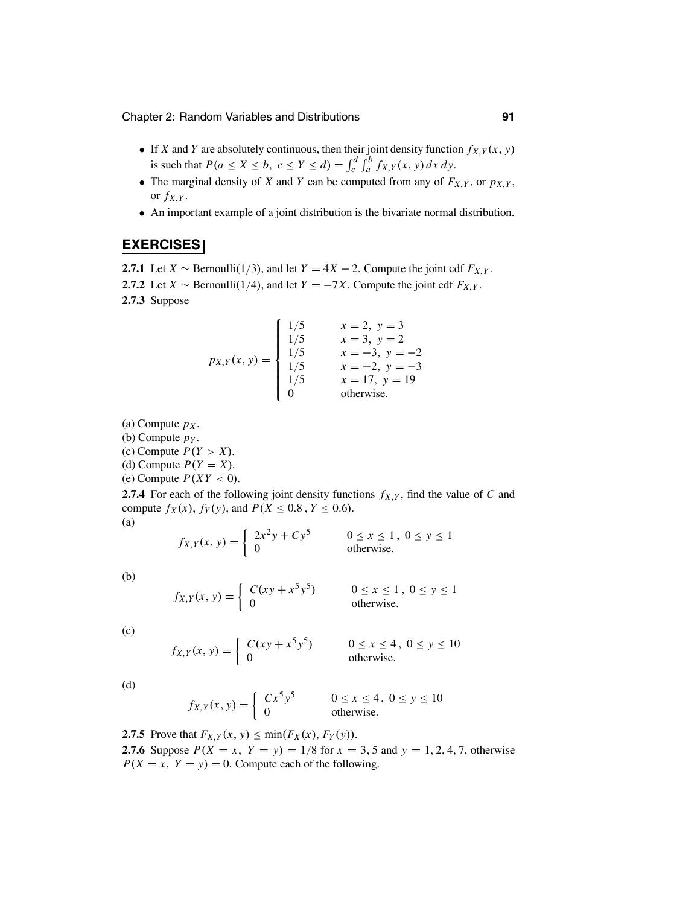- If *X* and *Y* are absolutely continuous, then their joint density function  $f_{X,Y}(x, y)$ is such that  $P(a \le X \le b, c \le Y \le d) = \int_c^d \int_a^b f_{X,Y}(x, y) dx dy$ .
- The marginal density of *X* and *Y* can be computed from any of  $F_{X,Y}$ , or  $p_{X,Y}$ , or *fX*,*<sup>Y</sup>* .
- An important example of a joint distribution is the bivariate normal distribution.

#### **EXERCISES**

**2.7.1** Let *X* ∼ Bernoulli(1/3), and let *Y* = 4*X* − 2. Compute the joint cdf  $F_{X,Y}$ .

**2.7.2** Let *X* ∼ Bernoulli(1/4), and let *Y* = −7*X*. Compute the joint cdf  $F_{X,Y}$ .

**2.7.3** Suppose

$$
p_{X,Y}(x, y) = \begin{cases} 1/5 & x = 2, y = 3 \\ 1/5 & x = 3, y = 2 \\ 1/5 & x = -3, y = -2 \\ 1/5 & x = -2, y = -3 \\ 1/5 & x = 17, y = 19 \\ 0 & \text{otherwise.} \end{cases}
$$

- (a) Compute  $p_X$ .
- (b) Compute *pY* .
- (c) Compute  $P(Y > X)$ .
- (d) Compute  $P(Y = X)$ .
- (e) Compute  $P(XY < 0)$ .

**2.7.4** For each of the following joint density functions  $f_{X,Y}$ , find the value of *C* and compute  $f_X(x)$ ,  $f_Y(y)$ , and  $P(X \le 0.8, Y \le 0.6)$ . (a)

$$
f_{X,Y}(x, y) = \begin{cases} 2x^2y + Cy^5 & 0 \le x \le 1, \ 0 \le y \le 1\\ 0 & \text{otherwise.} \end{cases}
$$

(b)

$$
f_{X,Y}(x, y) = \begin{cases} C(xy + x^5y^5) & 0 \le x \le 1, \ 0 \le y \le 1\\ 0 & \text{otherwise.} \end{cases}
$$

(c)

$$
f_{X,Y}(x, y) = \begin{cases} C(xy + x^5y^5) & 0 \le x \le 4, \ 0 \le y \le 10\\ 0 & \text{otherwise.} \end{cases}
$$

(d)

$$
f_{X,Y}(x, y) = \begin{cases} Cx^5y^5 & 0 \le x \le 4, \ 0 \le y \le 10\\ 0 & \text{otherwise.} \end{cases}
$$

**2.7.5** Prove that  $F_{X,Y}(x, y) \le \min(F_X(x), F_Y(y)).$ 

**2.7.6** Suppose  $P(X = x, Y = y) = 1/8$  for  $x = 3, 5$  and  $y = 1, 2, 4, 7$ , otherwise  $P(X = x, Y = y) = 0$ . Compute each of the following.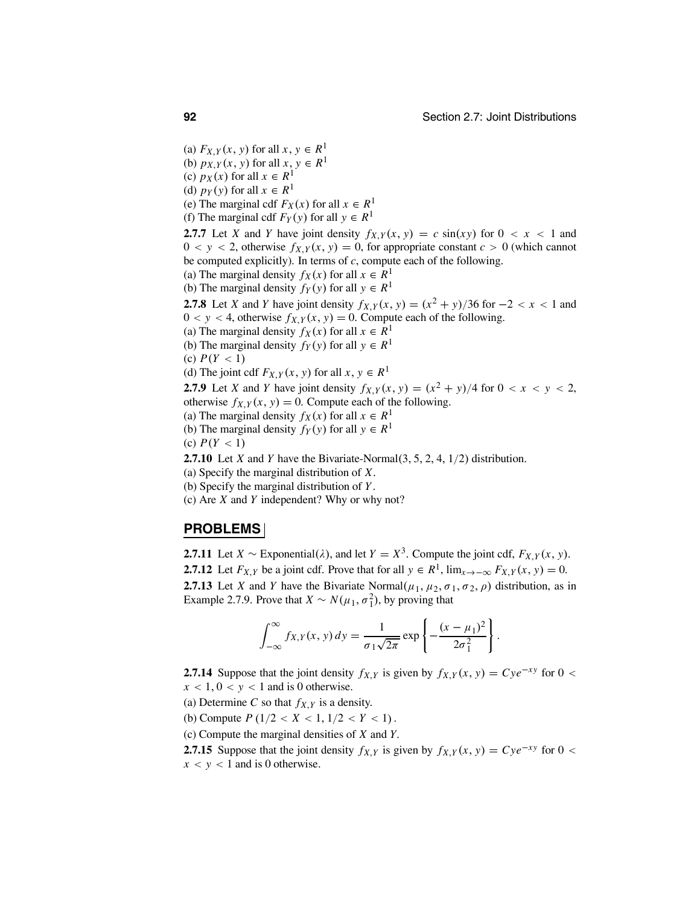(a)  $F_{X,Y}(x, y)$  for all  $x, y \in R^1$ (b)  $p_{X,Y}(x, y)$  for all  $x, y \in R^1$ (c)  $p_X(x)$  for all  $x \in R^1$ (d)  $p_Y(y)$  for all  $x \in R^1$ (e) The marginal cdf  $F_X(x)$  for all  $x \in R<sup>1</sup>$ (f) The marginal cdf  $F_Y(y)$  for all  $y \in R<sup>1</sup>$ **2.7.7** Let *X* and *Y* have joint density  $f_{X,Y}(x, y) = c \sin(xy)$  for  $0 < x < 1$  and  $0 < y < 2$ , otherwise  $f_{X,Y}(x, y) = 0$ , for appropriate constant  $c > 0$  (which cannot be computed explicitly). In terms of  $c$ , compute each of the following. (a) The marginal density  $f_X(x)$  for all  $x \in R<sup>1</sup>$ (b) The marginal density  $f_Y(y)$  for all  $y \in R^1$ **2.7.8** Let *X* and *Y* have joint density  $f_{X,Y}(x, y) = (x^2 + y)/36$  for −2 < *x* < 1 and  $0 < y < 4$ , otherwise  $f_{X,Y}(x, y) = 0$ . Compute each of the following. (a) The marginal density  $f_X(x)$  for all  $x \in R<sup>1</sup>$ (b) The marginal density  $f_Y(y)$  for all  $y \in R<sup>1</sup>$ (c) *P*(*Y* < 1) (d) The joint cdf  $F_{X,Y}(x, y)$  for all  $x, y \in R^1$ **2.7.9** Let *X* and *Y* have joint density  $f_{X,Y}(x, y) = (x^2 + y)/4$  for  $0 < x < y < 2$ , otherwise  $f_{X,Y}(x, y) = 0$ . Compute each of the following. (a) The marginal density  $f_X(x)$  for all  $x \in R<sup>1</sup>$ (b) The marginal density  $f_Y(y)$  for all  $y \in R<sup>1</sup>$ (c) *P*(*Y* < 1) **2.7.10** Let *X* and *Y* have the Bivariate-Normal(3, 5, 2, 4, 1/2) distribution. (a) Specify the marginal distribution of *X*.

(b) Specify the marginal distribution of *Y*.

(c) Are *X* and *Y* independent? Why or why not?

#### **PROBLEMS**

**2.7.11** Let *X* ∼ Exponential( $\lambda$ ), and let *Y* = *X*<sup>3</sup>. Compute the joint cdf, *F<sub>X,Y</sub>*(*x*, *y*). **2.7.12** Let  $F_{X,Y}$  be a joint cdf. Prove that for all  $y \in R^1$ ,  $\lim_{x \to -\infty} F_{X,Y}(x, y) = 0$ . **2.7.13** Let *X* and *Y* have the Bivariate Normal $(\mu_1, \mu_2, \sigma_1, \sigma_2, \rho)$  distribution, as in Example 2.7.9. Prove that *X* ~  $N(\mu_1, \sigma_1^2)$ , by proving that

$$
\int_{-\infty}^{\infty} f_{X,Y}(x, y) dy = \frac{1}{\sigma_1 \sqrt{2\pi}} \exp \left\{ -\frac{(x - \mu_1)^2}{2\sigma_1^2} \right\}.
$$

**2.7.14** Suppose that the joint density *f<sub>X,Y</sub>* is given by  $f_{X,Y}(x, y) = Cye^{-xy}$  for 0 <  $x < 1, 0 < y < 1$  and is 0 otherwise.

(a) Determine *C* so that  $f_{X,Y}$  is a density.

(b) Compute  $P(1/2 < X < 1, 1/2 < Y < 1)$ .

(c) Compute the marginal densities of *X* and *Y*.

**2.7.15** Suppose that the joint density *f<sub>X,Y</sub>* is given by  $f_{X,Y}(x, y) = Cye^{-xy}$  for 0 <  $x < y < 1$  and is 0 otherwise.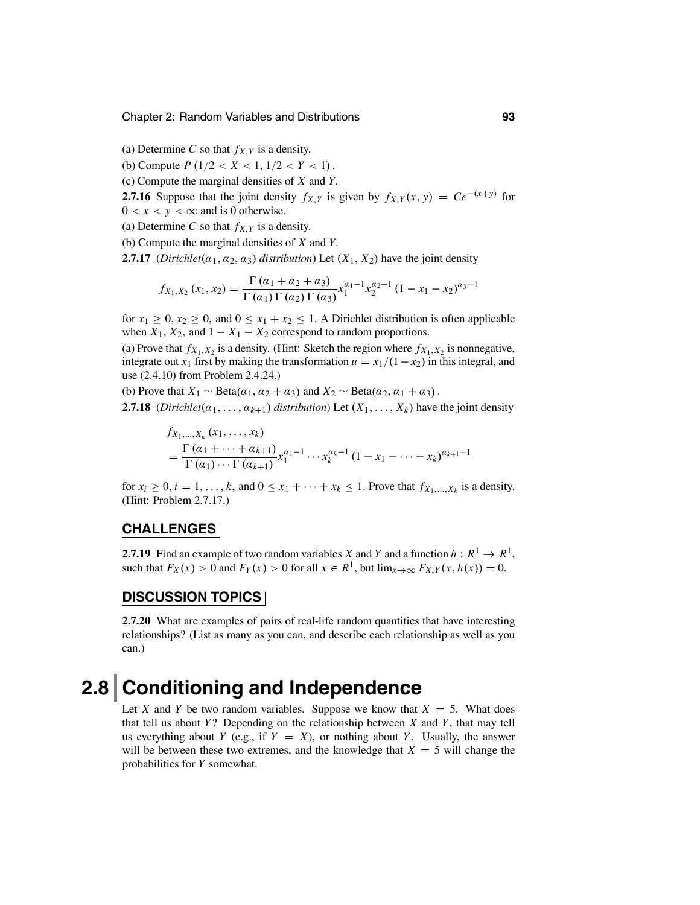- (a) Determine *C* so that  $f_{X,Y}$  is a density.
- (b) Compute  $P(1/2 < X < 1, 1/2 < Y < 1)$ .

(c) Compute the marginal densities of *X* and *Y*.

**2.7.16** Suppose that the joint density *f<sub>X,Y</sub>* is given by  $f_{X,Y}(x, y) = Ce^{-(x+y)}$  for  $0 < x < y < \infty$  and is 0 otherwise.

- (a) Determine *C* so that  $f_{X,Y}$  is a density.
- (b) Compute the marginal densities of *X* and *Y*.

**2.7.17** (*Dirichlet*( $\alpha_1, \alpha_2, \alpha_3$ ) *distribution*) Let  $(X_1, X_2)$  have the joint density

$$
f_{X_1, X_2}(x_1, x_2) = \frac{\Gamma(\alpha_1 + \alpha_2 + \alpha_3)}{\Gamma(\alpha_1) \Gamma(\alpha_2) \Gamma(\alpha_3)} x_1^{\alpha_1 - 1} x_2^{\alpha_2 - 1} (1 - x_1 - x_2)^{\alpha_3 - 1}
$$

for  $x_1 \geq 0$ ,  $x_2 \geq 0$ , and  $0 \leq x_1 + x_2 \leq 1$ . A Dirichlet distribution is often applicable when  $X_1, X_2$ , and  $1 - X_1 - X_2$  correspond to random proportions.

(a) Prove that  $f_{X_1, X_2}$  is a density. (Hint: Sketch the region where  $f_{X_1, X_2}$  is nonnegative, integrate out *x*<sub>1</sub> first by making the transformation  $u = x_1/(1-x_2)$  in this integral, and use (2.4.10) from Problem 2.4.24.)

(b) Prove that  $X_1 \sim \text{Beta}(\alpha_1, \alpha_2 + \alpha_3)$  and  $X_2 \sim \text{Beta}(\alpha_2, \alpha_1 + \alpha_3)$ .

**2.7.18** (*Dirichlet*( $\alpha_1, \ldots, \alpha_{k+1}$ ) *distribution*) Let  $(X_1, \ldots, X_k)$  have the joint density

$$
f_{X_1,...,X_k}(x_1,...,x_k)
$$
  
= 
$$
\frac{\Gamma(\alpha_1 + \cdots + \alpha_{k+1})}{\Gamma(\alpha_1) \cdots \Gamma(\alpha_{k+1})} x_1^{\alpha_1-1} \cdots x_k^{\alpha_k-1} (1 - x_1 - \cdots - x_k)^{\alpha_{k+1}-1}
$$

for  $x_i \geq 0$ ,  $i = 1, \ldots, k$ , and  $0 \leq x_1 + \cdots + x_k \leq 1$ . Prove that  $f_{X_1, \ldots, X_k}$  is a density. (Hint: Problem 2.7.17.)

#### **CHALLENGES**

**2.7.19** Find an example of two random variables *X* and *Y* and a function  $h: R^1 \to R^1$ , such that  $F_X(x) > 0$  and  $F_Y(x) > 0$  for all  $x \in R^1$ , but  $\lim_{x \to \infty} F_{X,Y}(x, h(x)) = 0$ .

#### **DISCUSSION TOPICS**

**2.7.20** What are examples of pairs of real-life random quantities that have interesting relationships? (List as many as you can, and describe each relationship as well as you can.)

# **2.8 Conditioning and Independence**

Let *X* and *Y* be two random variables. Suppose we know that  $X = 5$ . What does that tell us about *Y*? Depending on the relationship between *X* and *Y*, that may tell us everything about *Y* (e.g., if  $Y = X$ ), or nothing about *Y*. Usually, the answer will be between these two extremes, and the knowledge that  $X = 5$  will change the probabilities for *Y* somewhat.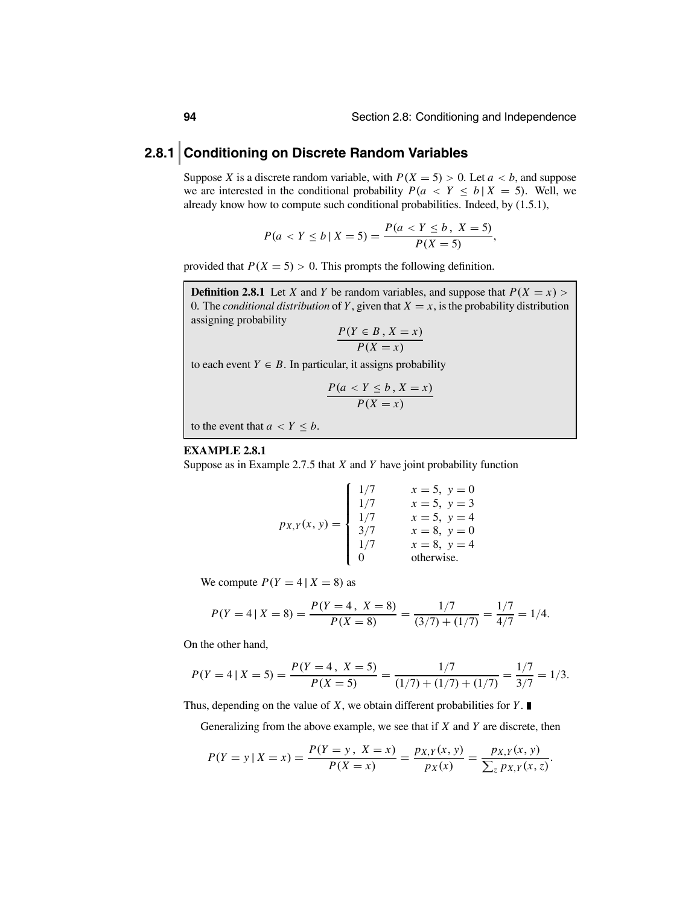### **2.8.1 Conditioning on Discrete Random Variables**

Suppose *X* is a discrete random variable, with  $P(X = 5) > 0$ . Let  $a < b$ , and suppose we are interested in the conditional probability  $P(a \le Y \le b \mid X = 5)$ . Well, we already know how to compute such conditional probabilities. Indeed, by (1.5.1),

$$
P(a < Y \le b \mid X = 5) = \frac{P(a < Y \le b, \ X = 5)}{P(X = 5)},
$$

provided that  $P(X = 5) > 0$ . This prompts the following definition.

**Definition 2.8.1** Let *X* and *Y* be random variables, and suppose that  $P(X = x)$ 0. The *conditional distribution* of *Y*, given that  $X = x$ , is the probability distribution assigning probability

$$
\frac{P(Y \in B, X = x)}{P(X = x)}
$$

to each event  $Y \in B$ . In particular, it assigns probability

$$
\frac{P(a < Y \le b \,, X = x)}{P(X = x)}
$$

to the event that  $a < Y \leq b$ .

#### **EXAMPLE 2.8.1**

Suppose as in Example 2.7.5 that *X* and *Y* have joint probability function

$$
p_{X,Y}(x, y) = \begin{cases} 1/7 & x = 5, y = 0 \\ 1/7 & x = 5, y = 3 \\ 1/7 & x = 5, y = 4 \\ 3/7 & x = 8, y = 0 \\ 1/7 & x = 8, y = 4 \\ 0 & \text{otherwise.} \end{cases}
$$

We compute  $P(Y = 4 | X = 8)$  as

$$
P(Y = 4 | X = 8) = \frac{P(Y = 4, X = 8)}{P(X = 8)} = \frac{1/7}{(3/7) + (1/7)} = \frac{1/7}{4/7} = 1/4.
$$

On the other hand,

$$
P(Y = 4 | X = 5) = \frac{P(Y = 4, X = 5)}{P(X = 5)} = \frac{1/7}{(1/7) + (1/7) + (1/7)} = \frac{1/7}{3/7} = 1/3.
$$

Thus, depending on the value of *X*, we obtain different probabilities for *Y*.

Generalizing from the above example, we see that if *X* and *Y* are discrete, then

$$
P(Y = y | X = x) = \frac{P(Y = y, X = x)}{P(X = x)} = \frac{p_{X,Y}(x, y)}{p_X(x)} = \frac{p_{X,Y}(x, y)}{\sum_{z} p_{X,Y}(x, z)}.
$$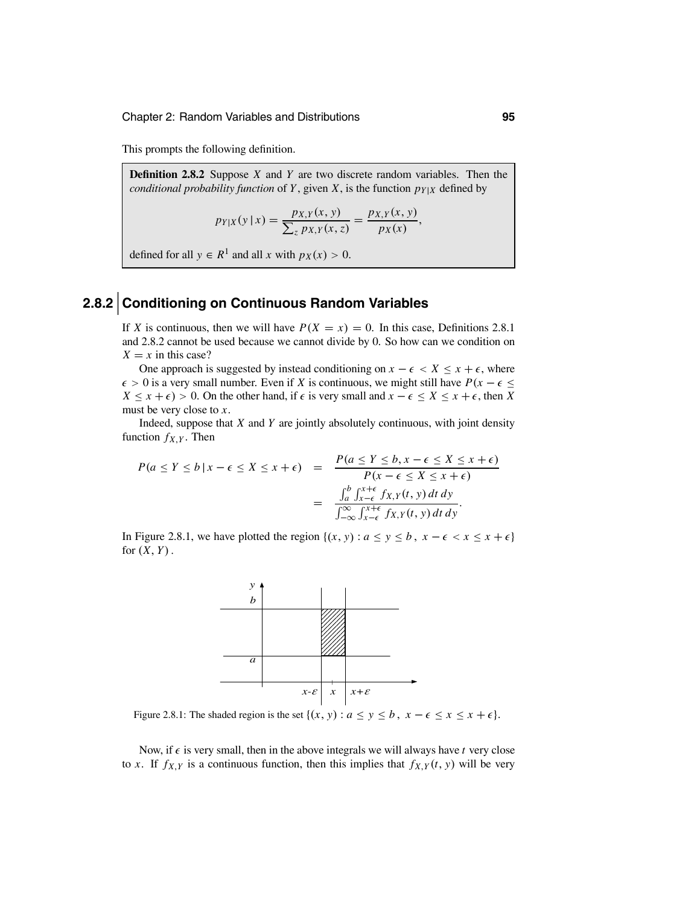This prompts the following definition.

**Definition 2.8.2** Suppose *X* and *Y* are two discrete random variables. Then the *conditional probability function* of *Y*, given *X*, is the function  $p_{Y|X}$  defined by

$$
p_{Y|X}(y|x) = \frac{p_{X,Y}(x, y)}{\sum_{z} p_{X,Y}(x, z)} = \frac{p_{X,Y}(x, y)}{p_X(x)},
$$

defined for all  $y \in R^1$  and all *x* with  $p_X(x) > 0$ .

### **2.8.2 Conditioning on Continuous Random Variables**

If *X* is continuous, then we will have  $P(X = x) = 0$ . In this case, Definitions 2.8.1 and 2.8.2 cannot be used because we cannot divide by 0. So how can we condition on  $X = x$  in this case?

One approach is suggested by instead conditioning on  $x - \epsilon < X \leq x + \epsilon$ , where  $\epsilon > 0$  is a very small number. Even if *X* is continuous, we might still have  $P(x - \epsilon \leq$  $X \leq x + \epsilon$ ) > 0. On the other hand, if  $\epsilon$  is very small and  $x - \epsilon \leq X \leq x + \epsilon$ , then *X* must be very close to *x*.

Indeed, suppose that *X* and *Y* are jointly absolutely continuous, with joint density function  $f_{X,Y}$ . Then

$$
P(a \le Y \le b \mid x - \epsilon \le X \le x + \epsilon) = \frac{P(a \le Y \le b, x - \epsilon \le X \le x + \epsilon)}{P(x - \epsilon \le X \le x + \epsilon)}
$$
  
= 
$$
\frac{\int_a^b \int_{x - \epsilon}^{x + \epsilon} f_{X,Y}(t, y) dt dy}{\int_{-\infty}^{\infty} \int_{x - \epsilon}^{x + \epsilon} f_{X,Y}(t, y) dt dy}.
$$

In Figure 2.8.1, we have plotted the region  $\{(x, y) : a \le y \le b, x - \epsilon < x \le x + \epsilon\}$ for  $(X, Y)$ .



Figure 2.8.1: The shaded region is the set  $\{(x, y) : a \le y \le b, x - \epsilon \le x \le x + \epsilon\}.$ 

Now, if  $\epsilon$  is very small, then in the above integrals we will always have *t* very close to *x*. If  $f_{X,Y}$  is a continuous function, then this implies that  $f_{X,Y}(t, y)$  will be very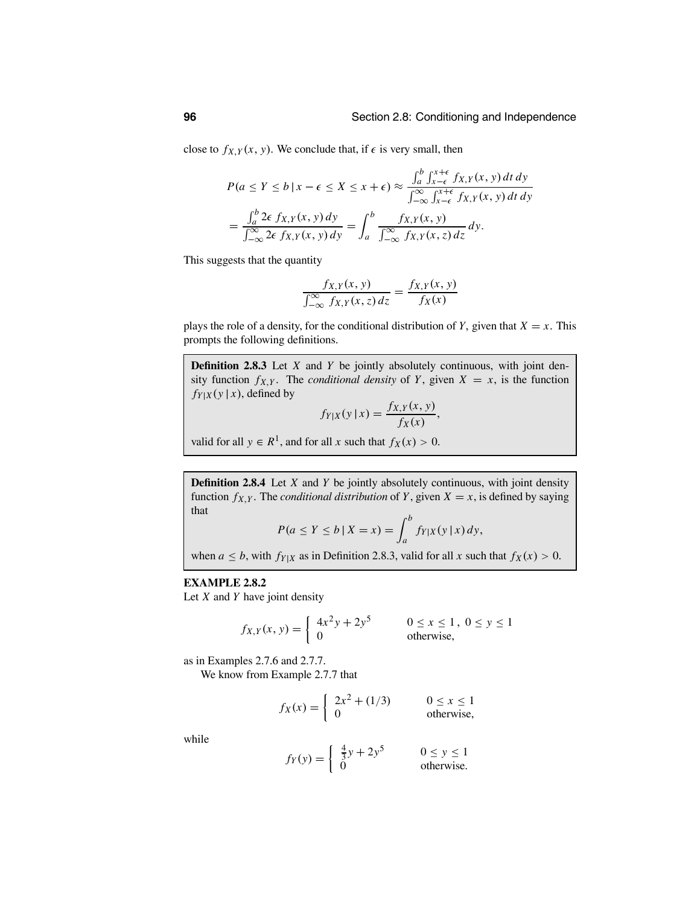close to  $f_{X,Y}(x, y)$ . We conclude that, if  $\epsilon$  is very small, then

$$
P(a \le Y \le b \mid x - \epsilon \le X \le x + \epsilon) \approx \frac{\int_a^b \int_{x-\epsilon}^{x+\epsilon} f_{X,Y}(x, y) dt dy}{\int_{-\infty}^{\infty} \int_{x-\epsilon}^{x+\epsilon} f_{X,Y}(x, y) dt dy}
$$
  
= 
$$
\frac{\int_a^b 2\epsilon f_{X,Y}(x, y) dy}{\int_{-\infty}^{\infty} 2\epsilon f_{X,Y}(x, y) dy} = \int_a^b \frac{f_{X,Y}(x, y)}{\int_{-\infty}^{\infty} f_{X,Y}(x, z) dz} dy.
$$

This suggests that the quantity

$$
\frac{f_{X,Y}(x, y)}{\int_{-\infty}^{\infty} f_{X,Y}(x, z) dz} = \frac{f_{X,Y}(x, y)}{f_X(x)}
$$

plays the role of a density, for the conditional distribution of *Y*, given that  $X = x$ . This prompts the following definitions.

**Definition 2.8.3** Let *X* and *Y* be jointly absolutely continuous, with joint density function  $f_{X,Y}$ . The *conditional density* of *Y*, given  $X = x$ , is the function  $f_{Y|X}(y|x)$ , defined by

$$
f_{Y|X}(y|x) = \frac{f_{X,Y}(x, y)}{f_X(x)},
$$

valid for all  $y \in R^1$ , and for all *x* such that  $f_X(x) > 0$ .

**Definition 2.8.4** Let *X* and *Y* be jointly absolutely continuous, with joint density function  $f_{X,Y}$ . The *conditional distribution* of *Y*, given  $X = x$ , is defined by saying that

$$
P(a \le Y \le b \mid X = x) = \int_{a}^{b} f_{Y|X}(y \mid x) \, dy,
$$

when  $a \leq b$ , with  $f_{Y|X}$  as in Definition 2.8.3, valid for all *x* such that  $f_X(x) > 0$ .

#### **EXAMPLE 2.8.2**

Let *X* and *Y* have joint density

$$
f_{X,Y}(x, y) = \begin{cases} 4x^2y + 2y^5 & 0 \le x \le 1, \ 0 \le y \le 1\\ 0 & \text{otherwise,} \end{cases}
$$

as in Examples 2.7.6 and 2.7.7.

We know from Example 2.7.7 that

$$
f_X(x) = \begin{cases} 2x^2 + (1/3) & 0 \le x \le 1 \\ 0 & \text{otherwise,} \end{cases}
$$

while

$$
f_Y(y) = \begin{cases} \frac{4}{3}y + 2y^5 & 0 \le y \le 1\\ 0 & \text{otherwise.} \end{cases}
$$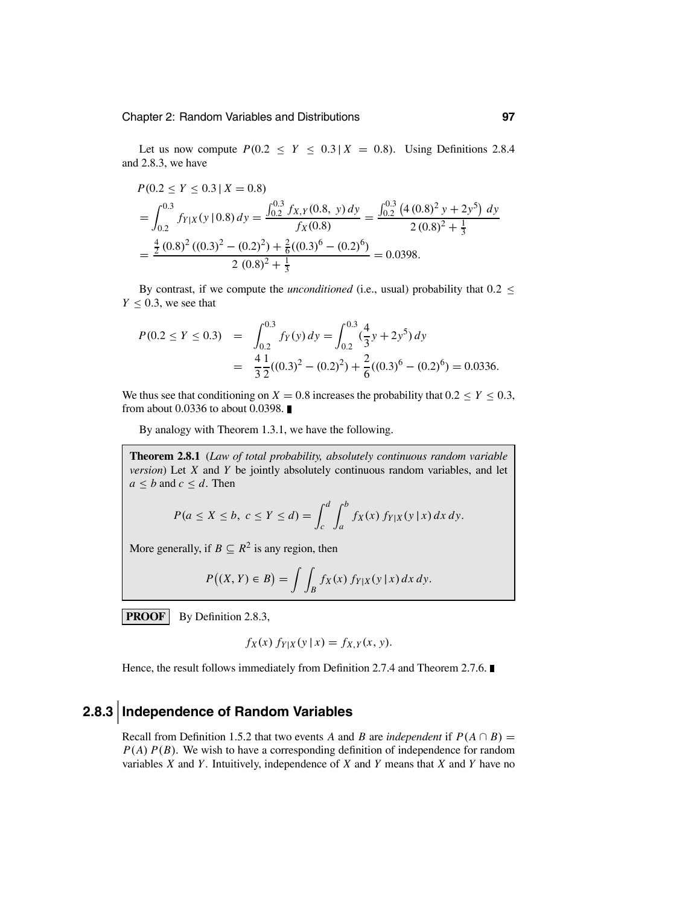Let us now compute  $P(0.2 \le Y \le 0.3 | X = 0.8)$ . Using Definitions 2.8.4 and 2.8.3, we have

$$
P(0.2 \le Y \le 0.3 \mid X = 0.8)
$$
  
= 
$$
\int_{0.2}^{0.3} f_{Y|X}(y|0.8) dy = \frac{\int_{0.2}^{0.3} f_{X,Y}(0.8, y) dy}{f_X(0.8)} = \frac{\int_{0.2}^{0.3} (4(0.8)^2 y + 2y^5) dy}{2(0.8)^2 + \frac{1}{3}}
$$
  
= 
$$
\frac{\frac{4}{2} (0.8)^2 ((0.3)^2 - (0.2)^2) + \frac{2}{6} ((0.3)^6 - (0.2)^6)}{2 (0.8)^2 + \frac{1}{3}} = 0.0398.
$$

By contrast, if we compute the *unconditioned* (i.e., usual) probability that  $0.2 \le$  $Y < 0.3$ , we see that

$$
P(0.2 \le Y \le 0.3) = \int_{0.2}^{0.3} f_Y(y) dy = \int_{0.2}^{0.3} (\frac{4}{3}y + 2y^5) dy
$$
  
=  $\frac{4}{3} \frac{1}{2}((0.3)^2 - (0.2)^2) + \frac{2}{6}((0.3)^6 - (0.2)^6) = 0.0336.$ 

We thus see that conditioning on  $X = 0.8$  increases the probability that  $0.2 \le Y \le 0.3$ , from about 0.0336 to about 0.0398.

By analogy with Theorem 1.3.1, we have the following.

**Theorem 2.8.1** (*Law of total probability, absolutely continuous random variable version*) Let *X* and *Y* be jointly absolutely continuous random variables, and let  $a \leq b$  and  $c \leq d$ . Then

$$
P(a \le X \le b, \ c \le Y \le d) = \int_c^d \int_a^b f_X(x) f_{Y|X}(y \mid x) dx dy.
$$

More generally, if  $B \nsubseteq R^2$  is any region, then

$$
P((X,Y)\in B)=\int\int_B f_X(x)\,f_{Y|X}(y\,|\,x)\,dx\,dy.
$$

**PROOF** By Definition 2.8.3,

$$
f_X(x) f_{Y|X}(y \mid x) = f_{X,Y}(x, y).
$$

Hence, the result follows immediately from Definition 2.7.4 and Theorem 2.7.6.

### **2.8.3 Independence of Random Variables**

Recall from Definition 1.5.2 that two events *A* and *B* are *independent* if  $P(A \cap B) =$ *P*(*A*) *P*(*B*). We wish to have a corresponding definition of independence for random variables *X* and *Y*. Intuitively, independence of *X* and *Y* means that *X* and *Y* have no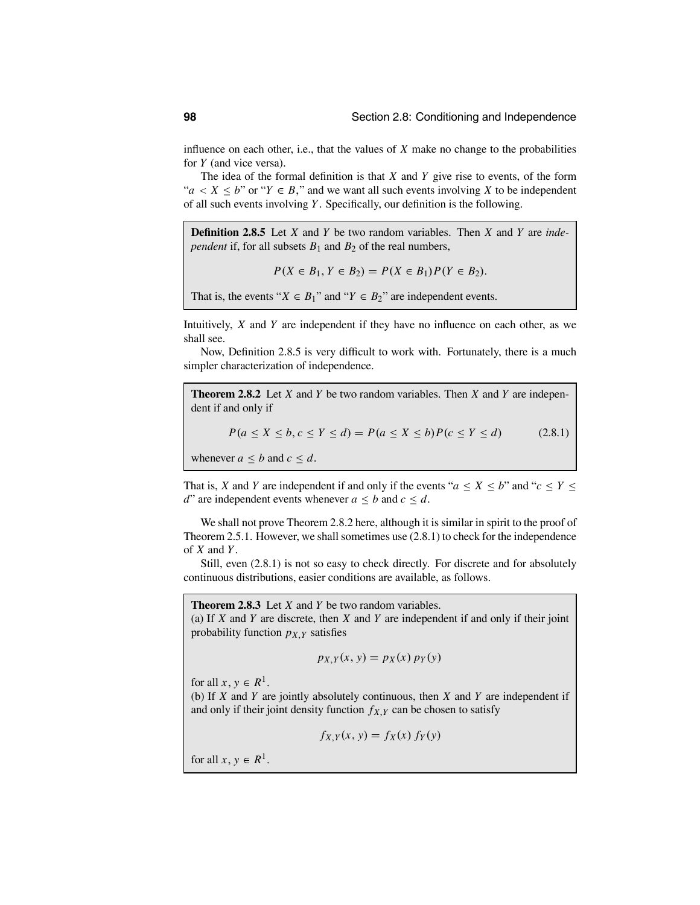influence on each other, i.e., that the values of *X* make no change to the probabilities for *Y* (and vice versa).

The idea of the formal definition is that *X* and *Y* give rise to events, of the form " $a < X < b$ " or " $Y \in B$ ," and we want all such events involving X to be independent of all such events involving *Y*. Specifically, our definition is the following.

**Definition 2.8.5** Let *X* and *Y* be two random variables. Then *X* and *Y* are *independent* if, for all subsets  $B_1$  and  $B_2$  of the real numbers,

$$
P(X \in B_1, Y \in B_2) = P(X \in B_1)P(Y \in B_2).
$$

That is, the events " $X \in B_1$ " and " $Y \in B_2$ " are independent events.

Intuitively, *X* and *Y* are independent if they have no influence on each other, as we shall see.

Now, Definition 2.8.5 is very difficult to work with. Fortunately, there is a much simpler characterization of independence.

**Theorem 2.8.2** Let *X* and *Y* be two random variables. Then *X* and *Y* are independent if and only if

$$
P(a \le X \le b, c \le Y \le d) = P(a \le X \le b)P(c \le Y \le d)
$$
 (2.8.1)

whenever  $a < b$  and  $c < d$ .

That is, *X* and *Y* are independent if and only if the events " $a \le X \le b$ " and " $c \le Y \le$ *d*" are independent events whenever  $a \leq b$  and  $c \leq d$ .

We shall not prove Theorem 2.8.2 here, although it is similar in spirit to the proof of Theorem 2.5.1. However, we shall sometimes use (2.8.1) to check for the independence of *X* and *Y*.

Still, even (2.8.1) is not so easy to check directly. For discrete and for absolutely continuous distributions, easier conditions are available, as follows.

**Theorem 2.8.3** Let *X* and *Y* be two random variables. (a) If *X* and *Y* are discrete, then *X* and *Y* are independent if and only if their joint probability function  $p_{X,Y}$  satisfies

$$
p_{X,Y}(x, y) = p_X(x) p_Y(y)
$$

for all  $x, y \in R^1$ .

(b) If *X* and *Y* are jointly absolutely continuous, then *X* and *Y* are independent if and only if their joint density function  $f_{X,Y}$  can be chosen to satisfy

 $f_{X,Y}(x, y) = f_X(x) f_Y(y)$ 

for all  $x, y \in R^1$ .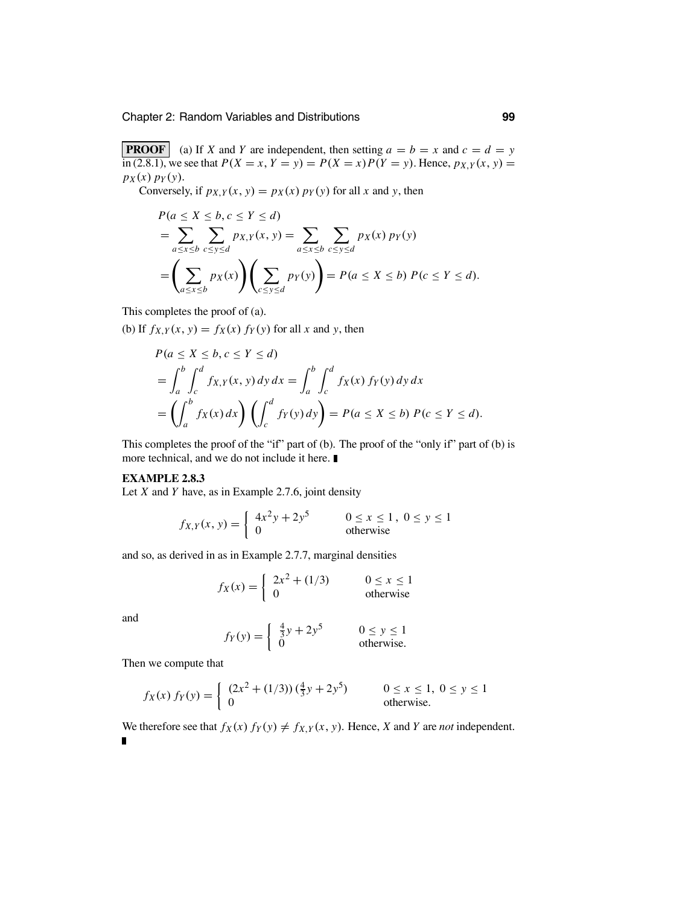**PROOF** (a) If *X* and *Y* are independent, then setting  $a = b = x$  and  $c = d = y$ in (2.8.1), we see that  $P(X = x, Y = y) = P(X = x)P(Y = y)$ . Hence,  $p_{X,Y}(x, y) =$  $p_X(x)$   $p_Y(y)$ .

Conversely, if  $p_{X,Y}(x, y) = p_X(x) p_Y(y)$  for all *x* and *y*, then

$$
P(a \le X \le b, c \le Y \le d)
$$
  
= 
$$
\sum_{a \le x \le b} \sum_{c \le y \le d} p_{X,Y}(x, y) = \sum_{a \le x \le b} \sum_{c \le y \le d} p_X(x) p_Y(y)
$$
  
= 
$$
\left(\sum_{a \le x \le b} p_X(x)\right) \left(\sum_{c \le y \le d} p_Y(y)\right) = P(a \le X \le b) P(c \le Y \le d).
$$

This completes the proof of (a).

(b) If  $f_{X,Y}(x, y) = f_X(x) f_Y(y)$  for all *x* and *y*, then

$$
P(a \le X \le b, c \le Y \le d)
$$
  
= 
$$
\int_a^b \int_c^d f_{X,Y}(x, y) dy dx = \int_a^b \int_c^d f_X(x) f_Y(y) dy dx
$$
  
= 
$$
\left( \int_a^b f_X(x) dx \right) \left( \int_c^d f_Y(y) dy \right) = P(a \le X \le b) P(c \le Y \le d).
$$

This completes the proof of the "if" part of (b). The proof of the "only if" part of (b) is more technical, and we do not include it here.

#### **EXAMPLE 2.8.3**

Let *X* and *Y* have, as in Example 2.7.6, joint density

$$
f_{X,Y}(x, y) = \begin{cases} 4x^2y + 2y^5 & 0 \le x \le 1, \ 0 \le y \le 1\\ 0 & \text{otherwise} \end{cases}
$$

and so, as derived in as in Example 2.7.7, marginal densities

$$
f_X(x) = \begin{cases} 2x^2 + (1/3) & 0 \le x \le 1 \\ 0 & \text{otherwise} \end{cases}
$$

and

$$
f_Y(y) = \begin{cases} \frac{4}{3}y + 2y^5 & 0 \le y \le 1\\ 0 & \text{otherwise.} \end{cases}
$$

Then we compute that

$$
f_X(x) f_Y(y) = \begin{cases} (2x^2 + (1/3)) \left(\frac{4}{3}y + 2y^5\right) & 0 \le x \le 1, \ 0 \le y \le 1\\ 0 & \text{otherwise.} \end{cases}
$$

We therefore see that  $f_X(x) f_Y(y) \neq f_{X,Y}(x, y)$ . Hence, *X* and *Y* are *not* independent.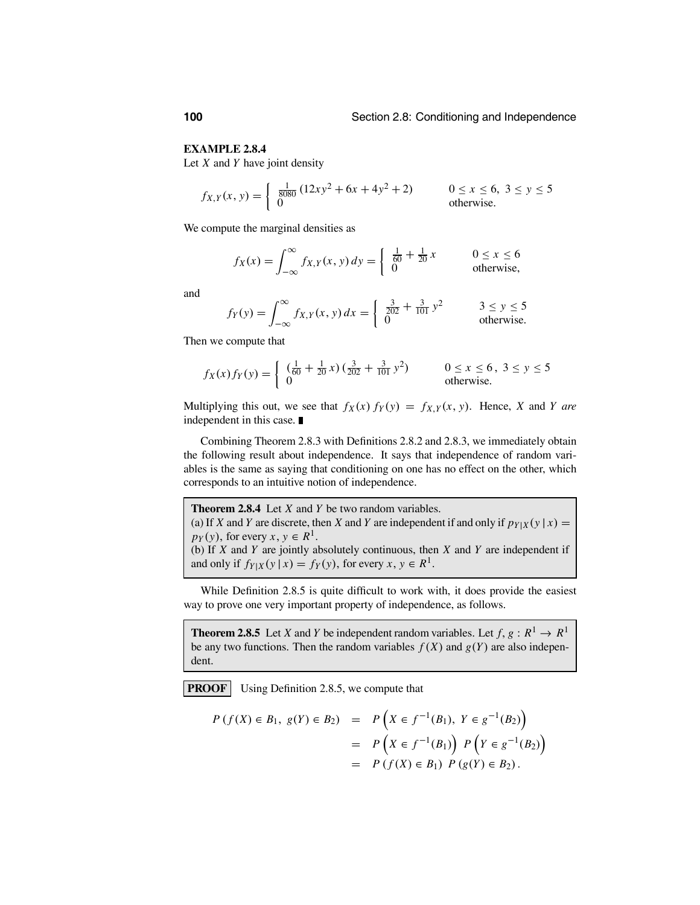#### **EXAMPLE 2.8.4**

Let *X* and *Y* have joint density

$$
f_{X,Y}(x, y) = \begin{cases} \frac{1}{8080} (12xy^2 + 6x + 4y^2 + 2) & 0 \le x \le 6, 3 \le y \le 5\\ 0 & \text{otherwise.} \end{cases}
$$

We compute the marginal densities as

$$
f_X(x) = \int_{-\infty}^{\infty} f_{X,Y}(x, y) dy = \begin{cases} \frac{1}{60} + \frac{1}{20} x & 0 \le x \le 6\\ 0 & \text{otherwise,} \end{cases}
$$

and

$$
f_Y(y) = \int_{-\infty}^{\infty} f_{X,Y}(x, y) dx = \begin{cases} \frac{3}{202} + \frac{3}{101} y^2 & 3 \le y \le 5\\ 0 & \text{otherwise.} \end{cases}
$$

Then we compute that

$$
f_X(x)f_Y(y) = \begin{cases} \left(\frac{1}{60} + \frac{1}{20}x\right)\left(\frac{3}{202} + \frac{3}{101}y^2\right) & 0 \le x \le 6, \ 3 \le y \le 5\\ 0 & \text{otherwise.} \end{cases}
$$

Multiplying this out, we see that  $f_X(x) f_Y(y) = f_{X,Y}(x, y)$ . Hence, *X* and *Y are* independent in this case.

Combining Theorem 2.8.3 with Definitions 2.8.2 and 2.8.3, we immediately obtain the following result about independence. It says that independence of random variables is the same as saying that conditioning on one has no effect on the other, which corresponds to an intuitive notion of independence.

**Theorem 2.8.4** Let *X* and *Y* be two random variables. (a) If *X* and *Y* are discrete, then *X* and *Y* are independent if and only if  $p_{Y|X}(y|x) =$  $p_Y(y)$ , for every  $x, y \in R^1$ . (b) If *X* and *Y* are jointly absolutely continuous, then *X* and *Y* are independent if and only if  $f_{Y|X}(y|x) = f_Y(y)$ , for every  $x, y \in R^1$ .

While Definition 2.8.5 is quite difficult to work with, it does provide the easiest way to prove one very important property of independence, as follows.

**Theorem 2.8.5** Let *X* and *Y* be independent random variables. Let  $f, g: R^1 \to R^1$ be any two functions. Then the random variables  $f(X)$  and  $g(Y)$  are also independent.

**PROOF** Using Definition 2.8.5, we compute that

$$
P(f(X) \in B_1, g(Y) \in B_2) = P\left(X \in f^{-1}(B_1), Y \in g^{-1}(B_2)\right)
$$
  
=  $P\left(X \in f^{-1}(B_1)\right) P\left(Y \in g^{-1}(B_2)\right)$   
=  $P(f(X) \in B_1) P(g(Y) \in B_2).$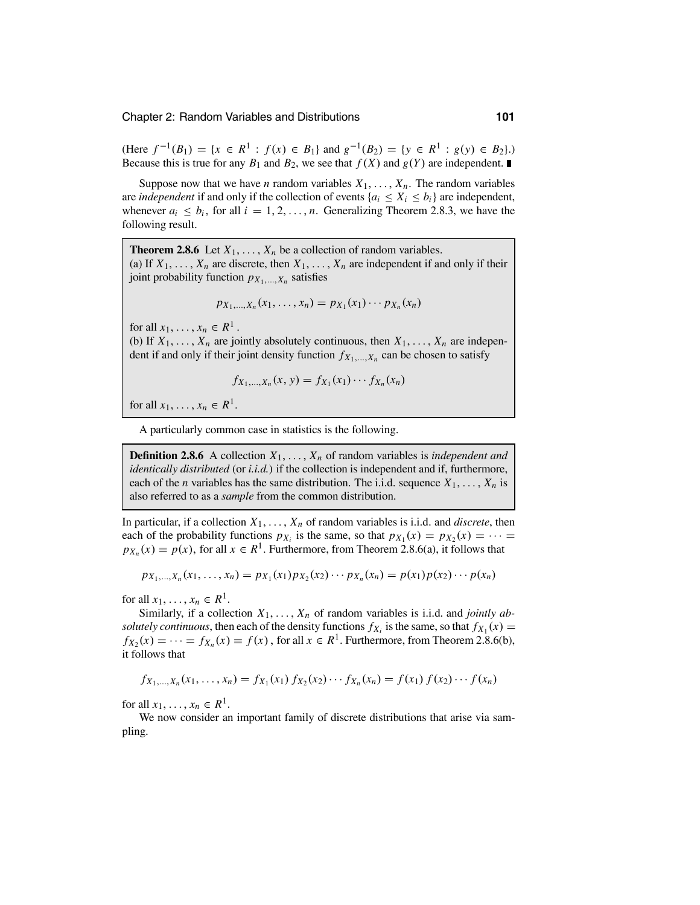(Here  $f^{-1}(B_1) = \{x \in R^1 : f(x) \in B_1\}$  and  $g^{-1}(B_2) = \{y \in R^1 : g(y) \in B_2\}$ .) Because this is true for any  $B_1$  and  $B_2$ , we see that  $f(X)$  and  $g(Y)$  are independent.

Suppose now that we have *n* random variables  $X_1, \ldots, X_n$ . The random variables are *independent* if and only if the collection of events  $\{a_i \leq X_i \leq b_i\}$  are independent, whenever  $a_i \leq b_i$ , for all  $i = 1, 2, \ldots, n$ . Generalizing Theorem 2.8.3, we have the following result.

**Theorem 2.8.6** Let  $X_1, \ldots, X_n$  be a collection of random variables. (a) If  $X_1, \ldots, X_n$  are discrete, then  $X_1, \ldots, X_n$  are independent if and only if their joint probability function  $p_{X_1,...,X_n}$  satisfies

$$
p_{X_1,...,X_n}(x_1,...,x_n) = p_{X_1}(x_1) \cdots p_{X_n}(x_n)
$$

for all  $x_1, \ldots, x_n \in R^1$ .

(b) If  $X_1, \ldots, X_n$  are jointly absolutely continuous, then  $X_1, \ldots, X_n$  are independent if and only if their joint density function  $f_{X_1,...,X_n}$  can be chosen to satisfy

$$
f_{X_1,...,X_n}(x, y) = f_{X_1}(x_1) \cdots f_{X_n}(x_n)
$$

for all  $x_1, \ldots, x_n \in R^1$ .

A particularly common case in statistics is the following.

**Definition 2.8.6** A collection  $X_1, \ldots, X_n$  of random variables is *independent and identically distributed* (or *i.i.d.*) if the collection is independent and if, furthermore, each of the *n* variables has the same distribution. The i.i.d. sequence  $X_1, \ldots, X_n$  is also referred to as a *sample* from the common distribution.

In particular, if a collection  $X_1, \ldots, X_n$  of random variables is i.i.d. and *discrete*, then each of the probability functions  $p_{X_i}$  is the same, so that  $p_{X_1}(x) = p_{X_2}(x) = \cdots$  $p_{X_n}(x) \equiv p(x)$ , for all  $x \in R^1$ . Furthermore, from Theorem 2.8.6(a), it follows that

$$
p_{X_1,...,X_n}(x_1,...,x_n)=p_{X_1}(x_1)p_{X_2}(x_2)\cdots p_{X_n}(x_n)=p(x_1)p(x_2)\cdots p(x_n)
$$

for all  $x_1, \ldots, x_n \in R^1$ .

Similarly, if a collection  $X_1, \ldots, X_n$  of random variables is i.i.d. and *jointly absolutely continuous*, then each of the density functions  $f_{X_i}$  is the same, so that  $f_{X_1}(x) =$  $f_{X_2}(x) = \cdots = f_{X_n}(x) \equiv f(x)$ , for all  $x \in R^1$ . Furthermore, from Theorem 2.8.6(b), it follows that

$$
f_{X_1,\ldots,X_n}(x_1,\ldots,x_n)=f_{X_1}(x_1)\,f_{X_2}(x_2)\cdots f_{X_n}(x_n)=f(x_1)\,f(x_2)\cdots f(x_n)
$$

for all  $x_1, \ldots, x_n \in R^1$ .

We now consider an important family of discrete distributions that arise via sampling.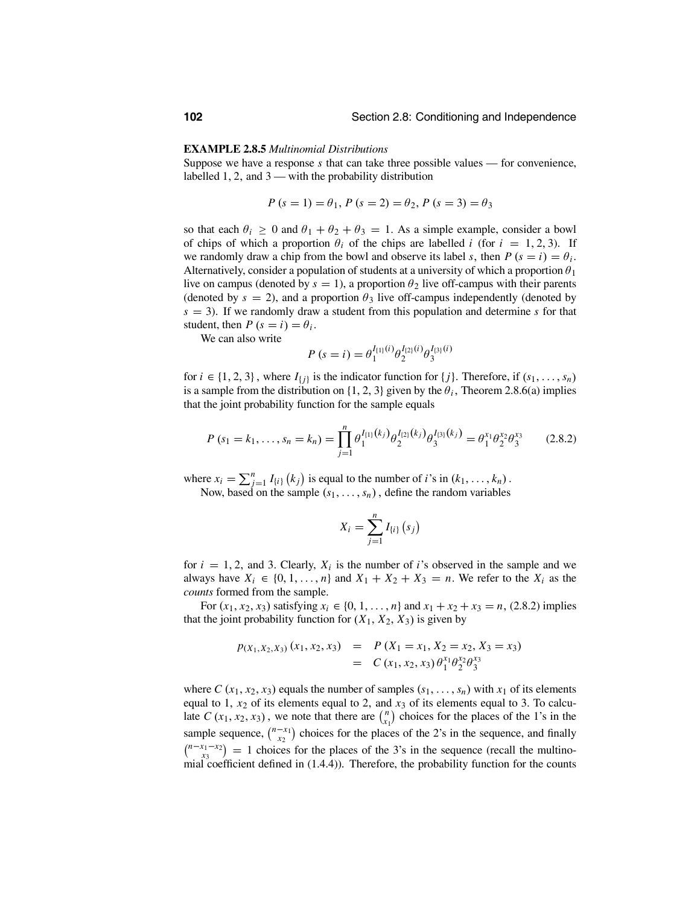#### **EXAMPLE 2.8.5** *Multinomial Distributions*

Suppose we have a response  $s$  that can take three possible values — for convenience, labelled  $1, 2$ , and  $3$  — with the probability distribution

$$
P(s = 1) = \theta_1, P(s = 2) = \theta_2, P(s = 3) = \theta_3
$$

so that each  $\theta_i \ge 0$  and  $\theta_1 + \theta_2 + \theta_3 = 1$ . As a simple example, consider a bowl of chips of which a proportion  $\theta_i$  of the chips are labelled *i* (for  $i = 1, 2, 3$ ). If we randomly draw a chip from the bowl and observe its label *s*, then  $P(s = i) = \theta_i$ . Alternatively, consider a population of students at a university of which a proportion  $\theta_1$ live on campus (denoted by  $s = 1$ ), a proportion  $\theta_2$  live off-campus with their parents (denoted by  $s = 2$ ), and a proportion  $\theta_3$  live off-campus independently (denoted by  $s = 3$ ). If we randomly draw a student from this population and determine *s* for that student, then  $P(s = i) = \theta_i$ .

We can also write

$$
P(s = i) = \theta_1^{I_{\{1\}}(i)} \theta_2^{I_{\{2\}}(i)} \theta_3^{I_{\{3\}}(i)}
$$

for  $i \in \{1, 2, 3\}$ , where  $I_{\{j\}}$  is the indicator function for  $\{j\}$ . Therefore, if  $(s_1, \ldots, s_n)$ is a sample from the distribution on  $\{1, 2, 3\}$  given by the  $\theta_i$ , Theorem 2.8.6(a) implies that the joint probability function for the sample equals

$$
P(s_1 = k_1, \dots, s_n = k_n) = \prod_{j=1}^n \theta_1^{I_{\{1\}}(k_j)} \theta_2^{I_{\{2\}}(k_j)} \theta_3^{I_{\{3\}}(k_j)} = \theta_1^{x_1} \theta_2^{x_2} \theta_3^{x_3} \qquad (2.8.2)
$$

where  $x_i = \sum_{j=1}^n I_{\{i\}}(k_j)$  is equal to the number of *i*'s in  $(k_1, \ldots, k_n)$ .

Now, based on the sample  $(s_1, \ldots, s_n)$ , define the random variables

$$
X_i = \sum_{j=1}^n I_{\{i\}}(s_j)
$$

for  $i = 1, 2$ , and 3. Clearly,  $X_i$  is the number of *i*'s observed in the sample and we always have  $X_i \in \{0, 1, \ldots, n\}$  and  $X_1 + X_2 + X_3 = n$ . We refer to the  $X_i$  as the *counts* formed from the sample.

For  $(x_1, x_2, x_3)$  satisfying  $x_i \in \{0, 1, ..., n\}$  and  $x_1 + x_2 + x_3 = n$ , (2.8.2) implies that the joint probability function for  $(X_1, X_2, X_3)$  is given by

$$
p_{(X_1, X_2, X_3)} (x_1, x_2, x_3) = P (X_1 = x_1, X_2 = x_2, X_3 = x_3)
$$
  
=  $C (x_1, x_2, x_3) \theta_1^{x_1} \theta_2^{x_2} \theta_3^{x_3}$ 

where *C* ( $x_1, x_2, x_3$ ) equals the number of samples ( $s_1, \ldots, s_n$ ) with  $x_1$  of its elements equal to 1,  $x_2$  of its elements equal to 2, and  $x_3$  of its elements equal to 3. To calculate *C* ( $x_1, x_2, x_3$ ), we note that there are  $\binom{n}{x_1}$  choices for the places of the 1's in the sample sequence,  $\binom{n-x_1}{x_2}$  choices for the places of the 2's in the sequence, and finally  $\binom{n-x_1-x_2}{x_3}$  = 1 choices for the places of the 3's in the sequence (recall the multinomial coefficient defined in (1.4.4)). Therefore, the probability function for the counts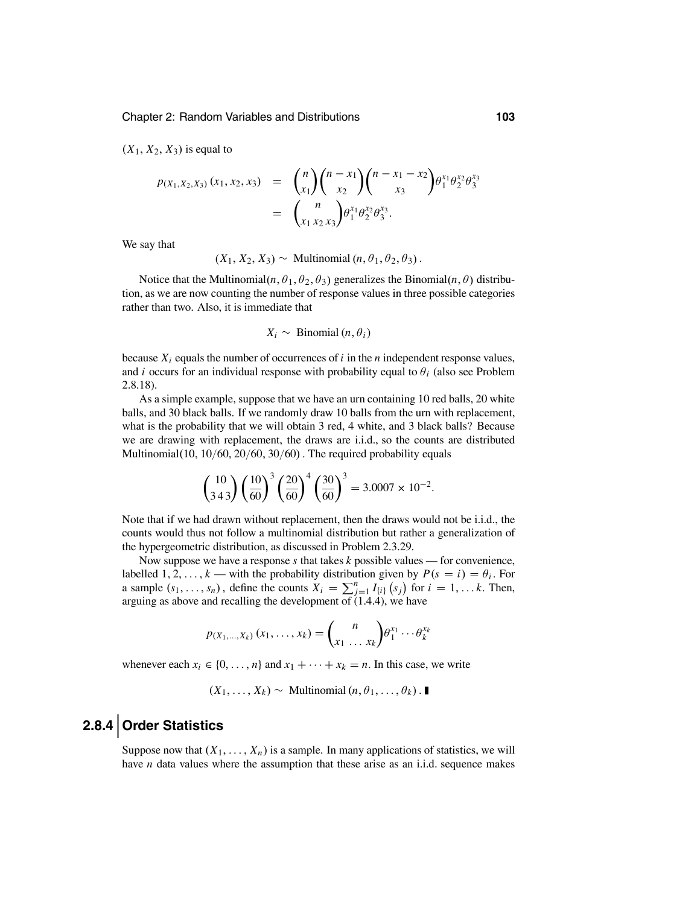$(X_1, X_2, X_3)$  is equal to

$$
p_{(X_1, X_2, X_3)} (x_1, x_2, x_3) = {n \choose x_1} {n - x_1 \choose x_2} {n - x_1 - x_2 \choose x_3} \theta_1^{x_1} \theta_2^{x_2} \theta_3^{x_3}
$$
  
=  ${n \choose x_1 x_2 x_3} \theta_1^{x_1} \theta_2^{x_2} \theta_3^{x_3}$ .

We say that

$$
(X_1, X_2, X_3) \sim \text{Multinomial}(n, \theta_1, \theta_2, \theta_3).
$$

Notice that the Multinomial $(n, \theta_1, \theta_2, \theta_3)$  generalizes the Binomial $(n, \theta)$  distribution, as we are now counting the number of response values in three possible categories rather than two. Also, it is immediate that

$$
X_i \sim \text{Binomial}(n, \theta_i)
$$

because  $X_i$  equals the number of occurrences of  $i$  in the  $n$  independent response values, and *i* occurs for an individual response with probability equal to  $\theta_i$  (also see Problem 2.8.18).

As a simple example, suppose that we have an urn containing 10 red balls, 20 white balls, and 30 black balls. If we randomly draw 10 balls from the urn with replacement, what is the probability that we will obtain 3 red, 4 white, and 3 black balls? Because we are drawing with replacement, the draws are i.i.d., so the counts are distributed Multinomial(10, 10/60, 20/60, 30/60) . The required probability equals

$$
\left(\frac{10}{343}\right)\left(\frac{10}{60}\right)^3\left(\frac{20}{60}\right)^4\left(\frac{30}{60}\right)^3 = 3.0007 \times 10^{-2}.
$$

Note that if we had drawn without replacement, then the draws would not be i.i.d., the counts would thus not follow a multinomial distribution but rather a generalization of the hypergeometric distribution, as discussed in Problem 2.3.29.

Now suppose we have a response *s* that takes *k* possible values — for convenience, labelled 1, 2, ...,  $k$  — with the probability distribution given by  $P(s = i) = \theta_i$ . For a sample  $(s_1, \ldots, s_n)$ , define the counts  $X_i = \sum_{j=1}^n I_{\{i\}}(s_j)$  for  $i = 1, \ldots k$ . Then, arguing as above and recalling the development of (1.4.4), we have

$$
p(x_1,...,x_k)(x_1,...,x_k) = {n \choose x_1...x_k} \theta_1^{x_1} \cdots \theta_k^{x_k}
$$

whenever each  $x_i \in \{0, \ldots, n\}$  and  $x_1 + \cdots + x_k = n$ . In this case, we write

$$
(X_1, \ldots, X_k) \sim \text{Multinomial}(n, \theta_1, \ldots, \theta_k) . \blacksquare
$$

# **2.8.4 Order Statistics**

Suppose now that  $(X_1, \ldots, X_n)$  is a sample. In many applications of statistics, we will have *n* data values where the assumption that these arise as an i.i.d. sequence makes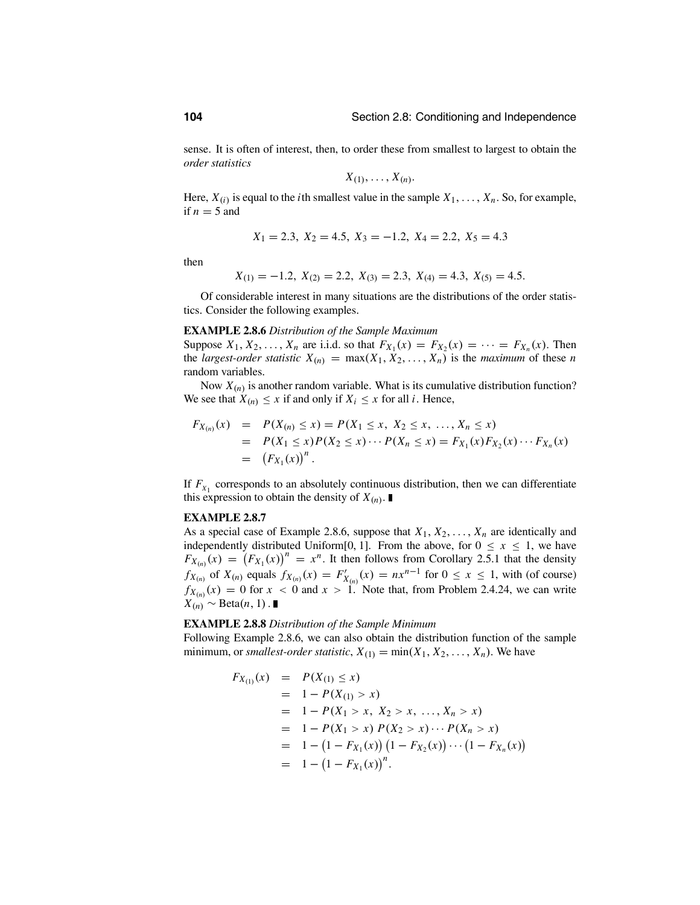sense. It is often of interest, then, to order these from smallest to largest to obtain the *order statistics*

$$
X_{(1)},\ldots,X_{(n)}
$$

Here,  $X_{(i)}$  is equal to the *i*th smallest value in the sample  $X_1, \ldots, X_n$ . So, for example, if  $n = 5$  and

$$
X_1 = 2.3
$$
,  $X_2 = 4.5$ ,  $X_3 = -1.2$ ,  $X_4 = 2.2$ ,  $X_5 = 4.3$ 

then

$$
X_{(1)} = -1.2
$$
,  $X_{(2)} = 2.2$ ,  $X_{(3)} = 2.3$ ,  $X_{(4)} = 4.3$ ,  $X_{(5)} = 4.5$ .

Of considerable interest in many situations are the distributions of the order statistics. Consider the following examples.

#### **EXAMPLE 2.8.6** *Distribution of the Sample Maximum*

Suppose  $X_1, X_2, ..., X_n$  are i.i.d. so that  $F_{X_1}(x) = F_{X_2}(x) = \cdots = F_{X_n}(x)$ . Then the *largest-order statistic*  $X_{(n)} = \max(X_1, X_2, \ldots, X_n)$  is the *maximum* of these *n* random variables.

Now  $X_{(n)}$  is another random variable. What is its cumulative distribution function? We see that  $X_{(n)} \leq x$  if and only if  $X_i \leq x$  for all *i*. Hence,

$$
F_{X_{(n)}}(x) = P(X_{(n)} \le x) = P(X_1 \le x, X_2 \le x, ..., X_n \le x)
$$
  
=  $P(X_1 \le x)P(X_2 \le x) \cdots P(X_n \le x) = F_{X_1}(x)F_{X_2}(x) \cdots F_{X_n}(x)$   
=  $(F_{X_1}(x))^n$ .

If  $F_{X_1}$  corresponds to an absolutely continuous distribution, then we can differentiate this expression to obtain the density of  $X_{(n)}$ .

#### **EXAMPLE 2.8.7**

As a special case of Example 2.8.6, suppose that  $X_1, X_2, \ldots, X_n$  are identically and independently distributed Uniform[0, 1]. From the above, for  $0 \le x \le 1$ , we have  $F_{X(n)}(x) = (F_{X_1}(x))^n = x^n$ . It then follows from Corollary 2.5.1 that the density *f*<sub>*X*(*n*)</sub> of *X*(*n*) equals  $f_{X(n)}(x) = F'_{X(n)}(x) = nx^{n-1}$  for  $0 \le x \le 1$ , with (of course)  $f_{X(n)}(x) = 0$  for  $x < 0$  and  $x > 1$ . Note that, from Problem 2.4.24, we can write  $X_{(n)}$  ∼ Beta $(n, 1)$ .

#### **EXAMPLE 2.8.8** *Distribution of the Sample Minimum*

Following Example 2.8.6, we can also obtain the distribution function of the sample minimum, or *smallest-order statistic*,  $X_{(1)} = min(X_1, X_2, \ldots, X_n)$ . We have

$$
F_{X_{(1)}}(x) = P(X_{(1)} \le x)
$$
  
= 1 - P(X<sub>(1)</sub> > x)  
= 1 - P(X<sub>1</sub> > x, X<sub>2</sub> > x, ..., X<sub>n</sub> > x)  
= 1 - P(X<sub>1</sub> > x) P(X<sub>2</sub> > x) \cdots P(X<sub>n</sub> > x)  
= 1 - (1 - F\_{X\_1}(x)) (1 - F\_{X\_2}(x)) \cdots (1 - F\_{X\_n}(x))  
= 1 - (1 - F\_{X\_1}(x))<sup>n</sup>.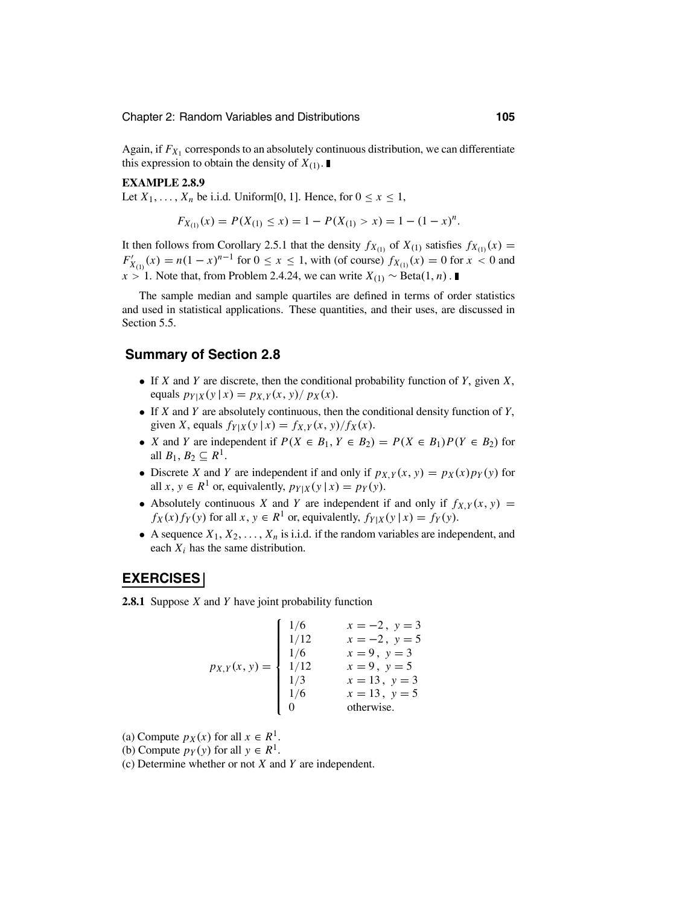Chapter 2: Random Variables and Distributions **105**

Again, if  $F_{X_1}$  corresponds to an absolutely continuous distribution, we can differentiate this expression to obtain the density of  $X_{(1)}$ .

#### **EXAMPLE 2.8.9**

Let  $X_1, \ldots, X_n$  be i.i.d. Uniform[0, 1]. Hence, for  $0 \le x \le 1$ ,

$$
F_{X_{(1)}}(x) = P(X_{(1)} \le x) = 1 - P(X_{(1)} > x) = 1 - (1 - x)^n.
$$

It then follows from Corollary 2.5.1 that the density  $f_{X_{(1)}}$  of  $X_{(1)}$  satisfies  $f_{X_{(1)}}(x) =$  $F'_{X_{(1)}}(x) = n(1-x)^{n-1}$  for  $0 \le x \le 1$ , with (of course)  $f_{X_{(1)}}(x) = 0$  for  $x < 0$  and *x* > 1. Note that, from Problem 2.4.24, we can write  $X_{(1)}$  ∼ Beta(1, *n*).

The sample median and sample quartiles are defined in terms of order statistics and used in statistical applications. These quantities, and their uses, are discussed in Section 5.5.

### **Summary of Section 2.8**

- If *<sup>X</sup>* and *<sup>Y</sup>* are discrete, then the conditional probability function of *<sup>Y</sup>*, given *<sup>X</sup>*, equals  $p_{Y|X}(y|x) = p_{X,Y}(x, y)/p_X(x)$ .
- If *<sup>X</sup>* and *<sup>Y</sup>* are absolutely continuous, then the conditional density function of *<sup>Y</sup>*, given *X*, equals  $f_{Y|X}(y|x) = f_{X,Y}(x, y)/f_X(x)$ .
- *X* and *Y* are independent if  $P(X \in B_1, Y \in B_2) = P(X \in B_1)P(Y \in B_2)$  for all  $B_1, B_2 \subset R^1$ .
- Discrete *X* and *Y* are independent if and only if  $p_{X,Y}(x, y) = p_X(x)p_Y(y)$  for all  $x, y \in R^1$  or, equivalently,  $p_{Y|X}(y|x) = p_Y(y)$ .
- Absolutely continuous *X* and *Y* are independent if and only if  $f_{X,Y}(x, y) =$  $f_X(x) f_Y(y)$  for all  $x, y \in R^1$  or, equivalently,  $f_{Y|X}(y | x) = f_Y(y)$ .
- A sequence  $X_1, X_2, \ldots, X_n$  is i.i.d. if the random variables are independent, and each  $X_i$  has the same distribution.

### **EXERCISES**

**2.8.1** Suppose *X* and *Y* have joint probability function

$$
p_{X,Y}(x, y) = \begin{cases} 1/6 & x = -2, y = 3 \\ 1/12 & x = -2, y = 5 \\ 1/6 & x = 9, y = 3 \\ 1/12 & x = 9, y = 5 \\ 1/3 & x = 13, y = 3 \\ 1/6 & x = 13, y = 5 \\ 0 & \text{otherwise.} \end{cases}
$$

- (a) Compute  $p_X(x)$  for all  $x \in R^1$ .
- (b) Compute  $p_Y(y)$  for all  $y \in R^1$ .
- (c) Determine whether or not *X* and *Y* are independent.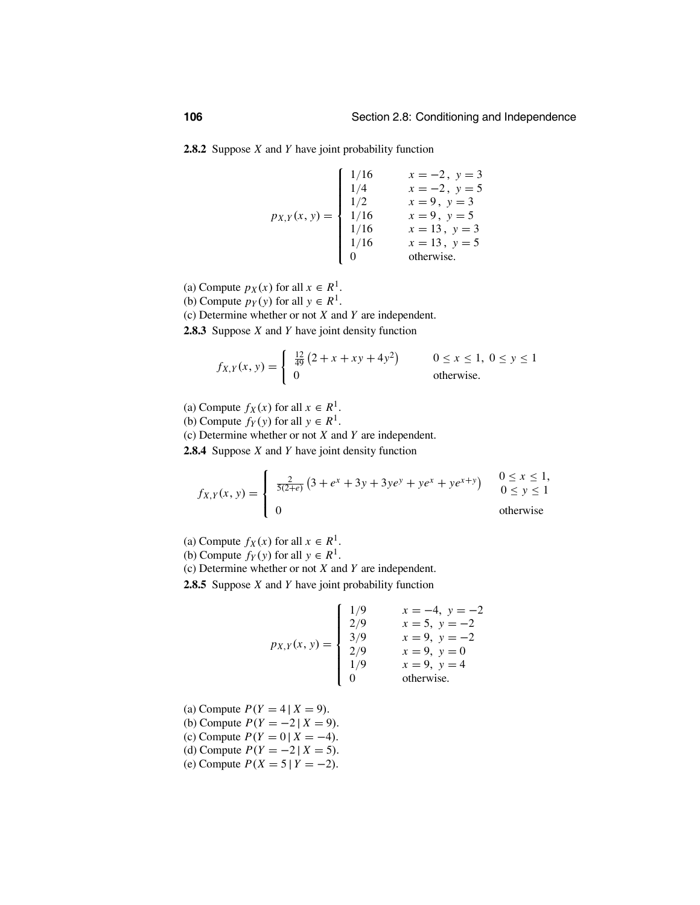**2.8.2** Suppose *X* and *Y* have joint probability function

$$
p_{X,Y}(x, y) = \begin{cases} 1/16 & x = -2, y = 3 \\ 1/4 & x = -2, y = 5 \\ 1/2 & x = 9, y = 3 \\ 1/16 & x = 9, y = 5 \\ 1/16 & x = 13, y = 3 \\ 1/16 & x = 13, y = 5 \\ 0 & \text{otherwise.} \end{cases}
$$

(a) Compute  $p_X(x)$  for all  $x \in R^1$ .

(b) Compute  $p_Y(y)$  for all  $y \in R^1$ .

(c) Determine whether or not *X* and *Y* are independent.

**2.8.3** Suppose *X* and *Y* have joint density function

$$
f_{X,Y}(x, y) = \begin{cases} \frac{12}{49} (2 + x + xy + 4y^2) & 0 \le x \le 1, \ 0 \le y \le 1\\ 0 & \text{otherwise.} \end{cases}
$$

(a) Compute  $f_X(x)$  for all  $x \in R^1$ .

(b) Compute  $f_Y(y)$  for all  $y \in R^1$ .

(c) Determine whether or not *X* and *Y* are independent.

**2.8.4** Suppose *X* and *Y* have joint density function

$$
f_{X,Y}(x, y) = \begin{cases} \frac{2}{5(2+e)} (3+e^x+3y+3ye^y+ye^x+ye^{x+y}) & 0 \le x \le 1, \\ 0 & 0 \le y \le 1 \end{cases}
$$
 otherwise

(a) Compute  $f_X(x)$  for all  $x \in R^1$ .

(b) Compute 
$$
f_Y(y)
$$
 for all  $y \in R^1$ 

(b) Compute  $f_Y(y)$  for all  $y \in R^1$ .<br>(c) Determine whether or not *X* and *Y* are independent.

**2.8.5** Suppose *X* and *Y* have joint probability function

$$
p_{X,Y}(x, y) = \begin{cases} 1/9 & x = -4, y = -2 \\ 2/9 & x = 5, y = -2 \\ 3/9 & x = 9, y = -2 \\ 2/9 & x = 9, y = 0 \\ 1/9 & x = 9, y = 4 \\ 0 & \text{otherwise.} \end{cases}
$$

(a) Compute  $P(Y = 4 | X = 9)$ . (b) Compute  $P(Y = -2 | X = 9)$ . (c) Compute  $P(Y = 0 | X = -4)$ . (d) Compute  $P(Y = -2 | X = 5)$ . (e) Compute  $P(X = 5 | Y = -2)$ .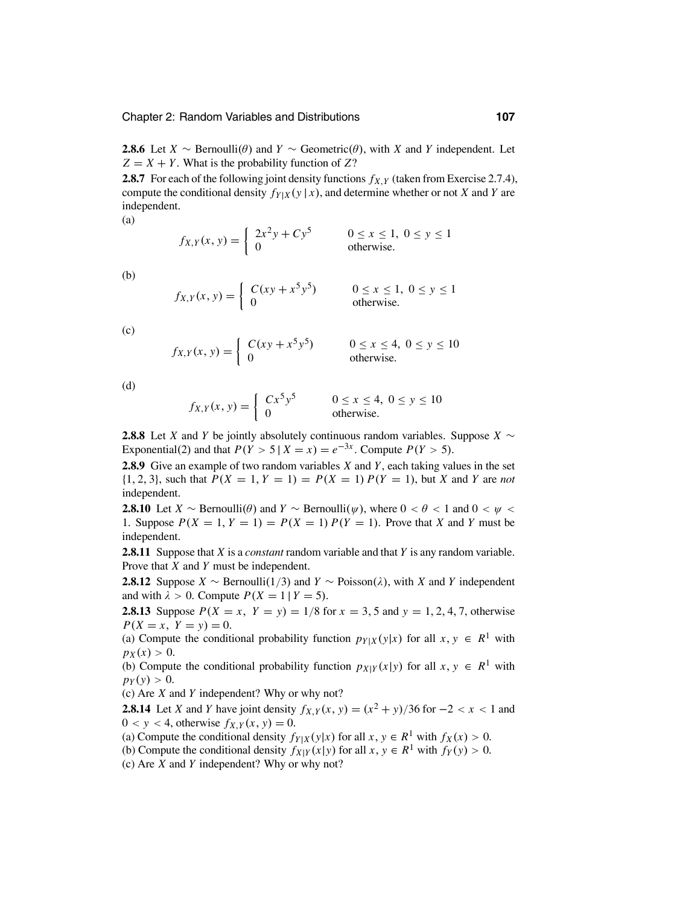**2.8.6** Let *X* ∼ Bernoulli( $\theta$ ) and *Y* ∼ Geometric( $\theta$ ), with *X* and *Y* independent. Let  $Z = X + Y$ . What is the probability function of *Z*?

**2.8.7** For each of the following joint density functions *fX*,*<sup>Y</sup>* (taken from Exercise 2.7.4), compute the conditional density  $f_{Y|X}(y|x)$ , and determine whether or not *X* and *Y* are independent. (a)

$$
f_{X,Y}(x, y) = \begin{cases} 2x^2y + Cy^5 & 0 \le x \le 1, \ 0 \le y \le 1\\ 0 & \text{otherwise.} \end{cases}
$$

(b)

$$
f_{X,Y}(x, y) = \begin{cases} C(xy + x^5y^5) & 0 \le x \le 1, \ 0 \le y \le 1\\ 0 & \text{otherwise.} \end{cases}
$$

(c)

$$
f_{X,Y}(x, y) = \begin{cases} C(xy + x^5y^5) & 0 \le x \le 4, \ 0 \le y \le 10\\ 0 & \text{otherwise.} \end{cases}
$$

(d)

$$
f_{X,Y}(x, y) = \begin{cases} Cx^5y^5 & 0 \le x \le 4, \ 0 \le y \le 10\\ 0 & \text{otherwise.} \end{cases}
$$

**2.8.8** Let *<sup>X</sup>* and *<sup>Y</sup>* be jointly absolutely continuous random variables. Suppose *<sup>X</sup>* <sup>∼</sup> Exponential(2) and that  $P(Y > 5 | X = x) = e^{-3x}$ . Compute  $P(Y > 5)$ .

**2.8.9** Give an example of two random variables *X* and *Y*, each taking values in the set  ${1, 2, 3}$ , such that  $P(X = 1, Y = 1) = P(X = 1) P(Y = 1)$ , but *X* and *Y* are *not* independent.

**2.8.10** Let *X* ∼ Bernoulli( $\theta$ ) and *Y* ∼ Bernoulli( $\psi$ ), where 0 <  $\theta$  < 1 and 0 <  $\psi$  < 1. Suppose  $P(X = 1, Y = 1) = P(X = 1) P(Y = 1)$ . Prove that *X* and *Y* must be independent.

**2.8.11** Suppose that *X* is a *constant* random variable and that *Y* is any random variable. Prove that *X* and *Y* must be independent.

**2.8.12** Suppose *X* ∼ Bernoulli(1/3) and *Y* ∼ Poisson( $\lambda$ ), with *X* and *Y* independent and with  $\lambda > 0$ . Compute  $P(X = 1 | Y = 5)$ .

**2.8.13** Suppose  $P(X = x, Y = y) = 1/8$  for  $x = 3, 5$  and  $y = 1, 2, 4, 7$ , otherwise  $P(X = x, Y = y) = 0.$ 

(a) Compute the conditional probability function  $p_{Y|X}(y|x)$  for all  $x, y \in R^1$  with  $p_X(x) > 0.$ 

(b) Compute the conditional probability function  $p_{X|Y}(x|y)$  for all  $x, y \in R^1$  with  $p_Y(y) > 0$ .

(c) Are *X* and *Y* independent? Why or why not?

**2.8.14** Let *X* and *Y* have joint density  $f_{X,Y}(x, y) = (x^2 + y)/36$  for  $-2 < x < 1$  and  $0 < y < 4$ , otherwise  $f_{X,Y}(x, y) = 0$ .

(a) Compute the conditional density  $f_{Y|X}(y|x)$  for all  $x, y \in R^1$  with  $f_X(x) > 0$ .

(b) Compute the conditional density  $f_{X|Y}(x|y)$  for all  $x, y \in R^1$  with  $f_Y(y) > 0$ .

(c) Are *X* and *Y* independent? Why or why not?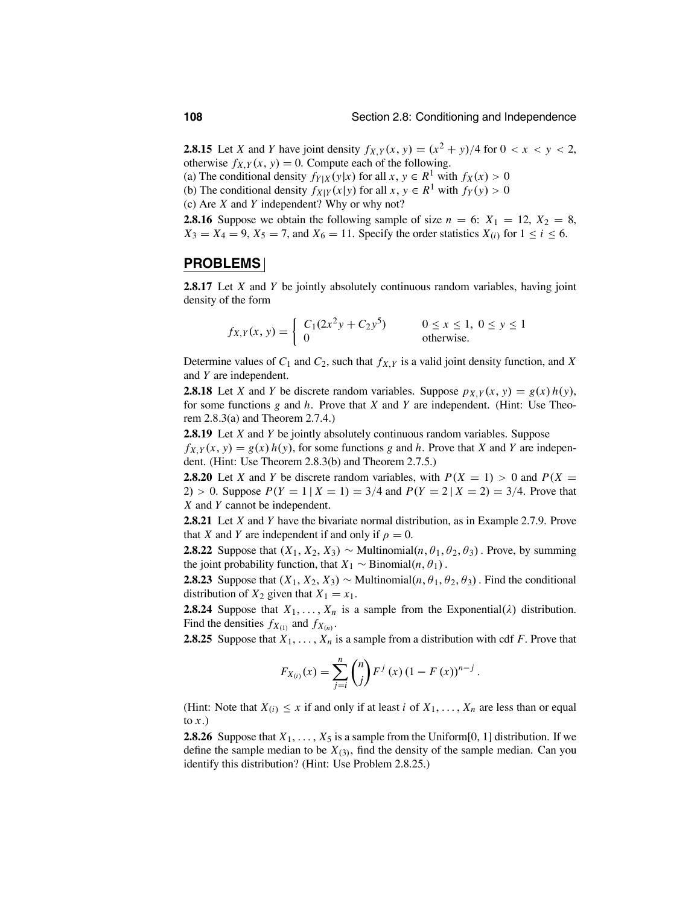**2.8.15** Let *X* and *Y* have joint density  $f_{X,Y}(x, y) = (x^2 + y)/4$  for  $0 < x < y < 2$ , otherwise  $f_{X,Y}(x, y) = 0$ . Compute each of the following.

(a) The conditional density  $f_{Y|X}(y|x)$  for all  $x, y \in R^1$  with  $f_X(x) > 0$ 

(b) The conditional density  $f_{X|Y}(x|y)$  for all  $x, y \in R^1$  with  $f_Y(y) > 0$ 

(c) Are *X* and *Y* independent? Why or why not?

**2.8.16** Suppose we obtain the following sample of size  $n = 6$ :  $X_1 = 12$ ,  $X_2 = 8$ ,  $X_3 = X_4 = 9$ ,  $X_5 = 7$ , and  $X_6 = 11$ . Specify the order statistics  $X_{(i)}$  for  $1 \le i \le 6$ .

### **PROBLEMS**

**2.8.17** Let *X* and *Y* be jointly absolutely continuous random variables, having joint density of the form

$$
f_{X,Y}(x, y) = \begin{cases} C_1(2x^2y + C_2y^5) & 0 \le x \le 1, \ 0 \le y \le 1\\ 0 & \text{otherwise.} \end{cases}
$$

Determine values of  $C_1$  and  $C_2$ , such that  $f_{X,Y}$  is a valid joint density function, and X and *Y* are independent.

**2.8.18** Let *X* and *Y* be discrete random variables. Suppose  $p_{X,Y}(x, y) = g(x)h(y)$ , for some functions *g* and *h*. Prove that *X* and *Y* are independent. (Hint: Use Theorem 2.8.3(a) and Theorem 2.7.4.)

**2.8.19** Let *X* and *Y* be jointly absolutely continuous random variables. Suppose  $f_X$ ,  $\gamma(x, y) = g(x) h(y)$ , for some functions *g* and *h*. Prove that *X* and *Y* are independent. (Hint: Use Theorem 2.8.3(b) and Theorem 2.7.5.)

**2.8.20** Let *X* and *Y* be discrete random variables, with  $P(X = 1) > 0$  and  $P(X = 1)$ 2) > 0. Suppose  $P(Y = 1 | X = 1) = 3/4$  and  $P(Y = 2 | X = 2) = 3/4$ . Prove that *X* and *Y* cannot be independent.

**2.8.21** Let *X* and *Y* have the bivariate normal distribution, as in Example 2.7.9. Prove that *X* and *Y* are independent if and only if  $\rho = 0$ .

**2.8.22** Suppose that  $(X_1, X_2, X_3) \sim \text{Multinomial}(n, \theta_1, \theta_2, \theta_3)$ . Prove, by summing the joint probability function, that  $X_1 \sim \text{Binomial}(n, \theta_1)$ .

**2.8.23** Suppose that  $(X_1, X_2, X_3) \sim \text{Multinomial}(n, \theta_1, \theta_2, \theta_3)$ . Find the conditional distribution of  $X_2$  given that  $X_1 = x_1$ .

**2.8.24** Suppose that  $X_1, \ldots, X_n$  is a sample from the Exponential( $\lambda$ ) distribution. Find the densities  $f_{X_{(1)}}$  and  $f_{X_{(n)}}$ .

**2.8.25** Suppose that  $X_1, \ldots, X_n$  is a sample from a distribution with cdf *F*. Prove that

$$
F_{X_{(i)}}(x) = \sum_{j=i}^{n} {n \choose j} F^{j} (x) (1 - F (x))^{n-j}.
$$

(Hint: Note that  $X(i) \leq x$  if and only if at least *i* of  $X_1, \ldots, X_n$  are less than or equal to  $x$ .)

**2.8.26** Suppose that  $X_1, \ldots, X_5$  is a sample from the Uniform[0, 1] distribution. If we define the sample median to be  $X_{(3)}$ , find the density of the sample median. Can you identify this distribution? (Hint: Use Problem 2.8.25.)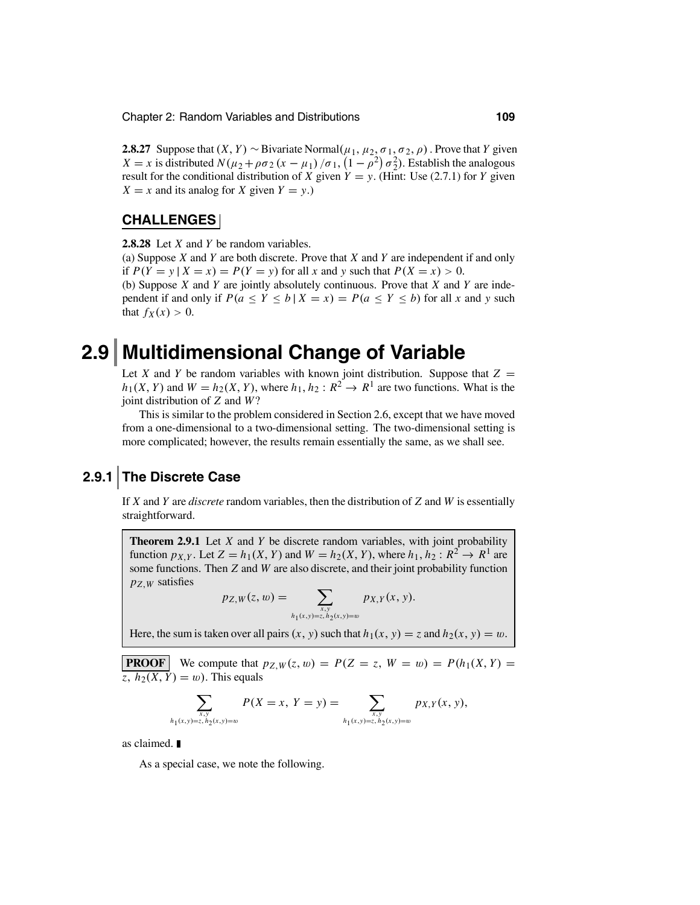**2.8.27** Suppose that  $(X, Y) \sim$  Bivariate Normal $(\mu_1, \mu_2, \sigma_1, \sigma_2, \rho)$ . Prove that *Y* given  $X = x$  is distributed  $N(\mu_2 + \rho \sigma_2 (x - \mu_1) / \sigma_1, (1 - \rho^2) \sigma_2^2)$ . Establish the analogous result for the conditional distribution of *X* given  $\hat{Y} = y$ . (Hint: Use (2.7.1) for *Y* given  $X = x$  and its analog for *X* given  $Y = y$ .)

### **CHALLENGES**

**2.8.28** Let *X* and *Y* be random variables.

(a) Suppose *X* and *Y* are both discrete. Prove that *X* and *Y* are independent if and only if  $P(Y = y | X = x) = P(Y = y)$  for all *x* and *y* such that  $P(X = x) > 0$ .

(b) Suppose *X* and *Y* are jointly absolutely continuous. Prove that *X* and *Y* are independent if and only if  $P(a \le Y \le b \mid X = x) = P(a \le Y \le b)$  for all x and y such that  $f_X(x) > 0$ .

# **2.9 Multidimensional Change of Variable**

Let *X* and *Y* be random variables with known joint distribution. Suppose that  $Z =$  $h_1(X, Y)$  and  $W = h_2(X, Y)$ , where  $h_1, h_2: R^2 \rightarrow R^1$  are two functions. What is the joint distribution of *Z* and *W*?

This is similar to the problem considered in Section 2.6, except that we have moved from a one-dimensional to a two-dimensional setting. The two-dimensional setting is more complicated; however, the results remain essentially the same, as we shall see.

### **2.9.1 The Discrete Case**

If *X* and *Y* are *discrete* random variables, then the distribution of *Z* and *W* is essentially straightforward.

**Theorem 2.9.1** Let *X* and *Y* be discrete random variables, with joint probability function  $p_{X,Y}$ . Let  $Z = h_1(X, Y)$  and  $W = h_2(X, Y)$ , where  $h_1, h_2 : R^2 \to R^1$  are some functions. Then *Z* and *W* are also discrete, and their joint probability function *pZ*,*<sup>W</sup>* satisfies

 $p_{Z,W}(z, w) = \sum_{\substack{x,y \ n_1(x,y)=z, h_2(x,y)=w}}$  $p_{X,Y}(x, y)$ .

Here, the sum is taken over all pairs  $(x, y)$  such that  $h_1(x, y) = z$  and  $h_2(x, y) = w$ .

**PROOF** We compute that  $p_{Z,W}(z, w) = P(Z = z, W = w) = P(h_1(X, Y))$  $z, h_2(X, Y) = w$ ). This equals

$$
\sum_{\substack{x,y\\ h_1(x,y)=z, h_2(x,y)=w}} P(X=x, Y=y) = \sum_{\substack{x,y\\ h_1(x,y)=z, h_2(x,y)=w}} p_{X,Y}(x, y),
$$

as claimed.

As a special case, we note the following.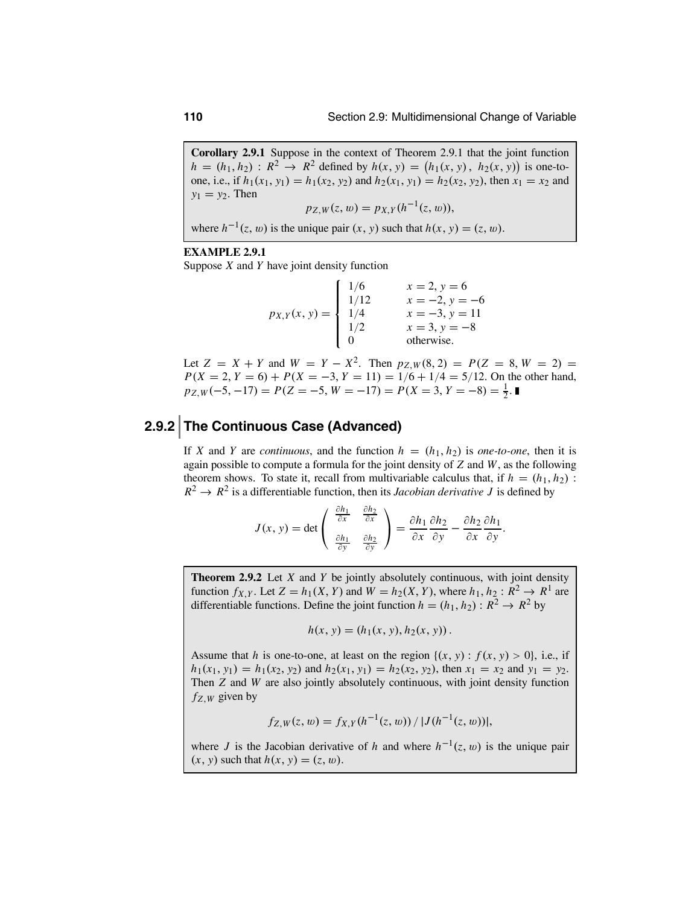**Corollary 2.9.1** Suppose in the context of Theorem 2.9.1 that the joint function  $h = (h_1, h_2) : R^2 \to R^2$  defined by  $h(x, y) = (h_1(x, y), h_2(x, y))$  is one-toone, i.e., if  $h_1(x_1, y_1) = h_1(x_2, y_2)$  and  $h_2(x_1, y_1) = h_2(x_2, y_2)$ , then  $x_1 = x_2$  and  $y_1 = y_2$ . Then  $pz_{\mathcal{X}}(z,w) = px_{\mathcal{X}}(h^{-1}(z,w)),$ where  $h^{-1}(z, w)$  is the unique pair  $(x, y)$  such that  $h(x, y) = (z, w)$ .

### **EXAMPLE 2.9.1**

Suppose *X* and *Y* have joint density function

| $p_{X,Y}(x, y) = \begin{cases} 1/6 \\ 1/12 \\ 1/4 \end{cases}$ | $x = 2, y = 6$<br>$x = -2, y = -6$<br>$x = -3, y = 11$<br>$x = 3, y = -8$<br>otherwise. |
|----------------------------------------------------------------|-----------------------------------------------------------------------------------------|
|                                                                |                                                                                         |

Let  $Z = X + Y$  and  $W = Y - X^2$ . Then  $p_{Z,W}(8, 2) = P(Z = 8, W = 2)$  $P(X = 2, Y = 6) + P(X = -3, Y = 11) = 1/6 + 1/4 = 5/12$ . On the other hand,  $p_{Z,W}(-5, -17) = P(Z = -5, W = -17) = P(X = 3, Y = -8) = \frac{1}{2}.$ 

### **2.9.2 The Continuous Case (Advanced)**

If *X* and *Y* are *continuous*, and the function  $h = (h_1, h_2)$  is *one-to-one*, then it is again possible to compute a formula for the joint density of *Z* and *W*, as the following theorem shows. To state it, recall from multivariable calculus that, if  $h = (h_1, h_2)$ :  $R^2 \rightarrow R^2$  is a differentiable function, then its *Jacobian derivative J* is defined by

$$
J(x, y) = \det \begin{pmatrix} \frac{\partial h_1}{\partial x} & \frac{\partial h_2}{\partial x} \\ \frac{\partial h_1}{\partial y} & \frac{\partial h_2}{\partial y} \end{pmatrix} = \frac{\partial h_1}{\partial x} \frac{\partial h_2}{\partial y} - \frac{\partial h_2}{\partial x} \frac{\partial h_1}{\partial y}.
$$

**Theorem 2.9.2** Let *X* and *Y* be jointly absolutely continuous, with joint density function  $f_{X,Y}$ . Let  $Z = h_1(X, Y)$  and  $W = h_2(X, Y)$ , where  $h_1, h_2 : R^2 \to R^1$  are differentiable functions. Define the joint function  $h = (h_1, h_2) : R^2 \to R^2$  by

$$
h(x, y) = (h_1(x, y), h_2(x, y))
$$

Assume that *h* is one-to-one, at least on the region  $\{(x, y) : f(x, y) > 0\}$ , i.e., if  $h_1(x_1, y_1) = h_1(x_2, y_2)$  and  $h_2(x_1, y_1) = h_2(x_2, y_2)$ , then  $x_1 = x_2$  and  $y_1 = y_2$ . Then *Z* and *W* are also jointly absolutely continuous, with joint density function  $f_{Z,W}$  given by

$$
f_{Z,W}(z,w) = f_{X,Y}(h^{-1}(z,w)) / |J(h^{-1}(z,w))|,
$$

where *J* is the Jacobian derivative of *h* and where  $h^{-1}(z, w)$  is the unique pair  $(x, y)$  such that  $h(x, y) = (z, w)$ .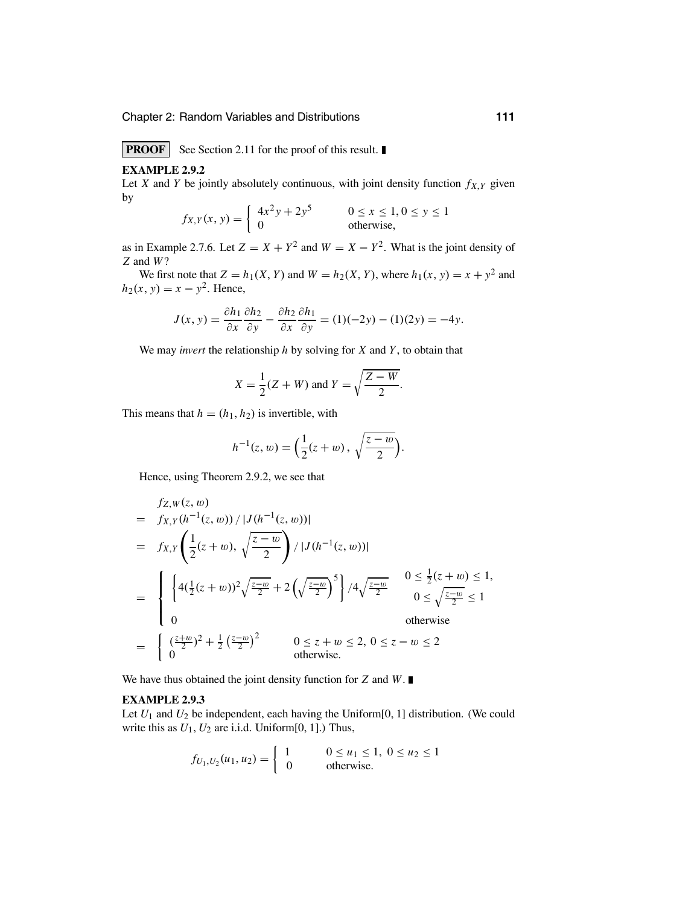Chapter 2: Random Variables and Distributions **111**

### **PROOF** See Section 2.11 for the proof of this result.

### **EXAMPLE 2.9.2**

Let *X* and *Y* be jointly absolutely continuous, with joint density function  $f_{X,Y}$  given by

$$
f_{X,Y}(x, y) = \begin{cases} 4x^2y + 2y^5 & 0 \le x \le 1, 0 \le y \le 1\\ 0 & \text{otherwise,} \end{cases}
$$

as in Example 2.7.6. Let  $Z = X + Y^2$  and  $W = X - Y^2$ . What is the joint density of *Z* and *W*?

We first note that  $Z = h_1(X, Y)$  and  $W = h_2(X, Y)$ , where  $h_1(x, y) = x + y^2$  and  $h_2(x, y) = x - y^2$ . Hence,

$$
J(x, y) = \frac{\partial h_1}{\partial x} \frac{\partial h_2}{\partial y} - \frac{\partial h_2}{\partial x} \frac{\partial h_1}{\partial y} = (1)(-2y) - (1)(2y) = -4y.
$$

We may *invert* the relationship *h* by solving for *X* and *Y*, to obtain that

$$
X = \frac{1}{2}(Z+W)
$$
 and 
$$
Y = \sqrt{\frac{Z-W}{2}}
$$
.

This means that  $h = (h_1, h_2)$  is invertible, with

$$
h^{-1}(z, w) = \left(\frac{1}{2}(z+w), \sqrt{\frac{z-w}{2}}\right).
$$

Hence, using Theorem 2.9.2, we see that

$$
f_{Z,W}(z, w)
$$
  
=  $f_{X,Y}(h^{-1}(z, w)) / |J(h^{-1}(z, w))|$   
=  $f_{X,Y}\left(\frac{1}{2}(z+w), \sqrt{\frac{z-w}{2}}\right) / |J(h^{-1}(z, w))|$   
=  $\left\{\begin{array}{cc} \left\{4(\frac{1}{2}(z+w))^2\sqrt{\frac{z-w}{2}} + 2(\sqrt{\frac{z-w}{2}})^5\right\} / 4\sqrt{\frac{z-w}{2}} & 0 \le \frac{1}{2}(z+w) \le 1, \\ 0 & 0 \le \sqrt{\frac{z-w}{2}} \le 1 \end{array}\right.$   
=  $\left\{\begin{array}{cc} (\frac{z+w}{2})^2 + \frac{1}{2}(\frac{z-w}{2})^2 & 0 \le z+w \le 2, 0 \le z-w \le 2\\ 0 & \text{otherwise.} \end{array}\right.$ 

We have thus obtained the joint density function for *Z* and *W*.

### **EXAMPLE 2.9.3**

Let  $U_1$  and  $U_2$  be independent, each having the Uniform<sup>[0, 1]</sup> distribution. (We could write this as  $U_1$ ,  $U_2$  are i.i.d. Uniform[0, 1].) Thus,

$$
f_{U_1, U_2}(u_1, u_2) = \begin{cases} 1 & 0 \le u_1 \le 1, \ 0 \le u_2 \le 1 \\ 0 & \text{otherwise.} \end{cases}
$$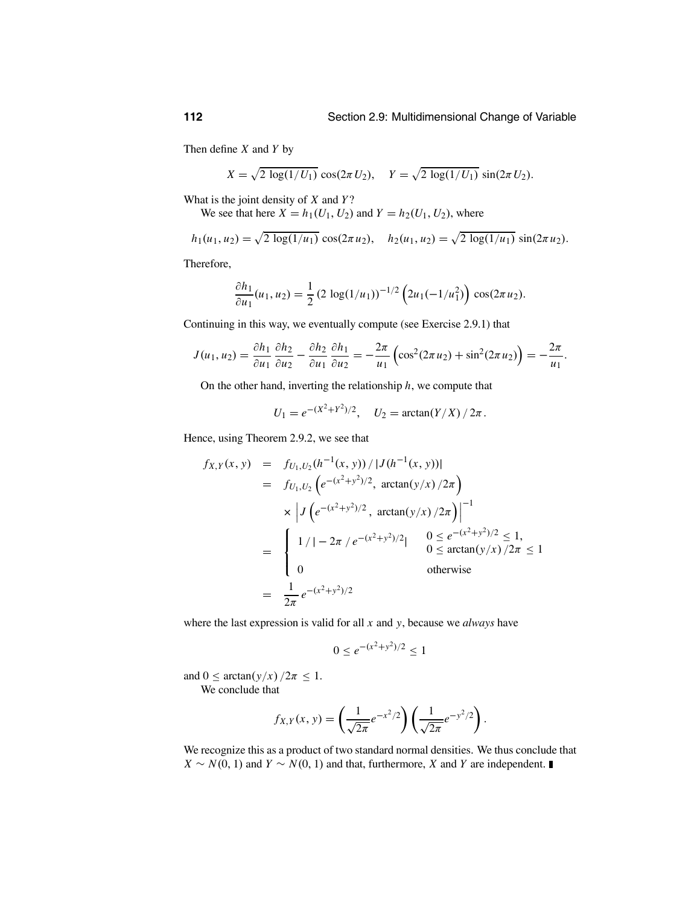Then define *X* and *Y* by

$$
X = \sqrt{2 \log(1/U_1)} \cos(2\pi U_2), \quad Y = \sqrt{2 \log(1/U_1)} \sin(2\pi U_2).
$$

What is the joint density of *X* and *Y*?

We see that here  $X = h_1(U_1, U_2)$  and  $Y = h_2(U_1, U_2)$ , where

$$
h_1(u_1, u_2) = \sqrt{2 \log(1/u_1)} \cos(2\pi u_2), \quad h_2(u_1, u_2) = \sqrt{2 \log(1/u_1)} \sin(2\pi u_2).
$$

Therefore,

$$
\frac{\partial h_1}{\partial u_1}(u_1, u_2) = \frac{1}{2} (2 \log(1/u_1))^{-1/2} \left(2u_1(-1/u_1^2)\right) \cos(2\pi u_2).
$$

Continuing in this way, we eventually compute (see Exercise 2.9.1) that

$$
J(u_1, u_2) = \frac{\partial h_1}{\partial u_1} \frac{\partial h_2}{\partial u_2} - \frac{\partial h_2}{\partial u_1} \frac{\partial h_1}{\partial u_2} = -\frac{2\pi}{u_1} \left( \cos^2(2\pi u_2) + \sin^2(2\pi u_2) \right) = -\frac{2\pi}{u_1}.
$$

On the other hand, inverting the relationship *h*, we compute that

$$
U_1 = e^{-(X^2 + Y^2)/2}
$$
,  $U_2 = \arctan(Y/X) / 2\pi$ .

Hence, using Theorem 2.9.2, we see that

$$
f_{X,Y}(x, y) = f_{U_1, U_2}(h^{-1}(x, y)) / |J(h^{-1}(x, y))|
$$
  
\n
$$
= f_{U_1, U_2}(e^{-(x^2+y^2)/2}, \arctan(y/x)/2\pi)
$$
  
\n
$$
\times |J(e^{-(x^2+y^2)/2}, \arctan(y/x)/2\pi)|^{-1}
$$
  
\n
$$
= \begin{cases} 1/|-2\pi/e^{-(x^2+y^2)/2}| & 0 \le e^{-(x^2+y^2)/2} \le 1, \\ 0 & 0 \le \arctan(y/x)/2\pi \le 1 \\ 0 & \text{otherwise} \end{cases}
$$
  
\n
$$
= \frac{1}{2\pi}e^{-(x^2+y^2)/2}
$$

where the last expression is valid for all *x* and *y*, because we *always* have

$$
0 \le e^{-(x^2+y^2)/2} \le 1
$$

and  $0 \leq \arctan(y/x)/2\pi \leq 1$ . We conclude that

$$
f_{X,Y}(x, y) = \left(\frac{1}{\sqrt{2\pi}}e^{-x^2/2}\right)\left(\frac{1}{\sqrt{2\pi}}e^{-y^2/2}\right).
$$

We recognize this as a product of two standard normal densities. We thus conclude that *X* ∼ *N*(0, 1) and *Y* ∼ *N*(0, 1) and that, furthermore, *X* and *Y* are independent.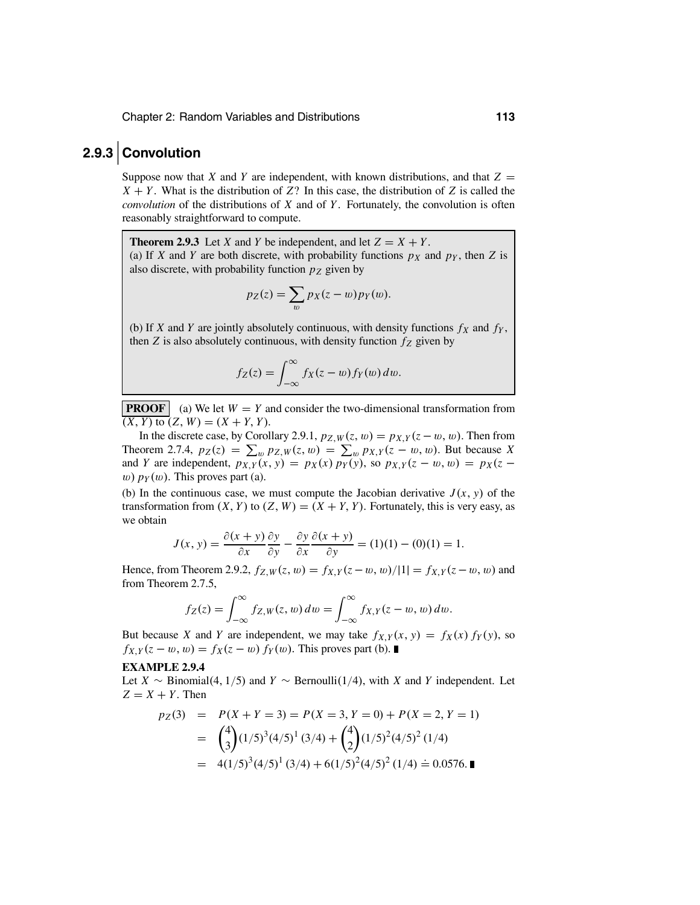Chapter 2: Random Variables and Distributions **113**

### **2.9.3 Convolution**

Suppose now that *X* and *Y* are independent, with known distributions, and that  $Z =$  $X + Y$ . What is the distribution of *Z*? In this case, the distribution of *Z* is called the *convolution* of the distributions of *X* and of *Y*. Fortunately, the convolution is often reasonably straightforward to compute.

**Theorem 2.9.3** Let *X* and *Y* be independent, and let  $Z = X + Y$ . (a) If *X* and *Y* are both discrete, with probability functions  $p<sub>X</sub>$  and  $p<sub>Y</sub>$ , then *Z* is also discrete, with probability function  $p_Z$  given by

$$
p_Z(z) = \sum_w p_X(z - w) p_Y(w).
$$

(b) If *X* and *Y* are jointly absolutely continuous, with density functions  $f_X$  and  $f_Y$ , then *Z* is also absolutely continuous, with density function  $f_Z$  given by

$$
f_Z(z) = \int_{-\infty}^{\infty} f_X(z - w) f_Y(w) \, dw.
$$

**PROOF** (a) We let  $W = Y$  and consider the two-dimensional transformation from  $(X, Y)$  to  $(Z, W) = (X + Y, Y).$ 

In the discrete case, by Corollary 2.9.1,  $p_{Z,W}(z, w) = p_{X,Y}(z - w, w)$ . Then from Theorem 2.7.4,  $p_Z(z) = \sum_{w} p_{Z,W}(z, w) = \sum_{w} p_{X,Y}(z - w, w)$ . But because *X* and *Y* are independent,  $p_{X,Y}(x, y) = p_X(x) p_Y(y)$ , so  $p_{X,Y}(z - w, w) = p_X(z - w)$  $w$ )  $p_Y(w)$ . This proves part (a).

(b) In the continuous case, we must compute the Jacobian derivative  $J(x, y)$  of the transformation from  $(X, Y)$  to  $(Z, W) = (X + Y, Y)$ . Fortunately, this is very easy, as we obtain

$$
J(x, y) = \frac{\partial(x + y)}{\partial x} \frac{\partial y}{\partial y} - \frac{\partial y}{\partial x} \frac{\partial(x + y)}{\partial y} = (1)(1) - (0)(1) = 1.
$$

Hence, from Theorem 2.9.2,  $f_{Z,W}(z, w) = f_{X,Y}(z-w, w)/|1| = f_{X,Y}(z-w, w)$  and from Theorem 2.7.5,

$$
f_Z(z) = \int_{-\infty}^{\infty} f_{Z,W}(z,w) \, dw = \int_{-\infty}^{\infty} f_{X,Y}(z-w,w) \, dw.
$$

But because *X* and *Y* are independent, we may take  $f_{X,Y}(x, y) = f_X(x) f_Y(y)$ , so  $f_{X,Y}(z-w, w) = f_X(z-w) f_Y(w)$ . This proves part (b).

### **EXAMPLE 2.9.4**

Let *X* ∼ Binomial(4, 1/5) and *Y* ∼ Bernoulli(1/4), with *X* and *Y* independent. Let  $Z = X + Y$ . Then

$$
p_Z(3) = P(X + Y = 3) = P(X = 3, Y = 0) + P(X = 2, Y = 1)
$$
  
= 
$$
{4 \choose 3} (1/5)^3 (4/5)^1 (3/4) + {4 \choose 2} (1/5)^2 (4/5)^2 (1/4)
$$
  
= 
$$
4(1/5)^3 (4/5)^1 (3/4) + 6(1/5)^2 (4/5)^2 (1/4) \approx 0.0576.
$$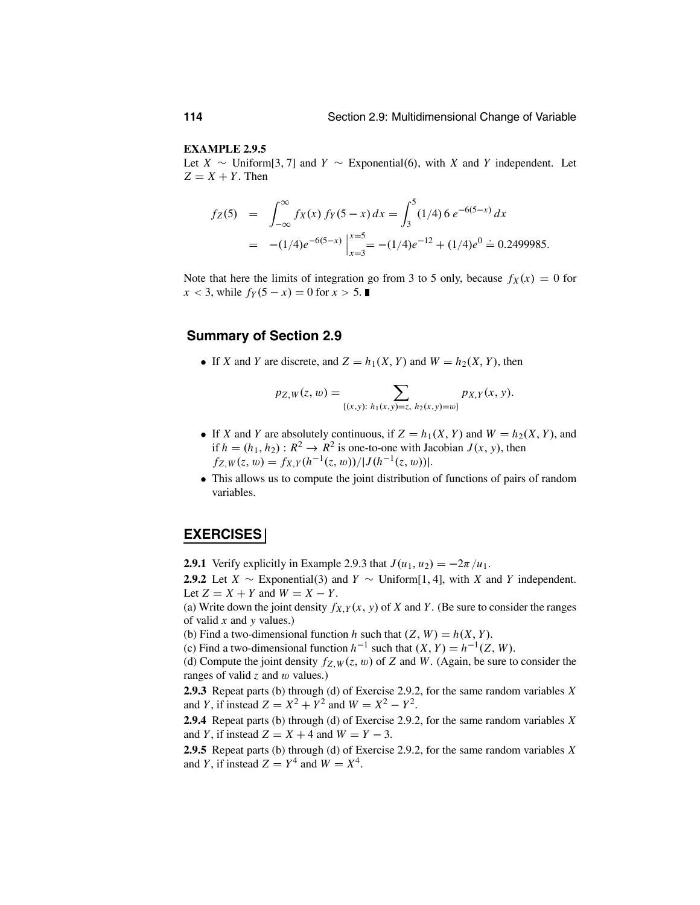#### **EXAMPLE 2.9.5**

Let *X* ∼ Uniform[3, 7] and *Y* ∼ Exponential(6), with *X* and *Y* independent. Let  $Z = X + Y$ . Then

$$
f_Z(5) = \int_{-\infty}^{\infty} f_X(x) f_Y(5-x) dx = \int_{3}^{5} (1/4) 6 e^{-6(5-x)} dx
$$
  
= -(1/4)e^{-6(5-x)}  $\Big|_{x=3}^{x=5} = -(1/4)e^{-12} + (1/4)e^0 \doteq 0.2499985.$ 

Note that here the limits of integration go from 3 to 5 only, because  $f_X(x) = 0$  for *x* < 3, while  $f_Y(5 - x) = 0$  for *x* > 5.■

### **Summary of Section 2.9**

• If *X* and *Y* are discrete, and  $Z = h_1(X, Y)$  and  $W = h_2(X, Y)$ , then

$$
p_{Z,W}(z,w) = \sum_{\{(x,y): h_1(x,y)=z, h_2(x,y)=w\}} p_{X,Y}(x,y).
$$

- If *X* and *Y* are absolutely continuous, if  $Z = h_1(X, Y)$  and  $W = h_2(X, Y)$ , and if  $h = (h_1, h_2)$ :  $R^2 \rightarrow R^2$  is one-to-one with Jacobian  $J(x, y)$ , then  $f_{Z,W}(z, w) = f_{X,Y}(h^{-1}(z, w))/|J(h^{-1}(z, w))|$ .
- This allows us to compute the joint distribution of functions of pairs of random variables.

### **EXERCISES**

**2.9.1** Verify explicitly in Example 2.9.3 that  $J(u_1, u_2) = -2\pi/u_1$ .

**2.9.2** Let *X* ∼ Exponential(3) and *Y* ∼ Uniform[1, 4], with *X* and *Y* independent. Let  $Z = X + Y$  and  $W = X - Y$ .

(a) Write down the joint density  $f_{X,Y}(x, y)$  of *X* and *Y*. (Be sure to consider the ranges of valid *x* and *y* values.)

(b) Find a two-dimensional function *h* such that  $(Z, W) = h(X, Y)$ .

(c) Find a two-dimensional function  $h^{-1}$  such that  $(X, Y) = h^{-1}(Z, W)$ .

(d) Compute the joint density  $f_{Z,W}(z, w)$  of *Z* and *W*. (Again, be sure to consider the ranges of valid *z* and *w* values.)

**2.9.3** Repeat parts (b) through (d) of Exercise 2.9.2, for the same random variables *X* and *Y*, if instead  $Z = X^2 + Y^2$  and  $W = X^2 - Y^2$ .

**2.9.4** Repeat parts (b) through (d) of Exercise 2.9.2, for the same random variables *X* and *Y*, if instead  $Z = X + 4$  and  $W = Y - 3$ .

**2.9.5** Repeat parts (b) through (d) of Exercise 2.9.2, for the same random variables *X* and *Y*, if instead  $Z = Y^4$  and  $W = X^4$ .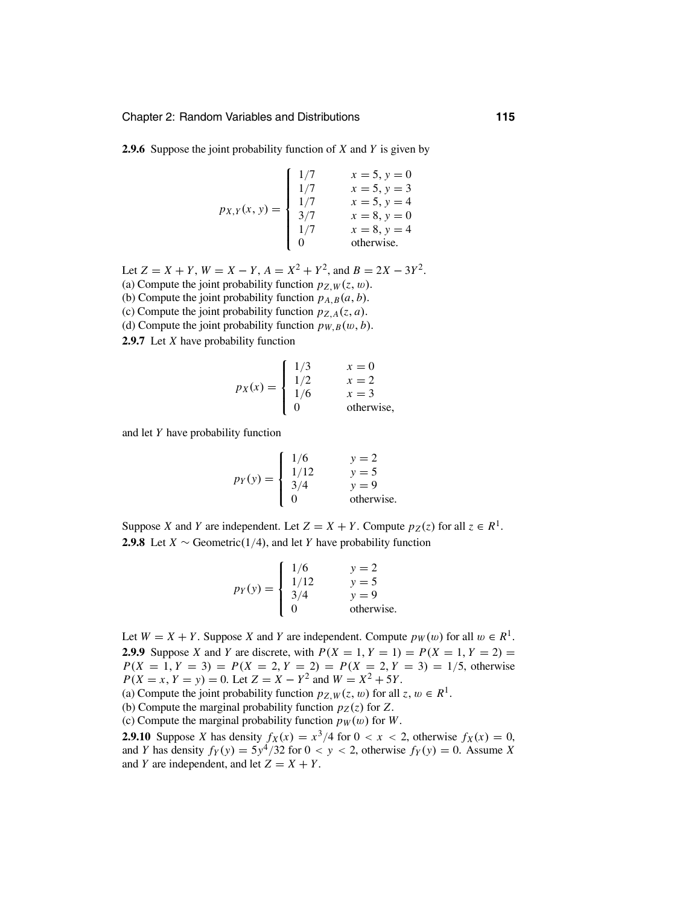**2.9.6** Suppose the joint probability function of *X* and *Y* is given by

$$
p_{X,Y}(x, y) = \begin{cases} 1/7 & x = 5, y = 0 \\ 1/7 & x = 5, y = 3 \\ 1/7 & x = 5, y = 4 \\ 3/7 & x = 8, y = 0 \\ 1/7 & x = 8, y = 4 \\ 0 & \text{otherwise.} \end{cases}
$$

Let  $Z = X + Y$ ,  $W = X - Y$ ,  $A = X^2 + Y^2$ , and  $B = 2X - 3Y^2$ . (a) Compute the joint probability function  $p_{Z,W}(z, w)$ . (b) Compute the joint probability function  $p_{A,B}(a, b)$ . (c) Compute the joint probability function  $p_{Z,A}(z, a)$ .

(d) Compute the joint probability function  $p_{W,B}(w, b)$ .

**2.9.7** Let *X* have probability function

$$
p_X(x) = \begin{cases} 1/3 & x = 0 \\ 1/2 & x = 2 \\ 1/6 & x = 3 \\ 0 & \text{otherwise,} \end{cases}
$$

and let *Y* have probability function

$$
p_Y(y) = \begin{cases} 1/6 & y = 2 \\ 1/12 & y = 5 \\ 3/4 & y = 9 \\ 0 & \text{otherwise.} \end{cases}
$$

Suppose *X* and *Y* are independent. Let  $Z = X + Y$ . Compute  $p_Z(z)$  for all  $z \in R^1$ . **2.9.8** Let *X* ∼ Geometric(1/4), and let *Y* have probability function

$$
p_Y(y) = \begin{cases} 1/6 & y = 2 \\ 1/12 & y = 5 \\ 3/4 & y = 9 \\ 0 & \text{otherwise.} \end{cases}
$$

Let  $W = X + Y$ . Suppose *X* and *Y* are independent. Compute  $p_W(w)$  for all  $w \in R^1$ . **2.9.9** Suppose *X* and *Y* are discrete, with  $P(X = 1, Y = 1) = P(X = 1, Y = 2) =$  $P(X = 1, Y = 3) = P(X = 2, Y = 2) = P(X = 2, Y = 3) = 1/5$ , otherwise *P*(*X* = *x*, *Y* = *y*) = 0. Let *Z* = *X* − *Y*<sup>2</sup> and *W* = *X*<sup>2</sup> + 5*Y*. (a) Compute the joint probability function  $p_Z w(z, w)$  for all  $z, w \in R^1$ . (b) Compute the marginal probability function  $p_Z(z)$  for Z. (c) Compute the marginal probability function  $p_W(w)$  for *W*. **2.9.10** Suppose *X* has density  $f_X(x) = x^3/4$  for  $0 < x < 2$ , otherwise  $f_X(x) = 0$ , and *Y* has density  $f_Y(y) = 5y^4/32$  for  $0 < y < 2$ , otherwise  $f_Y(y) = 0$ . Assume *X* and *Y* are independent, and let  $Z = X + Y$ .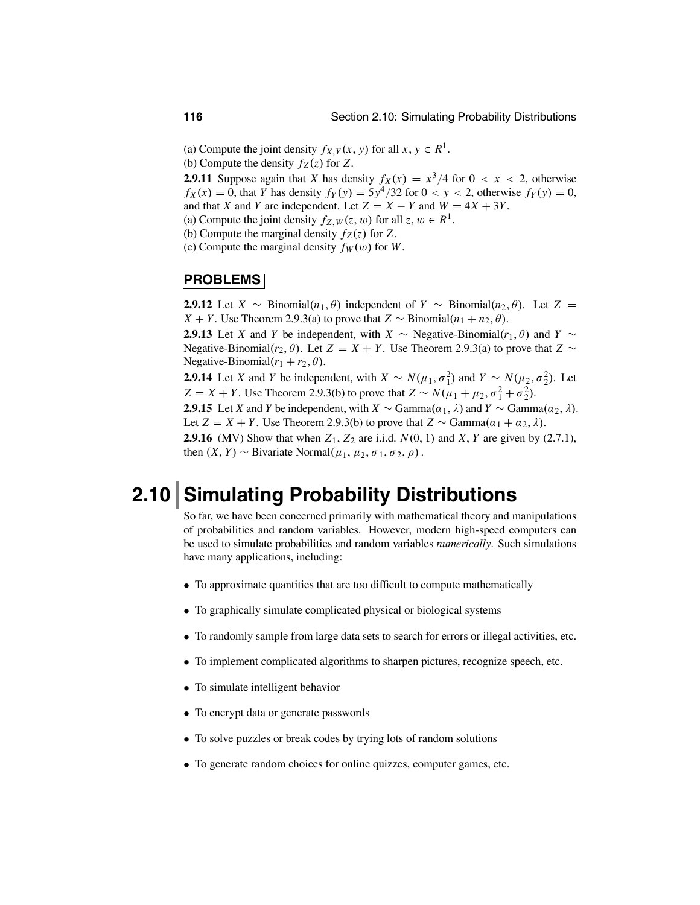(a) Compute the joint density  $f_{X,Y}(x, y)$  for all  $x, y \in R^1$ . (b) Compute the density  $f_Z(z)$  for  $Z$ .

**2.9.11** Suppose again that *X* has density  $f_X(x) = x^3/4$  for  $0 < x < 2$ , otherwise  $f_X(x) = 0$ , that *Y* has density  $f_Y(y) = 5y^4/32$  for  $0 < y < 2$ , otherwise  $f_Y(y) = 0$ , and that *X* and *Y* are independent. Let  $Z = X - Y$  and  $W = 4X + 3Y$ .

(a) Compute the joint density  $f_{Z,W}(z, w)$  for all  $z, w \in R<sup>1</sup>$ .

(b) Compute the marginal density  $f_Z(z)$  for  $Z$ .

(c) Compute the marginal density  $f_W(w)$  for *W*.

### **PROBLEMS**

**2.9.12** Let *X* ∼ Binomial( $n_1, \theta$ ) independent of *Y* ∼ Binomial( $n_2, \theta$ ). Let *Z* = *X* + *Y*. Use Theorem 2.9.3(a) to prove that *Z* ∼ Binomial( $n_1 + n_2, \theta$ ).

**2.9.13** Let *X* and *Y* be independent, with *X* ∼ Negative-Binomial( $r_1, \theta$ ) and *Y* ∼ Negative-Binomial( $r_2$ , $\theta$ ). Let  $Z = X + Y$ . Use Theorem 2.9.3(a) to prove that  $Z \sim$ Negative-Binomial $(r_1 + r_2, \theta)$ .

**2.9.14** Let *X* and *Y* be independent, with  $X \sim N(\mu_1, \sigma_1^2)$  and  $Y \sim N(\mu_2, \sigma_2^2)$ . Let *Z* = *X* + *Y*. Use Theorem 2.9.3(b) to prove that  $Z \sim N(\mu_1 + \mu_2, \sigma_1^2 + \sigma_2^2)$ .

**2.9.15** Let *X* and *Y* be independent, with *X* ∼ Gamma( $\alpha_1$ ,  $\lambda$ ) and *Y* ∼ Gamma( $\alpha_2$ ,  $\lambda$ ). Let *Z* = *X* + *Y*. Use Theorem 2.9.3(b) to prove that *Z* ~ Gamma $(a_1 + a_2, \lambda)$ .

**2.9.16** (MV) Show that when  $Z_1$ ,  $Z_2$  are i.i.d.  $N(0, 1)$  and  $X$ ,  $Y$  are given by (2.7.1), then  $(X, Y) \sim$  Bivariate Normal $(\mu_1, \mu_2, \sigma_1, \sigma_2, \rho)$ .

# **2.10 Simulating Probability Distributions**

So far, we have been concerned primarily with mathematical theory and manipulations of probabilities and random variables. However, modern high-speed computers can be used to simulate probabilities and random variables *numerically*. Such simulations have many applications, including:

- To approximate quantities that are too difficult to compute mathematically
- To graphically simulate complicated physical or biological systems
- To randomly sample from large data sets to search for errors or illegal activities, etc.
- To implement complicated algorithms to sharpen pictures, recognize speech, etc.
- To simulate intelligent behavior
- To encrypt data or generate passwords
- To solve puzzles or break codes by trying lots of random solutions
- To generate random choices for online quizzes, computer games, etc.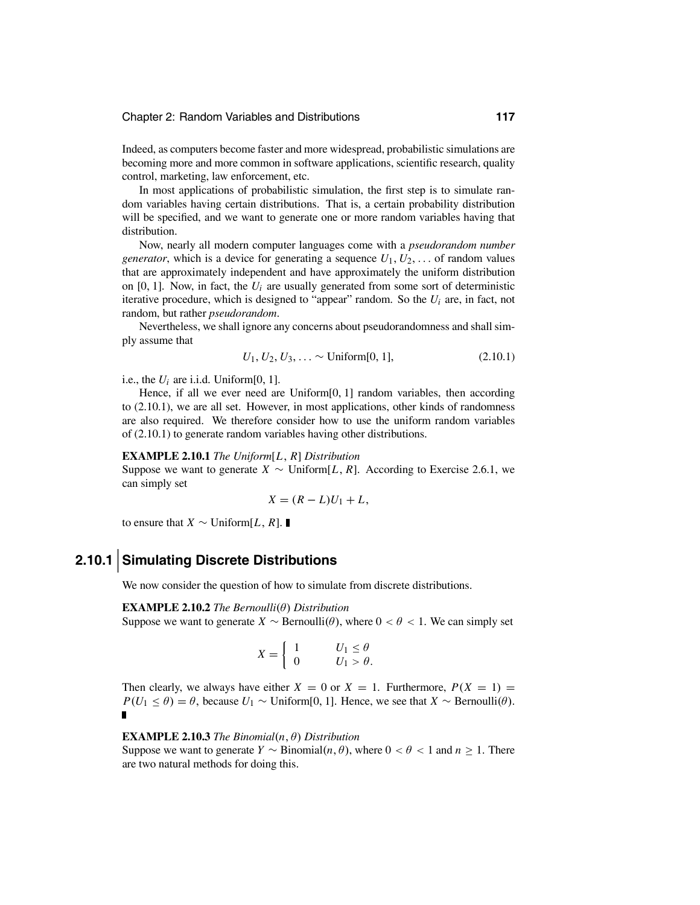Indeed, as computers become faster and more widespread, probabilistic simulations are becoming more and more common in software applications, scientific research, quality control, marketing, law enforcement, etc.

In most applications of probabilistic simulation, the first step is to simulate random variables having certain distributions. That is, a certain probability distribution will be specified, and we want to generate one or more random variables having that distribution.

Now, nearly all modern computer languages come with a *pseudorandom number generator*, which is a device for generating a sequence  $U_1, U_2, \ldots$  of random values that are approximately independent and have approximately the uniform distribution on  $[0, 1]$ . Now, in fact, the  $U_i$  are usually generated from some sort of deterministic iterative procedure, which is designed to "appear" random. So the  $U_i$  are, in fact, not random, but rather *pseudorandom*.

Nevertheless, we shall ignore any concerns about pseudorandomness and shall simply assume that

$$
U_1, U_2, U_3, \ldots \sim \text{Uniform}[0, 1],
$$
 (2.10.1)

i.e., the  $U_i$  are i.i.d. Uniform [0, 1].

Hence, if all we ever need are Uniform[0, 1] random variables, then according to (2.10.1), we are all set. However, in most applications, other kinds of randomness are also required. We therefore consider how to use the uniform random variables of (2.10.1) to generate random variables having other distributions.

#### **EXAMPLE 2.10.1** *The Uniform*[*L*, *R*] *Distribution*

Suppose we want to generate  $X \sim$  Uniform[ $L, R$ ]. According to Exercise 2.6.1, we can simply set

$$
X = (R - L)U_1 + L,
$$

to ensure that *X* ∼ Uniform[*L*, *R*]. ■

### **2.10.1 Simulating Discrete Distributions**

We now consider the question of how to simulate from discrete distributions.

### **EXAMPLE 2.10.2** *The Bernoulli*(θ) *Distribution* Suppose we want to generate *X* ∼ Bernoulli( $\theta$ ), where  $0 < \theta < 1$ . We can simply set

$$
X = \begin{cases} 1 & U_1 \le \theta \\ 0 & U_1 > \theta. \end{cases}
$$

Then clearly, we always have either  $X = 0$  or  $X = 1$ . Furthermore,  $P(X = 1) =$ *P*(*U*<sub>1</sub> ≤  $\theta$ ) =  $\theta$ , because *U*<sub>1</sub> ∼ Uniform[0, 1]. Hence, we see that *X* ∼ Bernoulli( $\theta$ ).

#### **EXAMPLE 2.10.3** *The Binomial* $(n, \theta)$  *Distribution*

Suppose we want to generate *Y* ∼ Binomial $(n, \theta)$ , where  $0 < \theta < 1$  and  $n > 1$ . There are two natural methods for doing this.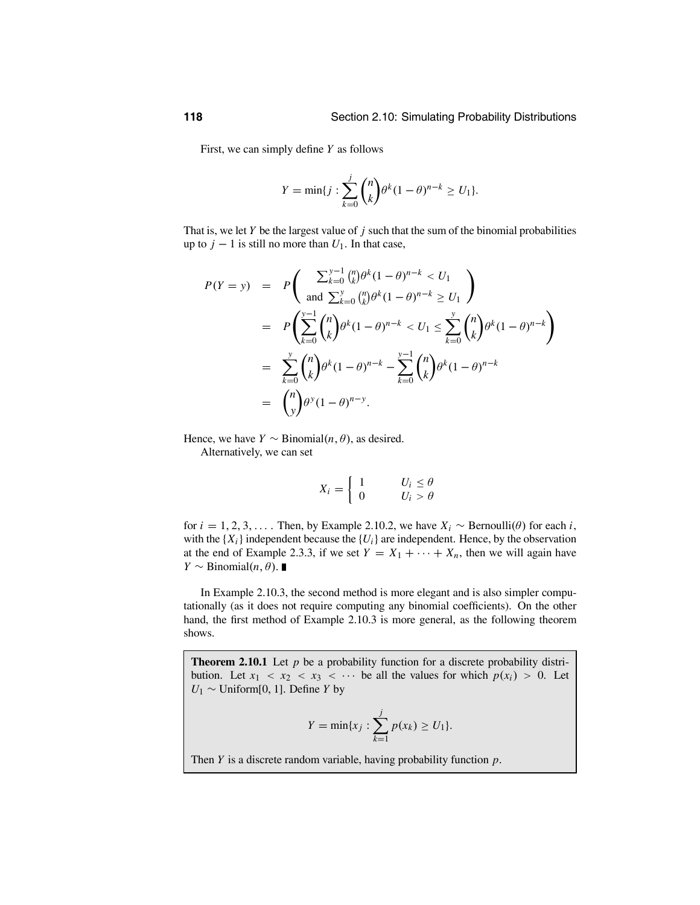First, we can simply define *Y* as follows

$$
Y = \min\{j : \sum_{k=0}^{j} {n \choose k} \theta^k (1-\theta)^{n-k} \ge U_1\}.
$$

That is, we let *Y* be the largest value of *j* such that the sum of the binomial probabilities up to  $j - 1$  is still no more than  $U_1$ . In that case,

$$
P(Y = y) = P\left(\begin{array}{c}\sum_{k=0}^{y-1} {n \choose k} \theta^k (1-\theta)^{n-k} < U_1\\ \text{and } \sum_{k=0}^{y} {n \choose k} \theta^k (1-\theta)^{n-k} > U_1 \end{array}\right)
$$
\n
$$
= P\left(\sum_{k=0}^{y-1} {n \choose k} \theta^k (1-\theta)^{n-k} < U_1 \le \sum_{k=0}^{y} {n \choose k} \theta^k (1-\theta)^{n-k}\right)
$$
\n
$$
= \sum_{k=0}^{y} {n \choose k} \theta^k (1-\theta)^{n-k} - \sum_{k=0}^{y-1} {n \choose k} \theta^k (1-\theta)^{n-k}
$$
\n
$$
= {n \choose y} \theta^y (1-\theta)^{n-y}.
$$

Hence, we have *Y*  $\sim$  Binomial $(n, \theta)$ , as desired. Alternatively, we can set

$$
X_i = \left\{ \begin{array}{ll} 1 & U_i \le \theta \\ 0 & U_i > \theta \end{array} \right.
$$

for  $i = 1, 2, 3, \ldots$ . Then, by Example 2.10.2, we have  $X_i \sim \text{Bernoulli}(\theta)$  for each *i*, with the  ${X_i}$  independent because the  ${U_i}$  are independent. Hence, by the observation at the end of Example 2.3.3, if we set  $Y = X_1 + \cdots + X_n$ , then we will again have *Y* ∼ Binomial $(n, \theta)$ .

In Example 2.10.3, the second method is more elegant and is also simpler computationally (as it does not require computing any binomial coefficients). On the other hand, the first method of Example 2.10.3 is more general, as the following theorem shows.

**Theorem 2.10.1** Let *p* be a probability function for a discrete probability distribution. Let  $x_1 < x_2 < x_3 < \cdots$  be all the values for which  $p(x_i) > 0$ . Let *U*<sub>1</sub> ∼ Uniform[0, 1]. Define *Y* by

$$
Y = \min\{x_j : \sum_{k=1}^j p(x_k) \ge U_1\}.
$$

Then *Y* is a discrete random variable, having probability function *p*.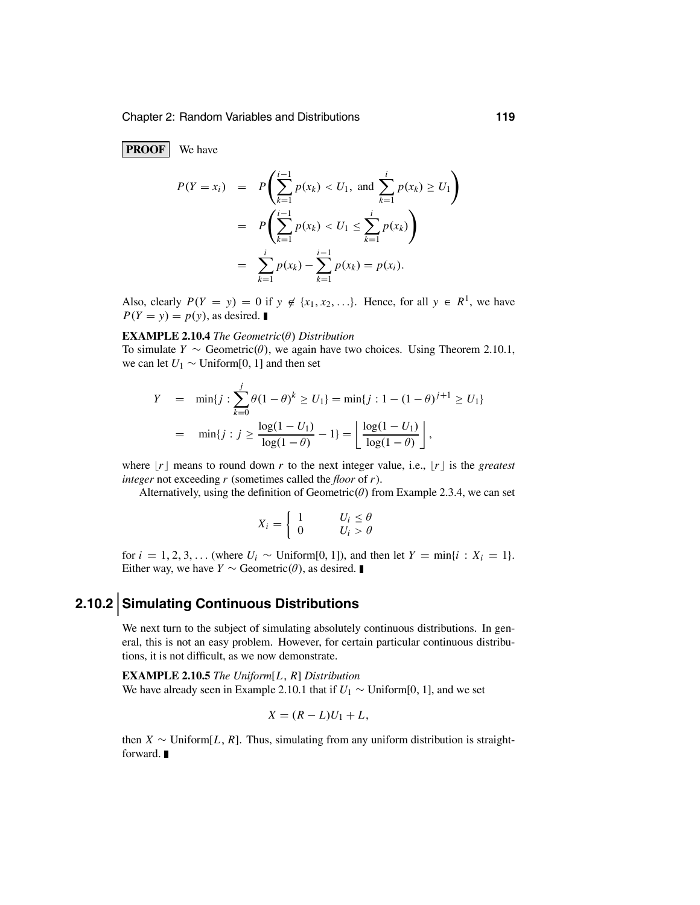**PROOF** We have

$$
P(Y = x_i) = P\left(\sum_{k=1}^{i-1} p(x_k) < U_1, \text{ and } \sum_{k=1}^{i} p(x_k) \ge U_1\right)
$$
\n
$$
= P\left(\sum_{k=1}^{i-1} p(x_k) < U_1 \le \sum_{k=1}^{i} p(x_k)\right)
$$
\n
$$
= \sum_{k=1}^{i} p(x_k) - \sum_{k=1}^{i-1} p(x_k) = p(x_i).
$$

Also, clearly  $P(Y = y) = 0$  if  $y \notin \{x_1, x_2, \ldots\}$ . Hence, for all  $y \in R^1$ , we have  $P(Y = y) = p(y)$ , as desired.

### **EXAMPLE 2.10.4** *The Geometric*( $\theta$ ) *Distribution*

To simulate *Y* ~ Geometric( $\theta$ ), we again have two choices. Using Theorem 2.10.1, we can let  $U_1 \sim$  Uniform[0, 1] and then set

$$
Y = \min\{j : \sum_{k=0}^{j} \theta(1-\theta)^k \ge U_1\} = \min\{j : 1 - (1-\theta)^{j+1} \ge U_1\}
$$

$$
= \min\{j : j \ge \frac{\log(1-U_1)}{\log(1-\theta)} - 1\} = \left\lfloor \frac{\log(1-U_1)}{\log(1-\theta)} \right\rfloor,
$$

where  $|r|$  means to round down *r* to the next integer value, i.e.,  $|r|$  is the *greatest integer* not exceeding *r* (sometimes called the *floor* of *r*).

Alternatively, using the definition of Geometric( $\theta$ ) from Example 2.3.4, we can set

$$
X_i = \left\{ \begin{array}{ll} 1 & U_i \le \theta \\ 0 & U_i > \theta \end{array} \right.
$$

for  $i = 1, 2, 3, \ldots$  (where  $U_i \sim \text{Uniform}[0, 1]$ ), and then let  $Y = \min\{i : X_i = 1\}$ . Either way, we have *Y* ∼ Geometric( $\theta$ ), as desired. ■

## **2.10.2 Simulating Continuous Distributions**

We next turn to the subject of simulating absolutely continuous distributions. In general, this is not an easy problem. However, for certain particular continuous distributions, it is not difficult, as we now demonstrate.

**EXAMPLE 2.10.5** *The Uniform*[*L*, *R*] *Distribution* We have already seen in Example 2.10.1 that if  $U_1 \sim$  Uniform[0, 1], and we set

$$
X = (R - L)U_1 + L,
$$

then *X* ∼ Uniform[*L*, *R*]. Thus, simulating from any uniform distribution is straightforward.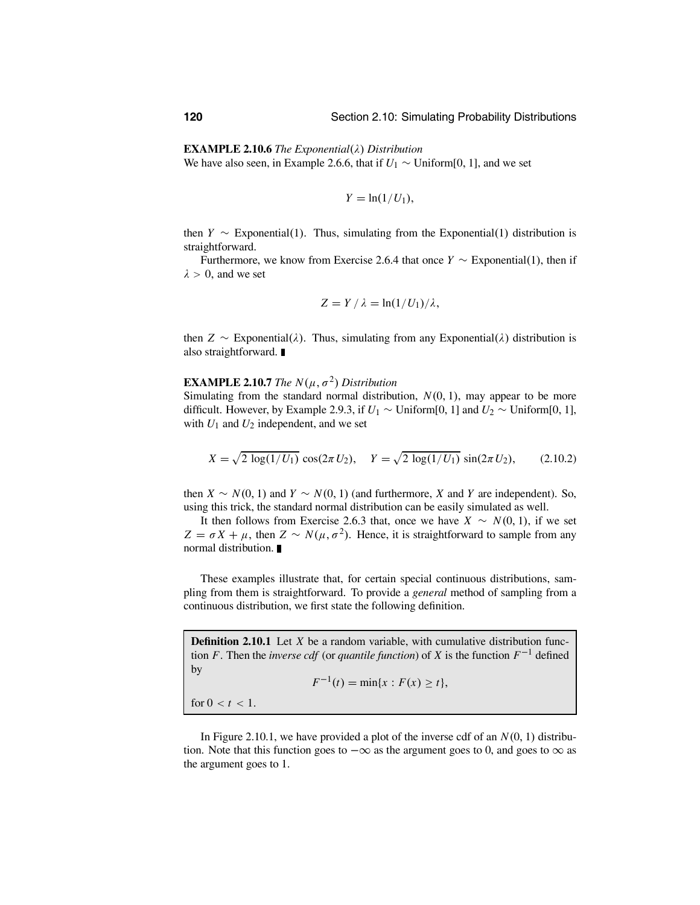**EXAMPLE 2.10.6** *The Exponential*(λ) *Distribution*

We have also seen, in Example 2.6.6, that if  $U_1 \sim$  Uniform[0, 1], and we set

$$
Y=\ln(1/U_1),
$$

then *Y* ∼ Exponential(1). Thus, simulating from the Exponential(1) distribution is straightforward.

Furthermore, we know from Exercise 2.6.4 that once  $Y \sim$  Exponential(1), then if  $\lambda > 0$ , and we set

$$
Z = Y / \lambda = \ln(1/U_1) / \lambda,
$$

then *Z* ∼ Exponential( $\lambda$ ). Thus, simulating from any Exponential( $\lambda$ ) distribution is also straightforward.

### **EXAMPLE 2.10.7** *The*  $N(\mu, \sigma^2)$  *Distribution*

Simulating from the standard normal distribution, *N*(0, 1), may appear to be more difficult. However, by Example 2.9.3, if  $U_1 \sim$  Uniform[0, 1] and  $U_2 \sim$  Uniform[0, 1], with  $U_1$  and  $U_2$  independent, and we set

$$
X = \sqrt{2 \log(1/U_1)} \cos(2\pi U_2), \quad Y = \sqrt{2 \log(1/U_1)} \sin(2\pi U_2), \quad (2.10.2)
$$

then  $X \sim N(0, 1)$  and  $Y \sim N(0, 1)$  (and furthermore, X and Y are independent). So, using this trick, the standard normal distribution can be easily simulated as well.

It then follows from Exercise 2.6.3 that, once we have *<sup>X</sup>* <sup>∼</sup> *<sup>N</sup>*(0, <sup>1</sup>), if we set  $Z = \sigma X + \mu$ , then  $Z \sim N(\mu, \sigma^2)$ . Hence, it is straightforward to sample from any normal distribution.

These examples illustrate that, for certain special continuous distributions, sampling from them is straightforward. To provide a *general* method of sampling from a continuous distribution, we first state the following definition.

**Definition 2.10.1** Let *X* be a random variable, with cumulative distribution function *F*. Then the *inverse cdf* (or *quantile function*) of *X* is the function  $F^{-1}$  defined by

$$
F^{-1}(t) = \min\{x : F(x) \ge t\},\
$$

for 
$$
0 < t < 1
$$
.

In Figure 2.10.1, we have provided a plot of the inverse cdf of an  $N(0, 1)$  distribution. Note that this function goes to  $-\infty$  as the argument goes to 0, and goes to  $\infty$  as the argument goes to 1.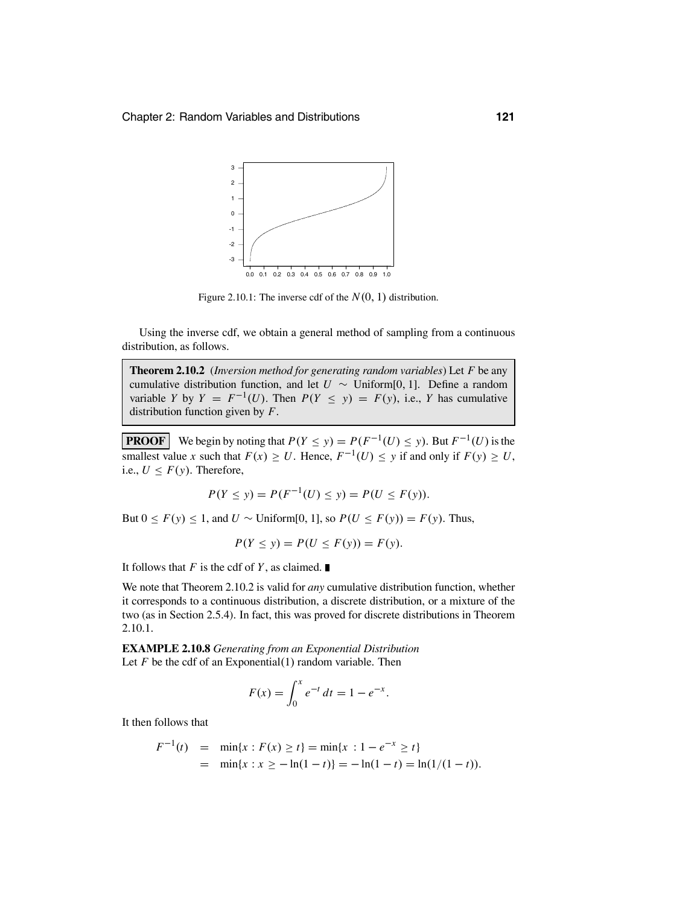

Figure 2.10.1: The inverse cdf of the  $N(0, 1)$  distribution.

Using the inverse cdf, we obtain a general method of sampling from a continuous distribution, as follows.

**Theorem 2.10.2** (*Inversion method for generating random variables*) Let *F* be any cumulative distribution function, and let  $U \sim$  Uniform[0, 1]. Define a random variable *Y* by  $Y = F^{-1}(U)$ . Then  $P(Y \le y) = F(y)$ , i.e., *Y* has cumulative distribution function given by *F*.

**PROOF** We begin by noting that  $P(Y \le y) = P(F^{-1}(U) \le y)$ . But  $F^{-1}(U)$  is the smallest value *x* such that  $F(x) \geq U$ . Hence,  $F^{-1}(U) \leq y$  if and only if  $F(y) \geq U$ , i.e.,  $U \leq F(y)$ . Therefore,

$$
P(Y \le y) = P(F^{-1}(U) \le y) = P(U \le F(y)).
$$

But 0 ≤  $F(y)$  ≤ 1, and  $U$  ∼ Uniform[0, 1], so  $P(U \leq F(y)) = F(y)$ . Thus,

$$
P(Y \le y) = P(U \le F(y)) = F(y).
$$

It follows that *F* is the cdf of *Y*, as claimed.

We note that Theorem 2.10.2 is valid for *any* cumulative distribution function, whether it corresponds to a continuous distribution, a discrete distribution, or a mixture of the two (as in Section 2.5.4). In fact, this was proved for discrete distributions in Theorem 2.10.1.

**EXAMPLE 2.10.8** *Generating from an Exponential Distribution* Let  $F$  be the cdf of an Exponential $(1)$  random variable. Then

$$
F(x) = \int_0^x e^{-t} dt = 1 - e^{-x}.
$$

It then follows that

$$
F^{-1}(t) = \min\{x : F(x) \ge t\} = \min\{x : 1 - e^{-x} \ge t\}
$$
  
=  $\min\{x : x \ge -\ln(1-t)\} = -\ln(1-t) = \ln(1/(1-t)).$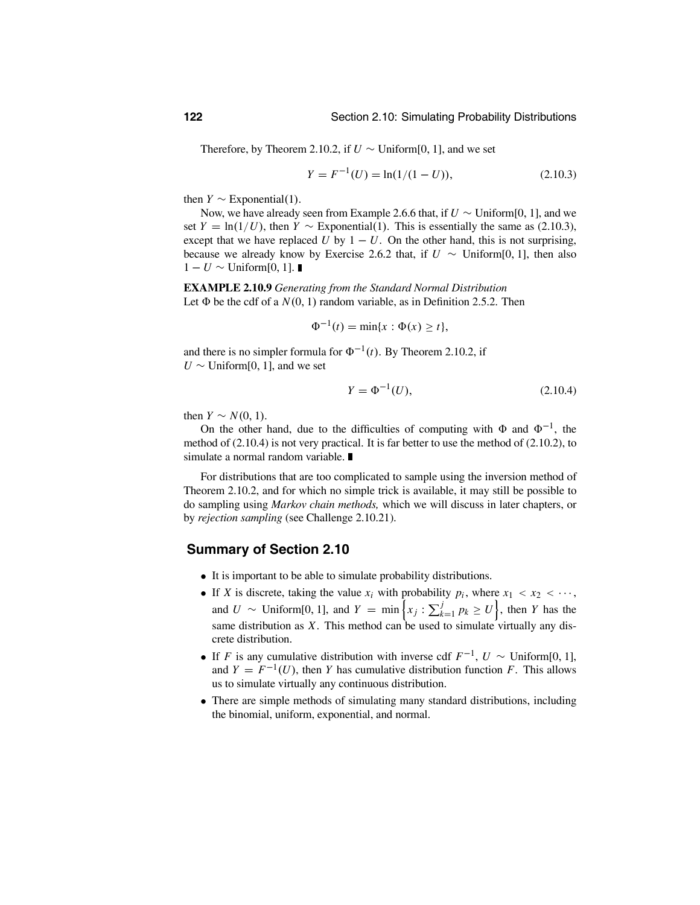Therefore, by Theorem 2.10.2, if  $U \sim$  Uniform[0, 1], and we set

$$
Y = F^{-1}(U) = \ln(1/(1-U)),
$$
\n(2.10.3)

then *Y*  $\sim$  Exponential(1).

Now, we have already seen from Example 2.6.6 that, if *<sup>U</sup>* <sup>∼</sup> Uniform[0, 1], and we set  $Y = \ln(1/U)$ , then  $Y \sim$  Exponential(1). This is essentially the same as (2.10.3), except that we have replaced *U* by  $1 - U$ . On the other hand, this is not surprising, because we already know by Exercise 2.6.2 that, if  $U \sim$  Uniform[0, 1], then also  $1-U \sim$  Uniform[0, 1]. ■

**EXAMPLE 2.10.9** *Generating from the Standard Normal Distribution* Let  $\Phi$  be the cdf of a  $N(0, 1)$  random variable, as in Definition 2.5.2. Then

$$
\Phi^{-1}(t) = \min\{x : \Phi(x) \ge t\},\
$$

and there is no simpler formula for  $\Phi^{-1}(t)$ . By Theorem 2.10.2, if *U*  $\sim$  Uniform[0, 1], and we set

$$
Y = \Phi^{-1}(U),
$$
 (2.10.4)

then  $Y \sim N(0, 1)$ .

On the other hand, due to the difficulties of computing with  $\Phi$  and  $\Phi^{-1}$ , the method of (2.10.4) is not very practical. It is far better to use the method of (2.10.2), to simulate a normal random variable.

For distributions that are too complicated to sample using the inversion method of Theorem 2.10.2, and for which no simple trick is available, it may still be possible to do sampling using *Markov chain methods,* which we will discuss in later chapters, or by *rejection sampling* (see Challenge 2.10.21).

### **Summary of Section 2.10**

- It is important to be able to simulate probability distributions.
- If *X* is discrete, taking the value  $x_i$  with probability  $p_i$ , where  $x_1 < x_2 < \cdots$ , and *U* ∼ Uniform[0, 1], and *Y* = min  $\left\{x_j : \sum_{k=1}^j p_k \ge U\right\}$ , then *Y* has the same distribution as *X*. This method can be used to simulate virtually any discrete distribution.
- If *F* is any cumulative distribution with inverse cdf  $F^{-1}$ ,  $U \sim$  Uniform[0, 1], and  $Y = F^{-1}(U)$ , then *Y* has cumulative distribution function *F*. This allows us to simulate virtually any continuous distribution.
- There are simple methods of simulating many standard distributions, including the binomial, uniform, exponential, and normal.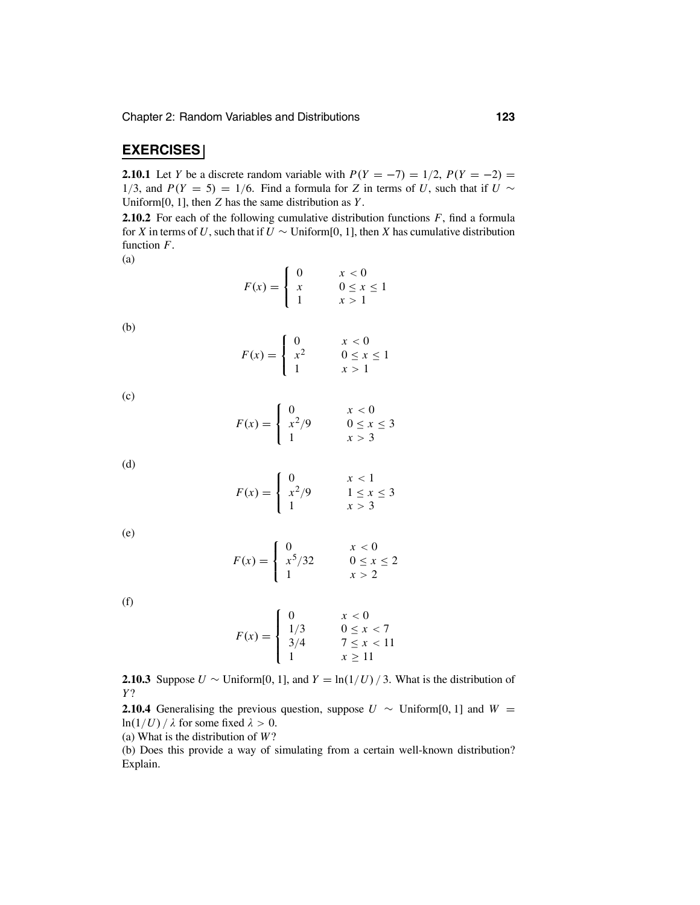### **EXERCISES**

**2.10.1** Let *Y* be a discrete random variable with  $P(Y = -7) = 1/2$ ,  $P(Y = -2) = 1/2$ 1/3, and *P*(*Y* = 5) = 1/6. Find a formula for *Z* in terms of *U*, such that if  $U \sim$ Uniform[0, 1], then *Z* has the same distribution as *Y*.

**2.10.2** For each of the following cumulative distribution functions *F*, find a formula for *X* in terms of *U*, such that if  $U \sim$  Uniform[0, 1], then *X* has cumulative distribution function *F*.

(a)

$$
F(x) = \begin{cases} 0 & x < 0 \\ x & 0 \le x \le 1 \\ 1 & x > 1 \end{cases}
$$

(b)

$$
F(x) = \begin{cases} 0 & x < 0 \\ x^2 & 0 \le x \le 1 \\ 1 & x > 1 \end{cases}
$$

(c)

$$
F(x) = \begin{cases} 0 & x < 0 \\ x^2/9 & 0 \le x \le 3 \\ 1 & x > 3 \end{cases}
$$

(d)

$$
F(x) = \begin{cases} 0 & x < 1 \\ x^2/9 & 1 \le x \le 3 \\ 1 & x > 3 \end{cases}
$$

(e)

$$
F(x) = \begin{cases} 0 & x < 0\\ x^5/32 & 0 \le x \le 2\\ 1 & x > 2 \end{cases}
$$

(f)

$$
F(x) = \begin{cases} 0 & x < 0 \\ 1/3 & 0 \le x < 7 \\ 3/4 & 7 \le x < 11 \\ 1 & x \ge 11 \end{cases}
$$

**2.10.3** Suppose *U* ∼ Uniform[0, 1], and  $Y = \ln(1/U)/3$ . What is the distribution of *Y*?

**2.10.4** Generalising the previous question, suppose  $U \sim$  Uniform[0, 1] and  $W =$  $ln(1/U) / \lambda$  for some fixed  $\lambda > 0$ .

(a) What is the distribution of *W*?

(b) Does this provide a way of simulating from a certain well-known distribution? Explain.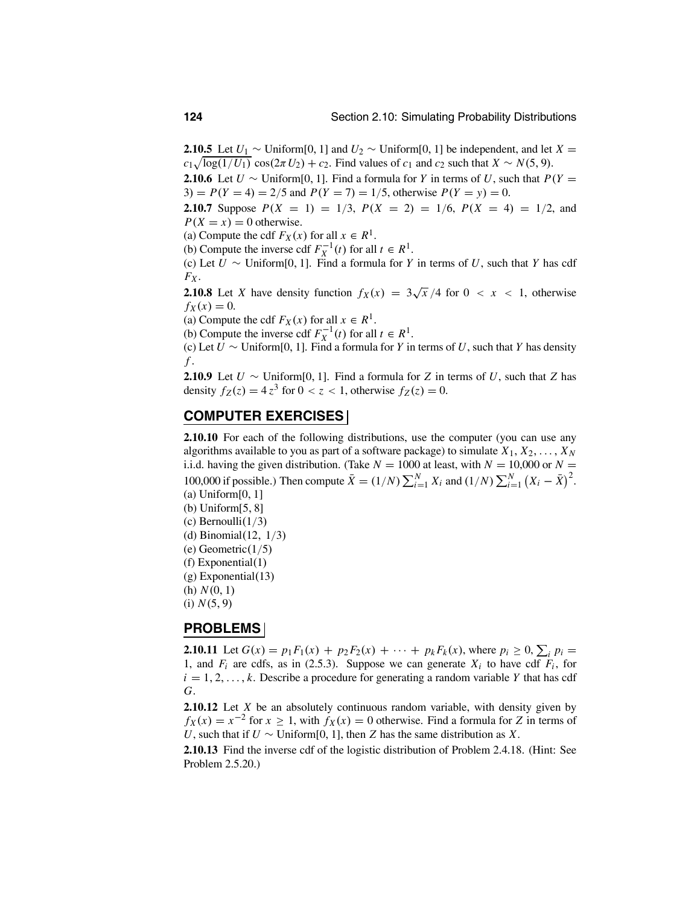**2.10.5** Let *U*<sub>1</sub> ∼ Uniform[0, 1] and *U*<sub>2</sub> ∼ Uniform[0, 1] be independent, and let *X* =  $c_1\sqrt{\log(1/U_1)}$  cos( $2\pi U_2$ ) + *c*<sub>2</sub>. Find values of *c*<sub>1</sub> and *c*<sub>2</sub> such that *X* ~ *N*(5, 9).

**2.10.6** Let *U* ∼ Uniform[0, 1]. Find a formula for *Y* in terms of *U*, such that  $P(Y =$ 3) =  $P(Y = 4) = 2/5$  and  $P(Y = 7) = 1/5$ , otherwise  $P(Y = y) = 0$ .

**2.10.7** Suppose  $P(X = 1) = 1/3$ ,  $P(X = 2) = 1/6$ ,  $P(X = 4) = 1/2$ , and  $P(X = x) = 0$  otherwise.

(a) Compute the cdf  $F_X(x)$  for all  $x \in R^1$ .

(b) Compute the inverse cdf  $F_X^{-1}(t)$  for all  $t \in R^1$ .

(c) Let *<sup>U</sup>* <sup>∼</sup> Uniform[0, 1]. Find a formula for *<sup>Y</sup>* in terms of *<sup>U</sup>*, such that *<sup>Y</sup>* has cdf *FX* .

**2.10.8** Let *X* have density function  $f_X(x) = 3\sqrt{x}/4$  for  $0 < x < 1$ , otherwise  $f_X(x) = 0.$ 

(a) Compute the cdf  $F_X(x)$  for all  $x \in R^1$ .

(b) Compute the inverse cdf  $F_X^{-1}(t)$  for all  $t \in R^1$ .

(c) Let *<sup>U</sup>* <sup>∼</sup> Uniform[0, 1]. Find a formula for *<sup>Y</sup>* in terms of *<sup>U</sup>*, such that *<sup>Y</sup>* has density *f* .

**2.10.9** Let *U* ∼ Uniform[0, 1]. Find a formula for *Z* in terms of *U*, such that *Z* has density  $f_Z(z) = 4z^3$  for  $0 < z < 1$ , otherwise  $f_Z(z) = 0$ .

### **COMPUTER EXERCISES**

**2.10.10** For each of the following distributions, use the computer (you can use any algorithms available to you as part of a software package) to simulate  $X_1, X_2, \ldots, X_N$ i.i.d. having the given distribution. (Take  $N = 1000$  at least, with  $N = 10,000$  or  $N = 2$ 100,000 if possible.) Then compute  $\bar{X} = (1/N) \sum_{i=1}^{N} X_i$  and  $(1/N) \sum_{i=1}^{N} (X_i - \bar{X})^2$ .  $(a)$  Uniform $[0, 1]$ 

(b) Uniform[5, 8] (c) Bernoulli(1/3) (d) Binomial(12, 1/3) (e) Geometric $(1/5)$ (f) Exponential(1) (g) Exponential(13) (h) *N*(0, 1) (i) *N*(5, 9)

### **PROBLEMS**

**2.10.11** Let  $G(x) = p_1 F_1(x) + p_2 F_2(x) + \cdots + p_k F_k(x)$ , where  $p_i \ge 0$ ,  $\sum_i p_i =$ 1, and  $F_i$  are cdfs, as in (2.5.3). Suppose we can generate  $X_i$  to have cdf  $F_i$ , for  $i = 1, 2, \ldots, k$ . Describe a procedure for generating a random variable *Y* that has cdf *G*.

**2.10.12** Let *X* be an absolutely continuous random variable, with density given by  $f_X(x) = x^{-2}$  for  $x \ge 1$ , with  $f_X(x) = 0$  otherwise. Find a formula for *Z* in terms of *U*, such that if  $U \sim$  Uniform[0, 1], then *Z* has the same distribution as *X*.

**2.10.13** Find the inverse cdf of the logistic distribution of Problem 2.4.18. (Hint: See Problem 2.5.20.)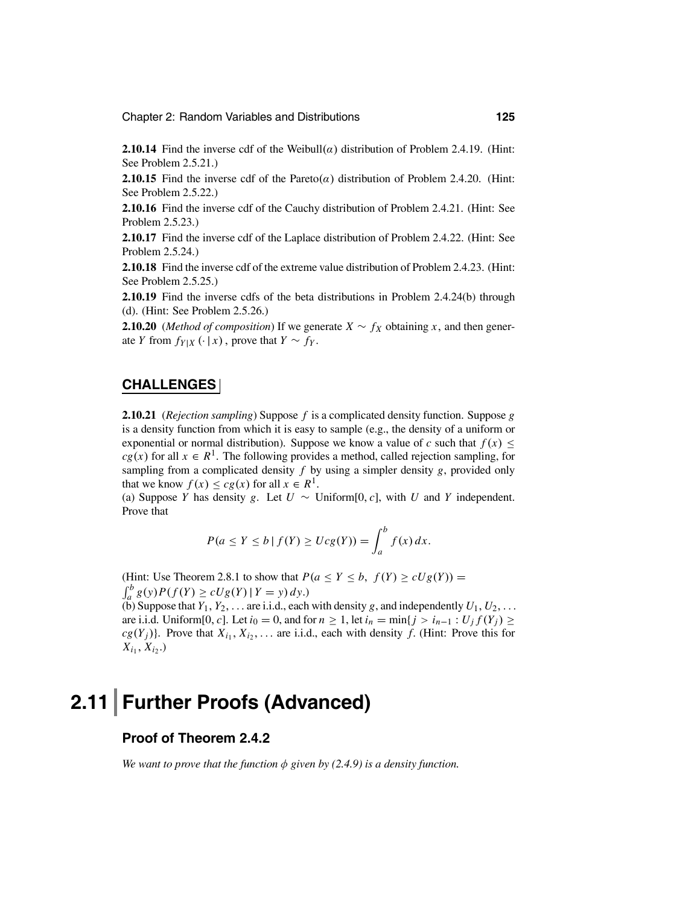**2.10.14** Find the inverse cdf of the Weibull( $\alpha$ ) distribution of Problem 2.4.19. (Hint: See Problem 2.5.21.)

**2.10.15** Find the inverse cdf of the Pareto( $\alpha$ ) distribution of Problem 2.4.20. (Hint: See Problem 2.5.22.)

**2.10.16** Find the inverse cdf of the Cauchy distribution of Problem 2.4.21. (Hint: See Problem 2.5.23.)

**2.10.17** Find the inverse cdf of the Laplace distribution of Problem 2.4.22. (Hint: See Problem 2.5.24.)

**2.10.18** Find the inverse cdf of the extreme value distribution of Problem 2.4.23. (Hint: See Problem 2.5.25.)

**2.10.19** Find the inverse cdfs of the beta distributions in Problem 2.4.24(b) through (d). (Hint: See Problem 2.5.26.)

**2.10.20** (*Method of composition*) If we generate  $X \sim f_X$  obtaining *x*, and then generate *Y* from  $f_{Y|X}(\cdot | x)$ , prove that  $Y \sim f_Y$ .

### **CHALLENGES**

**2.10.21** (*Rejection sampling*) Suppose *f* is a complicated density function. Suppose *g* is a density function from which it is easy to sample (e.g., the density of a uniform or exponential or normal distribution). Suppose we know a value of *c* such that  $f(x)$  < *cg*(*x*) for all  $x \in R^1$ . The following provides a method, called rejection sampling, for sampling from a complicated density *f* by using a simpler density *g*, provided only that we know  $f(x) \le cg(x)$  for all  $x \in R^1$ .

(a) Suppose *Y* has density *g*. Let  $U \sim$  Uniform[0, *c*], with *U* and *Y* independent. Prove that

$$
P(a \le Y \le b \mid f(Y) \ge Ucg(Y)) = \int_a^b f(x) dx.
$$

(Hint: Use Theorem 2.8.1 to show that  $P(a \le Y \le b, f(Y) \ge cUg(Y)) =$  $\int_{a}^{b} g(y) P(f(Y) \ge cUg(Y) | Y = y) dy.$ 

(b) Suppose that  $Y_1, Y_2, \ldots$  are i.i.d., each with density *g*, and independently  $U_1, U_2, \ldots$ are i.i.d. Uniform[0, *c*]. Let  $i_0 = 0$ , and for  $n \ge 1$ , let  $i_n = \min\{j > i_{n-1} : U_j f(Y_j) \ge 1\}$  $cg(Y_i)$ . Prove that  $X_{i_1}, X_{i_2}, \ldots$  are i.i.d., each with density *f*. (Hint: Prove this for  $X_{i_1}, X_{i_2}$ .)

# **2.11 Further Proofs (Advanced)**

### **Proof of Theorem 2.4.2**

*We want to prove that the function*  $\phi$  *given by (2.4.9) is a density function.*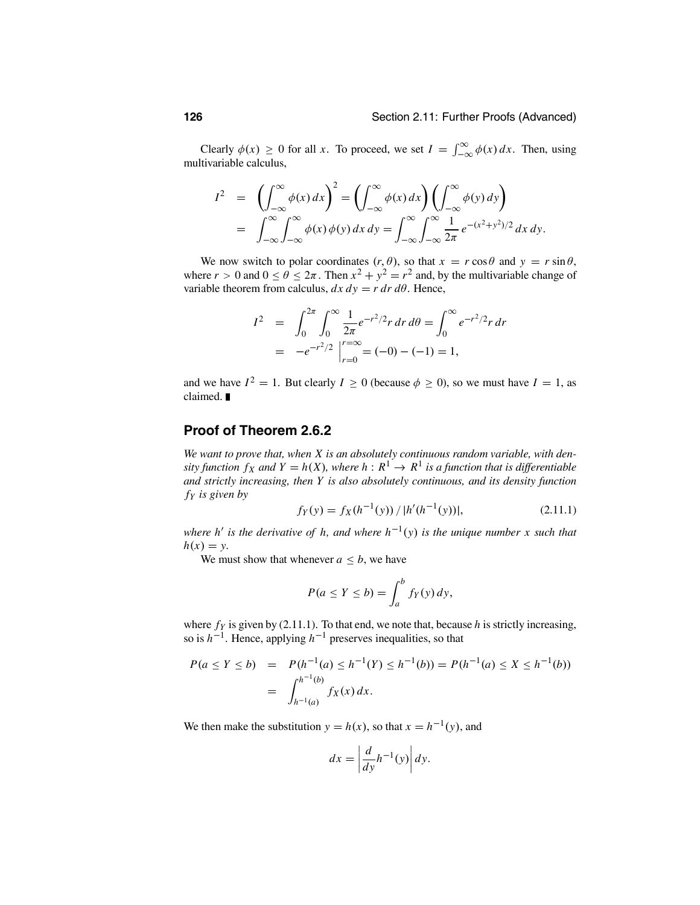Clearly  $\phi(x) \ge 0$  for all *x*. To proceed, we set  $I = \int_{-\infty}^{\infty} \phi(x) dx$ . Then, using time-in-blaced substitutionmultivariable calculus,

$$
I^{2} = \left( \int_{-\infty}^{\infty} \phi(x) dx \right)^{2} = \left( \int_{-\infty}^{\infty} \phi(x) dx \right) \left( \int_{-\infty}^{\infty} \phi(y) dy \right)
$$
  
= 
$$
\int_{-\infty}^{\infty} \int_{-\infty}^{\infty} \phi(x) \phi(y) dx dy = \int_{-\infty}^{\infty} \int_{-\infty}^{\infty} \frac{1}{2\pi} e^{-(x^{2}+y^{2})/2} dx dy.
$$

We now switch to polar coordinates  $(r, \theta)$ , so that  $x = r \cos \theta$  and  $y = r \sin \theta$ , where  $r > 0$  and  $0 \le \theta \le 2\pi$ . Then  $x^2 + y^2 = r^2$  and, by the multivariable change of variable theorem from calculus,  $dx dy = r dr d\theta$ . Hence,

$$
I^{2} = \int_{0}^{2\pi} \int_{0}^{\infty} \frac{1}{2\pi} e^{-r^{2}/2} r dr d\theta = \int_{0}^{\infty} e^{-r^{2}/2} r dr
$$
  
=  $-e^{-r^{2}/2} \Big|_{r=0}^{r=\infty} = (-0) - (-1) = 1,$ 

and we have  $I^2 = 1$ . But clearly  $I \ge 0$  (because  $\phi \ge 0$ ), so we must have  $I = 1$ , as claimed.

### **Proof of Theorem 2.6.2**

*We want to prove that, when X is an absolutely continuous random variable, with density function f<sub>X</sub> and Y* =  $h(X)$ *, where h* :  $R^1 \rightarrow R^1$  *is a function that is differentiable and strictly increasing, then Y is also absolutely continuous, and its density function fY is given by*

$$
f_Y(y) = f_X(h^{-1}(y)) / |h'(h^{-1}(y))|,
$$
\n(2.11.1)

*where h' is the derivative of h, and where h*<sup>-1</sup>(*y*) *is the unique number x such that*  $h(x) = y$ .

We must show that whenever  $a \leq b$ , we have

$$
P(a \le Y \le b) = \int_a^b f_Y(y) \, dy,
$$

where  $f_Y$  is given by (2.11.1). To that end, we note that, because  $h$  is strictly increasing, so is *h*−1. Hence, applying *h*−<sup>1</sup> preserves inequalities, so that

$$
P(a \le Y \le b) = P(h^{-1}(a) \le h^{-1}(Y) \le h^{-1}(b)) = P(h^{-1}(a) \le X \le h^{-1}(b))
$$
  
= 
$$
\int_{h^{-1}(a)}^{h^{-1}(b)} f_X(x) dx.
$$

We then make the substitution  $y = h(x)$ , so that  $x = h^{-1}(y)$ , and

$$
dx = \left| \frac{d}{dy} h^{-1}(y) \right| dy.
$$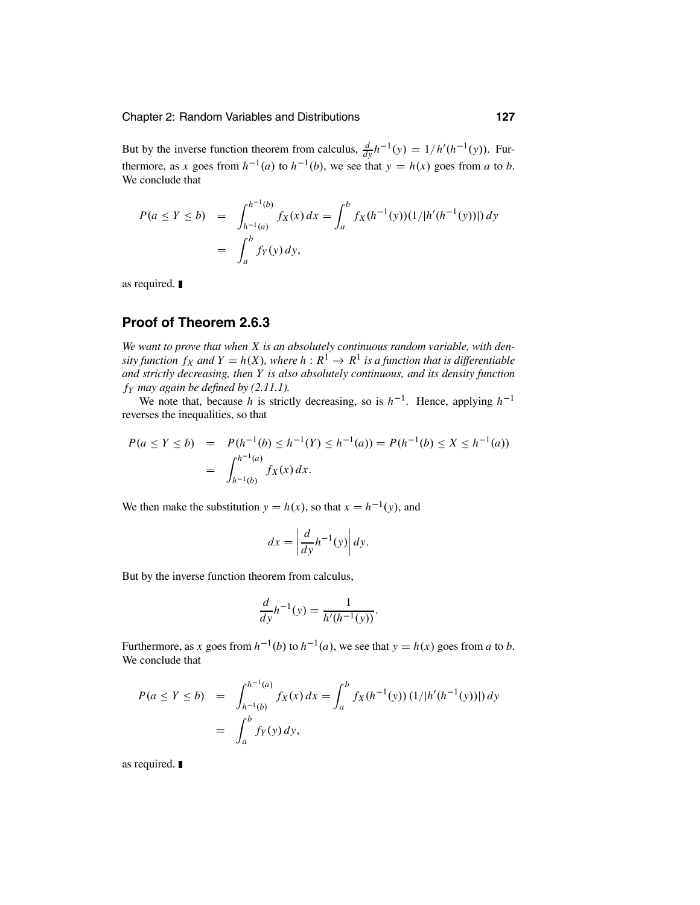But by the inverse function theorem from calculus,  $\frac{d}{dy}h^{-1}(y) = 1/h'(h^{-1}(y))$ . Furthermore, as *x* goes from  $h^{-1}(a)$  to  $h^{-1}(b)$ , we see that  $y = h(x)$  goes from *a* to *b*. We conclude that

$$
P(a \le Y \le b) = \int_{h^{-1}(a)}^{h^{-1}(b)} f_X(x) dx = \int_a^b f_X(h^{-1}(y))(1/|h'(h^{-1}(y))|) dy
$$
  
= 
$$
\int_a^b f_Y(y) dy,
$$

as required.

### **Proof of Theorem 2.6.3**

*We want to prove that when X is an absolutely continuous random variable, with density function*  $f_X$  *and*  $Y = h(X)$ *, where*  $h: R^1 \to R^1$  *is a function that is differentiable and strictly decreasing, then Y is also absolutely continuous, and its density function fY may again be defined by (2.11.1).*

We note that, because *h* is strictly decreasing, so is *h*−1. Hence, applying *h*−<sup>1</sup> reverses the inequalities, so that

$$
P(a \le Y \le b) = P(h^{-1}(b) \le h^{-1}(Y) \le h^{-1}(a)) = P(h^{-1}(b) \le X \le h^{-1}(a))
$$
  
= 
$$
\int_{h^{-1}(b)}^{h^{-1}(a)} f_X(x) dx.
$$

We then make the substitution  $y = h(x)$ , so that  $x = h^{-1}(y)$ , and

$$
dx = \left| \frac{d}{dy} h^{-1}(y) \right| dy.
$$

But by the inverse function theorem from calculus,

$$
\frac{d}{dy}h^{-1}(y) = \frac{1}{h'(h^{-1}(y))}.
$$

Furthermore, as *x* goes from  $h^{-1}(b)$  to  $h^{-1}(a)$ , we see that  $y = h(x)$  goes from *a* to *b*. We conclude that

$$
P(a \le Y \le b) = \int_{h^{-1}(b)}^{h^{-1}(a)} f_X(x) dx = \int_a^b f_X(h^{-1}(y)) (1/|h'(h^{-1}(y))|) dy
$$
  
= 
$$
\int_a^b f_Y(y) dy,
$$

as required.